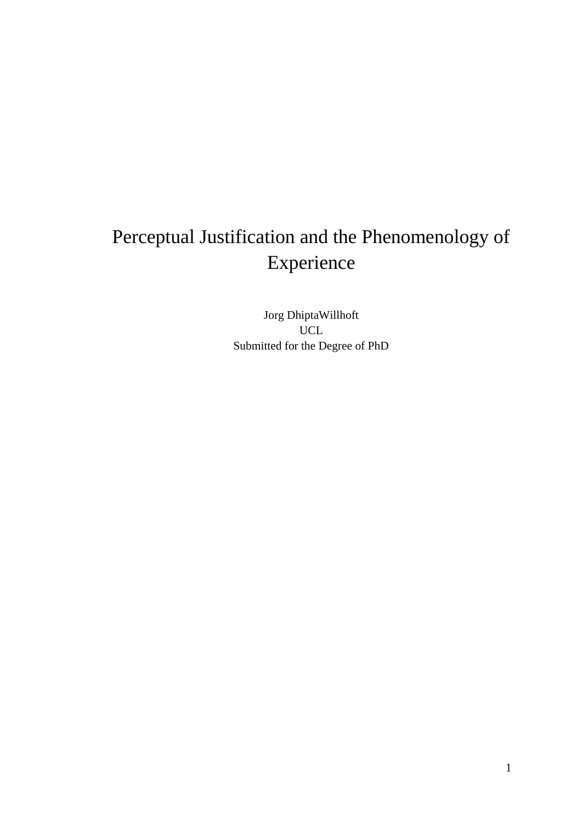# Perceptual Justification and the Phenomenology of Experience

Jorg DhiptaWillhoft UCL Submitted for the Degree of PhD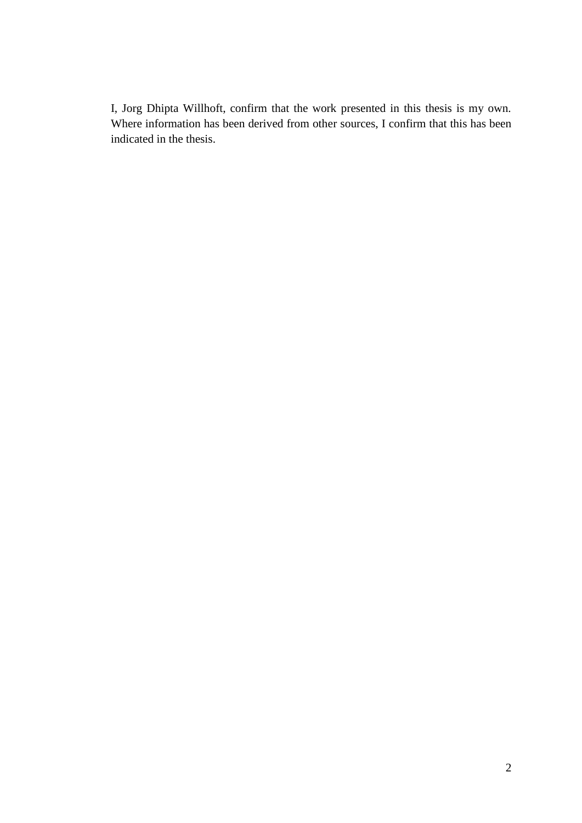I, Jorg Dhipta Willhoft, confirm that the work presented in this thesis is my own. Where information has been derived from other sources, I confirm that this has been indicated in the thesis.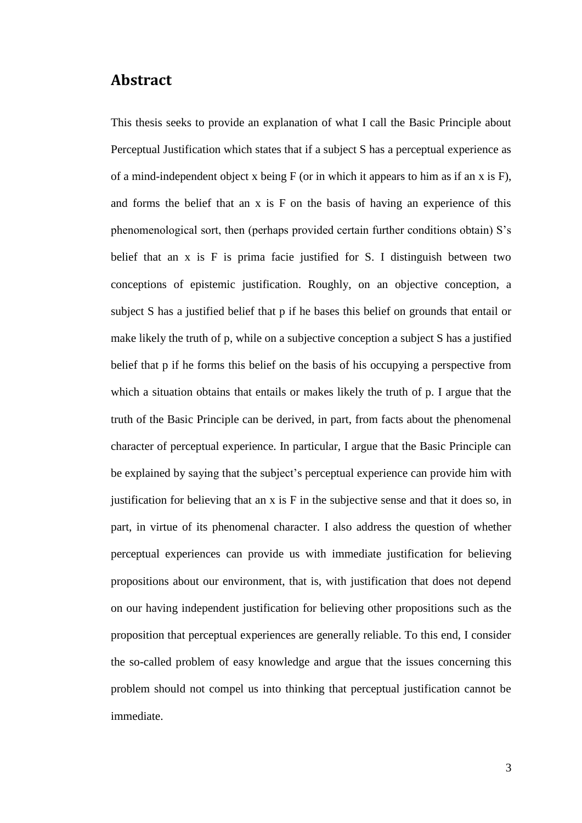### **Abstract**

This thesis seeks to provide an explanation of what I call the Basic Principle about Perceptual Justification which states that if a subject S has a perceptual experience as of a mind-independent object x being  $F$  (or in which it appears to him as if an x is  $F$ ), and forms the belief that an x is F on the basis of having an experience of this phenomenological sort, then (perhaps provided certain further conditions obtain) S's belief that an x is F is prima facie justified for S. I distinguish between two conceptions of epistemic justification. Roughly, on an objective conception, a subject S has a justified belief that p if he bases this belief on grounds that entail or make likely the truth of p, while on a subjective conception a subject S has a justified belief that p if he forms this belief on the basis of his occupying a perspective from which a situation obtains that entails or makes likely the truth of p. I argue that the truth of the Basic Principle can be derived, in part, from facts about the phenomenal character of perceptual experience. In particular, I argue that the Basic Principle can be explained by saying that the subject's perceptual experience can provide him with justification for believing that an x is F in the subjective sense and that it does so, in part, in virtue of its phenomenal character. I also address the question of whether perceptual experiences can provide us with immediate justification for believing propositions about our environment, that is, with justification that does not depend on our having independent justification for believing other propositions such as the proposition that perceptual experiences are generally reliable. To this end, I consider the so-called problem of easy knowledge and argue that the issues concerning this problem should not compel us into thinking that perceptual justification cannot be immediate.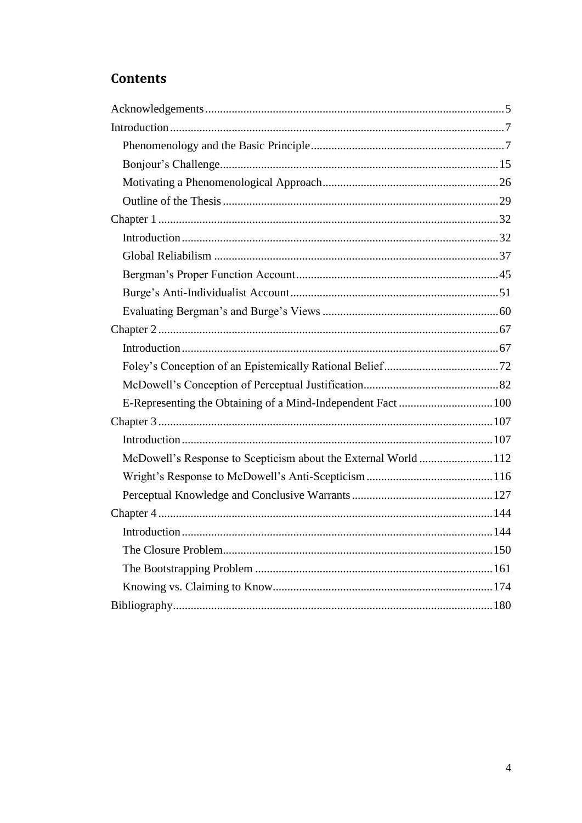## **Contents**

| McDowell's Response to Scepticism about the External World 112 |  |
|----------------------------------------------------------------|--|
|                                                                |  |
|                                                                |  |
|                                                                |  |
|                                                                |  |
|                                                                |  |
|                                                                |  |
|                                                                |  |
|                                                                |  |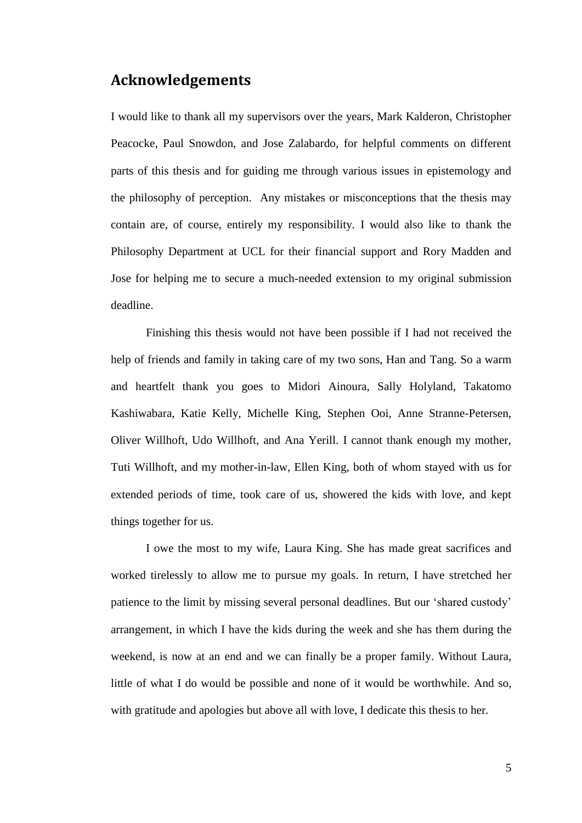## <span id="page-4-0"></span>**Acknowledgements**

I would like to thank all my supervisors over the years, Mark Kalderon, Christopher Peacocke, Paul Snowdon, and Jose Zalabardo, for helpful comments on different parts of this thesis and for guiding me through various issues in epistemology and the philosophy of perception. Any mistakes or misconceptions that the thesis may contain are, of course, entirely my responsibility. I would also like to thank the Philosophy Department at UCL for their financial support and Rory Madden and Jose for helping me to secure a much-needed extension to my original submission deadline.

Finishing this thesis would not have been possible if I had not received the help of friends and family in taking care of my two sons, Han and Tang. So a warm and heartfelt thank you goes to Midori Ainoura, Sally Holyland, Takatomo Kashiwabara, Katie Kelly, Michelle King, Stephen Ooi, Anne Stranne-Petersen, Oliver Willhoft, Udo Willhoft, and Ana Yerill. I cannot thank enough my mother, Tuti Willhoft, and my mother-in-law, Ellen King, both of whom stayed with us for extended periods of time, took care of us, showered the kids with love, and kept things together for us.

I owe the most to my wife, Laura King. She has made great sacrifices and worked tirelessly to allow me to pursue my goals. In return, I have stretched her patience to the limit by missing several personal deadlines. But our 'shared custody' arrangement, in which I have the kids during the week and she has them during the weekend, is now at an end and we can finally be a proper family. Without Laura, little of what I do would be possible and none of it would be worthwhile. And so, with gratitude and apologies but above all with love, I dedicate this thesis to her.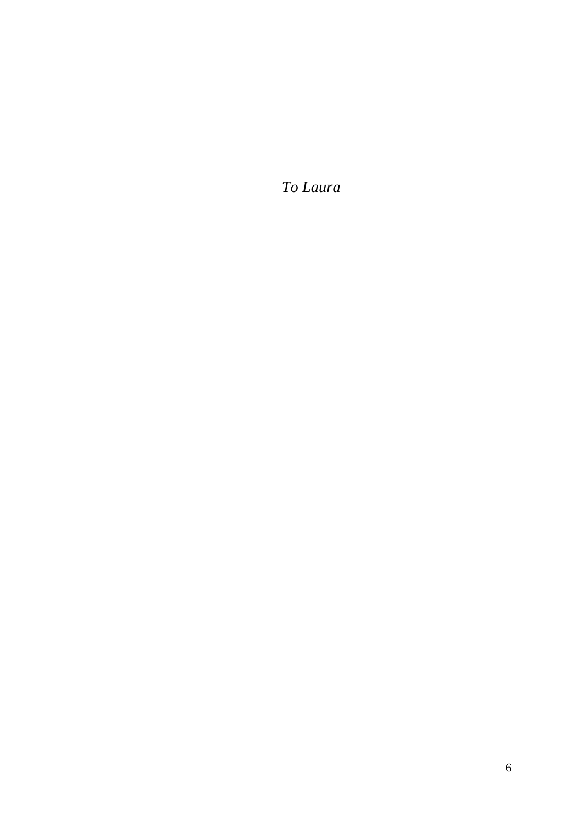*To Laura*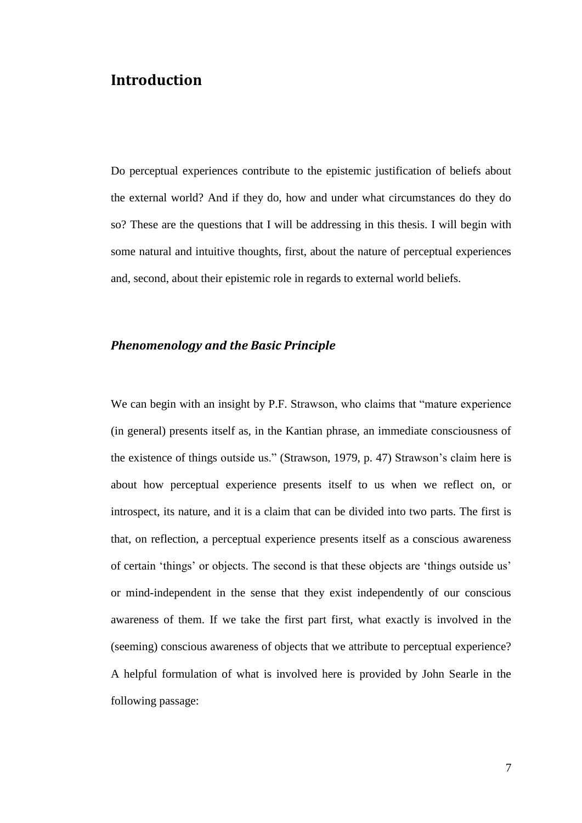## <span id="page-6-0"></span>**Introduction**

Do perceptual experiences contribute to the epistemic justification of beliefs about the external world? And if they do, how and under what circumstances do they do so? These are the questions that I will be addressing in this thesis. I will begin with some natural and intuitive thoughts, first, about the nature of perceptual experiences and, second, about their epistemic role in regards to external world beliefs.

#### <span id="page-6-1"></span>*Phenomenology and the Basic Principle*

We can begin with an insight by P.F. Strawson, who claims that "mature experience" (in general) presents itself as, in the Kantian phrase, an immediate consciousness of the existence of things outside us." (Strawson, 1979, p. 47) Strawson's claim here is about how perceptual experience presents itself to us when we reflect on, or introspect, its nature, and it is a claim that can be divided into two parts. The first is that, on reflection, a perceptual experience presents itself as a conscious awareness of certain ‗things' or objects. The second is that these objects are ‗things outside us' or mind-independent in the sense that they exist independently of our conscious awareness of them. If we take the first part first, what exactly is involved in the (seeming) conscious awareness of objects that we attribute to perceptual experience? A helpful formulation of what is involved here is provided by John Searle in the following passage: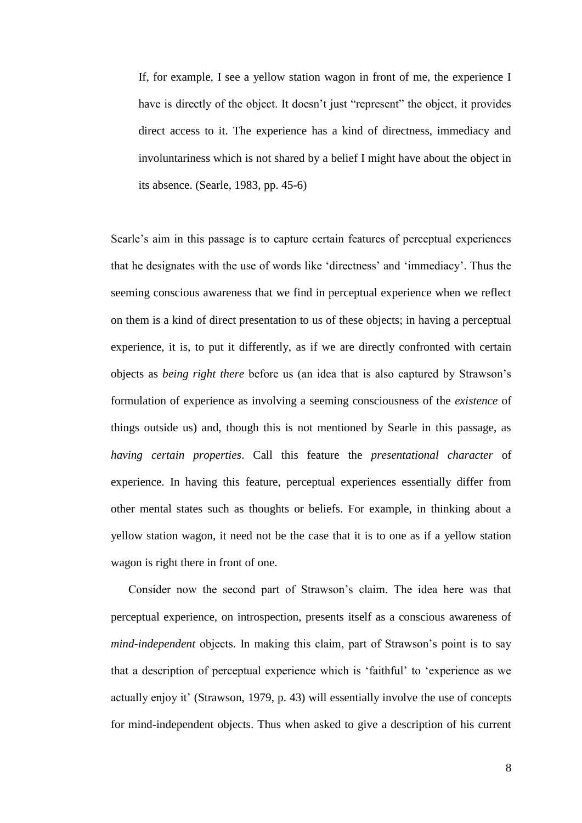If, for example, I see a yellow station wagon in front of me, the experience I have is directly of the object. It doesn't just "represent" the object, it provides direct access to it. The experience has a kind of directness, immediacy and involuntariness which is not shared by a belief I might have about the object in its absence. (Searle, 1983, pp. 45-6)

Searle's aim in this passage is to capture certain features of perceptual experiences that he designates with the use of words like ‗directness' and ‗immediacy'. Thus the seeming conscious awareness that we find in perceptual experience when we reflect on them is a kind of direct presentation to us of these objects; in having a perceptual experience, it is, to put it differently, as if we are directly confronted with certain objects as *being right there* before us (an idea that is also captured by Strawson's formulation of experience as involving a seeming consciousness of the *existence* of things outside us) and, though this is not mentioned by Searle in this passage, as *having certain properties*. Call this feature the *presentational character* of experience. In having this feature, perceptual experiences essentially differ from other mental states such as thoughts or beliefs. For example, in thinking about a yellow station wagon, it need not be the case that it is to one as if a yellow station wagon is right there in front of one.

Consider now the second part of Strawson's claim. The idea here was that perceptual experience, on introspection, presents itself as a conscious awareness of *mind-independent* objects. In making this claim, part of Strawson's point is to say that a description of perceptual experience which is 'faithful' to 'experience as we actually enjoy it' (Strawson, 1979, p. 43) will essentially involve the use of concepts for mind-independent objects. Thus when asked to give a description of his current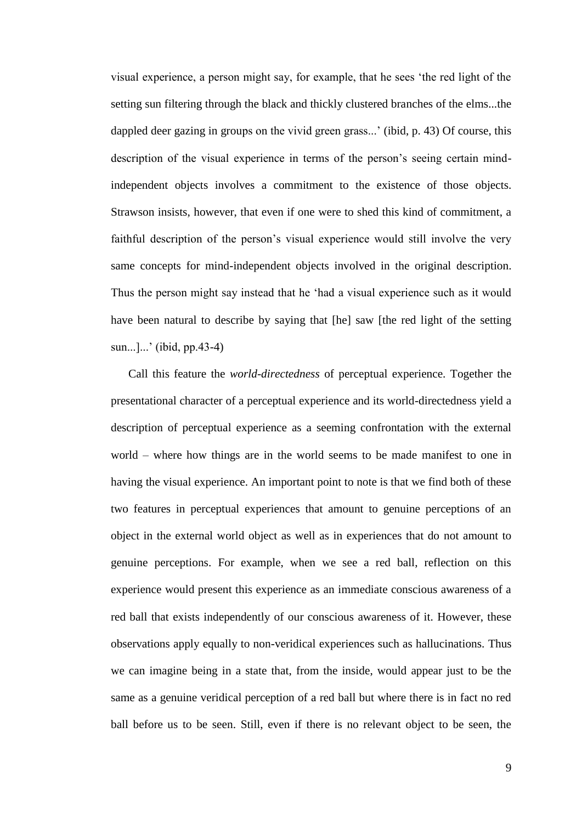visual experience, a person might say, for example, that he sees ‗the red light of the setting sun filtering through the black and thickly clustered branches of the elms...the dappled deer gazing in groups on the vivid green grass...' (ibid, p. 43) Of course, this description of the visual experience in terms of the person's seeing certain mindindependent objects involves a commitment to the existence of those objects. Strawson insists, however, that even if one were to shed this kind of commitment, a faithful description of the person's visual experience would still involve the very same concepts for mind-independent objects involved in the original description. Thus the person might say instead that he 'had a visual experience such as it would have been natural to describe by saying that [he] saw [the red light of the setting sun...]...' (ibid, pp.43-4)

Call this feature the *world-directedness* of perceptual experience. Together the presentational character of a perceptual experience and its world-directedness yield a description of perceptual experience as a seeming confrontation with the external world – where how things are in the world seems to be made manifest to one in having the visual experience. An important point to note is that we find both of these two features in perceptual experiences that amount to genuine perceptions of an object in the external world object as well as in experiences that do not amount to genuine perceptions. For example, when we see a red ball, reflection on this experience would present this experience as an immediate conscious awareness of a red ball that exists independently of our conscious awareness of it. However, these observations apply equally to non-veridical experiences such as hallucinations. Thus we can imagine being in a state that, from the inside, would appear just to be the same as a genuine veridical perception of a red ball but where there is in fact no red ball before us to be seen. Still, even if there is no relevant object to be seen, the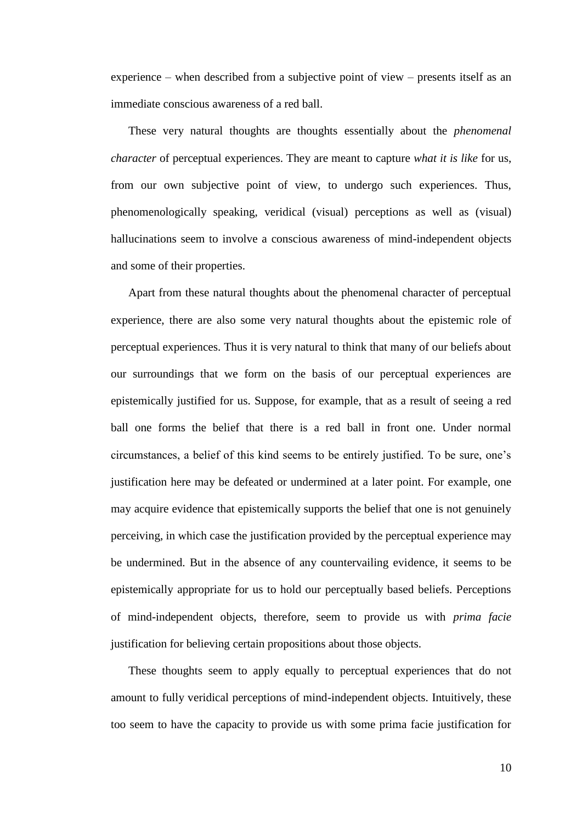experience – when described from a subjective point of view – presents itself as an immediate conscious awareness of a red ball.

These very natural thoughts are thoughts essentially about the *phenomenal character* of perceptual experiences. They are meant to capture *what it is like* for us, from our own subjective point of view, to undergo such experiences. Thus, phenomenologically speaking, veridical (visual) perceptions as well as (visual) hallucinations seem to involve a conscious awareness of mind-independent objects and some of their properties.

Apart from these natural thoughts about the phenomenal character of perceptual experience, there are also some very natural thoughts about the epistemic role of perceptual experiences. Thus it is very natural to think that many of our beliefs about our surroundings that we form on the basis of our perceptual experiences are epistemically justified for us. Suppose, for example, that as a result of seeing a red ball one forms the belief that there is a red ball in front one. Under normal circumstances, a belief of this kind seems to be entirely justified. To be sure, one's justification here may be defeated or undermined at a later point. For example, one may acquire evidence that epistemically supports the belief that one is not genuinely perceiving, in which case the justification provided by the perceptual experience may be undermined. But in the absence of any countervailing evidence, it seems to be epistemically appropriate for us to hold our perceptually based beliefs. Perceptions of mind-independent objects, therefore, seem to provide us with *prima facie* justification for believing certain propositions about those objects.

These thoughts seem to apply equally to perceptual experiences that do not amount to fully veridical perceptions of mind-independent objects. Intuitively, these too seem to have the capacity to provide us with some prima facie justification for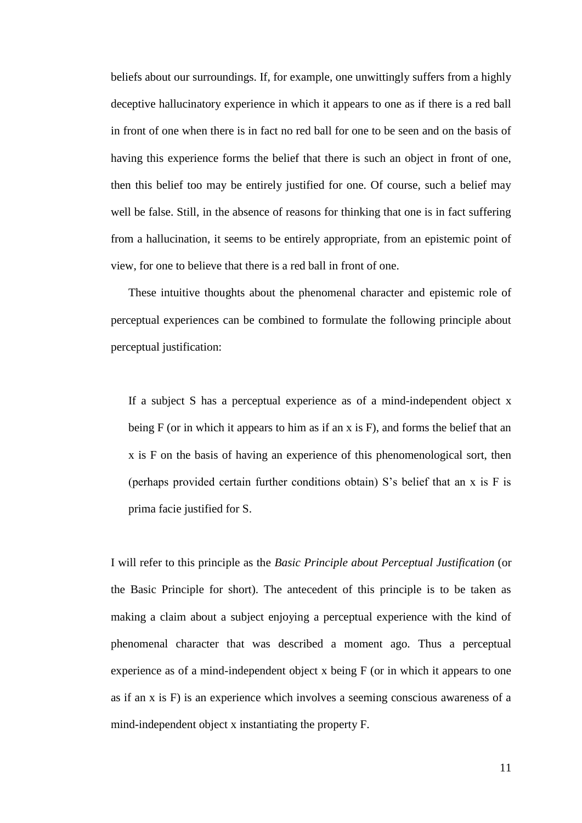beliefs about our surroundings. If, for example, one unwittingly suffers from a highly deceptive hallucinatory experience in which it appears to one as if there is a red ball in front of one when there is in fact no red ball for one to be seen and on the basis of having this experience forms the belief that there is such an object in front of one, then this belief too may be entirely justified for one. Of course, such a belief may well be false. Still, in the absence of reasons for thinking that one is in fact suffering from a hallucination, it seems to be entirely appropriate, from an epistemic point of view, for one to believe that there is a red ball in front of one.

These intuitive thoughts about the phenomenal character and epistemic role of perceptual experiences can be combined to formulate the following principle about perceptual justification:

If a subject S has a perceptual experience as of a mind-independent object x being F (or in which it appears to him as if an x is F), and forms the belief that an x is F on the basis of having an experience of this phenomenological sort, then (perhaps provided certain further conditions obtain) S's belief that an x is F is prima facie justified for S.

I will refer to this principle as the *Basic Principle about Perceptual Justification* (or the Basic Principle for short). The antecedent of this principle is to be taken as making a claim about a subject enjoying a perceptual experience with the kind of phenomenal character that was described a moment ago. Thus a perceptual experience as of a mind-independent object x being F (or in which it appears to one as if an x is F) is an experience which involves a seeming conscious awareness of a mind-independent object x instantiating the property F.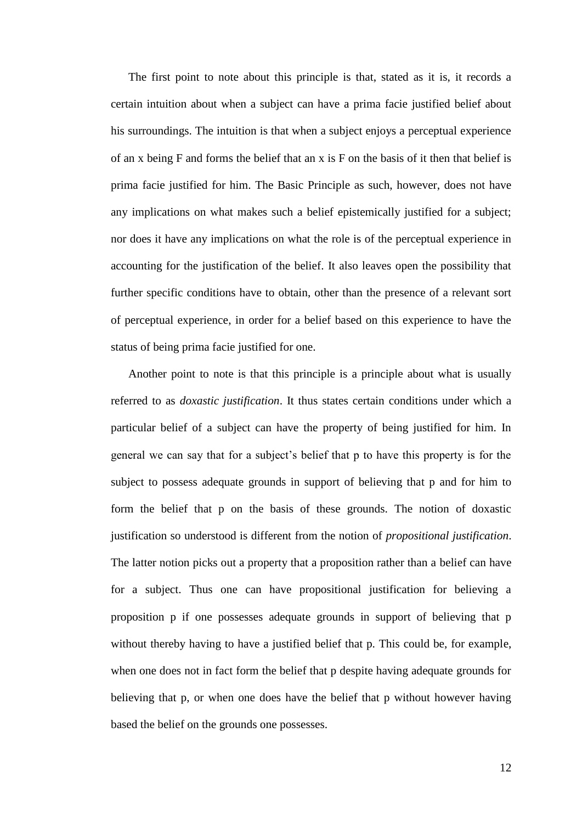The first point to note about this principle is that, stated as it is, it records a certain intuition about when a subject can have a prima facie justified belief about his surroundings. The intuition is that when a subject enjoys a perceptual experience of an x being  $F$  and forms the belief that an x is  $F$  on the basis of it then that belief is prima facie justified for him. The Basic Principle as such, however, does not have any implications on what makes such a belief epistemically justified for a subject; nor does it have any implications on what the role is of the perceptual experience in accounting for the justification of the belief. It also leaves open the possibility that further specific conditions have to obtain, other than the presence of a relevant sort of perceptual experience, in order for a belief based on this experience to have the status of being prima facie justified for one.

Another point to note is that this principle is a principle about what is usually referred to as *doxastic justification*. It thus states certain conditions under which a particular belief of a subject can have the property of being justified for him. In general we can say that for a subject's belief that p to have this property is for the subject to possess adequate grounds in support of believing that p and for him to form the belief that p on the basis of these grounds. The notion of doxastic justification so understood is different from the notion of *propositional justification*. The latter notion picks out a property that a proposition rather than a belief can have for a subject. Thus one can have propositional justification for believing a proposition p if one possesses adequate grounds in support of believing that p without thereby having to have a justified belief that p. This could be, for example, when one does not in fact form the belief that p despite having adequate grounds for believing that p, or when one does have the belief that p without however having based the belief on the grounds one possesses.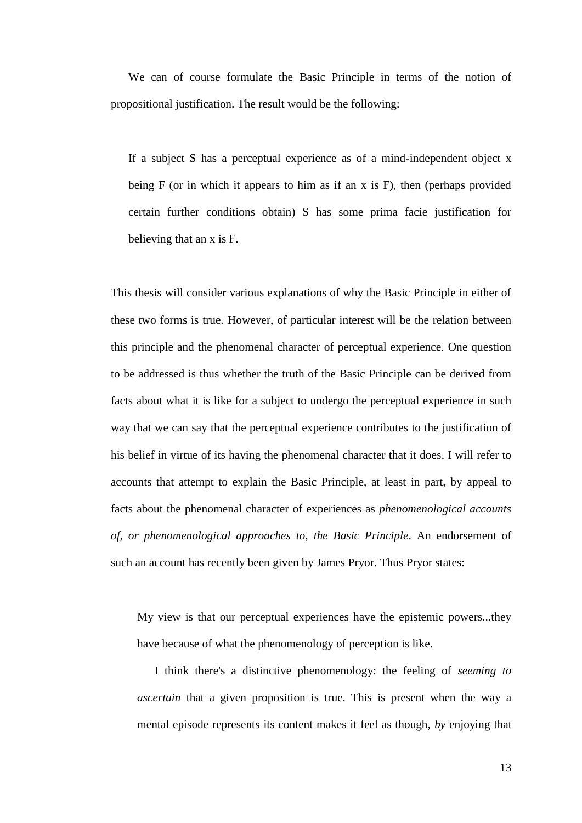We can of course formulate the Basic Principle in terms of the notion of propositional justification. The result would be the following:

If a subject S has a perceptual experience as of a mind-independent object x being F (or in which it appears to him as if an x is F), then (perhaps provided certain further conditions obtain) S has some prima facie justification for believing that an x is F.

This thesis will consider various explanations of why the Basic Principle in either of these two forms is true. However, of particular interest will be the relation between this principle and the phenomenal character of perceptual experience. One question to be addressed is thus whether the truth of the Basic Principle can be derived from facts about what it is like for a subject to undergo the perceptual experience in such way that we can say that the perceptual experience contributes to the justification of his belief in virtue of its having the phenomenal character that it does. I will refer to accounts that attempt to explain the Basic Principle, at least in part, by appeal to facts about the phenomenal character of experiences as *phenomenological accounts of, or phenomenological approaches to, the Basic Principle*. An endorsement of such an account has recently been given by James Pryor. Thus Pryor states:

My view is that our perceptual experiences have the epistemic powers...they have because of what the phenomenology of perception is like.

I think there's a distinctive phenomenology: the feeling of *seeming to ascertain* that a given proposition is true. This is present when the way a mental episode represents its content makes it feel as though, *by* enjoying that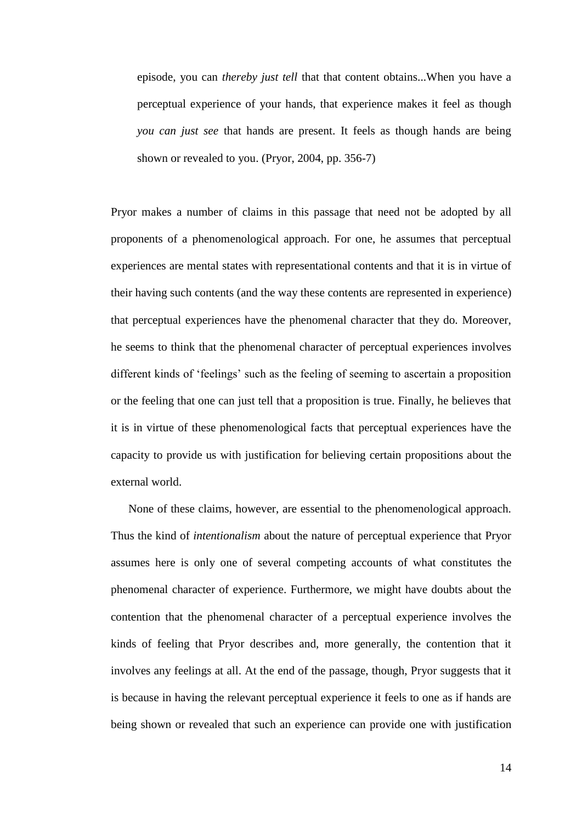episode, you can *thereby just tell* that that content obtains...When you have a perceptual experience of your hands, that experience makes it feel as though *you can just see* that hands are present. It feels as though hands are being shown or revealed to you. (Pryor, 2004, pp. 356-7)

Pryor makes a number of claims in this passage that need not be adopted by all proponents of a phenomenological approach. For one, he assumes that perceptual experiences are mental states with representational contents and that it is in virtue of their having such contents (and the way these contents are represented in experience) that perceptual experiences have the phenomenal character that they do. Moreover, he seems to think that the phenomenal character of perceptual experiences involves different kinds of 'feelings' such as the feeling of seeming to ascertain a proposition or the feeling that one can just tell that a proposition is true. Finally, he believes that it is in virtue of these phenomenological facts that perceptual experiences have the capacity to provide us with justification for believing certain propositions about the external world.

None of these claims, however, are essential to the phenomenological approach. Thus the kind of *intentionalism* about the nature of perceptual experience that Pryor assumes here is only one of several competing accounts of what constitutes the phenomenal character of experience. Furthermore, we might have doubts about the contention that the phenomenal character of a perceptual experience involves the kinds of feeling that Pryor describes and, more generally, the contention that it involves any feelings at all. At the end of the passage, though, Pryor suggests that it is because in having the relevant perceptual experience it feels to one as if hands are being shown or revealed that such an experience can provide one with justification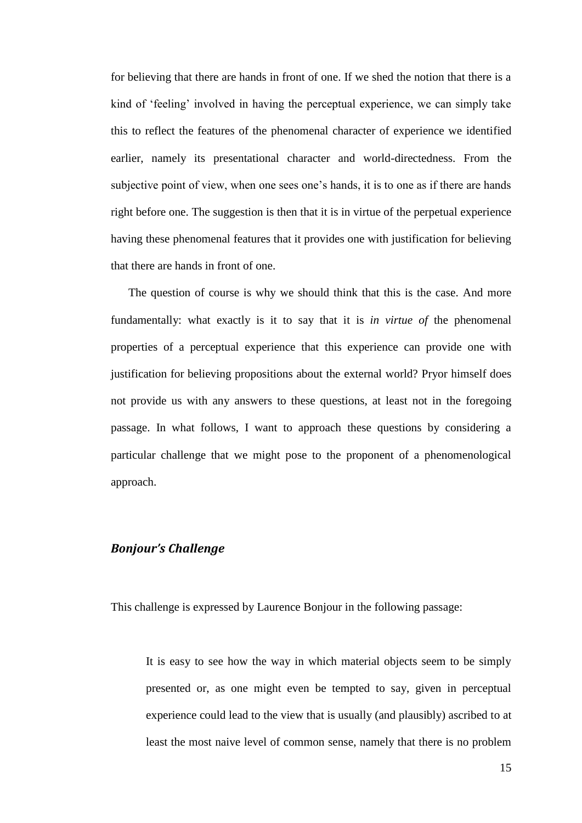for believing that there are hands in front of one. If we shed the notion that there is a kind of ‗feeling' involved in having the perceptual experience, we can simply take this to reflect the features of the phenomenal character of experience we identified earlier, namely its presentational character and world-directedness. From the subjective point of view, when one sees one's hands, it is to one as if there are hands right before one. The suggestion is then that it is in virtue of the perpetual experience having these phenomenal features that it provides one with justification for believing that there are hands in front of one.

The question of course is why we should think that this is the case. And more fundamentally: what exactly is it to say that it is *in virtue of* the phenomenal properties of a perceptual experience that this experience can provide one with justification for believing propositions about the external world? Pryor himself does not provide us with any answers to these questions, at least not in the foregoing passage. In what follows, I want to approach these questions by considering a particular challenge that we might pose to the proponent of a phenomenological approach.

#### <span id="page-14-0"></span>*Bonjour's Challenge*

This challenge is expressed by Laurence Bonjour in the following passage:

It is easy to see how the way in which material objects seem to be simply presented or, as one might even be tempted to say, given in perceptual experience could lead to the view that is usually (and plausibly) ascribed to at least the most naive level of common sense, namely that there is no problem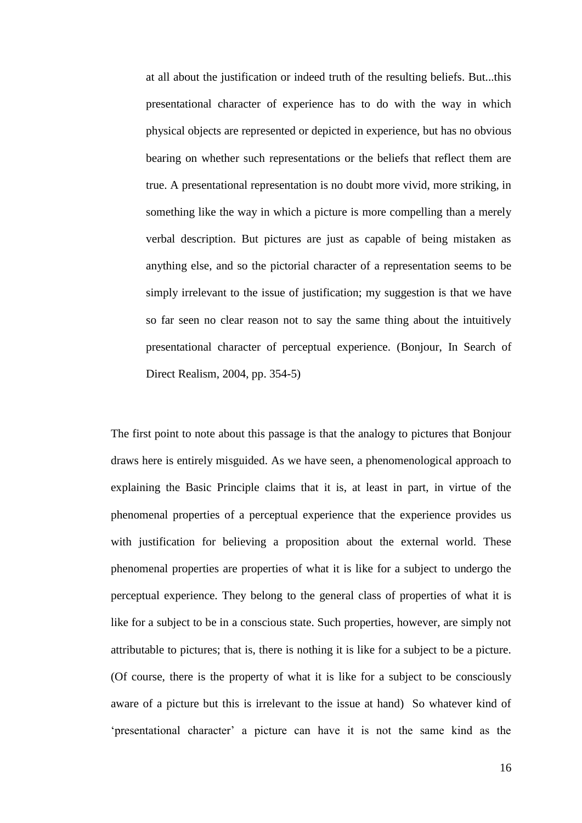at all about the justification or indeed truth of the resulting beliefs. But...this presentational character of experience has to do with the way in which physical objects are represented or depicted in experience, but has no obvious bearing on whether such representations or the beliefs that reflect them are true. A presentational representation is no doubt more vivid, more striking, in something like the way in which a picture is more compelling than a merely verbal description. But pictures are just as capable of being mistaken as anything else, and so the pictorial character of a representation seems to be simply irrelevant to the issue of justification; my suggestion is that we have so far seen no clear reason not to say the same thing about the intuitively presentational character of perceptual experience. (Bonjour, In Search of Direct Realism, 2004, pp. 354-5)

The first point to note about this passage is that the analogy to pictures that Bonjour draws here is entirely misguided. As we have seen, a phenomenological approach to explaining the Basic Principle claims that it is, at least in part, in virtue of the phenomenal properties of a perceptual experience that the experience provides us with justification for believing a proposition about the external world. These phenomenal properties are properties of what it is like for a subject to undergo the perceptual experience. They belong to the general class of properties of what it is like for a subject to be in a conscious state. Such properties, however, are simply not attributable to pictures; that is, there is nothing it is like for a subject to be a picture. (Of course, there is the property of what it is like for a subject to be consciously aware of a picture but this is irrelevant to the issue at hand) So whatever kind of ‗presentational character' a picture can have it is not the same kind as the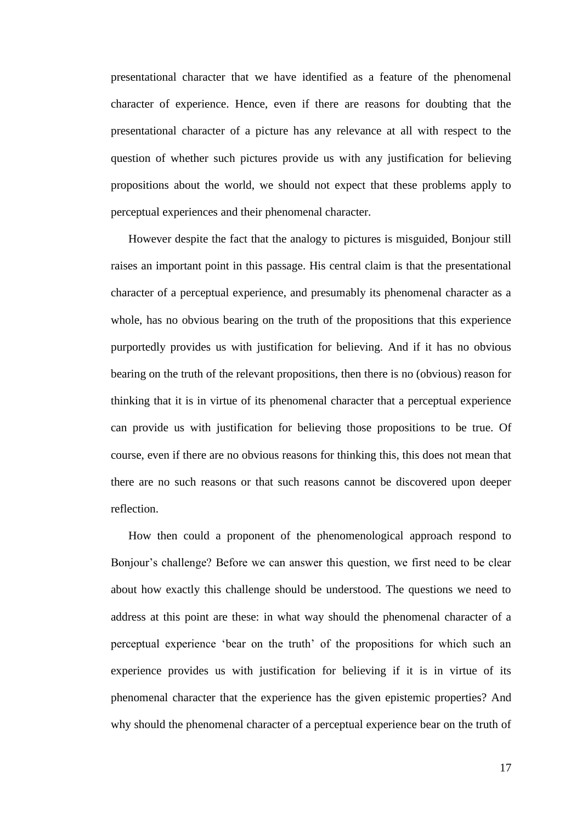presentational character that we have identified as a feature of the phenomenal character of experience. Hence, even if there are reasons for doubting that the presentational character of a picture has any relevance at all with respect to the question of whether such pictures provide us with any justification for believing propositions about the world, we should not expect that these problems apply to perceptual experiences and their phenomenal character.

However despite the fact that the analogy to pictures is misguided, Bonjour still raises an important point in this passage. His central claim is that the presentational character of a perceptual experience, and presumably its phenomenal character as a whole, has no obvious bearing on the truth of the propositions that this experience purportedly provides us with justification for believing. And if it has no obvious bearing on the truth of the relevant propositions, then there is no (obvious) reason for thinking that it is in virtue of its phenomenal character that a perceptual experience can provide us with justification for believing those propositions to be true. Of course, even if there are no obvious reasons for thinking this, this does not mean that there are no such reasons or that such reasons cannot be discovered upon deeper reflection.

How then could a proponent of the phenomenological approach respond to Bonjour's challenge? Before we can answer this question, we first need to be clear about how exactly this challenge should be understood. The questions we need to address at this point are these: in what way should the phenomenal character of a perceptual experience 'bear on the truth' of the propositions for which such an experience provides us with justification for believing if it is in virtue of its phenomenal character that the experience has the given epistemic properties? And why should the phenomenal character of a perceptual experience bear on the truth of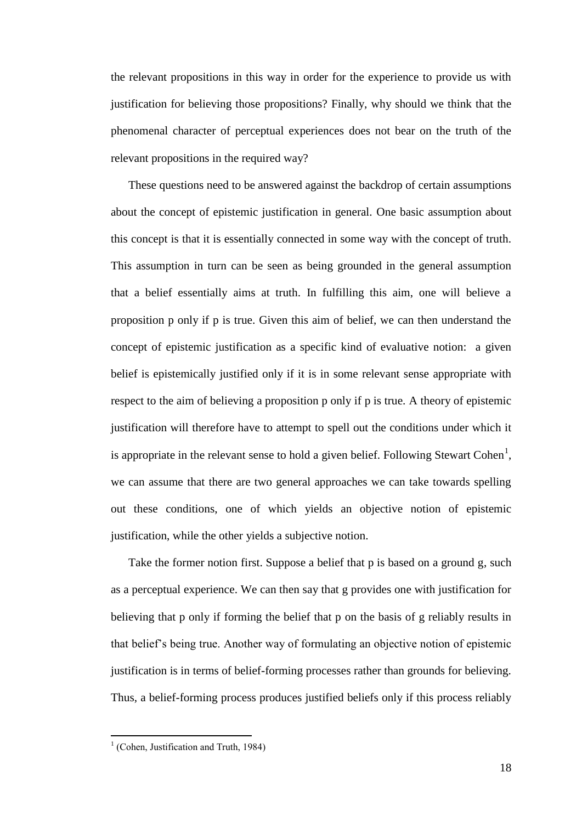the relevant propositions in this way in order for the experience to provide us with justification for believing those propositions? Finally, why should we think that the phenomenal character of perceptual experiences does not bear on the truth of the relevant propositions in the required way?

These questions need to be answered against the backdrop of certain assumptions about the concept of epistemic justification in general. One basic assumption about this concept is that it is essentially connected in some way with the concept of truth. This assumption in turn can be seen as being grounded in the general assumption that a belief essentially aims at truth. In fulfilling this aim, one will believe a proposition p only if p is true. Given this aim of belief, we can then understand the concept of epistemic justification as a specific kind of evaluative notion: a given belief is epistemically justified only if it is in some relevant sense appropriate with respect to the aim of believing a proposition p only if p is true. A theory of epistemic justification will therefore have to attempt to spell out the conditions under which it is appropriate in the relevant sense to hold a given belief. Following Stewart Cohen<sup>1</sup>, we can assume that there are two general approaches we can take towards spelling out these conditions, one of which yields an objective notion of epistemic justification, while the other yields a subjective notion.

Take the former notion first. Suppose a belief that p is based on a ground g, such as a perceptual experience. We can then say that g provides one with justification for believing that p only if forming the belief that p on the basis of g reliably results in that belief's being true. Another way of formulating an objective notion of epistemic justification is in terms of belief-forming processes rather than grounds for believing. Thus, a belief-forming process produces justified beliefs only if this process reliably

<sup>&</sup>lt;sup>1</sup> (Cohen, Justification and Truth, 1984)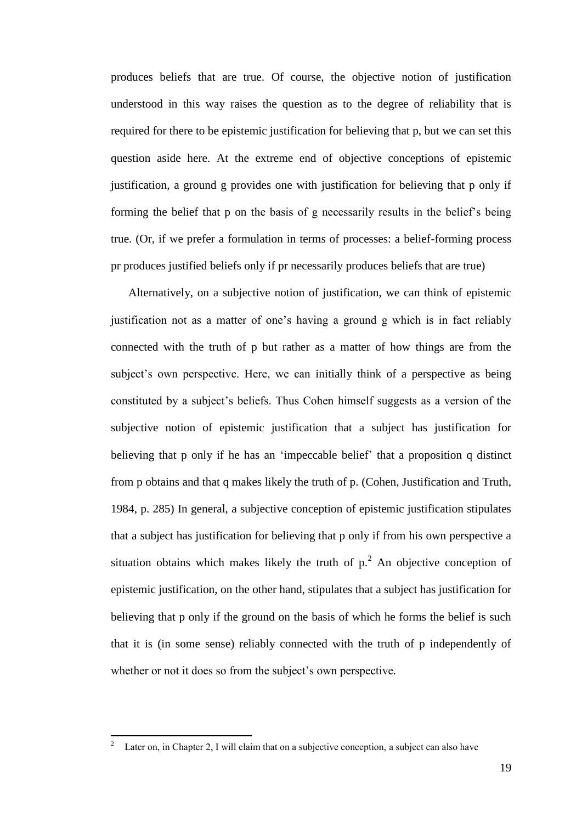produces beliefs that are true. Of course, the objective notion of justification understood in this way raises the question as to the degree of reliability that is required for there to be epistemic justification for believing that p, but we can set this question aside here. At the extreme end of objective conceptions of epistemic justification, a ground g provides one with justification for believing that p only if forming the belief that p on the basis of g necessarily results in the belief's being true. (Or, if we prefer a formulation in terms of processes: a belief-forming process pr produces justified beliefs only if pr necessarily produces beliefs that are true)

Alternatively, on a subjective notion of justification, we can think of epistemic justification not as a matter of one's having a ground g which is in fact reliably connected with the truth of p but rather as a matter of how things are from the subject's own perspective. Here, we can initially think of a perspective as being constituted by a subject's beliefs. Thus Cohen himself suggests as a version of the subjective notion of epistemic justification that a subject has justification for believing that p only if he has an 'impeccable belief' that a proposition q distinct from p obtains and that q makes likely the truth of p. (Cohen, Justification and Truth, 1984, p. 285) In general, a subjective conception of epistemic justification stipulates that a subject has justification for believing that p only if from his own perspective a situation obtains which makes likely the truth of  $p<sup>2</sup>$ . An objective conception of epistemic justification, on the other hand, stipulates that a subject has justification for believing that p only if the ground on the basis of which he forms the belief is such that it is (in some sense) reliably connected with the truth of p independently of whether or not it does so from the subject's own perspective.

Later on, in Chapter 2, I will claim that on a subjective conception, a subject can also have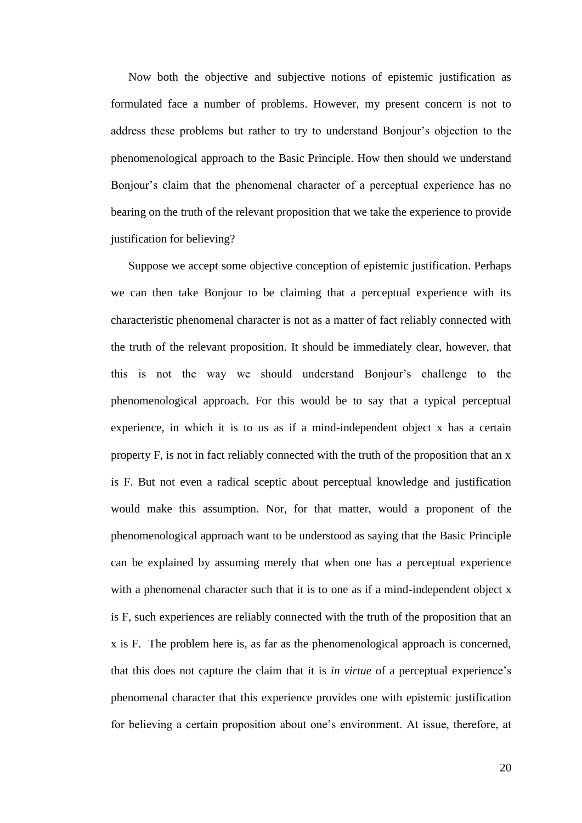Now both the objective and subjective notions of epistemic justification as formulated face a number of problems. However, my present concern is not to address these problems but rather to try to understand Bonjour's objection to the phenomenological approach to the Basic Principle. How then should we understand Bonjour's claim that the phenomenal character of a perceptual experience has no bearing on the truth of the relevant proposition that we take the experience to provide justification for believing?

Suppose we accept some objective conception of epistemic justification. Perhaps we can then take Bonjour to be claiming that a perceptual experience with its characteristic phenomenal character is not as a matter of fact reliably connected with the truth of the relevant proposition. It should be immediately clear, however, that this is not the way we should understand Bonjour's challenge to the phenomenological approach. For this would be to say that a typical perceptual experience, in which it is to us as if a mind-independent object x has a certain property F, is not in fact reliably connected with the truth of the proposition that an x is F. But not even a radical sceptic about perceptual knowledge and justification would make this assumption. Nor, for that matter, would a proponent of the phenomenological approach want to be understood as saying that the Basic Principle can be explained by assuming merely that when one has a perceptual experience with a phenomenal character such that it is to one as if a mind-independent object x is F, such experiences are reliably connected with the truth of the proposition that an x is F. The problem here is, as far as the phenomenological approach is concerned, that this does not capture the claim that it is *in virtue* of a perceptual experience's phenomenal character that this experience provides one with epistemic justification for believing a certain proposition about one's environment. At issue, therefore, at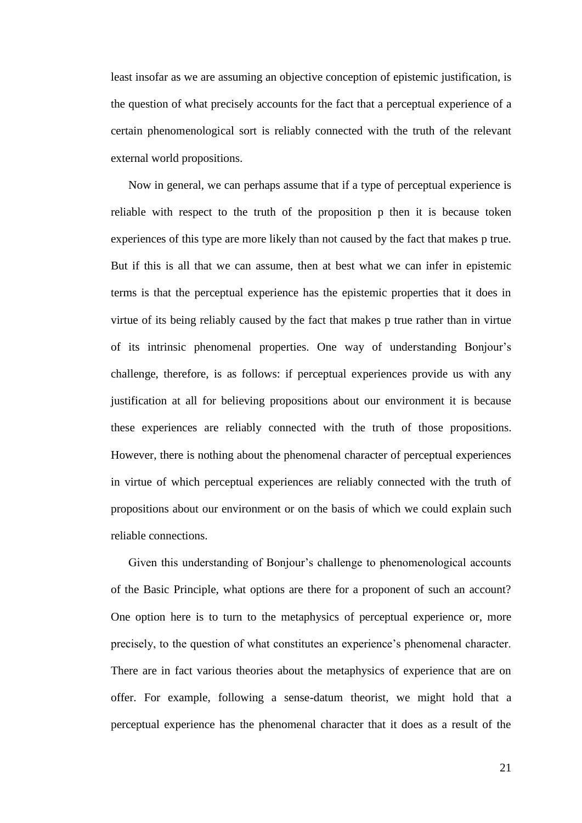least insofar as we are assuming an objective conception of epistemic justification, is the question of what precisely accounts for the fact that a perceptual experience of a certain phenomenological sort is reliably connected with the truth of the relevant external world propositions.

Now in general, we can perhaps assume that if a type of perceptual experience is reliable with respect to the truth of the proposition p then it is because token experiences of this type are more likely than not caused by the fact that makes p true. But if this is all that we can assume, then at best what we can infer in epistemic terms is that the perceptual experience has the epistemic properties that it does in virtue of its being reliably caused by the fact that makes p true rather than in virtue of its intrinsic phenomenal properties. One way of understanding Bonjour's challenge, therefore, is as follows: if perceptual experiences provide us with any justification at all for believing propositions about our environment it is because these experiences are reliably connected with the truth of those propositions. However, there is nothing about the phenomenal character of perceptual experiences in virtue of which perceptual experiences are reliably connected with the truth of propositions about our environment or on the basis of which we could explain such reliable connections.

Given this understanding of Bonjour's challenge to phenomenological accounts of the Basic Principle, what options are there for a proponent of such an account? One option here is to turn to the metaphysics of perceptual experience or, more precisely, to the question of what constitutes an experience's phenomenal character. There are in fact various theories about the metaphysics of experience that are on offer. For example, following a sense-datum theorist, we might hold that a perceptual experience has the phenomenal character that it does as a result of the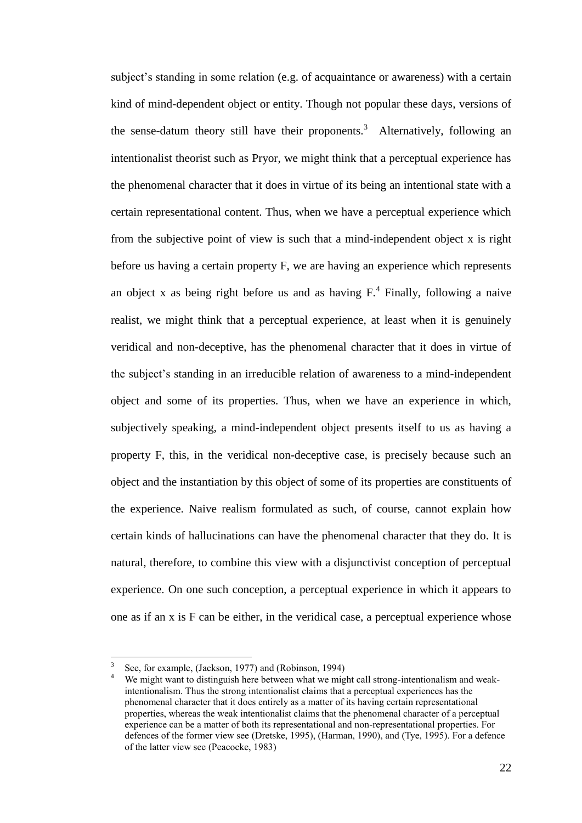subject's standing in some relation (e.g. of acquaintance or awareness) with a certain kind of mind-dependent object or entity. Though not popular these days, versions of the sense-datum theory still have their proponents.<sup>3</sup> Alternatively, following an intentionalist theorist such as Pryor, we might think that a perceptual experience has the phenomenal character that it does in virtue of its being an intentional state with a certain representational content. Thus, when we have a perceptual experience which from the subjective point of view is such that a mind-independent object x is right before us having a certain property F, we are having an experience which represents an object x as being right before us and as having  $F<sup>4</sup>$  Finally, following a naive realist, we might think that a perceptual experience, at least when it is genuinely veridical and non-deceptive, has the phenomenal character that it does in virtue of the subject's standing in an irreducible relation of awareness to a mind-independent object and some of its properties. Thus, when we have an experience in which, subjectively speaking, a mind-independent object presents itself to us as having a property F, this, in the veridical non-deceptive case, is precisely because such an object and the instantiation by this object of some of its properties are constituents of the experience. Naive realism formulated as such, of course, cannot explain how certain kinds of hallucinations can have the phenomenal character that they do. It is natural, therefore, to combine this view with a disjunctivist conception of perceptual experience. On one such conception, a perceptual experience in which it appears to one as if an x is F can be either, in the veridical case, a perceptual experience whose

<sup>3</sup> See, for example, (Jackson, 1977) and (Robinson, 1994)

We might want to distinguish here between what we might call strong-intentionalism and weakintentionalism. Thus the strong intentionalist claims that a perceptual experiences has the phenomenal character that it does entirely as a matter of its having certain representational properties, whereas the weak intentionalist claims that the phenomenal character of a perceptual experience can be a matter of both its representational and non-representational properties. For defences of the former view see (Dretske, 1995), (Harman, 1990), and (Tye, 1995). For a defence of the latter view see (Peacocke, 1983)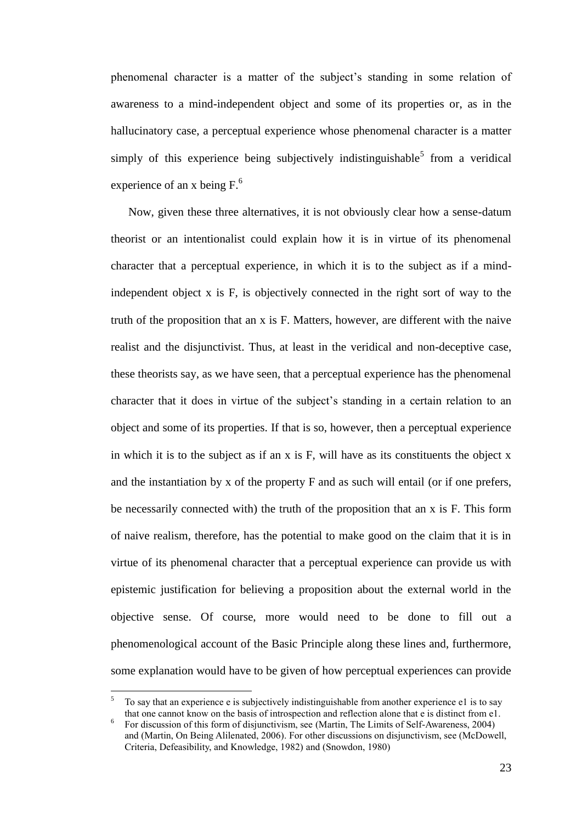phenomenal character is a matter of the subject's standing in some relation of awareness to a mind-independent object and some of its properties or, as in the hallucinatory case, a perceptual experience whose phenomenal character is a matter simply of this experience being subjectively indistinguishable<sup>5</sup> from a veridical experience of an x being  $F<sup>6</sup>$ .

Now, given these three alternatives, it is not obviously clear how a sense-datum theorist or an intentionalist could explain how it is in virtue of its phenomenal character that a perceptual experience, in which it is to the subject as if a mindindependent object x is F, is objectively connected in the right sort of way to the truth of the proposition that an x is F. Matters, however, are different with the naive realist and the disjunctivist. Thus, at least in the veridical and non-deceptive case, these theorists say, as we have seen, that a perceptual experience has the phenomenal character that it does in virtue of the subject's standing in a certain relation to an object and some of its properties. If that is so, however, then a perceptual experience in which it is to the subject as if an  $x$  is  $F$ , will have as its constituents the object  $x$ and the instantiation by x of the property F and as such will entail (or if one prefers, be necessarily connected with) the truth of the proposition that an x is F. This form of naive realism, therefore, has the potential to make good on the claim that it is in virtue of its phenomenal character that a perceptual experience can provide us with epistemic justification for believing a proposition about the external world in the objective sense. Of course, more would need to be done to fill out a phenomenological account of the Basic Principle along these lines and, furthermore, some explanation would have to be given of how perceptual experiences can provide

<sup>5</sup> To say that an experience e is subjectively indistinguishable from another experience e1 is to say that one cannot know on the basis of introspection and reflection alone that e is distinct from e1.

<sup>6</sup> For discussion of this form of disjunctivism, see (Martin, The Limits of Self-Awareness, 2004) and (Martin, On Being Alilenated, 2006). For other discussions on disjunctivism, see (McDowell, Criteria, Defeasibility, and Knowledge, 1982) and (Snowdon, 1980)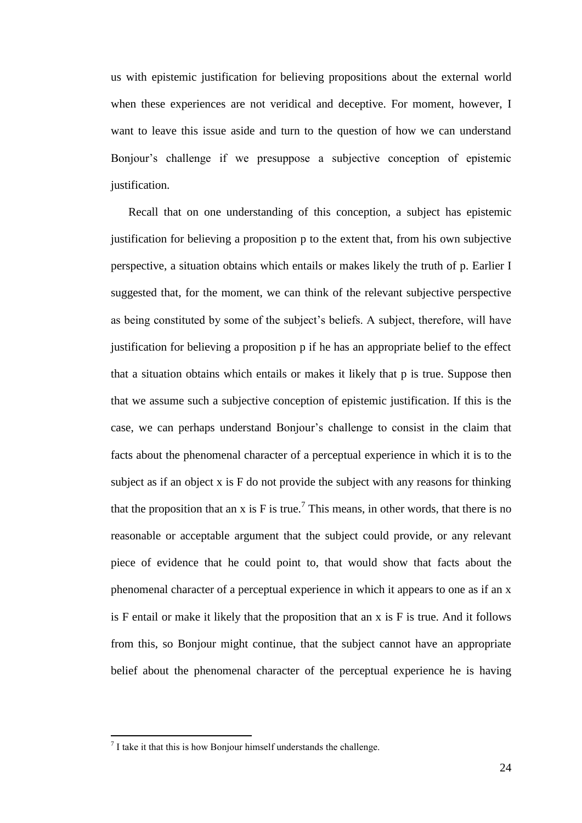us with epistemic justification for believing propositions about the external world when these experiences are not veridical and deceptive. For moment, however, I want to leave this issue aside and turn to the question of how we can understand Bonjour's challenge if we presuppose a subjective conception of epistemic justification.

Recall that on one understanding of this conception, a subject has epistemic justification for believing a proposition p to the extent that, from his own subjective perspective, a situation obtains which entails or makes likely the truth of p. Earlier I suggested that, for the moment, we can think of the relevant subjective perspective as being constituted by some of the subject's beliefs. A subject, therefore, will have justification for believing a proposition p if he has an appropriate belief to the effect that a situation obtains which entails or makes it likely that p is true. Suppose then that we assume such a subjective conception of epistemic justification. If this is the case, we can perhaps understand Bonjour's challenge to consist in the claim that facts about the phenomenal character of a perceptual experience in which it is to the subject as if an object x is F do not provide the subject with any reasons for thinking that the proposition that an x is F is true.<sup>7</sup> This means, in other words, that there is no reasonable or acceptable argument that the subject could provide, or any relevant piece of evidence that he could point to, that would show that facts about the phenomenal character of a perceptual experience in which it appears to one as if an x is F entail or make it likely that the proposition that an x is F is true. And it follows from this, so Bonjour might continue, that the subject cannot have an appropriate belief about the phenomenal character of the perceptual experience he is having

 $<sup>7</sup>$  I take it that this is how Bonjour himself understands the challenge.</sup>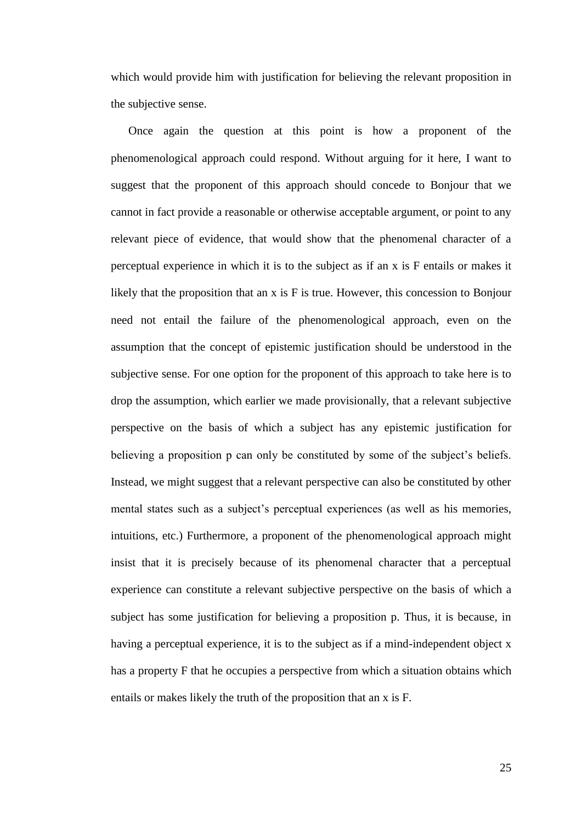which would provide him with justification for believing the relevant proposition in the subjective sense.

Once again the question at this point is how a proponent of the phenomenological approach could respond. Without arguing for it here, I want to suggest that the proponent of this approach should concede to Bonjour that we cannot in fact provide a reasonable or otherwise acceptable argument, or point to any relevant piece of evidence, that would show that the phenomenal character of a perceptual experience in which it is to the subject as if an x is F entails or makes it likely that the proposition that an x is F is true. However, this concession to Bonjour need not entail the failure of the phenomenological approach, even on the assumption that the concept of epistemic justification should be understood in the subjective sense. For one option for the proponent of this approach to take here is to drop the assumption, which earlier we made provisionally, that a relevant subjective perspective on the basis of which a subject has any epistemic justification for believing a proposition p can only be constituted by some of the subject's beliefs. Instead, we might suggest that a relevant perspective can also be constituted by other mental states such as a subject's perceptual experiences (as well as his memories, intuitions, etc.) Furthermore, a proponent of the phenomenological approach might insist that it is precisely because of its phenomenal character that a perceptual experience can constitute a relevant subjective perspective on the basis of which a subject has some justification for believing a proposition p. Thus, it is because, in having a perceptual experience, it is to the subject as if a mind-independent object x has a property F that he occupies a perspective from which a situation obtains which entails or makes likely the truth of the proposition that an x is F.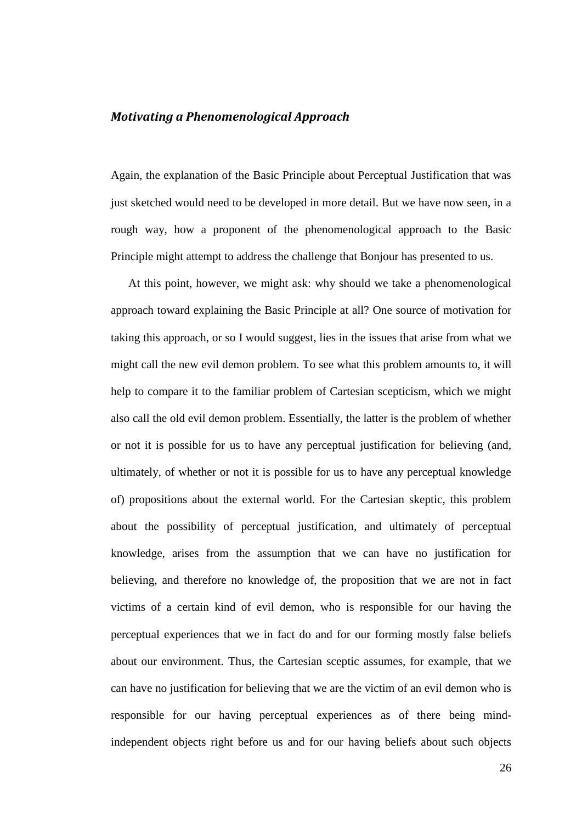#### <span id="page-25-0"></span>*Motivating a Phenomenological Approach*

Again, the explanation of the Basic Principle about Perceptual Justification that was just sketched would need to be developed in more detail. But we have now seen, in a rough way, how a proponent of the phenomenological approach to the Basic Principle might attempt to address the challenge that Bonjour has presented to us.

At this point, however, we might ask: why should we take a phenomenological approach toward explaining the Basic Principle at all? One source of motivation for taking this approach, or so I would suggest, lies in the issues that arise from what we might call the new evil demon problem. To see what this problem amounts to, it will help to compare it to the familiar problem of Cartesian scepticism, which we might also call the old evil demon problem. Essentially, the latter is the problem of whether or not it is possible for us to have any perceptual justification for believing (and, ultimately, of whether or not it is possible for us to have any perceptual knowledge of) propositions about the external world. For the Cartesian skeptic, this problem about the possibility of perceptual justification, and ultimately of perceptual knowledge, arises from the assumption that we can have no justification for believing, and therefore no knowledge of, the proposition that we are not in fact victims of a certain kind of evil demon, who is responsible for our having the perceptual experiences that we in fact do and for our forming mostly false beliefs about our environment. Thus, the Cartesian sceptic assumes, for example, that we can have no justification for believing that we are the victim of an evil demon who is responsible for our having perceptual experiences as of there being mindindependent objects right before us and for our having beliefs about such objects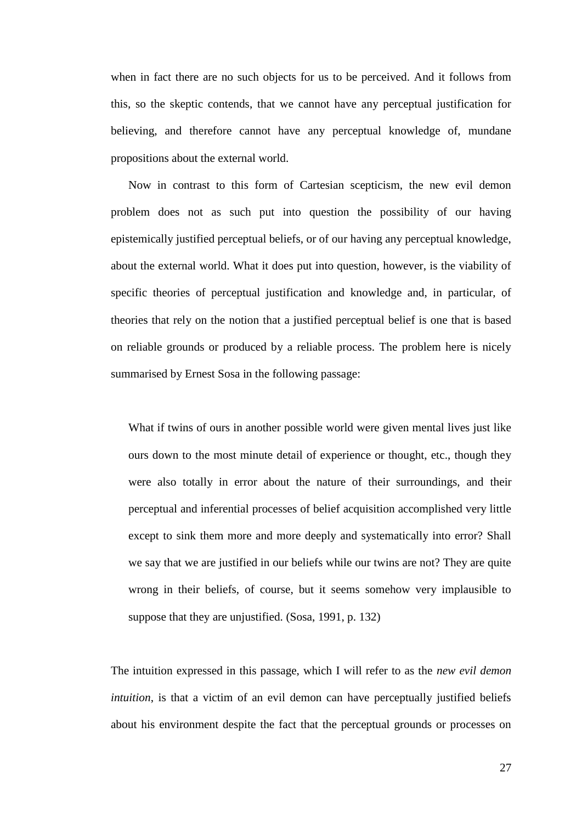when in fact there are no such objects for us to be perceived. And it follows from this, so the skeptic contends, that we cannot have any perceptual justification for believing, and therefore cannot have any perceptual knowledge of, mundane propositions about the external world.

Now in contrast to this form of Cartesian scepticism, the new evil demon problem does not as such put into question the possibility of our having epistemically justified perceptual beliefs, or of our having any perceptual knowledge, about the external world. What it does put into question, however, is the viability of specific theories of perceptual justification and knowledge and, in particular, of theories that rely on the notion that a justified perceptual belief is one that is based on reliable grounds or produced by a reliable process. The problem here is nicely summarised by Ernest Sosa in the following passage:

What if twins of ours in another possible world were given mental lives just like ours down to the most minute detail of experience or thought, etc., though they were also totally in error about the nature of their surroundings, and their perceptual and inferential processes of belief acquisition accomplished very little except to sink them more and more deeply and systematically into error? Shall we say that we are justified in our beliefs while our twins are not? They are quite wrong in their beliefs, of course, but it seems somehow very implausible to suppose that they are unjustified. (Sosa, 1991, p. 132)

The intuition expressed in this passage, which I will refer to as the *new evil demon intuition*, is that a victim of an evil demon can have perceptually justified beliefs about his environment despite the fact that the perceptual grounds or processes on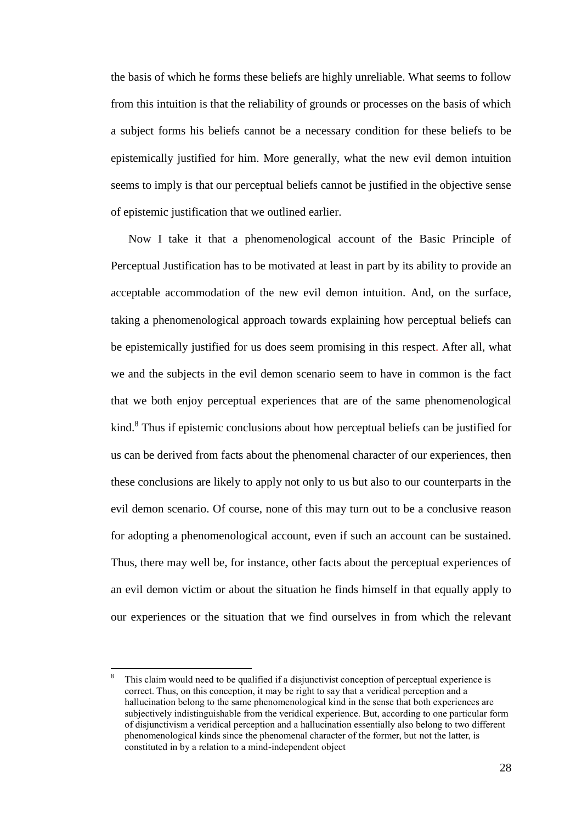the basis of which he forms these beliefs are highly unreliable. What seems to follow from this intuition is that the reliability of grounds or processes on the basis of which a subject forms his beliefs cannot be a necessary condition for these beliefs to be epistemically justified for him. More generally, what the new evil demon intuition seems to imply is that our perceptual beliefs cannot be justified in the objective sense of epistemic justification that we outlined earlier.

Now I take it that a phenomenological account of the Basic Principle of Perceptual Justification has to be motivated at least in part by its ability to provide an acceptable accommodation of the new evil demon intuition. And, on the surface, taking a phenomenological approach towards explaining how perceptual beliefs can be epistemically justified for us does seem promising in this respect. After all, what we and the subjects in the evil demon scenario seem to have in common is the fact that we both enjoy perceptual experiences that are of the same phenomenological kind.<sup>8</sup> Thus if epistemic conclusions about how perceptual beliefs can be justified for us can be derived from facts about the phenomenal character of our experiences, then these conclusions are likely to apply not only to us but also to our counterparts in the evil demon scenario. Of course, none of this may turn out to be a conclusive reason for adopting a phenomenological account, even if such an account can be sustained. Thus, there may well be, for instance, other facts about the perceptual experiences of an evil demon victim or about the situation he finds himself in that equally apply to our experiences or the situation that we find ourselves in from which the relevant

This claim would need to be qualified if a disjunctivist conception of perceptual experience is correct. Thus, on this conception, it may be right to say that a veridical perception and a hallucination belong to the same phenomenological kind in the sense that both experiences are subjectively indistinguishable from the veridical experience. But, according to one particular form of disjunctivism a veridical perception and a hallucination essentially also belong to two different phenomenological kinds since the phenomenal character of the former, but not the latter, is constituted in by a relation to a mind-independent object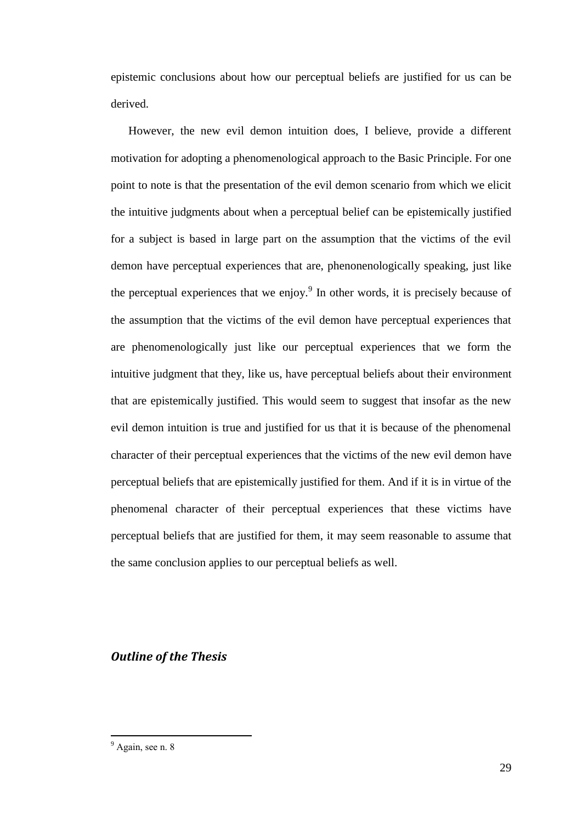epistemic conclusions about how our perceptual beliefs are justified for us can be derived.

However, the new evil demon intuition does, I believe, provide a different motivation for adopting a phenomenological approach to the Basic Principle. For one point to note is that the presentation of the evil demon scenario from which we elicit the intuitive judgments about when a perceptual belief can be epistemically justified for a subject is based in large part on the assumption that the victims of the evil demon have perceptual experiences that are, phenonenologically speaking, just like the perceptual experiences that we enjoy.<sup>9</sup> In other words, it is precisely because of the assumption that the victims of the evil demon have perceptual experiences that are phenomenologically just like our perceptual experiences that we form the intuitive judgment that they, like us, have perceptual beliefs about their environment that are epistemically justified. This would seem to suggest that insofar as the new evil demon intuition is true and justified for us that it is because of the phenomenal character of their perceptual experiences that the victims of the new evil demon have perceptual beliefs that are epistemically justified for them. And if it is in virtue of the phenomenal character of their perceptual experiences that these victims have perceptual beliefs that are justified for them, it may seem reasonable to assume that the same conclusion applies to our perceptual beliefs as well.

#### <span id="page-28-0"></span>*Outline of the Thesis*

<sup>&</sup>lt;sup>9</sup> Again, see n. 8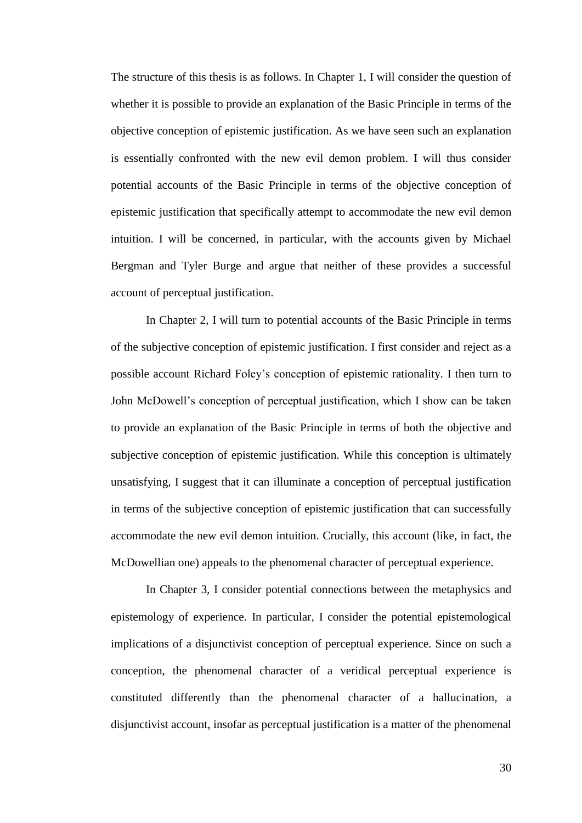The structure of this thesis is as follows. In Chapter 1, I will consider the question of whether it is possible to provide an explanation of the Basic Principle in terms of the objective conception of epistemic justification. As we have seen such an explanation is essentially confronted with the new evil demon problem. I will thus consider potential accounts of the Basic Principle in terms of the objective conception of epistemic justification that specifically attempt to accommodate the new evil demon intuition. I will be concerned, in particular, with the accounts given by Michael Bergman and Tyler Burge and argue that neither of these provides a successful account of perceptual justification.

In Chapter 2, I will turn to potential accounts of the Basic Principle in terms of the subjective conception of epistemic justification. I first consider and reject as a possible account Richard Foley's conception of epistemic rationality. I then turn to John McDowell's conception of perceptual justification, which I show can be taken to provide an explanation of the Basic Principle in terms of both the objective and subjective conception of epistemic justification. While this conception is ultimately unsatisfying, I suggest that it can illuminate a conception of perceptual justification in terms of the subjective conception of epistemic justification that can successfully accommodate the new evil demon intuition. Crucially, this account (like, in fact, the McDowellian one) appeals to the phenomenal character of perceptual experience.

In Chapter 3, I consider potential connections between the metaphysics and epistemology of experience. In particular, I consider the potential epistemological implications of a disjunctivist conception of perceptual experience. Since on such a conception, the phenomenal character of a veridical perceptual experience is constituted differently than the phenomenal character of a hallucination, a disjunctivist account, insofar as perceptual justification is a matter of the phenomenal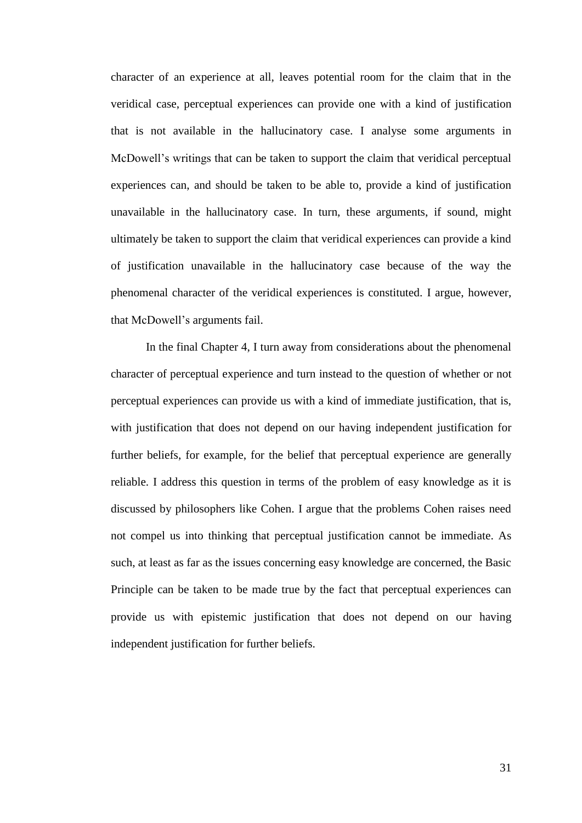character of an experience at all, leaves potential room for the claim that in the veridical case, perceptual experiences can provide one with a kind of justification that is not available in the hallucinatory case. I analyse some arguments in McDowell's writings that can be taken to support the claim that veridical perceptual experiences can, and should be taken to be able to, provide a kind of justification unavailable in the hallucinatory case. In turn, these arguments, if sound, might ultimately be taken to support the claim that veridical experiences can provide a kind of justification unavailable in the hallucinatory case because of the way the phenomenal character of the veridical experiences is constituted. I argue, however, that McDowell's arguments fail.

In the final Chapter 4, I turn away from considerations about the phenomenal character of perceptual experience and turn instead to the question of whether or not perceptual experiences can provide us with a kind of immediate justification, that is, with justification that does not depend on our having independent justification for further beliefs, for example, for the belief that perceptual experience are generally reliable. I address this question in terms of the problem of easy knowledge as it is discussed by philosophers like Cohen. I argue that the problems Cohen raises need not compel us into thinking that perceptual justification cannot be immediate. As such, at least as far as the issues concerning easy knowledge are concerned, the Basic Principle can be taken to be made true by the fact that perceptual experiences can provide us with epistemic justification that does not depend on our having independent justification for further beliefs.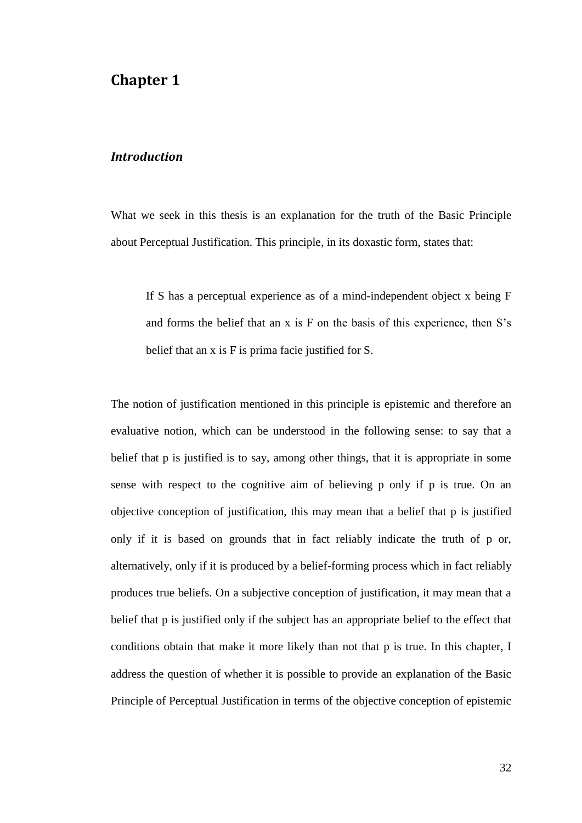## <span id="page-31-0"></span>**Chapter 1**

#### <span id="page-31-1"></span>*Introduction*

What we seek in this thesis is an explanation for the truth of the Basic Principle about Perceptual Justification. This principle, in its doxastic form, states that:

If S has a perceptual experience as of a mind-independent object x being F and forms the belief that an x is F on the basis of this experience, then S's belief that an x is F is prima facie justified for S.

The notion of justification mentioned in this principle is epistemic and therefore an evaluative notion, which can be understood in the following sense: to say that a belief that p is justified is to say, among other things, that it is appropriate in some sense with respect to the cognitive aim of believing p only if p is true. On an objective conception of justification, this may mean that a belief that p is justified only if it is based on grounds that in fact reliably indicate the truth of p or, alternatively, only if it is produced by a belief-forming process which in fact reliably produces true beliefs. On a subjective conception of justification, it may mean that a belief that p is justified only if the subject has an appropriate belief to the effect that conditions obtain that make it more likely than not that p is true. In this chapter, I address the question of whether it is possible to provide an explanation of the Basic Principle of Perceptual Justification in terms of the objective conception of epistemic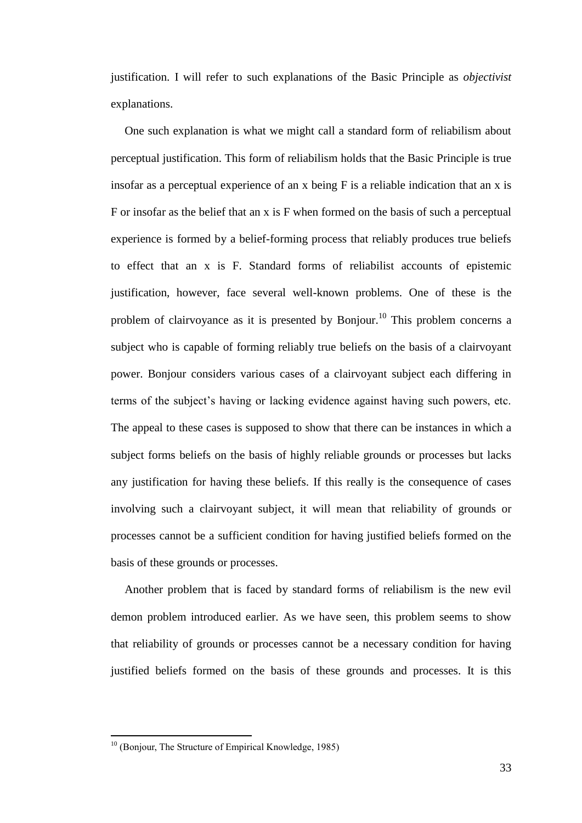justification. I will refer to such explanations of the Basic Principle as *objectivist* explanations.

One such explanation is what we might call a standard form of reliabilism about perceptual justification. This form of reliabilism holds that the Basic Principle is true insofar as a perceptual experience of an x being F is a reliable indication that an x is F or insofar as the belief that an x is F when formed on the basis of such a perceptual experience is formed by a belief-forming process that reliably produces true beliefs to effect that an x is F. Standard forms of reliabilist accounts of epistemic justification, however, face several well-known problems. One of these is the problem of clairvoyance as it is presented by Bonjour.<sup>10</sup> This problem concerns a subject who is capable of forming reliably true beliefs on the basis of a clairvoyant power. Bonjour considers various cases of a clairvoyant subject each differing in terms of the subject's having or lacking evidence against having such powers, etc. The appeal to these cases is supposed to show that there can be instances in which a subject forms beliefs on the basis of highly reliable grounds or processes but lacks any justification for having these beliefs. If this really is the consequence of cases involving such a clairvoyant subject, it will mean that reliability of grounds or processes cannot be a sufficient condition for having justified beliefs formed on the basis of these grounds or processes.

Another problem that is faced by standard forms of reliabilism is the new evil demon problem introduced earlier. As we have seen, this problem seems to show that reliability of grounds or processes cannot be a necessary condition for having justified beliefs formed on the basis of these grounds and processes. It is this

 $10$  (Bonjour, The Structure of Empirical Knowledge, 1985)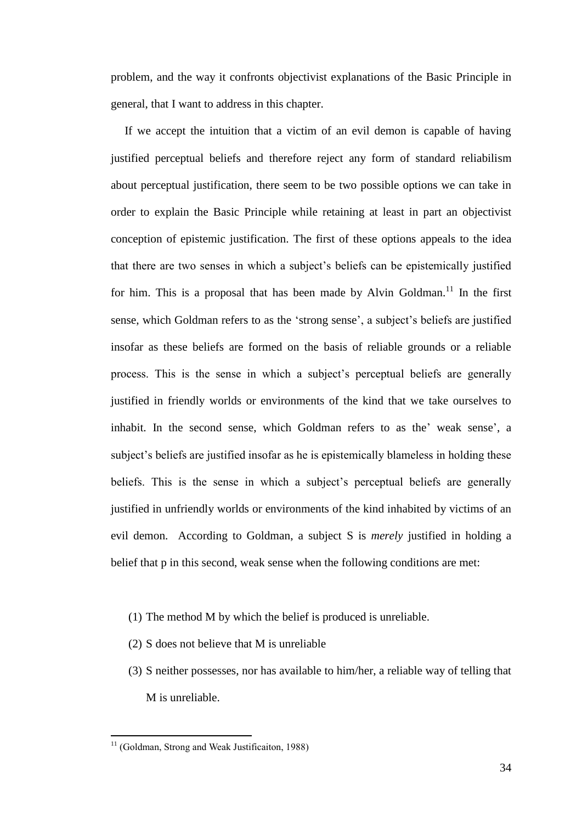problem, and the way it confronts objectivist explanations of the Basic Principle in general, that I want to address in this chapter.

If we accept the intuition that a victim of an evil demon is capable of having justified perceptual beliefs and therefore reject any form of standard reliabilism about perceptual justification, there seem to be two possible options we can take in order to explain the Basic Principle while retaining at least in part an objectivist conception of epistemic justification. The first of these options appeals to the idea that there are two senses in which a subject's beliefs can be epistemically justified for him. This is a proposal that has been made by Alvin Goldman.<sup>11</sup> In the first sense, which Goldman refers to as the 'strong sense', a subject's beliefs are justified insofar as these beliefs are formed on the basis of reliable grounds or a reliable process. This is the sense in which a subject's perceptual beliefs are generally justified in friendly worlds or environments of the kind that we take ourselves to inhabit. In the second sense, which Goldman refers to as the' weak sense', a subject's beliefs are justified insofar as he is epistemically blameless in holding these beliefs. This is the sense in which a subject's perceptual beliefs are generally justified in unfriendly worlds or environments of the kind inhabited by victims of an evil demon. According to Goldman, a subject S is *merely* justified in holding a belief that p in this second, weak sense when the following conditions are met:

- (1) The method M by which the belief is produced is unreliable.
- (2) S does not believe that M is unreliable
- (3) S neither possesses, nor has available to him/her, a reliable way of telling that M is unreliable.

 $11$  (Goldman, Strong and Weak Justificaiton, 1988)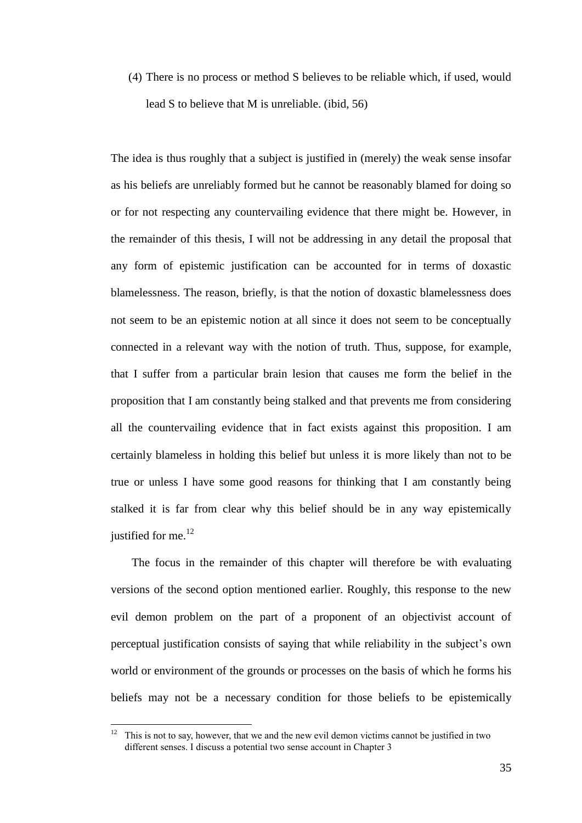(4) There is no process or method S believes to be reliable which, if used, would lead S to believe that M is unreliable. (ibid, 56)

The idea is thus roughly that a subject is justified in (merely) the weak sense insofar as his beliefs are unreliably formed but he cannot be reasonably blamed for doing so or for not respecting any countervailing evidence that there might be. However, in the remainder of this thesis, I will not be addressing in any detail the proposal that any form of epistemic justification can be accounted for in terms of doxastic blamelessness. The reason, briefly, is that the notion of doxastic blamelessness does not seem to be an epistemic notion at all since it does not seem to be conceptually connected in a relevant way with the notion of truth. Thus, suppose, for example, that I suffer from a particular brain lesion that causes me form the belief in the proposition that I am constantly being stalked and that prevents me from considering all the countervailing evidence that in fact exists against this proposition. I am certainly blameless in holding this belief but unless it is more likely than not to be true or unless I have some good reasons for thinking that I am constantly being stalked it is far from clear why this belief should be in any way epistemically justified for me. $^{12}$ 

The focus in the remainder of this chapter will therefore be with evaluating versions of the second option mentioned earlier. Roughly, this response to the new evil demon problem on the part of a proponent of an objectivist account of perceptual justification consists of saying that while reliability in the subject's own world or environment of the grounds or processes on the basis of which he forms his beliefs may not be a necessary condition for those beliefs to be epistemically

 $12$  This is not to say, however, that we and the new evil demon victims cannot be justified in two different senses. I discuss a potential two sense account in Chapter 3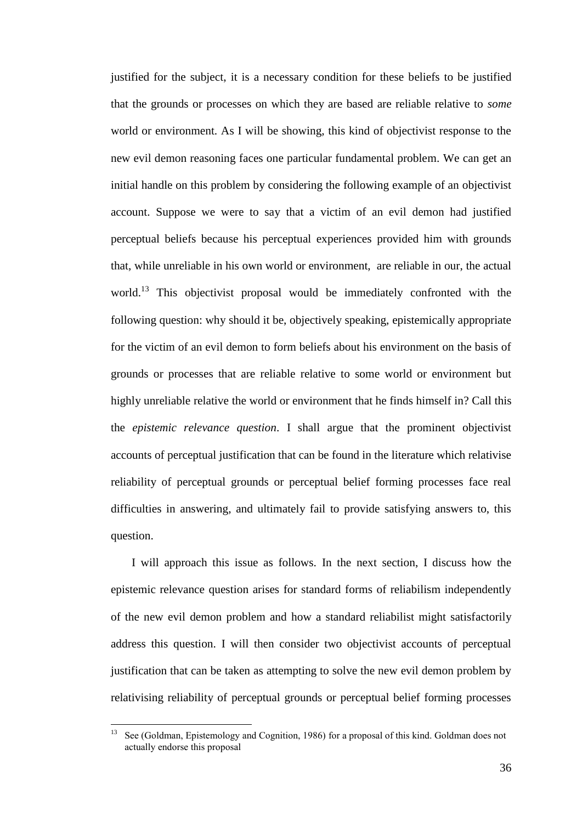justified for the subject, it is a necessary condition for these beliefs to be justified that the grounds or processes on which they are based are reliable relative to *some* world or environment. As I will be showing, this kind of objectivist response to the new evil demon reasoning faces one particular fundamental problem. We can get an initial handle on this problem by considering the following example of an objectivist account. Suppose we were to say that a victim of an evil demon had justified perceptual beliefs because his perceptual experiences provided him with grounds that, while unreliable in his own world or environment, are reliable in our, the actual world.<sup>13</sup> This objectivist proposal would be immediately confronted with the following question: why should it be, objectively speaking, epistemically appropriate for the victim of an evil demon to form beliefs about his environment on the basis of grounds or processes that are reliable relative to some world or environment but highly unreliable relative the world or environment that he finds himself in? Call this the *epistemic relevance question*. I shall argue that the prominent objectivist accounts of perceptual justification that can be found in the literature which relativise reliability of perceptual grounds or perceptual belief forming processes face real difficulties in answering, and ultimately fail to provide satisfying answers to, this question.

I will approach this issue as follows. In the next section, I discuss how the epistemic relevance question arises for standard forms of reliabilism independently of the new evil demon problem and how a standard reliabilist might satisfactorily address this question. I will then consider two objectivist accounts of perceptual justification that can be taken as attempting to solve the new evil demon problem by relativising reliability of perceptual grounds or perceptual belief forming processes

 $13$ <sup>13</sup> See (Goldman, Epistemology and Cognition, 1986) for a proposal of this kind. Goldman does not actually endorse this proposal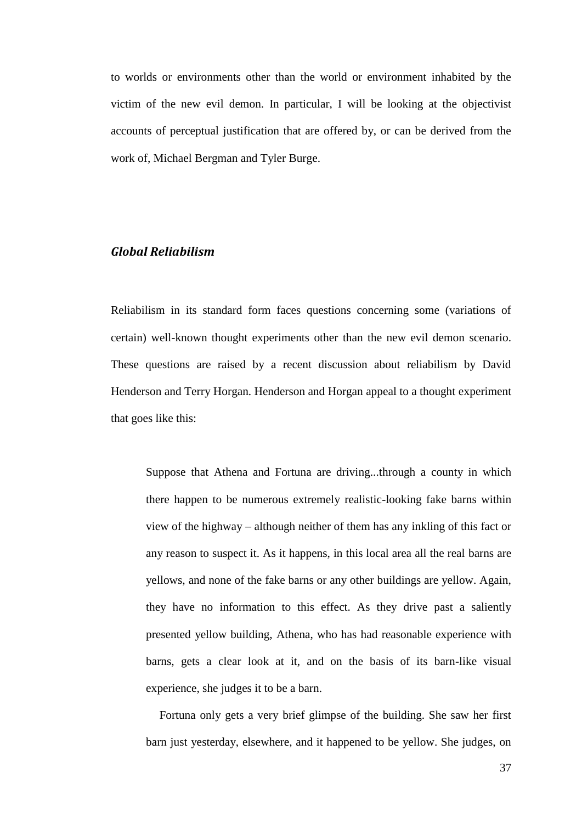to worlds or environments other than the world or environment inhabited by the victim of the new evil demon. In particular, I will be looking at the objectivist accounts of perceptual justification that are offered by, or can be derived from the work of, Michael Bergman and Tyler Burge.

## *Global Reliabilism*

Reliabilism in its standard form faces questions concerning some (variations of certain) well-known thought experiments other than the new evil demon scenario. These questions are raised by a recent discussion about reliabilism by David Henderson and Terry Horgan. Henderson and Horgan appeal to a thought experiment that goes like this:

Suppose that Athena and Fortuna are driving...through a county in which there happen to be numerous extremely realistic-looking fake barns within view of the highway – although neither of them has any inkling of this fact or any reason to suspect it. As it happens, in this local area all the real barns are yellows, and none of the fake barns or any other buildings are yellow. Again, they have no information to this effect. As they drive past a saliently presented yellow building, Athena, who has had reasonable experience with barns, gets a clear look at it, and on the basis of its barn-like visual experience, she judges it to be a barn.

Fortuna only gets a very brief glimpse of the building. She saw her first barn just yesterday, elsewhere, and it happened to be yellow. She judges, on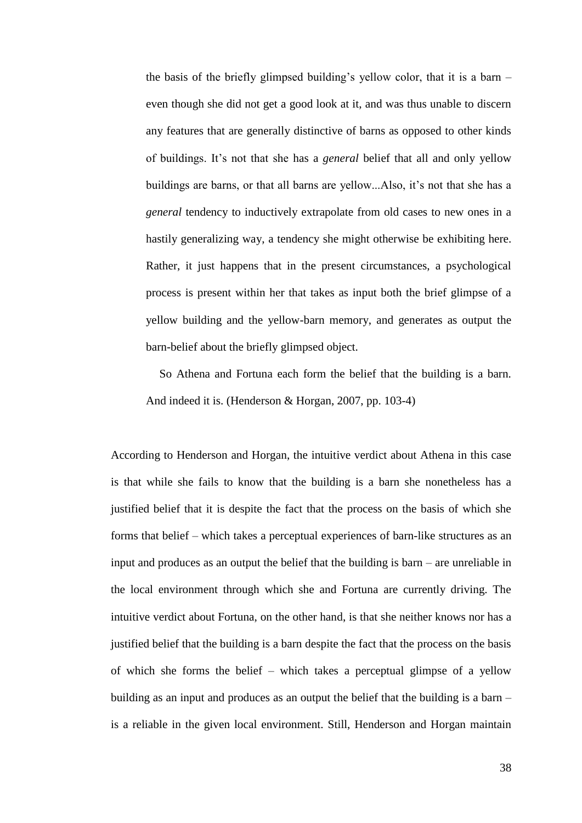the basis of the briefly glimpsed building's yellow color, that it is a barn – even though she did not get a good look at it, and was thus unable to discern any features that are generally distinctive of barns as opposed to other kinds of buildings. It's not that she has a *general* belief that all and only yellow buildings are barns, or that all barns are yellow...Also, it's not that she has a *general* tendency to inductively extrapolate from old cases to new ones in a hastily generalizing way, a tendency she might otherwise be exhibiting here. Rather, it just happens that in the present circumstances, a psychological process is present within her that takes as input both the brief glimpse of a yellow building and the yellow-barn memory, and generates as output the barn-belief about the briefly glimpsed object.

So Athena and Fortuna each form the belief that the building is a barn. And indeed it is. (Henderson & Horgan, 2007, pp. 103-4)

According to Henderson and Horgan, the intuitive verdict about Athena in this case is that while she fails to know that the building is a barn she nonetheless has a justified belief that it is despite the fact that the process on the basis of which she forms that belief – which takes a perceptual experiences of barn-like structures as an input and produces as an output the belief that the building is barn – are unreliable in the local environment through which she and Fortuna are currently driving. The intuitive verdict about Fortuna, on the other hand, is that she neither knows nor has a justified belief that the building is a barn despite the fact that the process on the basis of which she forms the belief – which takes a perceptual glimpse of a yellow building as an input and produces as an output the belief that the building is a barn – is a reliable in the given local environment. Still, Henderson and Horgan maintain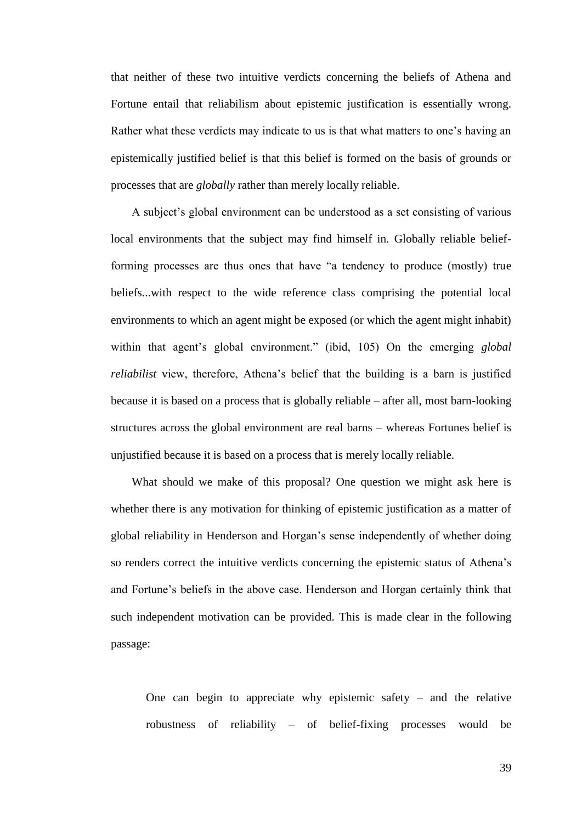that neither of these two intuitive verdicts concerning the beliefs of Athena and Fortune entail that reliabilism about epistemic justification is essentially wrong. Rather what these verdicts may indicate to us is that what matters to one's having an epistemically justified belief is that this belief is formed on the basis of grounds or processes that are *globally* rather than merely locally reliable.

A subject's global environment can be understood as a set consisting of various local environments that the subject may find himself in. Globally reliable beliefforming processes are thus ones that have "a tendency to produce (mostly) true beliefs...with respect to the wide reference class comprising the potential local environments to which an agent might be exposed (or which the agent might inhabit) within that agent's global environment." (ibid, 105) On the emerging *global reliabilist* view, therefore, Athena's belief that the building is a barn is justified because it is based on a process that is globally reliable – after all, most barn-looking structures across the global environment are real barns – whereas Fortunes belief is unjustified because it is based on a process that is merely locally reliable.

What should we make of this proposal? One question we might ask here is whether there is any motivation for thinking of epistemic justification as a matter of global reliability in Henderson and Horgan's sense independently of whether doing so renders correct the intuitive verdicts concerning the epistemic status of Athena's and Fortune's beliefs in the above case. Henderson and Horgan certainly think that such independent motivation can be provided. This is made clear in the following passage:

One can begin to appreciate why epistemic safety  $-$  and the relative robustness of reliability – of belief-fixing processes would be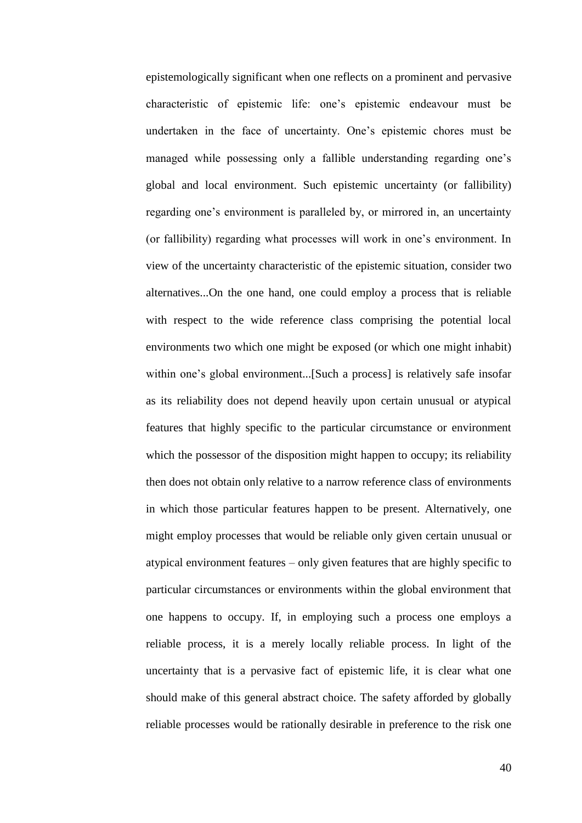epistemologically significant when one reflects on a prominent and pervasive characteristic of epistemic life: one's epistemic endeavour must be undertaken in the face of uncertainty. One's epistemic chores must be managed while possessing only a fallible understanding regarding one's global and local environment. Such epistemic uncertainty (or fallibility) regarding one's environment is paralleled by, or mirrored in, an uncertainty (or fallibility) regarding what processes will work in one's environment. In view of the uncertainty characteristic of the epistemic situation, consider two alternatives...On the one hand, one could employ a process that is reliable with respect to the wide reference class comprising the potential local environments two which one might be exposed (or which one might inhabit) within one's global environment...[Such a process] is relatively safe insofar as its reliability does not depend heavily upon certain unusual or atypical features that highly specific to the particular circumstance or environment which the possessor of the disposition might happen to occupy; its reliability then does not obtain only relative to a narrow reference class of environments in which those particular features happen to be present. Alternatively, one might employ processes that would be reliable only given certain unusual or atypical environment features – only given features that are highly specific to particular circumstances or environments within the global environment that one happens to occupy. If, in employing such a process one employs a reliable process, it is a merely locally reliable process. In light of the uncertainty that is a pervasive fact of epistemic life, it is clear what one should make of this general abstract choice. The safety afforded by globally reliable processes would be rationally desirable in preference to the risk one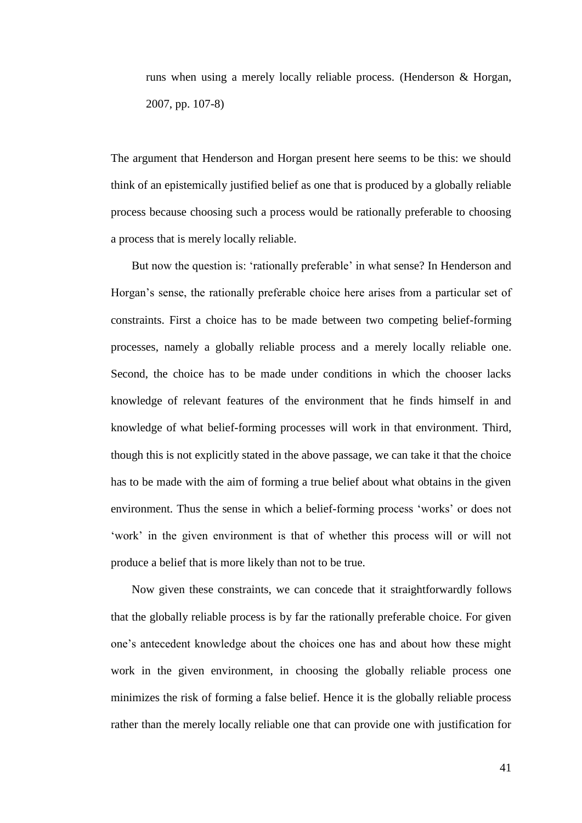runs when using a merely locally reliable process. (Henderson & Horgan, 2007, pp. 107-8)

The argument that Henderson and Horgan present here seems to be this: we should think of an epistemically justified belief as one that is produced by a globally reliable process because choosing such a process would be rationally preferable to choosing a process that is merely locally reliable.

But now the question is: 'rationally preferable' in what sense? In Henderson and Horgan's sense, the rationally preferable choice here arises from a particular set of constraints. First a choice has to be made between two competing belief-forming processes, namely a globally reliable process and a merely locally reliable one. Second, the choice has to be made under conditions in which the chooser lacks knowledge of relevant features of the environment that he finds himself in and knowledge of what belief-forming processes will work in that environment. Third, though this is not explicitly stated in the above passage, we can take it that the choice has to be made with the aim of forming a true belief about what obtains in the given environment. Thus the sense in which a belief-forming process 'works' or does not ‗work' in the given environment is that of whether this process will or will not produce a belief that is more likely than not to be true.

Now given these constraints, we can concede that it straightforwardly follows that the globally reliable process is by far the rationally preferable choice. For given one's antecedent knowledge about the choices one has and about how these might work in the given environment, in choosing the globally reliable process one minimizes the risk of forming a false belief. Hence it is the globally reliable process rather than the merely locally reliable one that can provide one with justification for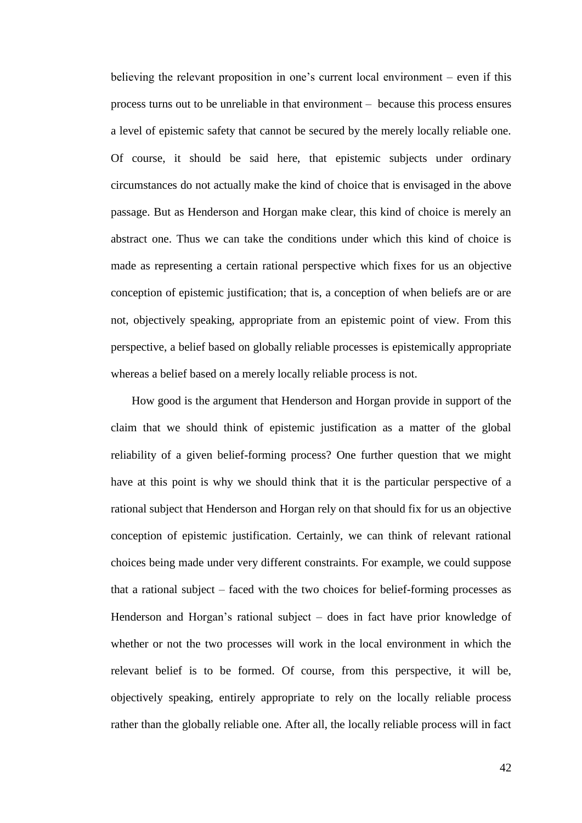believing the relevant proposition in one's current local environment – even if this process turns out to be unreliable in that environment – because this process ensures a level of epistemic safety that cannot be secured by the merely locally reliable one. Of course, it should be said here, that epistemic subjects under ordinary circumstances do not actually make the kind of choice that is envisaged in the above passage. But as Henderson and Horgan make clear, this kind of choice is merely an abstract one. Thus we can take the conditions under which this kind of choice is made as representing a certain rational perspective which fixes for us an objective conception of epistemic justification; that is, a conception of when beliefs are or are not, objectively speaking, appropriate from an epistemic point of view. From this perspective, a belief based on globally reliable processes is epistemically appropriate whereas a belief based on a merely locally reliable process is not.

How good is the argument that Henderson and Horgan provide in support of the claim that we should think of epistemic justification as a matter of the global reliability of a given belief-forming process? One further question that we might have at this point is why we should think that it is the particular perspective of a rational subject that Henderson and Horgan rely on that should fix for us an objective conception of epistemic justification. Certainly, we can think of relevant rational choices being made under very different constraints. For example, we could suppose that a rational subject – faced with the two choices for belief-forming processes as Henderson and Horgan's rational subject – does in fact have prior knowledge of whether or not the two processes will work in the local environment in which the relevant belief is to be formed. Of course, from this perspective, it will be, objectively speaking, entirely appropriate to rely on the locally reliable process rather than the globally reliable one. After all, the locally reliable process will in fact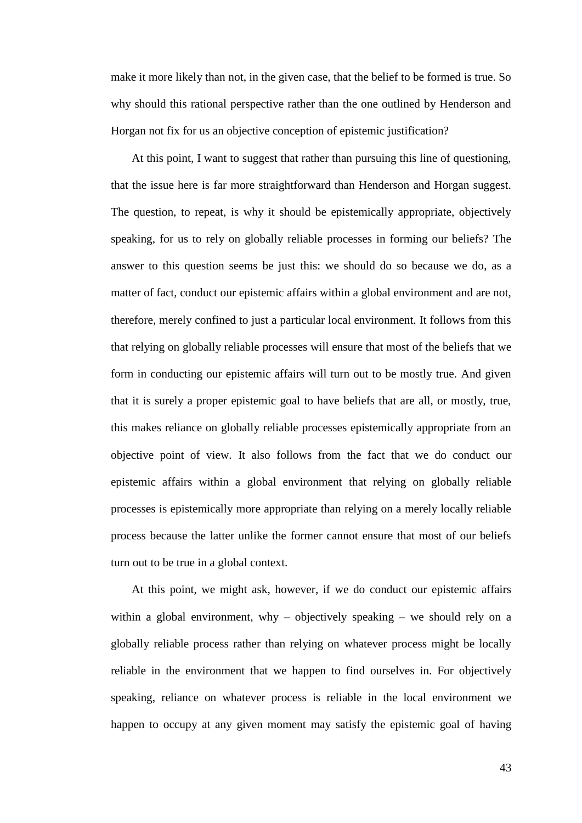make it more likely than not, in the given case, that the belief to be formed is true. So why should this rational perspective rather than the one outlined by Henderson and Horgan not fix for us an objective conception of epistemic justification?

At this point, I want to suggest that rather than pursuing this line of questioning, that the issue here is far more straightforward than Henderson and Horgan suggest. The question, to repeat, is why it should be epistemically appropriate, objectively speaking, for us to rely on globally reliable processes in forming our beliefs? The answer to this question seems be just this: we should do so because we do, as a matter of fact, conduct our epistemic affairs within a global environment and are not, therefore, merely confined to just a particular local environment. It follows from this that relying on globally reliable processes will ensure that most of the beliefs that we form in conducting our epistemic affairs will turn out to be mostly true. And given that it is surely a proper epistemic goal to have beliefs that are all, or mostly, true, this makes reliance on globally reliable processes epistemically appropriate from an objective point of view. It also follows from the fact that we do conduct our epistemic affairs within a global environment that relying on globally reliable processes is epistemically more appropriate than relying on a merely locally reliable process because the latter unlike the former cannot ensure that most of our beliefs turn out to be true in a global context.

At this point, we might ask, however, if we do conduct our epistemic affairs within a global environment, why – objectively speaking – we should rely on a globally reliable process rather than relying on whatever process might be locally reliable in the environment that we happen to find ourselves in. For objectively speaking, reliance on whatever process is reliable in the local environment we happen to occupy at any given moment may satisfy the epistemic goal of having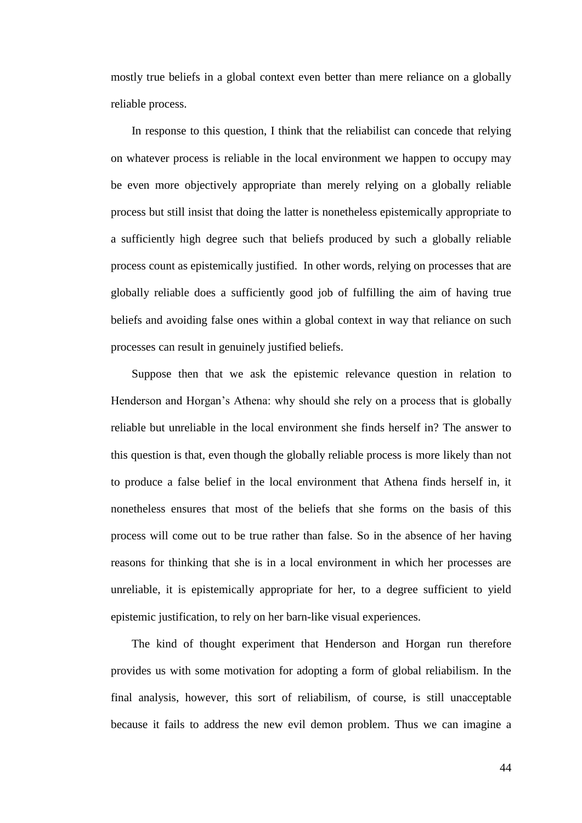mostly true beliefs in a global context even better than mere reliance on a globally reliable process.

In response to this question, I think that the reliabilist can concede that relying on whatever process is reliable in the local environment we happen to occupy may be even more objectively appropriate than merely relying on a globally reliable process but still insist that doing the latter is nonetheless epistemically appropriate to a sufficiently high degree such that beliefs produced by such a globally reliable process count as epistemically justified. In other words, relying on processes that are globally reliable does a sufficiently good job of fulfilling the aim of having true beliefs and avoiding false ones within a global context in way that reliance on such processes can result in genuinely justified beliefs.

Suppose then that we ask the epistemic relevance question in relation to Henderson and Horgan's Athena: why should she rely on a process that is globally reliable but unreliable in the local environment she finds herself in? The answer to this question is that, even though the globally reliable process is more likely than not to produce a false belief in the local environment that Athena finds herself in, it nonetheless ensures that most of the beliefs that she forms on the basis of this process will come out to be true rather than false. So in the absence of her having reasons for thinking that she is in a local environment in which her processes are unreliable, it is epistemically appropriate for her, to a degree sufficient to yield epistemic justification, to rely on her barn-like visual experiences.

The kind of thought experiment that Henderson and Horgan run therefore provides us with some motivation for adopting a form of global reliabilism. In the final analysis, however, this sort of reliabilism, of course, is still unacceptable because it fails to address the new evil demon problem. Thus we can imagine a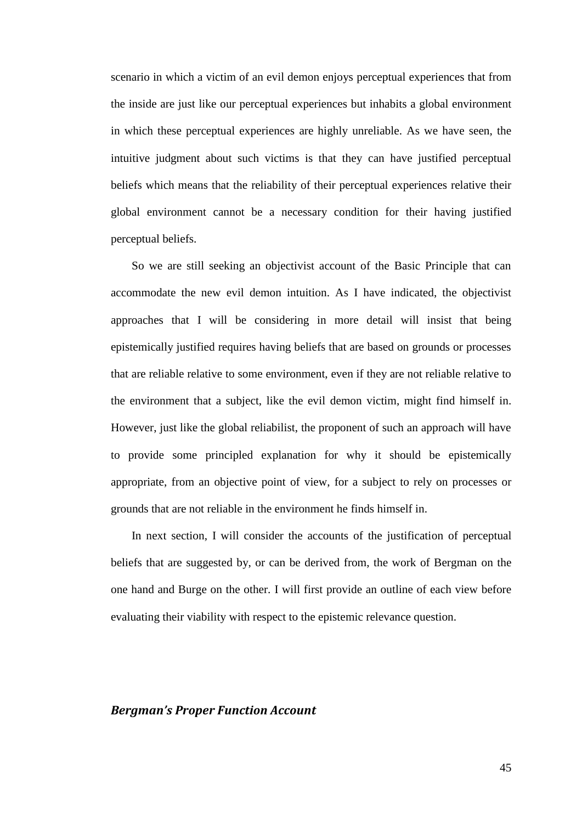scenario in which a victim of an evil demon enjoys perceptual experiences that from the inside are just like our perceptual experiences but inhabits a global environment in which these perceptual experiences are highly unreliable. As we have seen, the intuitive judgment about such victims is that they can have justified perceptual beliefs which means that the reliability of their perceptual experiences relative their global environment cannot be a necessary condition for their having justified perceptual beliefs.

So we are still seeking an objectivist account of the Basic Principle that can accommodate the new evil demon intuition. As I have indicated, the objectivist approaches that I will be considering in more detail will insist that being epistemically justified requires having beliefs that are based on grounds or processes that are reliable relative to some environment, even if they are not reliable relative to the environment that a subject, like the evil demon victim, might find himself in. However, just like the global reliabilist, the proponent of such an approach will have to provide some principled explanation for why it should be epistemically appropriate, from an objective point of view, for a subject to rely on processes or grounds that are not reliable in the environment he finds himself in.

In next section, I will consider the accounts of the justification of perceptual beliefs that are suggested by, or can be derived from, the work of Bergman on the one hand and Burge on the other. I will first provide an outline of each view before evaluating their viability with respect to the epistemic relevance question.

### *Bergman's Proper Function Account*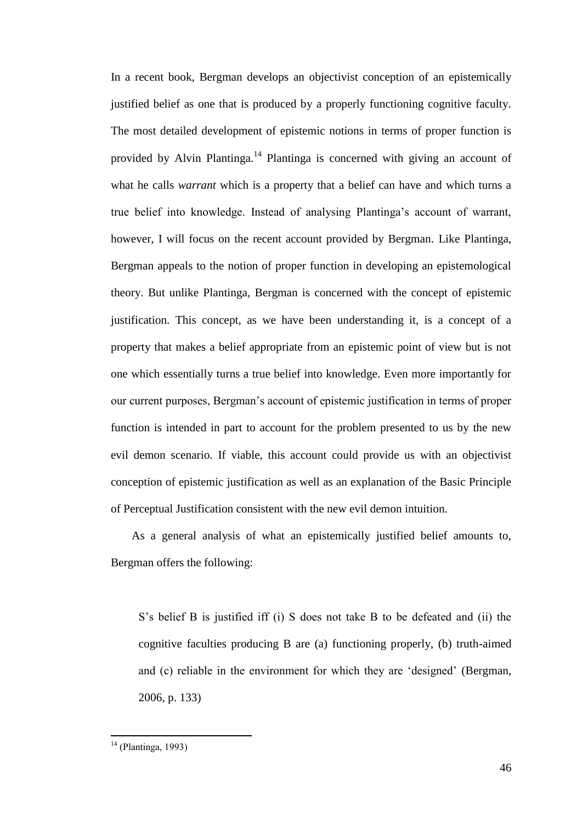In a recent book, Bergman develops an objectivist conception of an epistemically justified belief as one that is produced by a properly functioning cognitive faculty. The most detailed development of epistemic notions in terms of proper function is provided by Alvin Plantinga.<sup>14</sup> Plantinga is concerned with giving an account of what he calls *warrant* which is a property that a belief can have and which turns a true belief into knowledge. Instead of analysing Plantinga's account of warrant, however, I will focus on the recent account provided by Bergman. Like Plantinga, Bergman appeals to the notion of proper function in developing an epistemological theory. But unlike Plantinga, Bergman is concerned with the concept of epistemic justification. This concept, as we have been understanding it, is a concept of a property that makes a belief appropriate from an epistemic point of view but is not one which essentially turns a true belief into knowledge. Even more importantly for our current purposes, Bergman's account of epistemic justification in terms of proper function is intended in part to account for the problem presented to us by the new evil demon scenario. If viable, this account could provide us with an objectivist conception of epistemic justification as well as an explanation of the Basic Principle of Perceptual Justification consistent with the new evil demon intuition.

As a general analysis of what an epistemically justified belief amounts to, Bergman offers the following:

S's belief B is justified iff (i) S does not take B to be defeated and (ii) the cognitive faculties producing B are (a) functioning properly, (b) truth-aimed and (c) reliable in the environment for which they are 'designed' (Bergman, 2006, p. 133)

 $\overline{a}$ 

<sup>&</sup>lt;sup>14</sup> (Plantinga, 1993)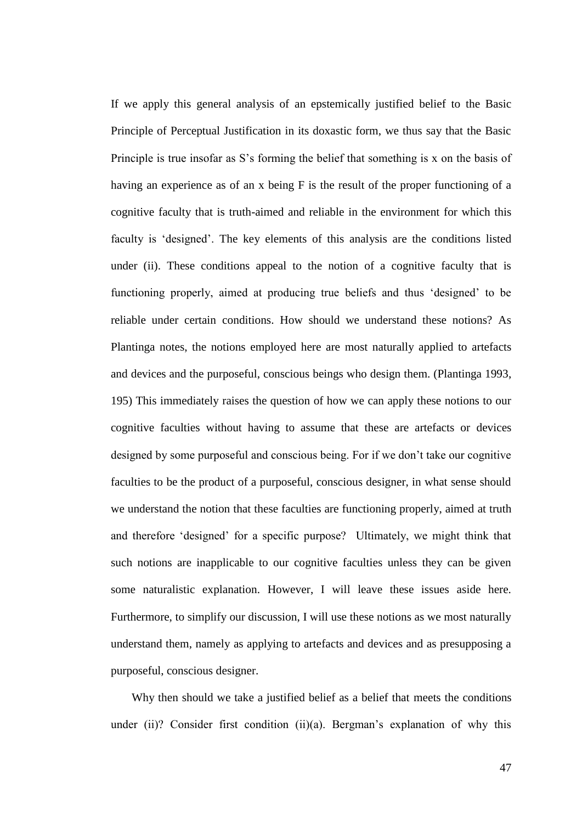If we apply this general analysis of an epstemically justified belief to the Basic Principle of Perceptual Justification in its doxastic form, we thus say that the Basic Principle is true insofar as S's forming the belief that something is x on the basis of having an experience as of an x being F is the result of the proper functioning of a cognitive faculty that is truth-aimed and reliable in the environment for which this faculty is 'designed'. The key elements of this analysis are the conditions listed under (ii). These conditions appeal to the notion of a cognitive faculty that is functioning properly, aimed at producing true beliefs and thus 'designed' to be reliable under certain conditions. How should we understand these notions? As Plantinga notes, the notions employed here are most naturally applied to artefacts and devices and the purposeful, conscious beings who design them. (Plantinga 1993, 195) This immediately raises the question of how we can apply these notions to our cognitive faculties without having to assume that these are artefacts or devices designed by some purposeful and conscious being. For if we don't take our cognitive faculties to be the product of a purposeful, conscious designer, in what sense should we understand the notion that these faculties are functioning properly, aimed at truth and therefore 'designed' for a specific purpose? Ultimately, we might think that such notions are inapplicable to our cognitive faculties unless they can be given some naturalistic explanation. However, I will leave these issues aside here. Furthermore, to simplify our discussion, I will use these notions as we most naturally understand them, namely as applying to artefacts and devices and as presupposing a purposeful, conscious designer.

Why then should we take a justified belief as a belief that meets the conditions under (ii)? Consider first condition (ii)(a). Bergman's explanation of why this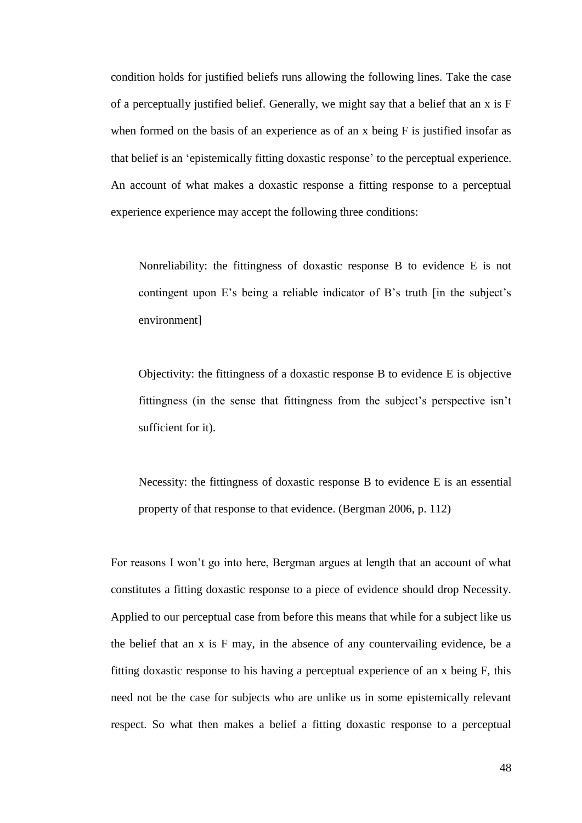condition holds for justified beliefs runs allowing the following lines. Take the case of a perceptually justified belief. Generally, we might say that a belief that an  $x$  is  $F$ when formed on the basis of an experience as of an x being F is justified insofar as that belief is an ‗epistemically fitting doxastic response' to the perceptual experience. An account of what makes a doxastic response a fitting response to a perceptual experience experience may accept the following three conditions:

Nonreliability: the fittingness of doxastic response B to evidence E is not contingent upon E's being a reliable indicator of B's truth [in the subject's environment]

Objectivity: the fittingness of a doxastic response B to evidence E is objective fittingness (in the sense that fittingness from the subject's perspective isn't sufficient for it).

Necessity: the fittingness of doxastic response B to evidence E is an essential property of that response to that evidence. (Bergman 2006, p. 112)

For reasons I won't go into here, Bergman argues at length that an account of what constitutes a fitting doxastic response to a piece of evidence should drop Necessity. Applied to our perceptual case from before this means that while for a subject like us the belief that an x is F may, in the absence of any countervailing evidence, be a fitting doxastic response to his having a perceptual experience of an x being F, this need not be the case for subjects who are unlike us in some epistemically relevant respect. So what then makes a belief a fitting doxastic response to a perceptual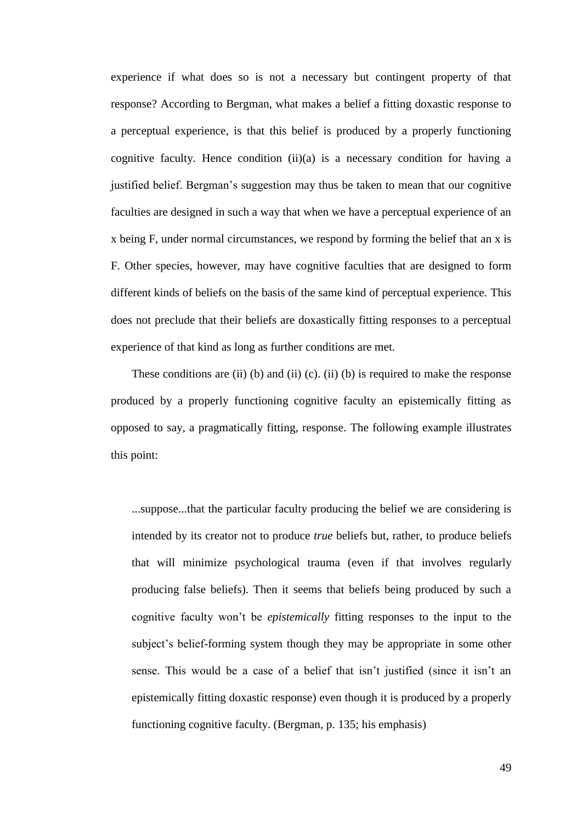experience if what does so is not a necessary but contingent property of that response? According to Bergman, what makes a belief a fitting doxastic response to a perceptual experience, is that this belief is produced by a properly functioning cognitive faculty. Hence condition  $(ii)(a)$  is a necessary condition for having a justified belief. Bergman's suggestion may thus be taken to mean that our cognitive faculties are designed in such a way that when we have a perceptual experience of an x being F, under normal circumstances, we respond by forming the belief that an x is F. Other species, however, may have cognitive faculties that are designed to form different kinds of beliefs on the basis of the same kind of perceptual experience. This does not preclude that their beliefs are doxastically fitting responses to a perceptual experience of that kind as long as further conditions are met.

These conditions are (ii) (b) and (ii) (c). (ii) (b) is required to make the response produced by a properly functioning cognitive faculty an epistemically fitting as opposed to say, a pragmatically fitting, response. The following example illustrates this point:

...suppose...that the particular faculty producing the belief we are considering is intended by its creator not to produce *true* beliefs but, rather, to produce beliefs that will minimize psychological trauma (even if that involves regularly producing false beliefs). Then it seems that beliefs being produced by such a cognitive faculty won't be *epistemically* fitting responses to the input to the subject's belief-forming system though they may be appropriate in some other sense. This would be a case of a belief that isn't justified (since it isn't an epistemically fitting doxastic response) even though it is produced by a properly functioning cognitive faculty. (Bergman, p. 135; his emphasis)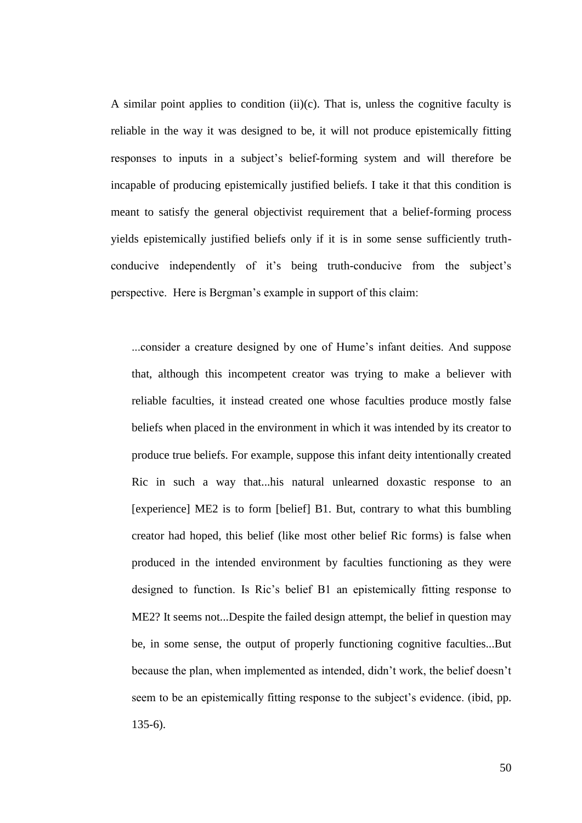A similar point applies to condition  $(ii)(c)$ . That is, unless the cognitive faculty is reliable in the way it was designed to be, it will not produce epistemically fitting responses to inputs in a subject's belief-forming system and will therefore be incapable of producing epistemically justified beliefs. I take it that this condition is meant to satisfy the general objectivist requirement that a belief-forming process yields epistemically justified beliefs only if it is in some sense sufficiently truthconducive independently of it's being truth-conducive from the subject's perspective. Here is Bergman's example in support of this claim:

...consider a creature designed by one of Hume's infant deities. And suppose that, although this incompetent creator was trying to make a believer with reliable faculties, it instead created one whose faculties produce mostly false beliefs when placed in the environment in which it was intended by its creator to produce true beliefs. For example, suppose this infant deity intentionally created Ric in such a way that...his natural unlearned doxastic response to an [experience] ME2 is to form [belief] B1. But, contrary to what this bumbling creator had hoped, this belief (like most other belief Ric forms) is false when produced in the intended environment by faculties functioning as they were designed to function. Is Ric's belief B1 an epistemically fitting response to ME2? It seems not...Despite the failed design attempt, the belief in question may be, in some sense, the output of properly functioning cognitive faculties...But because the plan, when implemented as intended, didn't work, the belief doesn't seem to be an epistemically fitting response to the subject's evidence. (ibid, pp. 135-6).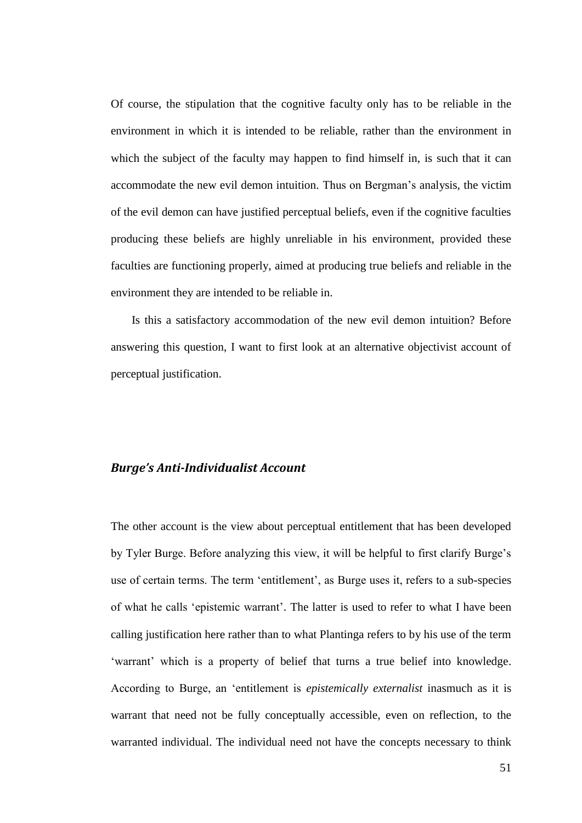Of course, the stipulation that the cognitive faculty only has to be reliable in the environment in which it is intended to be reliable, rather than the environment in which the subject of the faculty may happen to find himself in, is such that it can accommodate the new evil demon intuition. Thus on Bergman's analysis, the victim of the evil demon can have justified perceptual beliefs, even if the cognitive faculties producing these beliefs are highly unreliable in his environment, provided these faculties are functioning properly, aimed at producing true beliefs and reliable in the environment they are intended to be reliable in.

Is this a satisfactory accommodation of the new evil demon intuition? Before answering this question, I want to first look at an alternative objectivist account of perceptual justification.

#### *Burge's Anti-Individualist Account*

The other account is the view about perceptual entitlement that has been developed by Tyler Burge. Before analyzing this view, it will be helpful to first clarify Burge's use of certain terms. The term 'entitlement', as Burge uses it, refers to a sub-species of what he calls 'epistemic warrant'. The latter is used to refer to what I have been calling justification here rather than to what Plantinga refers to by his use of the term ‗warrant' which is a property of belief that turns a true belief into knowledge. According to Burge, an 'entitlement is *epistemically externalist* inasmuch as it is warrant that need not be fully conceptually accessible, even on reflection, to the warranted individual. The individual need not have the concepts necessary to think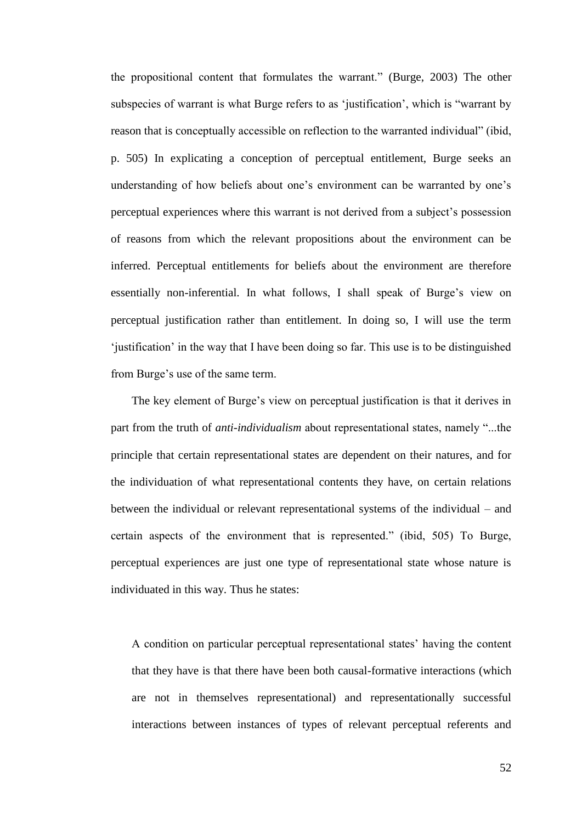the propositional content that formulates the warrant." (Burge, 2003) The other subspecies of warrant is what Burge refers to as 'justification', which is "warrant by reason that is conceptually accessible on reflection to the warranted individual" (ibid, p. 505) In explicating a conception of perceptual entitlement, Burge seeks an understanding of how beliefs about one's environment can be warranted by one's perceptual experiences where this warrant is not derived from a subject's possession of reasons from which the relevant propositions about the environment can be inferred. Perceptual entitlements for beliefs about the environment are therefore essentially non-inferential. In what follows, I shall speak of Burge's view on perceptual justification rather than entitlement. In doing so, I will use the term ‗justification' in the way that I have been doing so far. This use is to be distinguished from Burge's use of the same term.

The key element of Burge's view on perceptual justification is that it derives in part from the truth of *anti-individualism* about representational states, namely "...the principle that certain representational states are dependent on their natures, and for the individuation of what representational contents they have, on certain relations between the individual or relevant representational systems of the individual – and certain aspects of the environment that is represented." (ibid, 505) To Burge, perceptual experiences are just one type of representational state whose nature is individuated in this way. Thus he states:

A condition on particular perceptual representational states' having the content that they have is that there have been both causal-formative interactions (which are not in themselves representational) and representationally successful interactions between instances of types of relevant perceptual referents and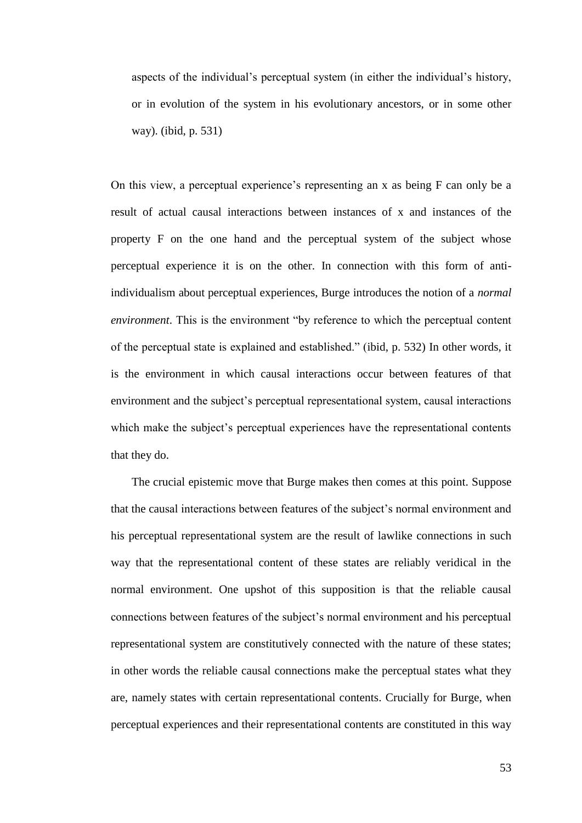aspects of the individual's perceptual system (in either the individual's history, or in evolution of the system in his evolutionary ancestors, or in some other way). (ibid, p. 531)

On this view, a perceptual experience's representing an x as being F can only be a result of actual causal interactions between instances of x and instances of the property F on the one hand and the perceptual system of the subject whose perceptual experience it is on the other. In connection with this form of antiindividualism about perceptual experiences, Burge introduces the notion of a *normal environment*. This is the environment "by reference to which the perceptual content of the perceptual state is explained and established." (ibid, p. 532) In other words, it is the environment in which causal interactions occur between features of that environment and the subject's perceptual representational system, causal interactions which make the subject's perceptual experiences have the representational contents that they do.

The crucial epistemic move that Burge makes then comes at this point. Suppose that the causal interactions between features of the subject's normal environment and his perceptual representational system are the result of lawlike connections in such way that the representational content of these states are reliably veridical in the normal environment. One upshot of this supposition is that the reliable causal connections between features of the subject's normal environment and his perceptual representational system are constitutively connected with the nature of these states; in other words the reliable causal connections make the perceptual states what they are, namely states with certain representational contents. Crucially for Burge, when perceptual experiences and their representational contents are constituted in this way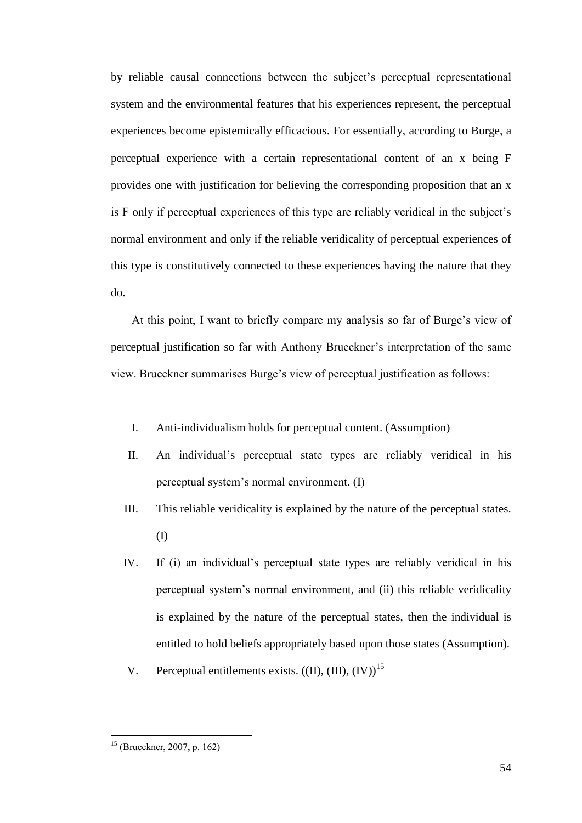by reliable causal connections between the subject's perceptual representational system and the environmental features that his experiences represent, the perceptual experiences become epistemically efficacious. For essentially, according to Burge, a perceptual experience with a certain representational content of an x being F provides one with justification for believing the corresponding proposition that an x is F only if perceptual experiences of this type are reliably veridical in the subject's normal environment and only if the reliable veridicality of perceptual experiences of this type is constitutively connected to these experiences having the nature that they do.

At this point, I want to briefly compare my analysis so far of Burge's view of perceptual justification so far with Anthony Brueckner's interpretation of the same view. Brueckner summarises Burge's view of perceptual justification as follows:

- I. Anti-individualism holds for perceptual content. (Assumption)
- II. An individual's perceptual state types are reliably veridical in his perceptual system's normal environment. (I)
- III. This reliable veridicality is explained by the nature of the perceptual states. (I)
- IV. If (i) an individual's perceptual state types are reliably veridical in his perceptual system's normal environment, and (ii) this reliable veridicality is explained by the nature of the perceptual states, then the individual is entitled to hold beliefs appropriately based upon those states (Assumption).
- V. Perceptual entitlements exists.  $((II), (III), (IV))$ <sup>15</sup>

 $\overline{a}$ 

<sup>15</sup> (Brueckner, 2007, p. 162)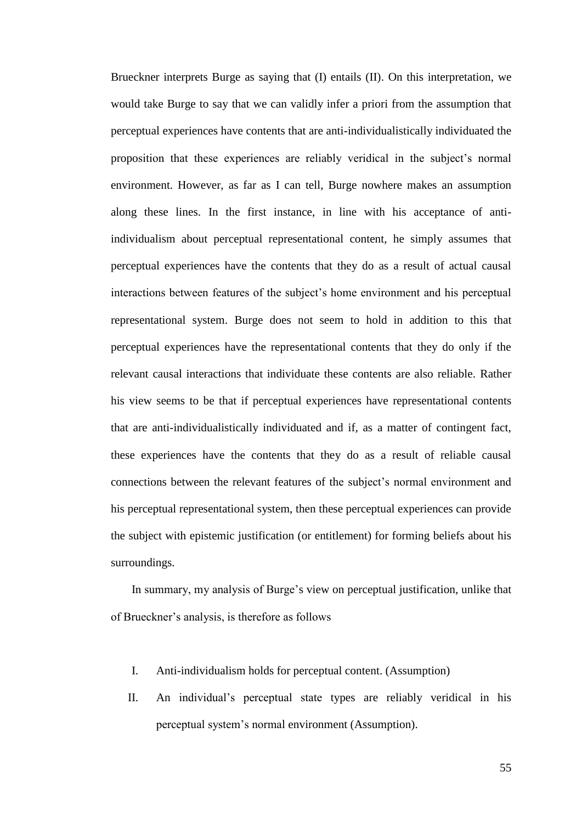Brueckner interprets Burge as saying that (I) entails (II). On this interpretation, we would take Burge to say that we can validly infer a priori from the assumption that perceptual experiences have contents that are anti-individualistically individuated the proposition that these experiences are reliably veridical in the subject's normal environment. However, as far as I can tell, Burge nowhere makes an assumption along these lines. In the first instance, in line with his acceptance of antiindividualism about perceptual representational content, he simply assumes that perceptual experiences have the contents that they do as a result of actual causal interactions between features of the subject's home environment and his perceptual representational system. Burge does not seem to hold in addition to this that perceptual experiences have the representational contents that they do only if the relevant causal interactions that individuate these contents are also reliable. Rather his view seems to be that if perceptual experiences have representational contents that are anti-individualistically individuated and if, as a matter of contingent fact, these experiences have the contents that they do as a result of reliable causal connections between the relevant features of the subject's normal environment and his perceptual representational system, then these perceptual experiences can provide the subject with epistemic justification (or entitlement) for forming beliefs about his surroundings.

In summary, my analysis of Burge's view on perceptual justification, unlike that of Brueckner's analysis, is therefore as follows

- I. Anti-individualism holds for perceptual content. (Assumption)
- II. An individual's perceptual state types are reliably veridical in his perceptual system's normal environment (Assumption).

55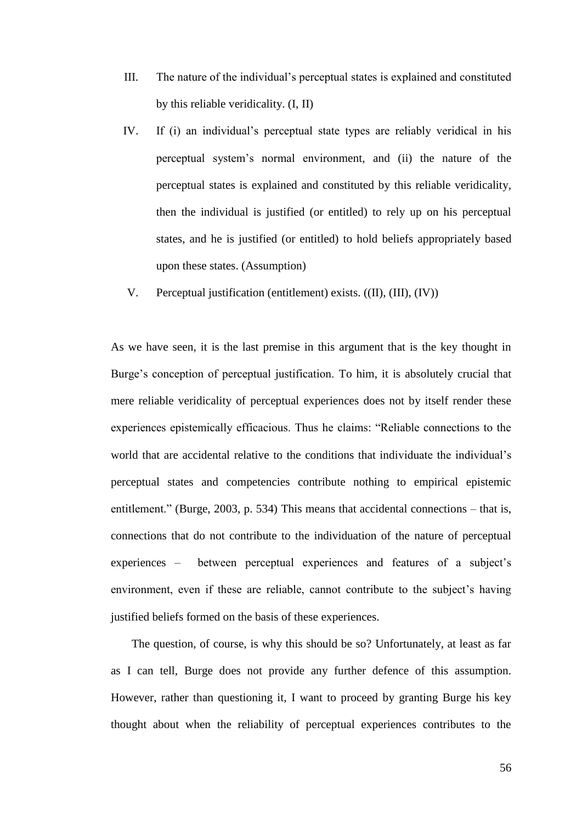- III. The nature of the individual's perceptual states is explained and constituted by this reliable veridicality. (I, II)
- IV. If (i) an individual's perceptual state types are reliably veridical in his perceptual system's normal environment, and (ii) the nature of the perceptual states is explained and constituted by this reliable veridicality, then the individual is justified (or entitled) to rely up on his perceptual states, and he is justified (or entitled) to hold beliefs appropriately based upon these states. (Assumption)
- V. Perceptual justification (entitlement) exists. ((II), (III), (IV))

As we have seen, it is the last premise in this argument that is the key thought in Burge's conception of perceptual justification. To him, it is absolutely crucial that mere reliable veridicality of perceptual experiences does not by itself render these experiences epistemically efficacious. Thus he claims: "Reliable connections to the world that are accidental relative to the conditions that individuate the individual's perceptual states and competencies contribute nothing to empirical epistemic entitlement." (Burge, 2003, p. 534) This means that accidental connections – that is, connections that do not contribute to the individuation of the nature of perceptual experiences – between perceptual experiences and features of a subject's environment, even if these are reliable, cannot contribute to the subject's having justified beliefs formed on the basis of these experiences.

The question, of course, is why this should be so? Unfortunately, at least as far as I can tell, Burge does not provide any further defence of this assumption. However, rather than questioning it, I want to proceed by granting Burge his key thought about when the reliability of perceptual experiences contributes to the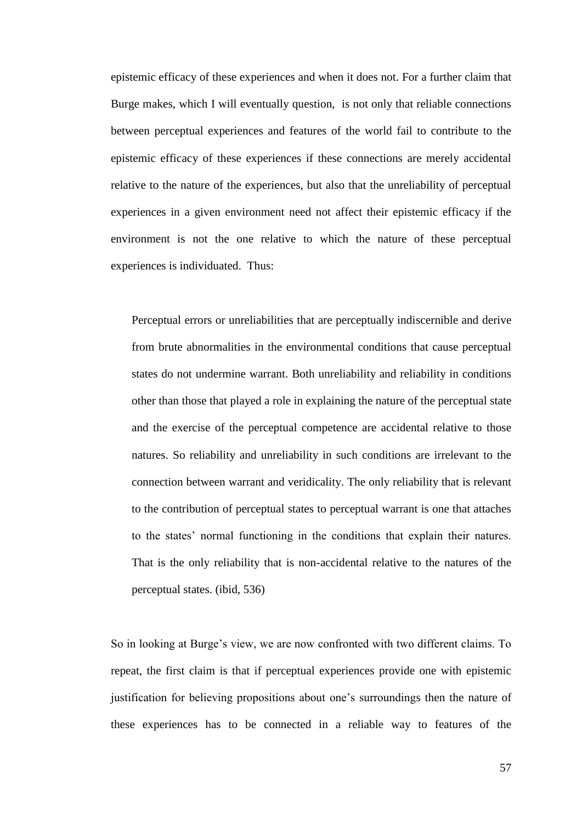epistemic efficacy of these experiences and when it does not. For a further claim that Burge makes, which I will eventually question, is not only that reliable connections between perceptual experiences and features of the world fail to contribute to the epistemic efficacy of these experiences if these connections are merely accidental relative to the nature of the experiences, but also that the unreliability of perceptual experiences in a given environment need not affect their epistemic efficacy if the environment is not the one relative to which the nature of these perceptual experiences is individuated. Thus:

Perceptual errors or unreliabilities that are perceptually indiscernible and derive from brute abnormalities in the environmental conditions that cause perceptual states do not undermine warrant. Both unreliability and reliability in conditions other than those that played a role in explaining the nature of the perceptual state and the exercise of the perceptual competence are accidental relative to those natures. So reliability and unreliability in such conditions are irrelevant to the connection between warrant and veridicality. The only reliability that is relevant to the contribution of perceptual states to perceptual warrant is one that attaches to the states' normal functioning in the conditions that explain their natures. That is the only reliability that is non-accidental relative to the natures of the perceptual states. (ibid, 536)

So in looking at Burge's view, we are now confronted with two different claims. To repeat, the first claim is that if perceptual experiences provide one with epistemic justification for believing propositions about one's surroundings then the nature of these experiences has to be connected in a reliable way to features of the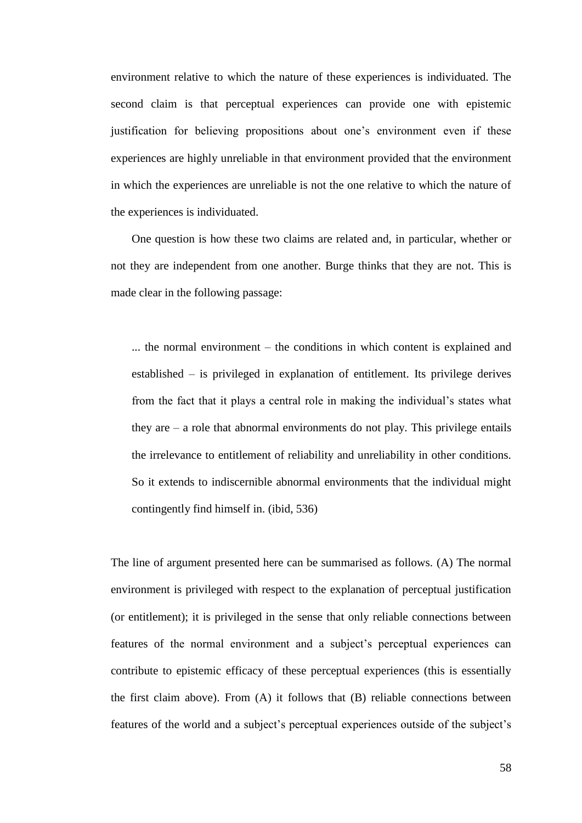environment relative to which the nature of these experiences is individuated. The second claim is that perceptual experiences can provide one with epistemic justification for believing propositions about one's environment even if these experiences are highly unreliable in that environment provided that the environment in which the experiences are unreliable is not the one relative to which the nature of the experiences is individuated.

One question is how these two claims are related and, in particular, whether or not they are independent from one another. Burge thinks that they are not. This is made clear in the following passage:

... the normal environment – the conditions in which content is explained and established – is privileged in explanation of entitlement. Its privilege derives from the fact that it plays a central role in making the individual's states what they are  $-$  a role that abnormal environments do not play. This privilege entails the irrelevance to entitlement of reliability and unreliability in other conditions. So it extends to indiscernible abnormal environments that the individual might contingently find himself in. (ibid, 536)

The line of argument presented here can be summarised as follows. (A) The normal environment is privileged with respect to the explanation of perceptual justification (or entitlement); it is privileged in the sense that only reliable connections between features of the normal environment and a subject's perceptual experiences can contribute to epistemic efficacy of these perceptual experiences (this is essentially the first claim above). From (A) it follows that (B) reliable connections between features of the world and a subject's perceptual experiences outside of the subject's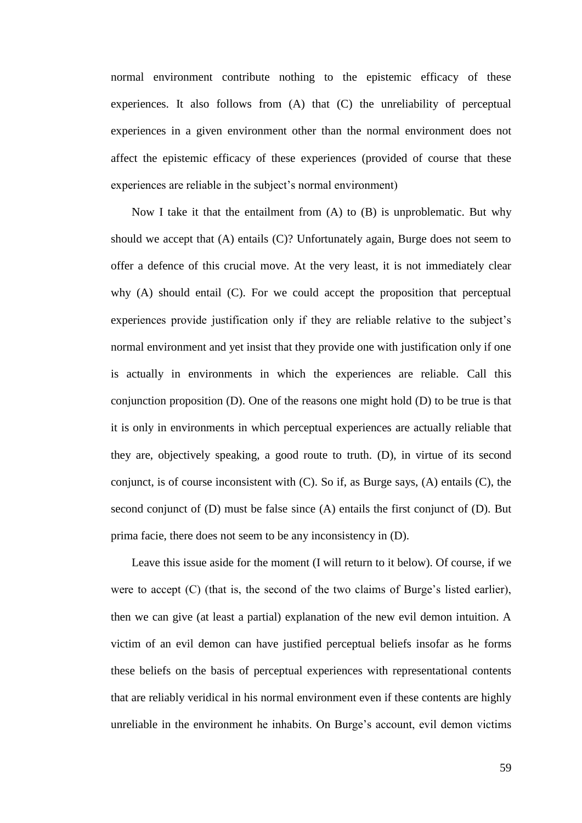normal environment contribute nothing to the epistemic efficacy of these experiences. It also follows from (A) that (C) the unreliability of perceptual experiences in a given environment other than the normal environment does not affect the epistemic efficacy of these experiences (provided of course that these experiences are reliable in the subject's normal environment)

Now I take it that the entailment from  $(A)$  to  $(B)$  is unproblematic. But why should we accept that (A) entails (C)? Unfortunately again, Burge does not seem to offer a defence of this crucial move. At the very least, it is not immediately clear why (A) should entail (C). For we could accept the proposition that perceptual experiences provide justification only if they are reliable relative to the subject's normal environment and yet insist that they provide one with justification only if one is actually in environments in which the experiences are reliable. Call this conjunction proposition (D). One of the reasons one might hold (D) to be true is that it is only in environments in which perceptual experiences are actually reliable that they are, objectively speaking, a good route to truth. (D), in virtue of its second conjunct, is of course inconsistent with (C). So if, as Burge says, (A) entails (C), the second conjunct of (D) must be false since (A) entails the first conjunct of (D). But prima facie, there does not seem to be any inconsistency in (D).

Leave this issue aside for the moment (I will return to it below). Of course, if we were to accept (C) (that is, the second of the two claims of Burge's listed earlier), then we can give (at least a partial) explanation of the new evil demon intuition. A victim of an evil demon can have justified perceptual beliefs insofar as he forms these beliefs on the basis of perceptual experiences with representational contents that are reliably veridical in his normal environment even if these contents are highly unreliable in the environment he inhabits. On Burge's account, evil demon victims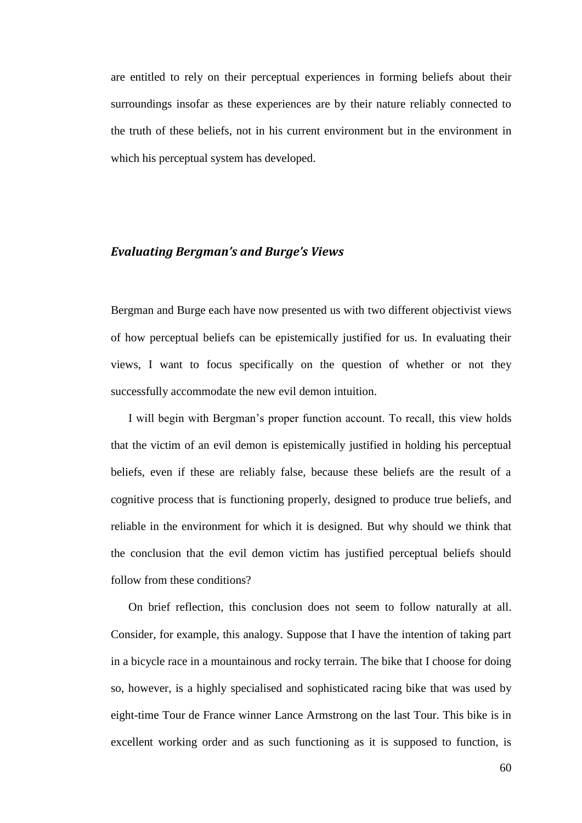are entitled to rely on their perceptual experiences in forming beliefs about their surroundings insofar as these experiences are by their nature reliably connected to the truth of these beliefs, not in his current environment but in the environment in which his perceptual system has developed.

#### *Evaluating Bergman's and Burge's Views*

Bergman and Burge each have now presented us with two different objectivist views of how perceptual beliefs can be epistemically justified for us. In evaluating their views, I want to focus specifically on the question of whether or not they successfully accommodate the new evil demon intuition.

I will begin with Bergman's proper function account. To recall, this view holds that the victim of an evil demon is epistemically justified in holding his perceptual beliefs, even if these are reliably false, because these beliefs are the result of a cognitive process that is functioning properly, designed to produce true beliefs, and reliable in the environment for which it is designed. But why should we think that the conclusion that the evil demon victim has justified perceptual beliefs should follow from these conditions?

On brief reflection, this conclusion does not seem to follow naturally at all. Consider, for example, this analogy. Suppose that I have the intention of taking part in a bicycle race in a mountainous and rocky terrain. The bike that I choose for doing so, however, is a highly specialised and sophisticated racing bike that was used by eight-time Tour de France winner Lance Armstrong on the last Tour. This bike is in excellent working order and as such functioning as it is supposed to function, is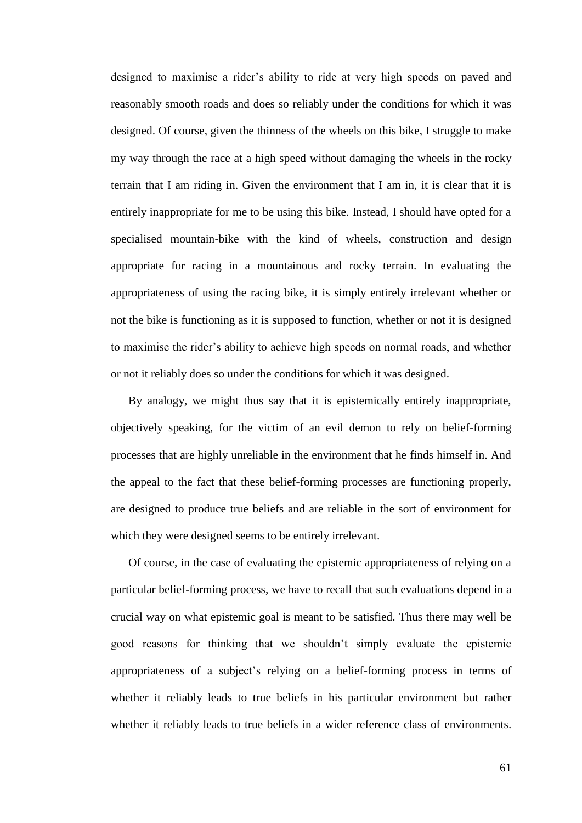designed to maximise a rider's ability to ride at very high speeds on paved and reasonably smooth roads and does so reliably under the conditions for which it was designed. Of course, given the thinness of the wheels on this bike, I struggle to make my way through the race at a high speed without damaging the wheels in the rocky terrain that I am riding in. Given the environment that I am in, it is clear that it is entirely inappropriate for me to be using this bike. Instead, I should have opted for a specialised mountain-bike with the kind of wheels, construction and design appropriate for racing in a mountainous and rocky terrain. In evaluating the appropriateness of using the racing bike, it is simply entirely irrelevant whether or not the bike is functioning as it is supposed to function, whether or not it is designed to maximise the rider's ability to achieve high speeds on normal roads, and whether or not it reliably does so under the conditions for which it was designed.

By analogy, we might thus say that it is epistemically entirely inappropriate, objectively speaking, for the victim of an evil demon to rely on belief-forming processes that are highly unreliable in the environment that he finds himself in. And the appeal to the fact that these belief-forming processes are functioning properly, are designed to produce true beliefs and are reliable in the sort of environment for which they were designed seems to be entirely irrelevant.

Of course, in the case of evaluating the epistemic appropriateness of relying on a particular belief-forming process, we have to recall that such evaluations depend in a crucial way on what epistemic goal is meant to be satisfied. Thus there may well be good reasons for thinking that we shouldn't simply evaluate the epistemic appropriateness of a subject's relying on a belief-forming process in terms of whether it reliably leads to true beliefs in his particular environment but rather whether it reliably leads to true beliefs in a wider reference class of environments.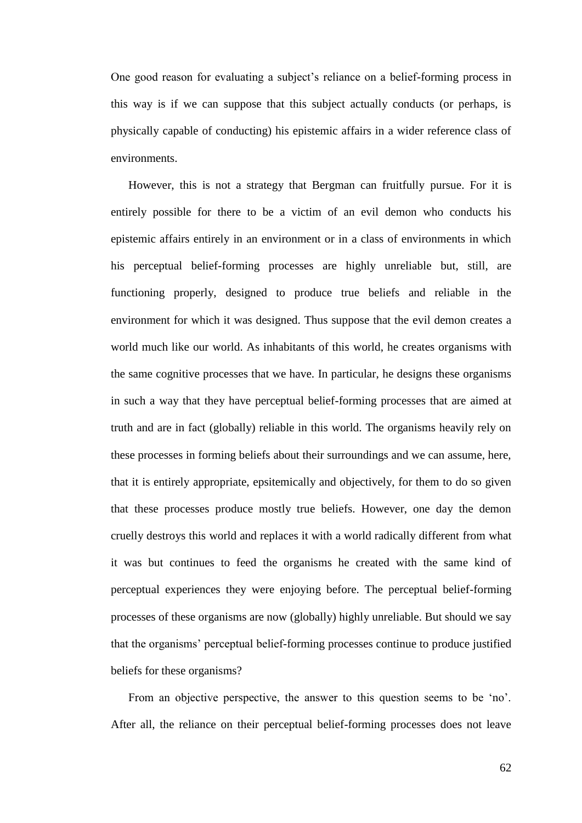One good reason for evaluating a subject's reliance on a belief-forming process in this way is if we can suppose that this subject actually conducts (or perhaps, is physically capable of conducting) his epistemic affairs in a wider reference class of environments.

However, this is not a strategy that Bergman can fruitfully pursue. For it is entirely possible for there to be a victim of an evil demon who conducts his epistemic affairs entirely in an environment or in a class of environments in which his perceptual belief-forming processes are highly unreliable but, still, are functioning properly, designed to produce true beliefs and reliable in the environment for which it was designed. Thus suppose that the evil demon creates a world much like our world. As inhabitants of this world, he creates organisms with the same cognitive processes that we have. In particular, he designs these organisms in such a way that they have perceptual belief-forming processes that are aimed at truth and are in fact (globally) reliable in this world. The organisms heavily rely on these processes in forming beliefs about their surroundings and we can assume, here, that it is entirely appropriate, epsitemically and objectively, for them to do so given that these processes produce mostly true beliefs. However, one day the demon cruelly destroys this world and replaces it with a world radically different from what it was but continues to feed the organisms he created with the same kind of perceptual experiences they were enjoying before. The perceptual belief-forming processes of these organisms are now (globally) highly unreliable. But should we say that the organisms' perceptual belief-forming processes continue to produce justified beliefs for these organisms?

From an objective perspective, the answer to this question seems to be 'no'. After all, the reliance on their perceptual belief-forming processes does not leave

62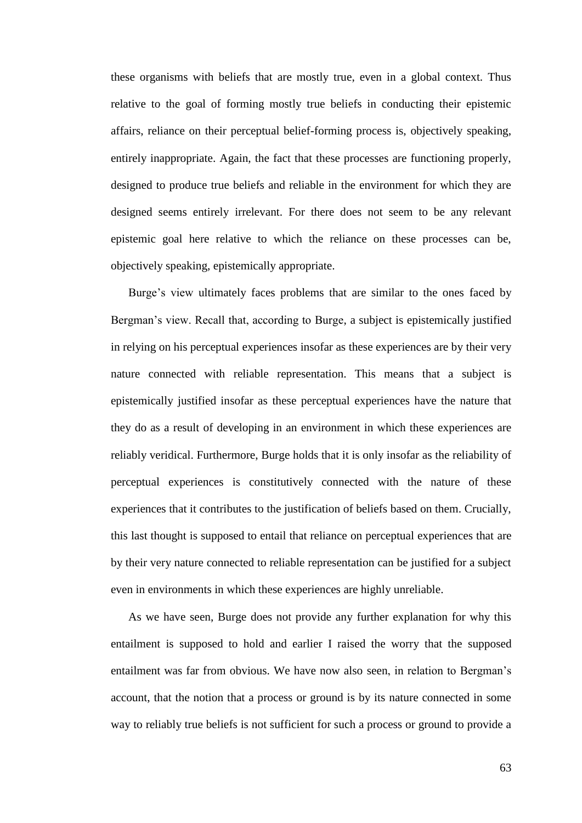these organisms with beliefs that are mostly true, even in a global context. Thus relative to the goal of forming mostly true beliefs in conducting their epistemic affairs, reliance on their perceptual belief-forming process is, objectively speaking, entirely inappropriate. Again, the fact that these processes are functioning properly, designed to produce true beliefs and reliable in the environment for which they are designed seems entirely irrelevant. For there does not seem to be any relevant epistemic goal here relative to which the reliance on these processes can be, objectively speaking, epistemically appropriate.

Burge's view ultimately faces problems that are similar to the ones faced by Bergman's view. Recall that, according to Burge, a subject is epistemically justified in relying on his perceptual experiences insofar as these experiences are by their very nature connected with reliable representation. This means that a subject is epistemically justified insofar as these perceptual experiences have the nature that they do as a result of developing in an environment in which these experiences are reliably veridical. Furthermore, Burge holds that it is only insofar as the reliability of perceptual experiences is constitutively connected with the nature of these experiences that it contributes to the justification of beliefs based on them. Crucially, this last thought is supposed to entail that reliance on perceptual experiences that are by their very nature connected to reliable representation can be justified for a subject even in environments in which these experiences are highly unreliable.

As we have seen, Burge does not provide any further explanation for why this entailment is supposed to hold and earlier I raised the worry that the supposed entailment was far from obvious. We have now also seen, in relation to Bergman's account, that the notion that a process or ground is by its nature connected in some way to reliably true beliefs is not sufficient for such a process or ground to provide a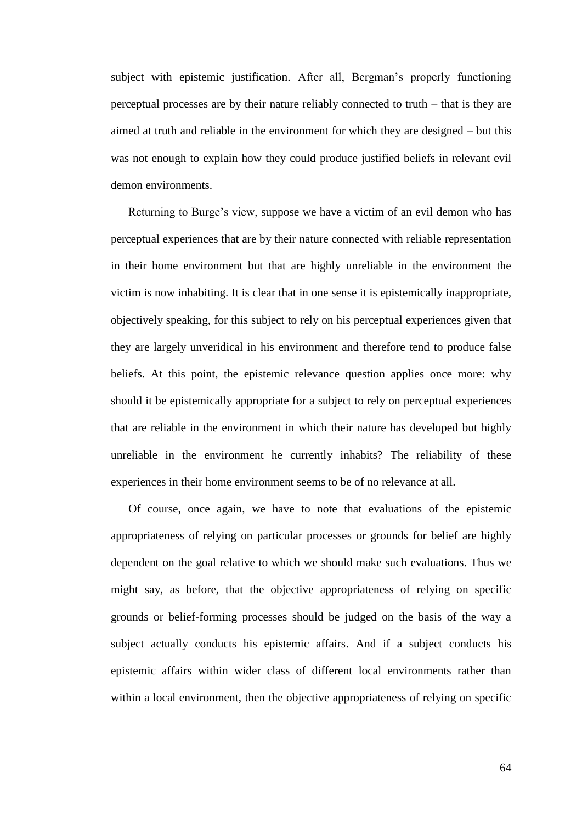subject with epistemic justification. After all, Bergman's properly functioning perceptual processes are by their nature reliably connected to truth – that is they are aimed at truth and reliable in the environment for which they are designed – but this was not enough to explain how they could produce justified beliefs in relevant evil demon environments.

Returning to Burge's view, suppose we have a victim of an evil demon who has perceptual experiences that are by their nature connected with reliable representation in their home environment but that are highly unreliable in the environment the victim is now inhabiting. It is clear that in one sense it is epistemically inappropriate, objectively speaking, for this subject to rely on his perceptual experiences given that they are largely unveridical in his environment and therefore tend to produce false beliefs. At this point, the epistemic relevance question applies once more: why should it be epistemically appropriate for a subject to rely on perceptual experiences that are reliable in the environment in which their nature has developed but highly unreliable in the environment he currently inhabits? The reliability of these experiences in their home environment seems to be of no relevance at all.

Of course, once again, we have to note that evaluations of the epistemic appropriateness of relying on particular processes or grounds for belief are highly dependent on the goal relative to which we should make such evaluations. Thus we might say, as before, that the objective appropriateness of relying on specific grounds or belief-forming processes should be judged on the basis of the way a subject actually conducts his epistemic affairs. And if a subject conducts his epistemic affairs within wider class of different local environments rather than within a local environment, then the objective appropriateness of relying on specific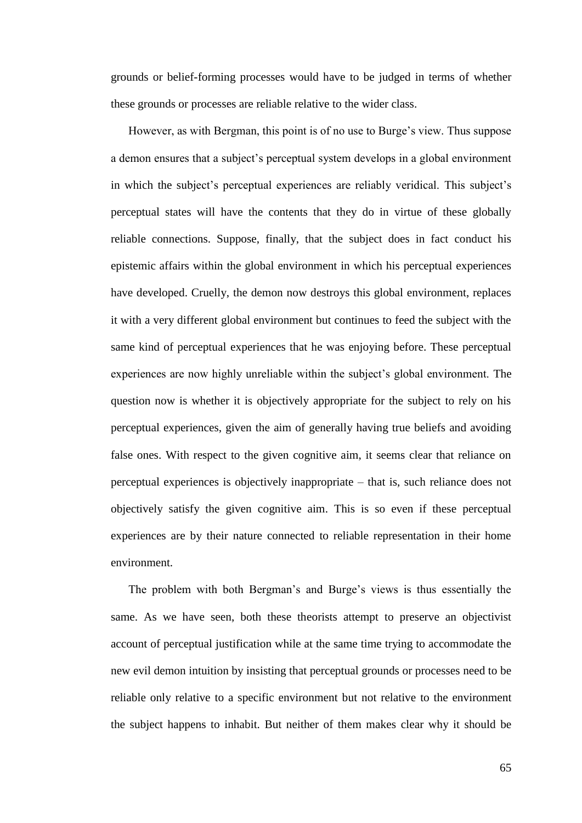grounds or belief-forming processes would have to be judged in terms of whether these grounds or processes are reliable relative to the wider class.

However, as with Bergman, this point is of no use to Burge's view. Thus suppose a demon ensures that a subject's perceptual system develops in a global environment in which the subject's perceptual experiences are reliably veridical. This subject's perceptual states will have the contents that they do in virtue of these globally reliable connections. Suppose, finally, that the subject does in fact conduct his epistemic affairs within the global environment in which his perceptual experiences have developed. Cruelly, the demon now destroys this global environment, replaces it with a very different global environment but continues to feed the subject with the same kind of perceptual experiences that he was enjoying before. These perceptual experiences are now highly unreliable within the subject's global environment. The question now is whether it is objectively appropriate for the subject to rely on his perceptual experiences, given the aim of generally having true beliefs and avoiding false ones. With respect to the given cognitive aim, it seems clear that reliance on perceptual experiences is objectively inappropriate – that is, such reliance does not objectively satisfy the given cognitive aim. This is so even if these perceptual experiences are by their nature connected to reliable representation in their home environment.

The problem with both Bergman's and Burge's views is thus essentially the same. As we have seen, both these theorists attempt to preserve an objectivist account of perceptual justification while at the same time trying to accommodate the new evil demon intuition by insisting that perceptual grounds or processes need to be reliable only relative to a specific environment but not relative to the environment the subject happens to inhabit. But neither of them makes clear why it should be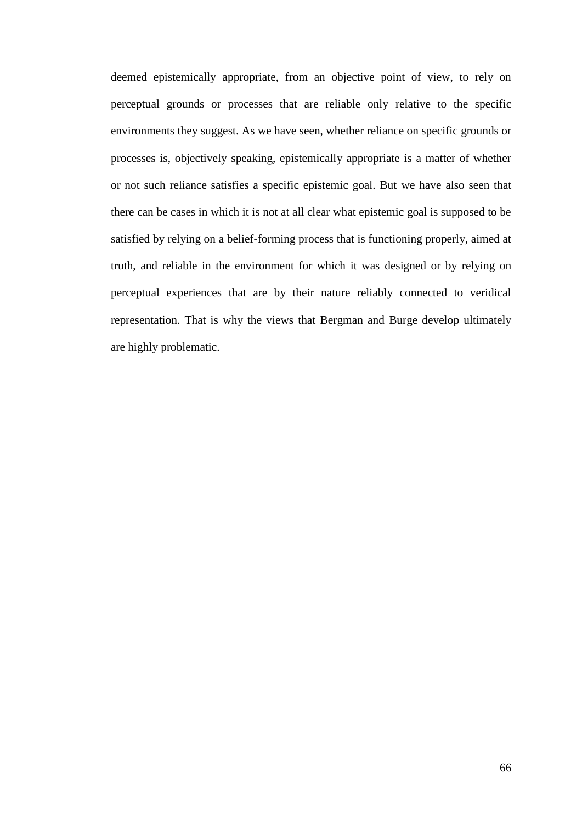deemed epistemically appropriate, from an objective point of view, to rely on perceptual grounds or processes that are reliable only relative to the specific environments they suggest. As we have seen, whether reliance on specific grounds or processes is, objectively speaking, epistemically appropriate is a matter of whether or not such reliance satisfies a specific epistemic goal. But we have also seen that there can be cases in which it is not at all clear what epistemic goal is supposed to be satisfied by relying on a belief-forming process that is functioning properly, aimed at truth, and reliable in the environment for which it was designed or by relying on perceptual experiences that are by their nature reliably connected to veridical representation. That is why the views that Bergman and Burge develop ultimately are highly problematic.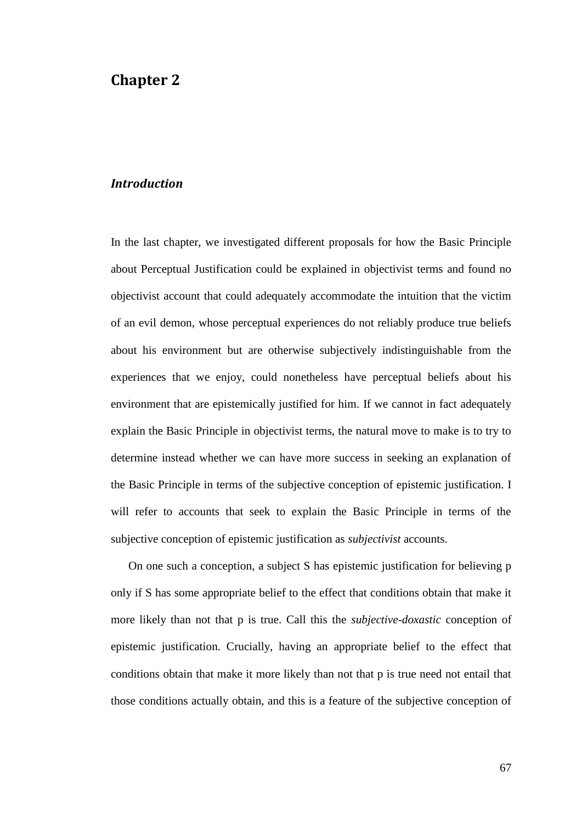# **Chapter 2**

#### *Introduction*

In the last chapter, we investigated different proposals for how the Basic Principle about Perceptual Justification could be explained in objectivist terms and found no objectivist account that could adequately accommodate the intuition that the victim of an evil demon, whose perceptual experiences do not reliably produce true beliefs about his environment but are otherwise subjectively indistinguishable from the experiences that we enjoy, could nonetheless have perceptual beliefs about his environment that are epistemically justified for him. If we cannot in fact adequately explain the Basic Principle in objectivist terms, the natural move to make is to try to determine instead whether we can have more success in seeking an explanation of the Basic Principle in terms of the subjective conception of epistemic justification. I will refer to accounts that seek to explain the Basic Principle in terms of the subjective conception of epistemic justification as *subjectivist* accounts.

On one such a conception, a subject S has epistemic justification for believing p only if S has some appropriate belief to the effect that conditions obtain that make it more likely than not that p is true. Call this the *subjective-doxastic* conception of epistemic justification. Crucially, having an appropriate belief to the effect that conditions obtain that make it more likely than not that p is true need not entail that those conditions actually obtain, and this is a feature of the subjective conception of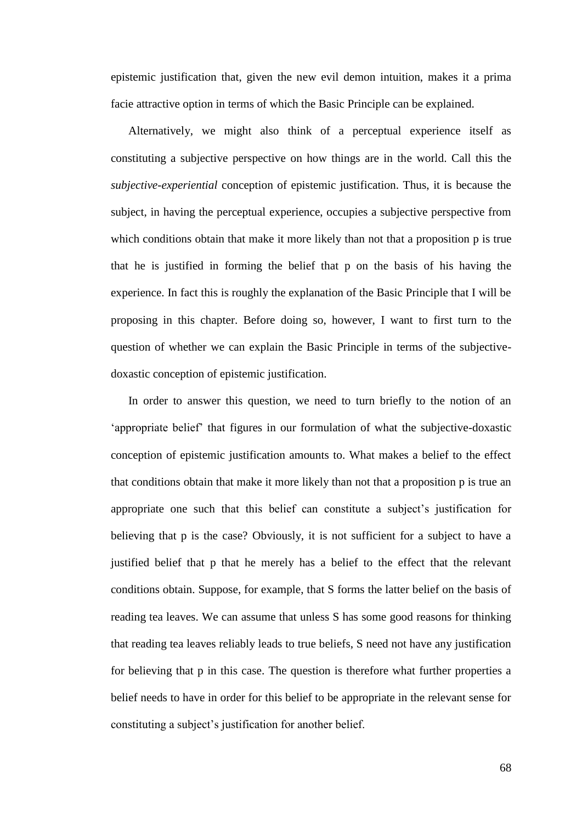epistemic justification that, given the new evil demon intuition, makes it a prima facie attractive option in terms of which the Basic Principle can be explained.

Alternatively, we might also think of a perceptual experience itself as constituting a subjective perspective on how things are in the world. Call this the *subjective-experiential* conception of epistemic justification. Thus, it is because the subject, in having the perceptual experience, occupies a subjective perspective from which conditions obtain that make it more likely than not that a proposition p is true that he is justified in forming the belief that p on the basis of his having the experience. In fact this is roughly the explanation of the Basic Principle that I will be proposing in this chapter. Before doing so, however, I want to first turn to the question of whether we can explain the Basic Principle in terms of the subjectivedoxastic conception of epistemic justification.

In order to answer this question, we need to turn briefly to the notion of an ‗appropriate belief' that figures in our formulation of what the subjective-doxastic conception of epistemic justification amounts to. What makes a belief to the effect that conditions obtain that make it more likely than not that a proposition p is true an appropriate one such that this belief can constitute a subject's justification for believing that p is the case? Obviously, it is not sufficient for a subject to have a justified belief that p that he merely has a belief to the effect that the relevant conditions obtain. Suppose, for example, that S forms the latter belief on the basis of reading tea leaves. We can assume that unless S has some good reasons for thinking that reading tea leaves reliably leads to true beliefs, S need not have any justification for believing that p in this case. The question is therefore what further properties a belief needs to have in order for this belief to be appropriate in the relevant sense for constituting a subject's justification for another belief.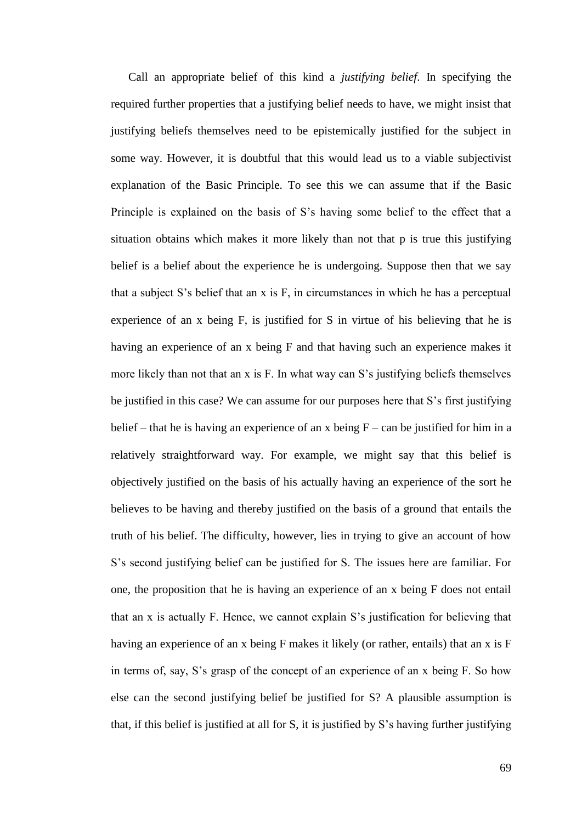Call an appropriate belief of this kind a *justifying belief*. In specifying the required further properties that a justifying belief needs to have, we might insist that justifying beliefs themselves need to be epistemically justified for the subject in some way. However, it is doubtful that this would lead us to a viable subjectivist explanation of the Basic Principle. To see this we can assume that if the Basic Principle is explained on the basis of S's having some belief to the effect that a situation obtains which makes it more likely than not that p is true this justifying belief is a belief about the experience he is undergoing. Suppose then that we say that a subject S's belief that an x is F, in circumstances in which he has a perceptual experience of an x being F, is justified for S in virtue of his believing that he is having an experience of an x being F and that having such an experience makes it more likely than not that an x is F. In what way can S's justifying beliefs themselves be justified in this case? We can assume for our purposes here that S's first justifying belief – that he is having an experience of an x being  $F - can$  be justified for him in a relatively straightforward way. For example, we might say that this belief is objectively justified on the basis of his actually having an experience of the sort he believes to be having and thereby justified on the basis of a ground that entails the truth of his belief. The difficulty, however, lies in trying to give an account of how S's second justifying belief can be justified for S. The issues here are familiar. For one, the proposition that he is having an experience of an x being F does not entail that an x is actually F. Hence, we cannot explain S's justification for believing that having an experience of an x being F makes it likely (or rather, entails) that an x is F in terms of, say, S's grasp of the concept of an experience of an x being F. So how else can the second justifying belief be justified for S? A plausible assumption is that, if this belief is justified at all for S, it is justified by S's having further justifying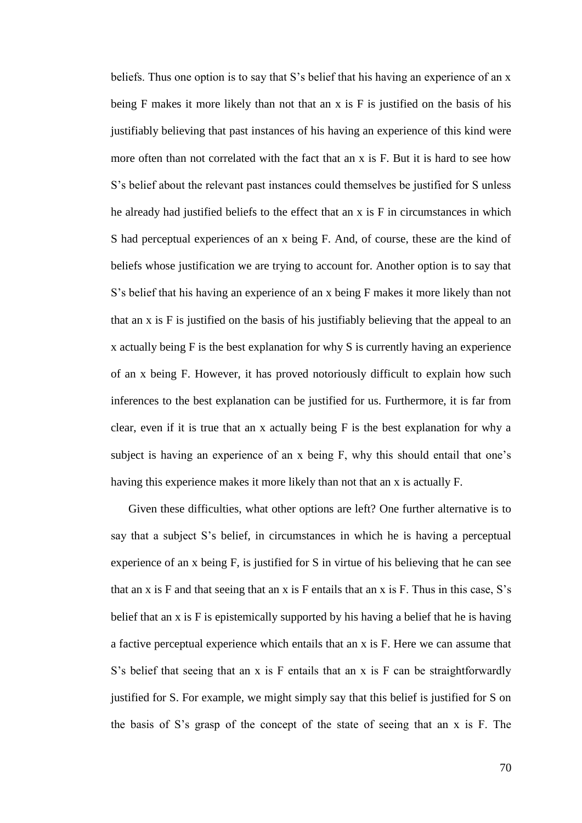beliefs. Thus one option is to say that S's belief that his having an experience of an x being F makes it more likely than not that an x is F is justified on the basis of his justifiably believing that past instances of his having an experience of this kind were more often than not correlated with the fact that an x is F. But it is hard to see how S's belief about the relevant past instances could themselves be justified for S unless he already had justified beliefs to the effect that an x is F in circumstances in which S had perceptual experiences of an x being F. And, of course, these are the kind of beliefs whose justification we are trying to account for. Another option is to say that S's belief that his having an experience of an x being F makes it more likely than not that an x is F is justified on the basis of his justifiably believing that the appeal to an x actually being F is the best explanation for why S is currently having an experience of an x being F. However, it has proved notoriously difficult to explain how such inferences to the best explanation can be justified for us. Furthermore, it is far from clear, even if it is true that an x actually being F is the best explanation for why a subject is having an experience of an x being F, why this should entail that one's having this experience makes it more likely than not that an x is actually F.

Given these difficulties, what other options are left? One further alternative is to say that a subject S's belief, in circumstances in which he is having a perceptual experience of an x being F, is justified for S in virtue of his believing that he can see that an x is  $F$  and that seeing that an x is  $F$  entails that an x is  $F$ . Thus in this case,  $S$ 's belief that an x is F is epistemically supported by his having a belief that he is having a factive perceptual experience which entails that an x is F. Here we can assume that S's belief that seeing that an x is F entails that an x is F can be straightforwardly justified for S. For example, we might simply say that this belief is justified for S on the basis of S's grasp of the concept of the state of seeing that an x is F. The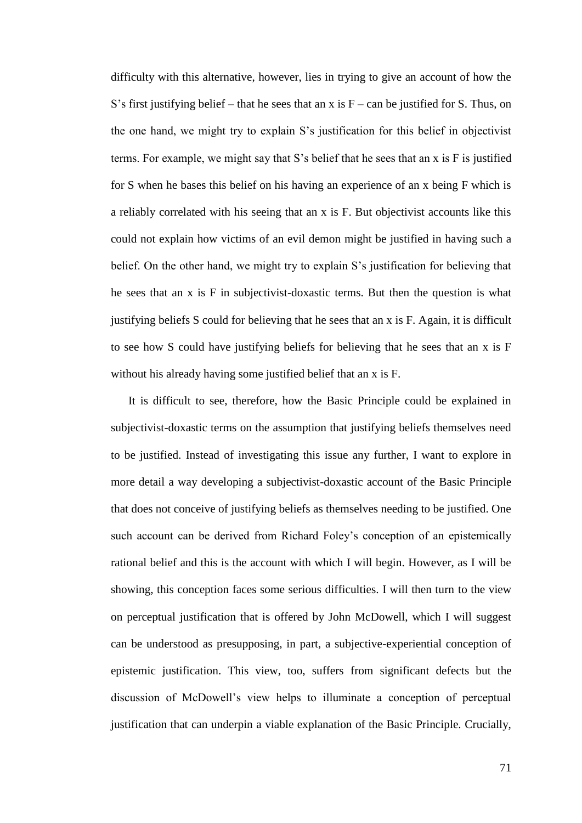difficulty with this alternative, however, lies in trying to give an account of how the S's first justifying belief – that he sees that an x is  $F - can$  be justified for S. Thus, on the one hand, we might try to explain S's justification for this belief in objectivist terms. For example, we might say that S's belief that he sees that an x is F is justified for S when he bases this belief on his having an experience of an x being F which is a reliably correlated with his seeing that an x is F. But objectivist accounts like this could not explain how victims of an evil demon might be justified in having such a belief. On the other hand, we might try to explain S's justification for believing that he sees that an x is F in subjectivist-doxastic terms. But then the question is what justifying beliefs S could for believing that he sees that an x is F. Again, it is difficult to see how S could have justifying beliefs for believing that he sees that an x is F without his already having some justified belief that an x is F.

It is difficult to see, therefore, how the Basic Principle could be explained in subjectivist-doxastic terms on the assumption that justifying beliefs themselves need to be justified. Instead of investigating this issue any further, I want to explore in more detail a way developing a subjectivist-doxastic account of the Basic Principle that does not conceive of justifying beliefs as themselves needing to be justified. One such account can be derived from Richard Foley's conception of an epistemically rational belief and this is the account with which I will begin. However, as I will be showing, this conception faces some serious difficulties. I will then turn to the view on perceptual justification that is offered by John McDowell, which I will suggest can be understood as presupposing, in part, a subjective-experiential conception of epistemic justification. This view, too, suffers from significant defects but the discussion of McDowell's view helps to illuminate a conception of perceptual justification that can underpin a viable explanation of the Basic Principle. Crucially,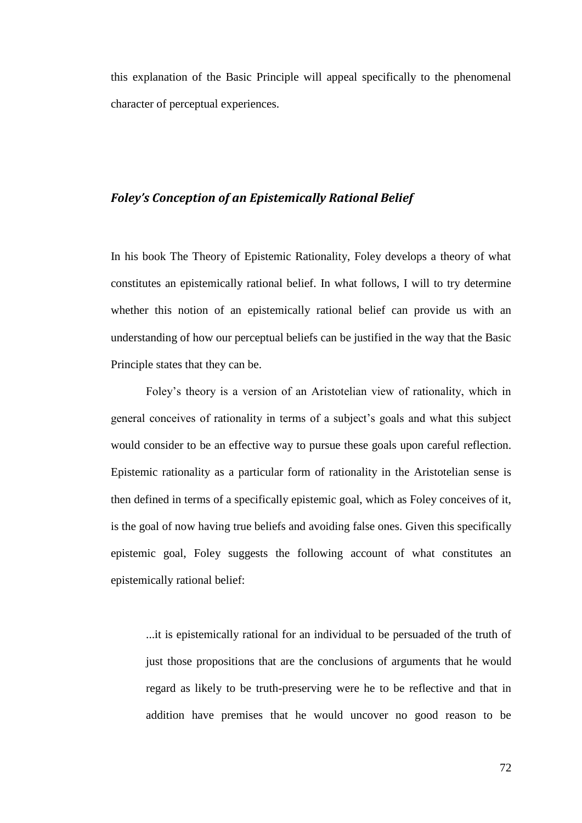this explanation of the Basic Principle will appeal specifically to the phenomenal character of perceptual experiences.

### *Foley's Conception of an Epistemically Rational Belief*

In his book The Theory of Epistemic Rationality, Foley develops a theory of what constitutes an epistemically rational belief. In what follows, I will to try determine whether this notion of an epistemically rational belief can provide us with an understanding of how our perceptual beliefs can be justified in the way that the Basic Principle states that they can be.

Foley's theory is a version of an Aristotelian view of rationality, which in general conceives of rationality in terms of a subject's goals and what this subject would consider to be an effective way to pursue these goals upon careful reflection. Epistemic rationality as a particular form of rationality in the Aristotelian sense is then defined in terms of a specifically epistemic goal, which as Foley conceives of it, is the goal of now having true beliefs and avoiding false ones. Given this specifically epistemic goal, Foley suggests the following account of what constitutes an epistemically rational belief:

...it is epistemically rational for an individual to be persuaded of the truth of just those propositions that are the conclusions of arguments that he would regard as likely to be truth-preserving were he to be reflective and that in addition have premises that he would uncover no good reason to be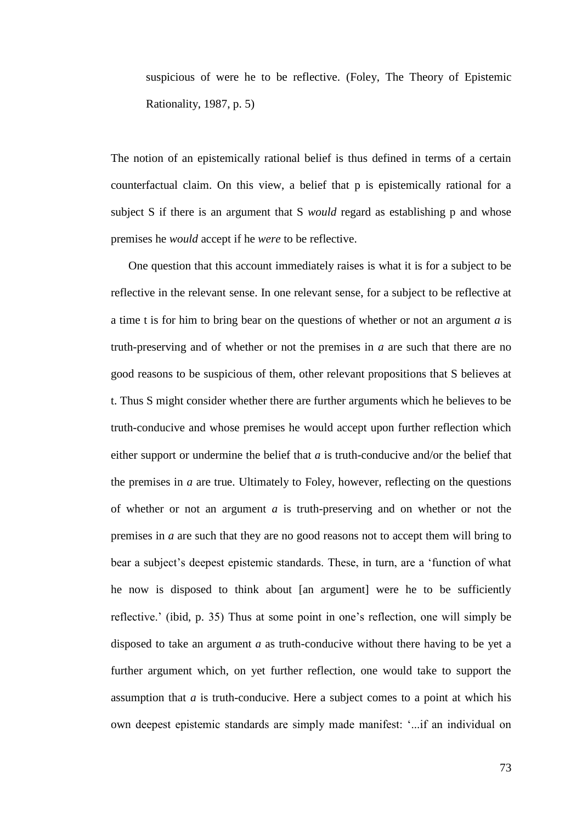suspicious of were he to be reflective. (Foley, The Theory of Epistemic Rationality, 1987, p. 5)

The notion of an epistemically rational belief is thus defined in terms of a certain counterfactual claim. On this view, a belief that p is epistemically rational for a subject S if there is an argument that S *would* regard as establishing p and whose premises he *would* accept if he *were* to be reflective.

One question that this account immediately raises is what it is for a subject to be reflective in the relevant sense. In one relevant sense, for a subject to be reflective at a time t is for him to bring bear on the questions of whether or not an argument *a* is truth-preserving and of whether or not the premises in *a* are such that there are no good reasons to be suspicious of them, other relevant propositions that S believes at t. Thus S might consider whether there are further arguments which he believes to be truth-conducive and whose premises he would accept upon further reflection which either support or undermine the belief that *a* is truth-conducive and/or the belief that the premises in *a* are true. Ultimately to Foley, however, reflecting on the questions of whether or not an argument *a* is truth-preserving and on whether or not the premises in *a* are such that they are no good reasons not to accept them will bring to bear a subject's deepest epistemic standards. These, in turn, are a 'function of what he now is disposed to think about [an argument] were he to be sufficiently reflective.' (ibid, p. 35) Thus at some point in one's reflection, one will simply be disposed to take an argument *a* as truth-conducive without there having to be yet a further argument which, on yet further reflection, one would take to support the assumption that *a* is truth-conducive. Here a subject comes to a point at which his own deepest epistemic standards are simply made manifest: ‗...if an individual on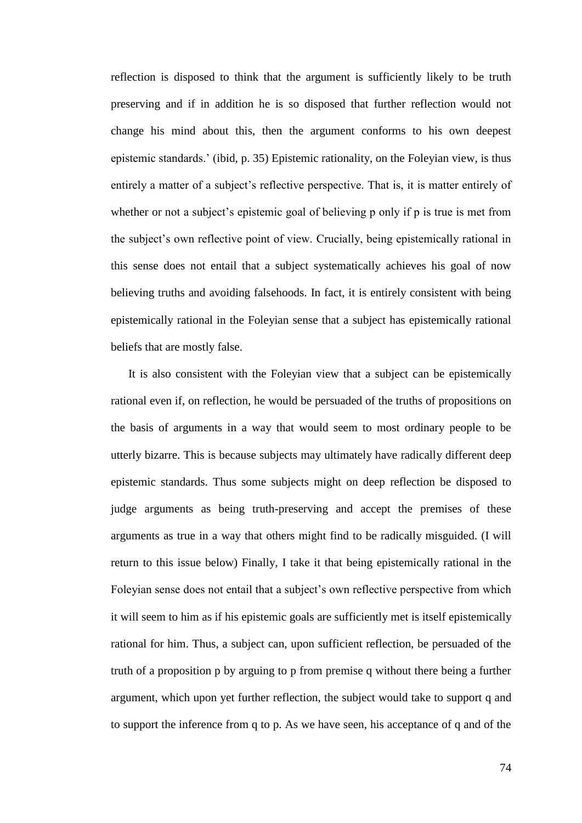reflection is disposed to think that the argument is sufficiently likely to be truth preserving and if in addition he is so disposed that further reflection would not change his mind about this, then the argument conforms to his own deepest epistemic standards.' (ibid, p. 35) Epistemic rationality, on the Foleyian view, is thus entirely a matter of a subject's reflective perspective. That is, it is matter entirely of whether or not a subject's epistemic goal of believing p only if p is true is met from the subject's own reflective point of view. Crucially, being epistemically rational in this sense does not entail that a subject systematically achieves his goal of now believing truths and avoiding falsehoods. In fact, it is entirely consistent with being epistemically rational in the Foleyian sense that a subject has epistemically rational beliefs that are mostly false.

It is also consistent with the Foleyian view that a subject can be epistemically rational even if, on reflection, he would be persuaded of the truths of propositions on the basis of arguments in a way that would seem to most ordinary people to be utterly bizarre. This is because subjects may ultimately have radically different deep epistemic standards. Thus some subjects might on deep reflection be disposed to judge arguments as being truth-preserving and accept the premises of these arguments as true in a way that others might find to be radically misguided. (I will return to this issue below) Finally, I take it that being epistemically rational in the Foleyian sense does not entail that a subject's own reflective perspective from which it will seem to him as if his epistemic goals are sufficiently met is itself epistemically rational for him. Thus, a subject can, upon sufficient reflection, be persuaded of the truth of a proposition p by arguing to p from premise q without there being a further argument, which upon yet further reflection, the subject would take to support q and to support the inference from q to p. As we have seen, his acceptance of q and of the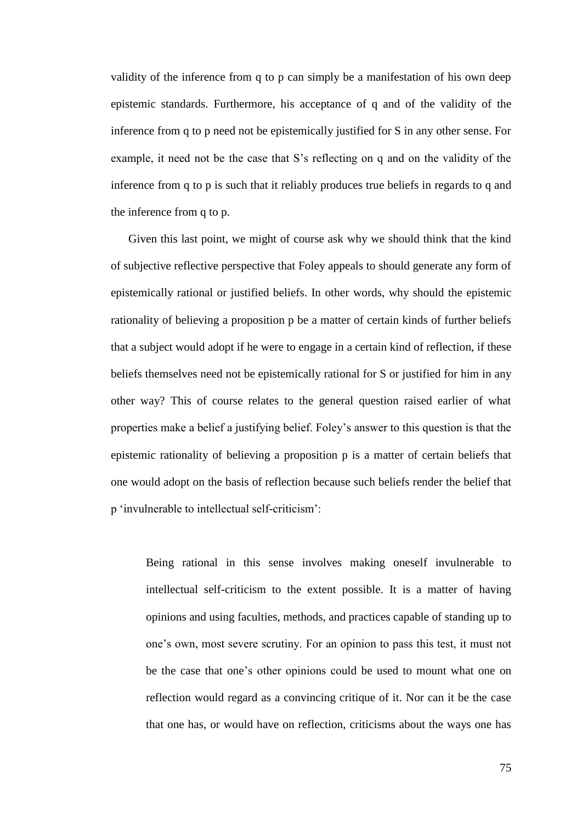validity of the inference from q to p can simply be a manifestation of his own deep epistemic standards. Furthermore, his acceptance of q and of the validity of the inference from q to p need not be epistemically justified for S in any other sense. For example, it need not be the case that S's reflecting on q and on the validity of the inference from q to p is such that it reliably produces true beliefs in regards to q and the inference from q to p.

Given this last point, we might of course ask why we should think that the kind of subjective reflective perspective that Foley appeals to should generate any form of epistemically rational or justified beliefs. In other words, why should the epistemic rationality of believing a proposition p be a matter of certain kinds of further beliefs that a subject would adopt if he were to engage in a certain kind of reflection, if these beliefs themselves need not be epistemically rational for S or justified for him in any other way? This of course relates to the general question raised earlier of what properties make a belief a justifying belief. Foley's answer to this question is that the epistemic rationality of believing a proposition p is a matter of certain beliefs that one would adopt on the basis of reflection because such beliefs render the belief that p ‗invulnerable to intellectual self-criticism':

Being rational in this sense involves making oneself invulnerable to intellectual self-criticism to the extent possible. It is a matter of having opinions and using faculties, methods, and practices capable of standing up to one's own, most severe scrutiny. For an opinion to pass this test, it must not be the case that one's other opinions could be used to mount what one on reflection would regard as a convincing critique of it. Nor can it be the case that one has, or would have on reflection, criticisms about the ways one has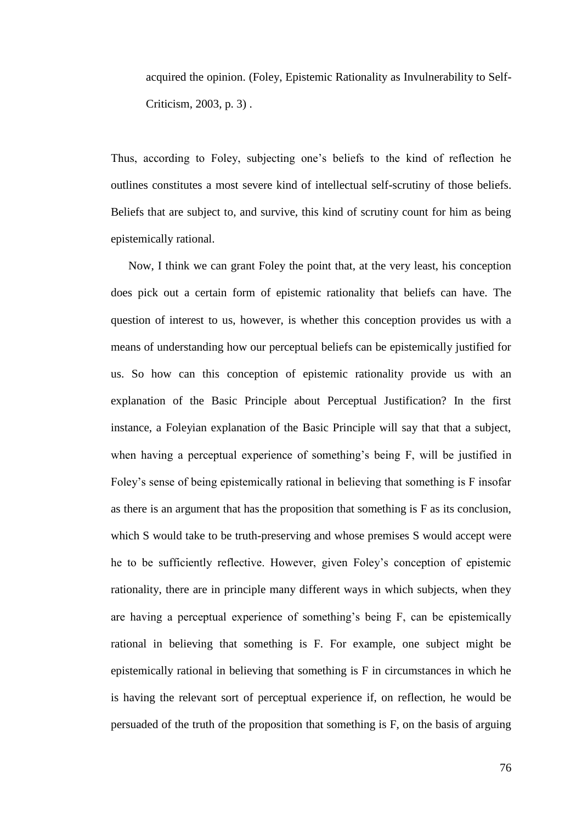acquired the opinion. (Foley, Epistemic Rationality as Invulnerability to Self-Criticism, 2003, p. 3) .

Thus, according to Foley, subjecting one's beliefs to the kind of reflection he outlines constitutes a most severe kind of intellectual self-scrutiny of those beliefs. Beliefs that are subject to, and survive, this kind of scrutiny count for him as being epistemically rational.

Now, I think we can grant Foley the point that, at the very least, his conception does pick out a certain form of epistemic rationality that beliefs can have. The question of interest to us, however, is whether this conception provides us with a means of understanding how our perceptual beliefs can be epistemically justified for us. So how can this conception of epistemic rationality provide us with an explanation of the Basic Principle about Perceptual Justification? In the first instance, a Foleyian explanation of the Basic Principle will say that that a subject, when having a perceptual experience of something's being F, will be justified in Foley's sense of being epistemically rational in believing that something is F insofar as there is an argument that has the proposition that something is F as its conclusion, which S would take to be truth-preserving and whose premises S would accept were he to be sufficiently reflective. However, given Foley's conception of epistemic rationality, there are in principle many different ways in which subjects, when they are having a perceptual experience of something's being F, can be epistemically rational in believing that something is F. For example, one subject might be epistemically rational in believing that something is F in circumstances in which he is having the relevant sort of perceptual experience if, on reflection, he would be persuaded of the truth of the proposition that something is F, on the basis of arguing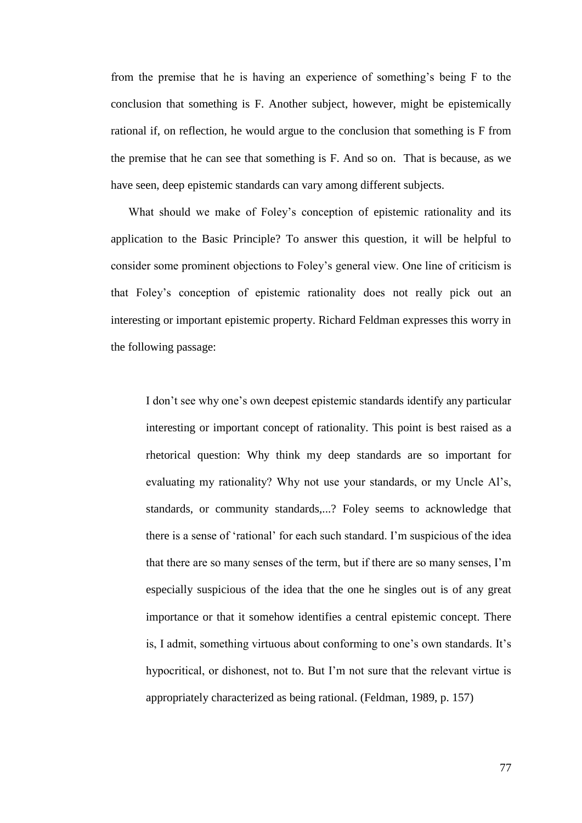from the premise that he is having an experience of something's being F to the conclusion that something is F. Another subject, however, might be epistemically rational if, on reflection, he would argue to the conclusion that something is F from the premise that he can see that something is F. And so on. That is because, as we have seen, deep epistemic standards can vary among different subjects.

What should we make of Foley's conception of epistemic rationality and its application to the Basic Principle? To answer this question, it will be helpful to consider some prominent objections to Foley's general view. One line of criticism is that Foley's conception of epistemic rationality does not really pick out an interesting or important epistemic property. Richard Feldman expresses this worry in the following passage:

I don't see why one's own deepest epistemic standards identify any particular interesting or important concept of rationality. This point is best raised as a rhetorical question: Why think my deep standards are so important for evaluating my rationality? Why not use your standards, or my Uncle Al's, standards, or community standards,...? Foley seems to acknowledge that there is a sense of 'rational' for each such standard. I'm suspicious of the idea that there are so many senses of the term, but if there are so many senses, I'm especially suspicious of the idea that the one he singles out is of any great importance or that it somehow identifies a central epistemic concept. There is, I admit, something virtuous about conforming to one's own standards. It's hypocritical, or dishonest, not to. But I'm not sure that the relevant virtue is appropriately characterized as being rational. (Feldman, 1989, p. 157)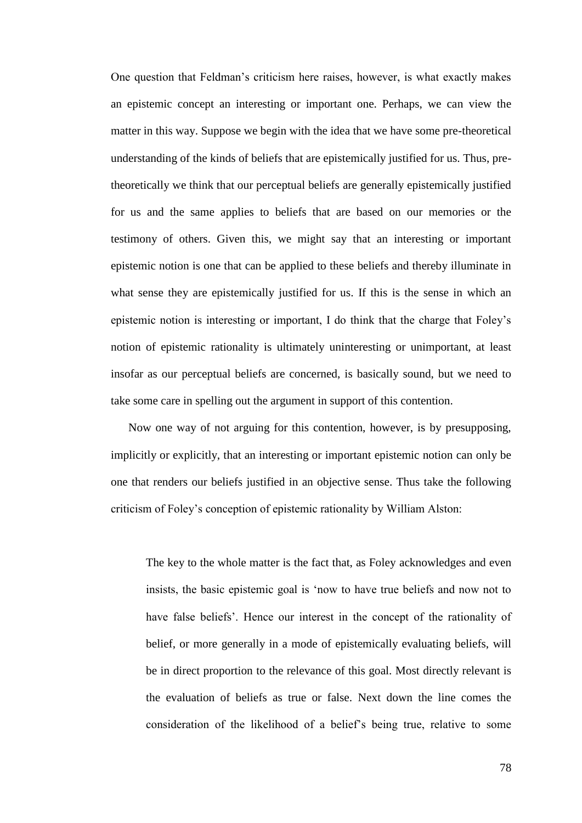One question that Feldman's criticism here raises, however, is what exactly makes an epistemic concept an interesting or important one. Perhaps, we can view the matter in this way. Suppose we begin with the idea that we have some pre-theoretical understanding of the kinds of beliefs that are epistemically justified for us. Thus, pretheoretically we think that our perceptual beliefs are generally epistemically justified for us and the same applies to beliefs that are based on our memories or the testimony of others. Given this, we might say that an interesting or important epistemic notion is one that can be applied to these beliefs and thereby illuminate in what sense they are epistemically justified for us. If this is the sense in which an epistemic notion is interesting or important, I do think that the charge that Foley's notion of epistemic rationality is ultimately uninteresting or unimportant, at least insofar as our perceptual beliefs are concerned, is basically sound, but we need to take some care in spelling out the argument in support of this contention.

Now one way of not arguing for this contention, however, is by presupposing, implicitly or explicitly, that an interesting or important epistemic notion can only be one that renders our beliefs justified in an objective sense. Thus take the following criticism of Foley's conception of epistemic rationality by William Alston:

The key to the whole matter is the fact that, as Foley acknowledges and even insists, the basic epistemic goal is 'now to have true beliefs and now not to have false beliefs'. Hence our interest in the concept of the rationality of belief, or more generally in a mode of epistemically evaluating beliefs, will be in direct proportion to the relevance of this goal. Most directly relevant is the evaluation of beliefs as true or false. Next down the line comes the consideration of the likelihood of a belief's being true, relative to some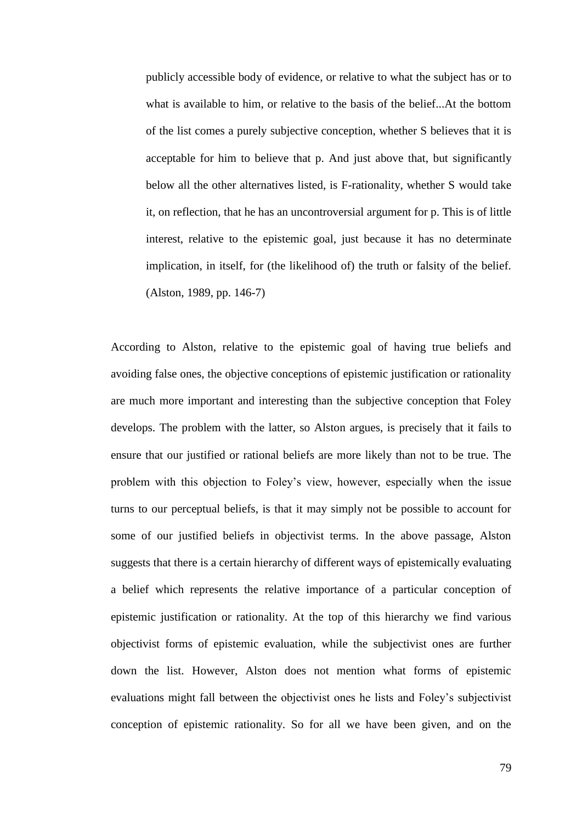publicly accessible body of evidence, or relative to what the subject has or to what is available to him, or relative to the basis of the belief...At the bottom of the list comes a purely subjective conception, whether S believes that it is acceptable for him to believe that p. And just above that, but significantly below all the other alternatives listed, is F-rationality, whether S would take it, on reflection, that he has an uncontroversial argument for p. This is of little interest, relative to the epistemic goal, just because it has no determinate implication, in itself, for (the likelihood of) the truth or falsity of the belief. (Alston, 1989, pp. 146-7)

According to Alston, relative to the epistemic goal of having true beliefs and avoiding false ones, the objective conceptions of epistemic justification or rationality are much more important and interesting than the subjective conception that Foley develops. The problem with the latter, so Alston argues, is precisely that it fails to ensure that our justified or rational beliefs are more likely than not to be true. The problem with this objection to Foley's view, however, especially when the issue turns to our perceptual beliefs, is that it may simply not be possible to account for some of our justified beliefs in objectivist terms. In the above passage, Alston suggests that there is a certain hierarchy of different ways of epistemically evaluating a belief which represents the relative importance of a particular conception of epistemic justification or rationality. At the top of this hierarchy we find various objectivist forms of epistemic evaluation, while the subjectivist ones are further down the list. However, Alston does not mention what forms of epistemic evaluations might fall between the objectivist ones he lists and Foley's subjectivist conception of epistemic rationality. So for all we have been given, and on the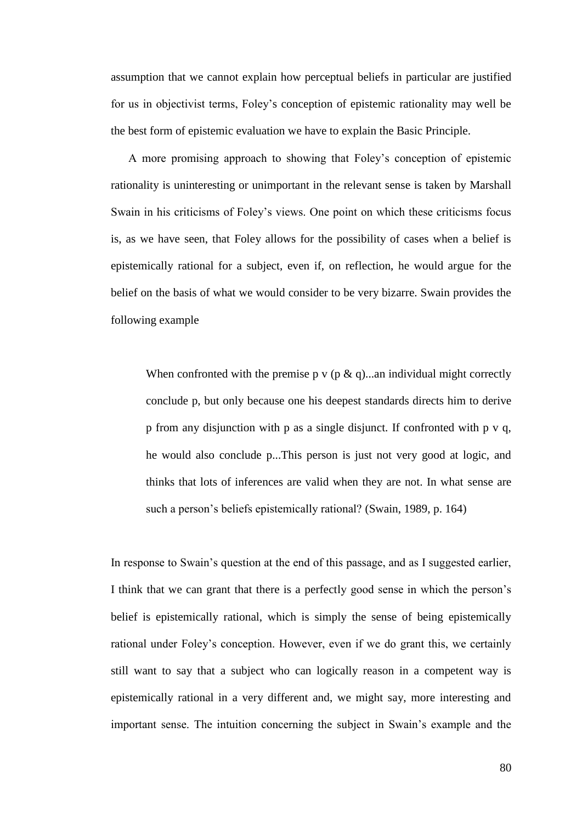assumption that we cannot explain how perceptual beliefs in particular are justified for us in objectivist terms, Foley's conception of epistemic rationality may well be the best form of epistemic evaluation we have to explain the Basic Principle.

A more promising approach to showing that Foley's conception of epistemic rationality is uninteresting or unimportant in the relevant sense is taken by Marshall Swain in his criticisms of Foley's views. One point on which these criticisms focus is, as we have seen, that Foley allows for the possibility of cases when a belief is epistemically rational for a subject, even if, on reflection, he would argue for the belief on the basis of what we would consider to be very bizarre. Swain provides the following example

When confronted with the premise p v (p  $\&$  q)...an individual might correctly conclude p, but only because one his deepest standards directs him to derive p from any disjunction with p as a single disjunct. If confronted with p v q, he would also conclude p...This person is just not very good at logic, and thinks that lots of inferences are valid when they are not. In what sense are such a person's beliefs epistemically rational? (Swain, 1989, p. 164)

In response to Swain's question at the end of this passage, and as I suggested earlier, I think that we can grant that there is a perfectly good sense in which the person's belief is epistemically rational, which is simply the sense of being epistemically rational under Foley's conception. However, even if we do grant this, we certainly still want to say that a subject who can logically reason in a competent way is epistemically rational in a very different and, we might say, more interesting and important sense. The intuition concerning the subject in Swain's example and the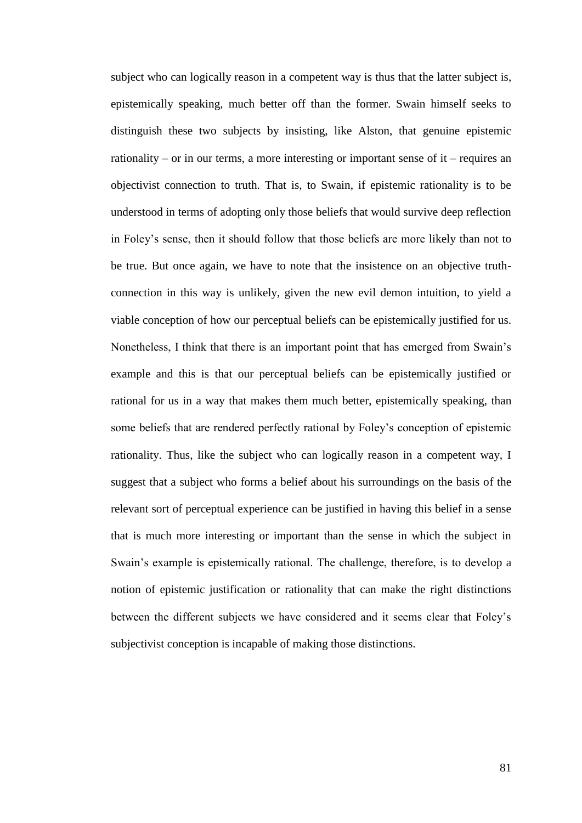subject who can logically reason in a competent way is thus that the latter subject is, epistemically speaking, much better off than the former. Swain himself seeks to distinguish these two subjects by insisting, like Alston, that genuine epistemic rationality – or in our terms, a more interesting or important sense of it – requires an objectivist connection to truth. That is, to Swain, if epistemic rationality is to be understood in terms of adopting only those beliefs that would survive deep reflection in Foley's sense, then it should follow that those beliefs are more likely than not to be true. But once again, we have to note that the insistence on an objective truthconnection in this way is unlikely, given the new evil demon intuition, to yield a viable conception of how our perceptual beliefs can be epistemically justified for us. Nonetheless, I think that there is an important point that has emerged from Swain's example and this is that our perceptual beliefs can be epistemically justified or rational for us in a way that makes them much better, epistemically speaking, than some beliefs that are rendered perfectly rational by Foley's conception of epistemic rationality. Thus, like the subject who can logically reason in a competent way, I suggest that a subject who forms a belief about his surroundings on the basis of the relevant sort of perceptual experience can be justified in having this belief in a sense that is much more interesting or important than the sense in which the subject in Swain's example is epistemically rational. The challenge, therefore, is to develop a notion of epistemic justification or rationality that can make the right distinctions between the different subjects we have considered and it seems clear that Foley's subjectivist conception is incapable of making those distinctions.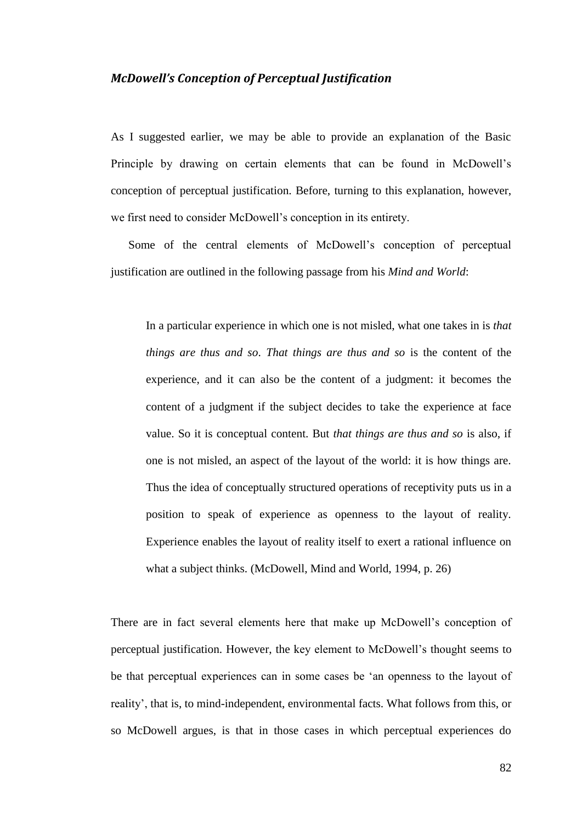## *McDowell's Conception of Perceptual Justification*

As I suggested earlier, we may be able to provide an explanation of the Basic Principle by drawing on certain elements that can be found in McDowell's conception of perceptual justification. Before, turning to this explanation, however, we first need to consider McDowell's conception in its entirety.

Some of the central elements of McDowell's conception of perceptual justification are outlined in the following passage from his *Mind and World*:

In a particular experience in which one is not misled, what one takes in is *that things are thus and so*. *That things are thus and so* is the content of the experience, and it can also be the content of a judgment: it becomes the content of a judgment if the subject decides to take the experience at face value. So it is conceptual content. But *that things are thus and so* is also, if one is not misled, an aspect of the layout of the world: it is how things are. Thus the idea of conceptually structured operations of receptivity puts us in a position to speak of experience as openness to the layout of reality. Experience enables the layout of reality itself to exert a rational influence on what a subject thinks. (McDowell, Mind and World, 1994, p. 26)

There are in fact several elements here that make up McDowell's conception of perceptual justification. However, the key element to McDowell's thought seems to be that perceptual experiences can in some cases be 'an openness to the layout of reality', that is, to mind-independent, environmental facts. What follows from this, or so McDowell argues, is that in those cases in which perceptual experiences do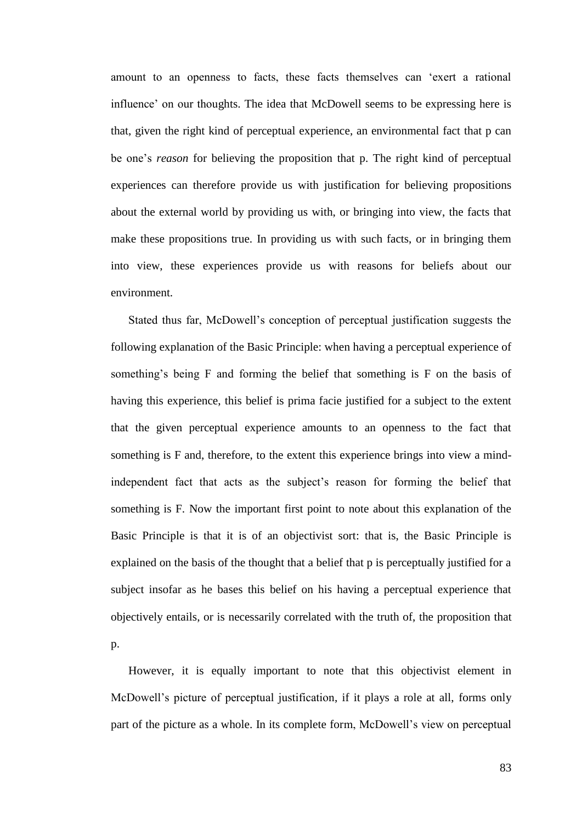amount to an openness to facts, these facts themselves can 'exert a rational influence' on our thoughts. The idea that McDowell seems to be expressing here is that, given the right kind of perceptual experience, an environmental fact that p can be one's *reason* for believing the proposition that p. The right kind of perceptual experiences can therefore provide us with justification for believing propositions about the external world by providing us with, or bringing into view, the facts that make these propositions true. In providing us with such facts, or in bringing them into view, these experiences provide us with reasons for beliefs about our environment.

Stated thus far, McDowell's conception of perceptual justification suggests the following explanation of the Basic Principle: when having a perceptual experience of something's being F and forming the belief that something is F on the basis of having this experience, this belief is prima facie justified for a subject to the extent that the given perceptual experience amounts to an openness to the fact that something is F and, therefore, to the extent this experience brings into view a mindindependent fact that acts as the subject's reason for forming the belief that something is F. Now the important first point to note about this explanation of the Basic Principle is that it is of an objectivist sort: that is, the Basic Principle is explained on the basis of the thought that a belief that p is perceptually justified for a subject insofar as he bases this belief on his having a perceptual experience that objectively entails, or is necessarily correlated with the truth of, the proposition that p.

However, it is equally important to note that this objectivist element in McDowell's picture of perceptual justification, if it plays a role at all, forms only part of the picture as a whole. In its complete form, McDowell's view on perceptual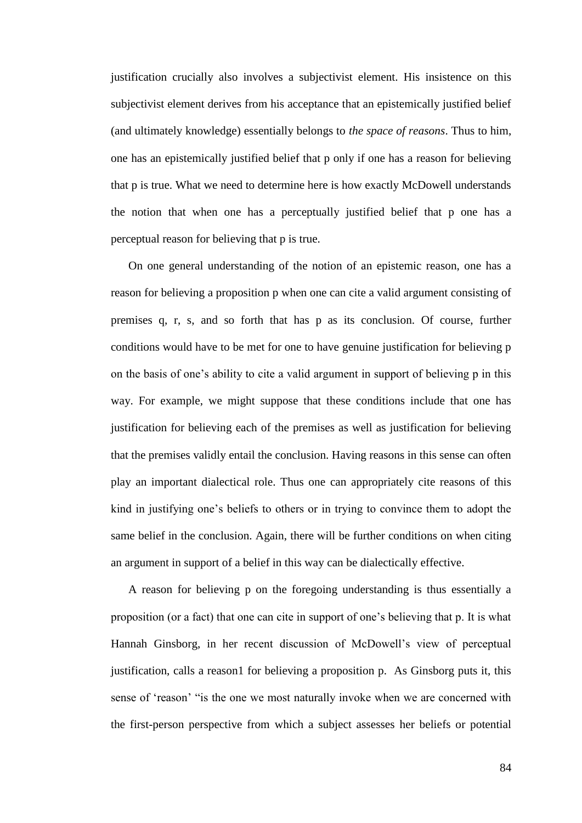justification crucially also involves a subjectivist element. His insistence on this subjectivist element derives from his acceptance that an epistemically justified belief (and ultimately knowledge) essentially belongs to *the space of reasons*. Thus to him, one has an epistemically justified belief that p only if one has a reason for believing that p is true. What we need to determine here is how exactly McDowell understands the notion that when one has a perceptually justified belief that p one has a perceptual reason for believing that p is true.

On one general understanding of the notion of an epistemic reason, one has a reason for believing a proposition p when one can cite a valid argument consisting of premises q, r, s, and so forth that has p as its conclusion. Of course, further conditions would have to be met for one to have genuine justification for believing p on the basis of one's ability to cite a valid argument in support of believing p in this way. For example, we might suppose that these conditions include that one has justification for believing each of the premises as well as justification for believing that the premises validly entail the conclusion. Having reasons in this sense can often play an important dialectical role. Thus one can appropriately cite reasons of this kind in justifying one's beliefs to others or in trying to convince them to adopt the same belief in the conclusion. Again, there will be further conditions on when citing an argument in support of a belief in this way can be dialectically effective.

A reason for believing p on the foregoing understanding is thus essentially a proposition (or a fact) that one can cite in support of one's believing that p. It is what Hannah Ginsborg, in her recent discussion of McDowell's view of perceptual justification, calls a reason1 for believing a proposition p. As Ginsborg puts it, this sense of 'reason' "is the one we most naturally invoke when we are concerned with the first-person perspective from which a subject assesses her beliefs or potential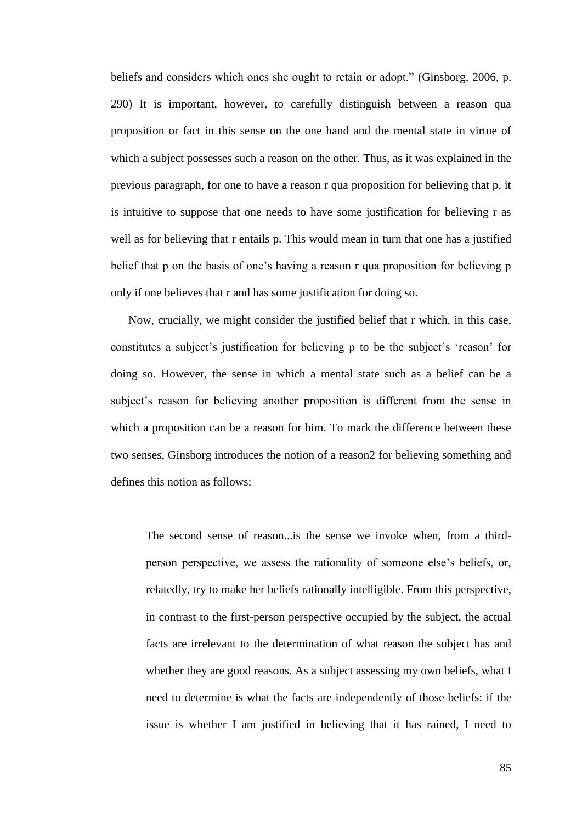beliefs and considers which ones she ought to retain or adopt." (Ginsborg, 2006, p. 290) It is important, however, to carefully distinguish between a reason qua proposition or fact in this sense on the one hand and the mental state in virtue of which a subject possesses such a reason on the other. Thus, as it was explained in the previous paragraph, for one to have a reason r qua proposition for believing that p, it is intuitive to suppose that one needs to have some justification for believing r as well as for believing that r entails p. This would mean in turn that one has a justified belief that p on the basis of one's having a reason r qua proposition for believing p only if one believes that r and has some justification for doing so.

Now, crucially, we might consider the justified belief that r which, in this case, constitutes a subject's justification for believing p to be the subject's 'reason' for doing so. However, the sense in which a mental state such as a belief can be a subject's reason for believing another proposition is different from the sense in which a proposition can be a reason for him. To mark the difference between these two senses, Ginsborg introduces the notion of a reason2 for believing something and defines this notion as follows:

The second sense of reason...is the sense we invoke when, from a thirdperson perspective, we assess the rationality of someone else's beliefs, or, relatedly, try to make her beliefs rationally intelligible. From this perspective, in contrast to the first-person perspective occupied by the subject, the actual facts are irrelevant to the determination of what reason the subject has and whether they are good reasons. As a subject assessing my own beliefs, what I need to determine is what the facts are independently of those beliefs: if the issue is whether I am justified in believing that it has rained, I need to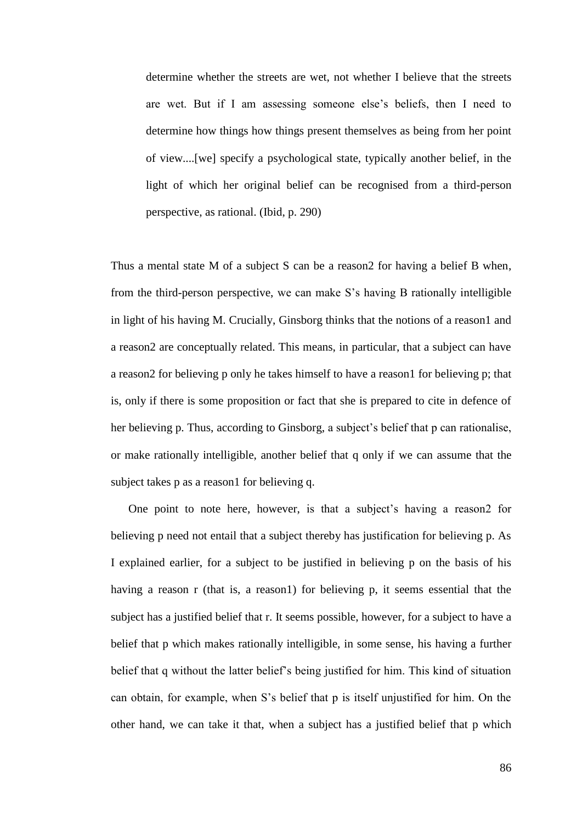determine whether the streets are wet, not whether I believe that the streets are wet. But if I am assessing someone else's beliefs, then I need to determine how things how things present themselves as being from her point of view....[we] specify a psychological state, typically another belief, in the light of which her original belief can be recognised from a third-person perspective, as rational. (Ibid, p. 290)

Thus a mental state M of a subject S can be a reason2 for having a belief B when, from the third-person perspective, we can make S's having B rationally intelligible in light of his having M. Crucially, Ginsborg thinks that the notions of a reason1 and a reason2 are conceptually related. This means, in particular, that a subject can have a reason2 for believing p only he takes himself to have a reason1 for believing p; that is, only if there is some proposition or fact that she is prepared to cite in defence of her believing p. Thus, according to Ginsborg, a subject's belief that p can rationalise, or make rationally intelligible, another belief that q only if we can assume that the subject takes p as a reason1 for believing q.

One point to note here, however, is that a subject's having a reason2 for believing p need not entail that a subject thereby has justification for believing p. As I explained earlier, for a subject to be justified in believing p on the basis of his having a reason r (that is, a reason1) for believing p, it seems essential that the subject has a justified belief that r. It seems possible, however, for a subject to have a belief that p which makes rationally intelligible, in some sense, his having a further belief that q without the latter belief's being justified for him. This kind of situation can obtain, for example, when S's belief that p is itself unjustified for him. On the other hand, we can take it that, when a subject has a justified belief that p which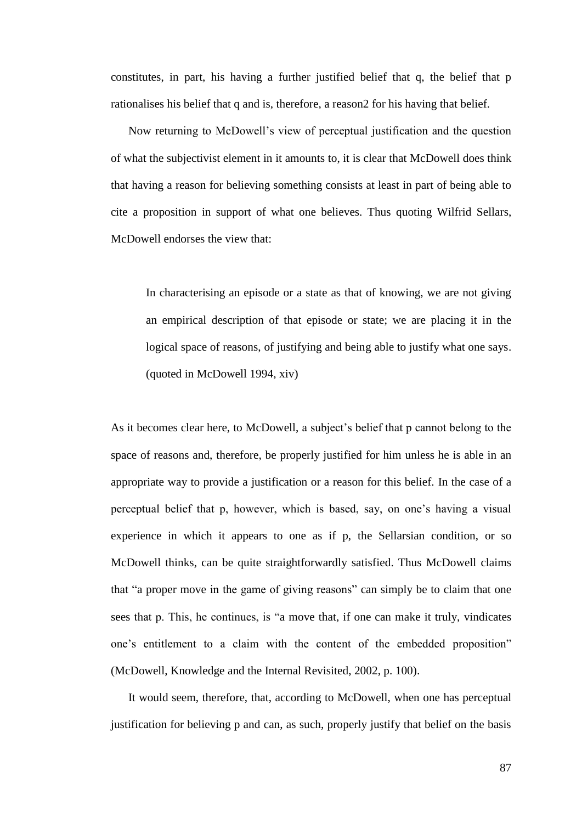constitutes, in part, his having a further justified belief that q, the belief that p rationalises his belief that q and is, therefore, a reason2 for his having that belief.

Now returning to McDowell's view of perceptual justification and the question of what the subjectivist element in it amounts to, it is clear that McDowell does think that having a reason for believing something consists at least in part of being able to cite a proposition in support of what one believes. Thus quoting Wilfrid Sellars, McDowell endorses the view that:

In characterising an episode or a state as that of knowing, we are not giving an empirical description of that episode or state; we are placing it in the logical space of reasons, of justifying and being able to justify what one says. (quoted in McDowell 1994, xiv)

As it becomes clear here, to McDowell, a subject's belief that p cannot belong to the space of reasons and, therefore, be properly justified for him unless he is able in an appropriate way to provide a justification or a reason for this belief. In the case of a perceptual belief that p, however, which is based, say, on one's having a visual experience in which it appears to one as if p, the Sellarsian condition, or so McDowell thinks, can be quite straightforwardly satisfied. Thus McDowell claims that "a proper move in the game of giving reasons" can simply be to claim that one sees that p. This, he continues, is "a move that, if one can make it truly, vindicates one's entitlement to a claim with the content of the embedded proposition" (McDowell, Knowledge and the Internal Revisited, 2002, p. 100).

It would seem, therefore, that, according to McDowell, when one has perceptual justification for believing p and can, as such, properly justify that belief on the basis

87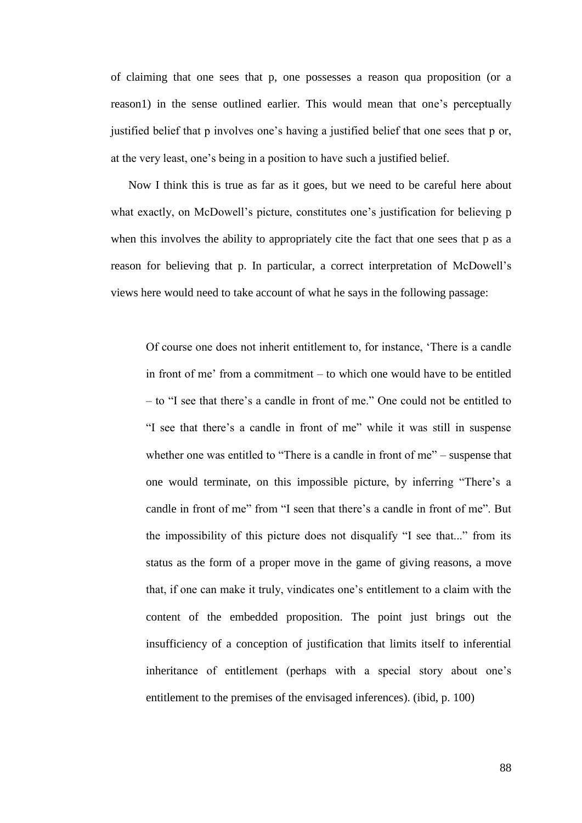of claiming that one sees that p, one possesses a reason qua proposition (or a reason1) in the sense outlined earlier. This would mean that one's perceptually justified belief that p involves one's having a justified belief that one sees that p or, at the very least, one's being in a position to have such a justified belief.

Now I think this is true as far as it goes, but we need to be careful here about what exactly, on McDowell's picture, constitutes one's justification for believing p when this involves the ability to appropriately cite the fact that one sees that p as a reason for believing that p. In particular, a correct interpretation of McDowell's views here would need to take account of what he says in the following passage:

Of course one does not inherit entitlement to, for instance, 'There is a candle in front of me' from a commitment – to which one would have to be entitled – to "I see that there's a candle in front of me." One could not be entitled to "I see that there's a candle in front of me" while it was still in suspense whether one was entitled to "There is a candle in front of me" – suspense that one would terminate, on this impossible picture, by inferring "There's a candle in front of me" from "I seen that there's a candle in front of me". But the impossibility of this picture does not disqualify "I see that..." from its status as the form of a proper move in the game of giving reasons, a move that, if one can make it truly, vindicates one's entitlement to a claim with the content of the embedded proposition. The point just brings out the insufficiency of a conception of justification that limits itself to inferential inheritance of entitlement (perhaps with a special story about one's entitlement to the premises of the envisaged inferences). (ibid, p. 100)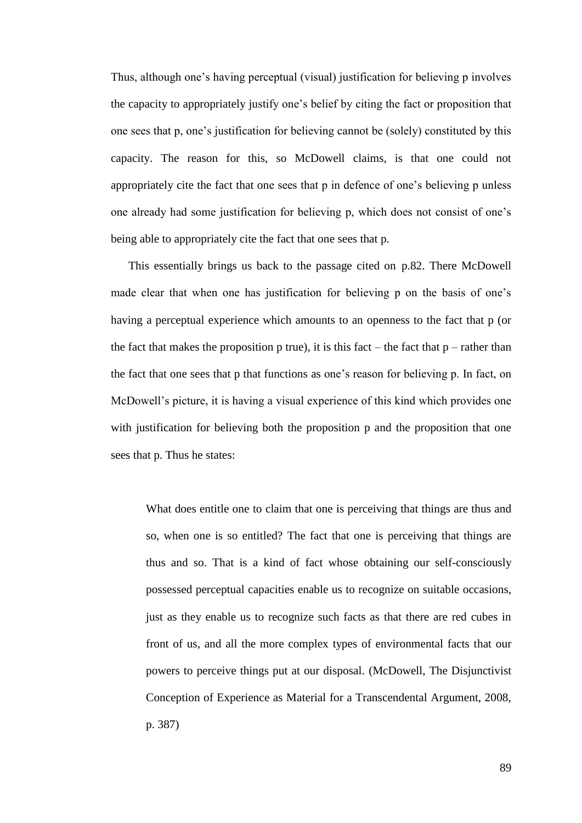Thus, although one's having perceptual (visual) justification for believing p involves the capacity to appropriately justify one's belief by citing the fact or proposition that one sees that p, one's justification for believing cannot be (solely) constituted by this capacity. The reason for this, so McDowell claims, is that one could not appropriately cite the fact that one sees that p in defence of one's believing p unless one already had some justification for believing p, which does not consist of one's being able to appropriately cite the fact that one sees that p.

This essentially brings us back to the passage cited on p.82. There McDowell made clear that when one has justification for believing p on the basis of one's having a perceptual experience which amounts to an openness to the fact that p (or the fact that makes the proposition p true), it is this fact – the fact that  $p$  – rather than the fact that one sees that p that functions as one's reason for believing p. In fact, on McDowell's picture, it is having a visual experience of this kind which provides one with justification for believing both the proposition p and the proposition that one sees that p. Thus he states:

What does entitle one to claim that one is perceiving that things are thus and so, when one is so entitled? The fact that one is perceiving that things are thus and so. That is a kind of fact whose obtaining our self-consciously possessed perceptual capacities enable us to recognize on suitable occasions, just as they enable us to recognize such facts as that there are red cubes in front of us, and all the more complex types of environmental facts that our powers to perceive things put at our disposal. (McDowell, The Disjunctivist Conception of Experience as Material for a Transcendental Argument, 2008, p. 387)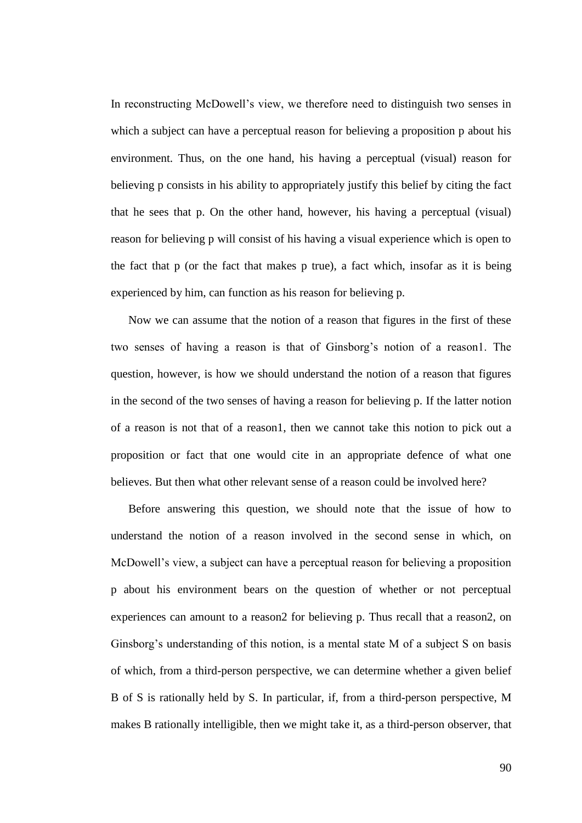In reconstructing McDowell's view, we therefore need to distinguish two senses in which a subject can have a perceptual reason for believing a proposition p about his environment. Thus, on the one hand, his having a perceptual (visual) reason for believing p consists in his ability to appropriately justify this belief by citing the fact that he sees that p. On the other hand, however, his having a perceptual (visual) reason for believing p will consist of his having a visual experience which is open to the fact that p (or the fact that makes p true), a fact which, insofar as it is being experienced by him, can function as his reason for believing p.

Now we can assume that the notion of a reason that figures in the first of these two senses of having a reason is that of Ginsborg's notion of a reason1. The question, however, is how we should understand the notion of a reason that figures in the second of the two senses of having a reason for believing p. If the latter notion of a reason is not that of a reason1, then we cannot take this notion to pick out a proposition or fact that one would cite in an appropriate defence of what one believes. But then what other relevant sense of a reason could be involved here?

Before answering this question, we should note that the issue of how to understand the notion of a reason involved in the second sense in which, on McDowell's view, a subject can have a perceptual reason for believing a proposition p about his environment bears on the question of whether or not perceptual experiences can amount to a reason2 for believing p. Thus recall that a reason2, on Ginsborg's understanding of this notion, is a mental state M of a subject S on basis of which, from a third-person perspective, we can determine whether a given belief B of S is rationally held by S. In particular, if, from a third-person perspective, M makes B rationally intelligible, then we might take it, as a third-person observer, that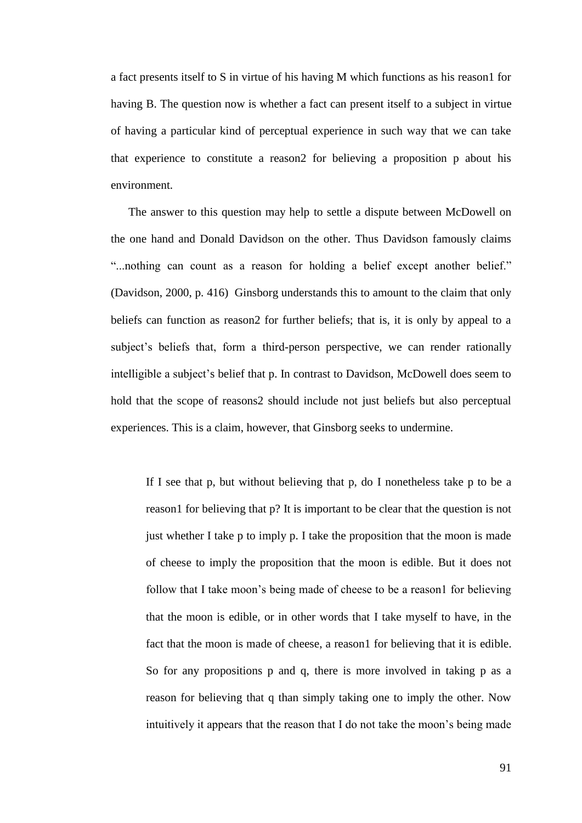a fact presents itself to S in virtue of his having M which functions as his reason1 for having B. The question now is whether a fact can present itself to a subject in virtue of having a particular kind of perceptual experience in such way that we can take that experience to constitute a reason2 for believing a proposition p about his environment.

The answer to this question may help to settle a dispute between McDowell on the one hand and Donald Davidson on the other. Thus Davidson famously claims "...nothing can count as a reason for holding a belief except another belief." (Davidson, 2000, p. 416) Ginsborg understands this to amount to the claim that only beliefs can function as reason2 for further beliefs; that is, it is only by appeal to a subject's beliefs that, form a third-person perspective, we can render rationally intelligible a subject's belief that p. In contrast to Davidson, McDowell does seem to hold that the scope of reasons2 should include not just beliefs but also perceptual experiences. This is a claim, however, that Ginsborg seeks to undermine.

If I see that p, but without believing that p, do I nonetheless take p to be a reason1 for believing that p? It is important to be clear that the question is not just whether I take p to imply p. I take the proposition that the moon is made of cheese to imply the proposition that the moon is edible. But it does not follow that I take moon's being made of cheese to be a reason for believing that the moon is edible, or in other words that I take myself to have, in the fact that the moon is made of cheese, a reason1 for believing that it is edible. So for any propositions p and q, there is more involved in taking p as a reason for believing that q than simply taking one to imply the other. Now intuitively it appears that the reason that I do not take the moon's being made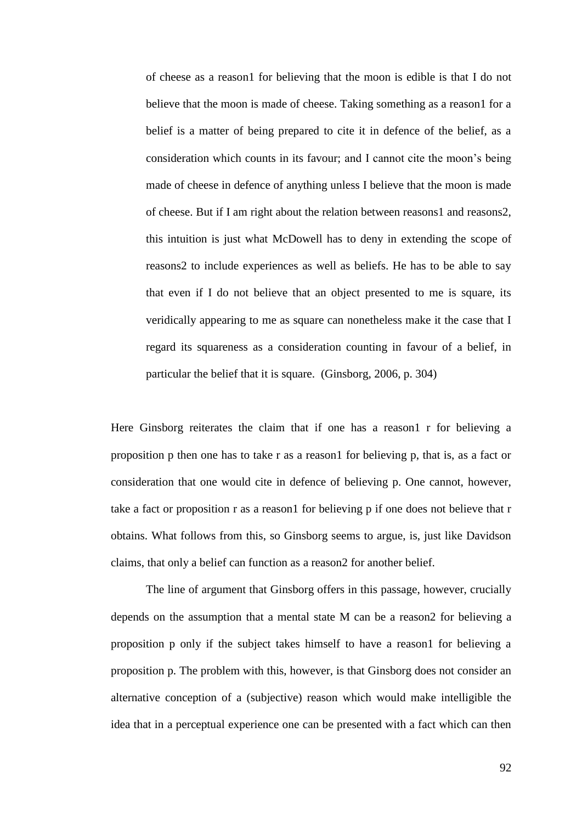of cheese as a reason1 for believing that the moon is edible is that I do not believe that the moon is made of cheese. Taking something as a reason1 for a belief is a matter of being prepared to cite it in defence of the belief, as a consideration which counts in its favour; and I cannot cite the moon's being made of cheese in defence of anything unless I believe that the moon is made of cheese. But if I am right about the relation between reasons1 and reasons2, this intuition is just what McDowell has to deny in extending the scope of reasons2 to include experiences as well as beliefs. He has to be able to say that even if I do not believe that an object presented to me is square, its veridically appearing to me as square can nonetheless make it the case that I regard its squareness as a consideration counting in favour of a belief, in particular the belief that it is square. (Ginsborg, 2006, p. 304)

Here Ginsborg reiterates the claim that if one has a reason 1 r for believing a proposition p then one has to take r as a reason1 for believing p, that is, as a fact or consideration that one would cite in defence of believing p. One cannot, however, take a fact or proposition r as a reason1 for believing p if one does not believe that r obtains. What follows from this, so Ginsborg seems to argue, is, just like Davidson claims, that only a belief can function as a reason2 for another belief.

The line of argument that Ginsborg offers in this passage, however, crucially depends on the assumption that a mental state M can be a reason2 for believing a proposition p only if the subject takes himself to have a reason1 for believing a proposition p. The problem with this, however, is that Ginsborg does not consider an alternative conception of a (subjective) reason which would make intelligible the idea that in a perceptual experience one can be presented with a fact which can then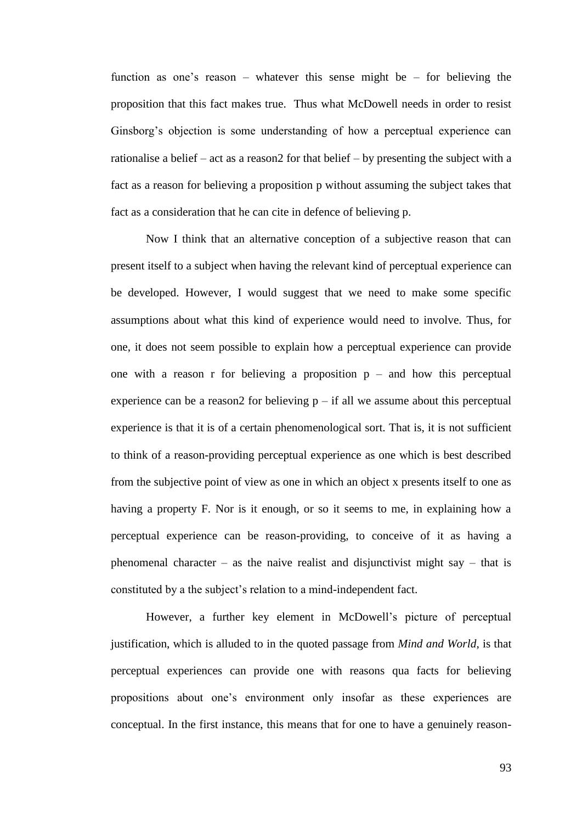function as one's reason – whatever this sense might be – for believing the proposition that this fact makes true. Thus what McDowell needs in order to resist Ginsborg's objection is some understanding of how a perceptual experience can rationalise a belief – act as a reason2 for that belief – by presenting the subject with a fact as a reason for believing a proposition p without assuming the subject takes that fact as a consideration that he can cite in defence of believing p.

Now I think that an alternative conception of a subjective reason that can present itself to a subject when having the relevant kind of perceptual experience can be developed. However, I would suggest that we need to make some specific assumptions about what this kind of experience would need to involve. Thus, for one, it does not seem possible to explain how a perceptual experience can provide one with a reason r for believing a proposition  $p -$  and how this perceptual experience can be a reason2 for believing  $p - if$  all we assume about this perceptual experience is that it is of a certain phenomenological sort. That is, it is not sufficient to think of a reason-providing perceptual experience as one which is best described from the subjective point of view as one in which an object x presents itself to one as having a property F. Nor is it enough, or so it seems to me, in explaining how a perceptual experience can be reason-providing, to conceive of it as having a phenomenal character – as the naive realist and disjunctivist might say – that is constituted by a the subject's relation to a mind-independent fact.

However, a further key element in McDowell's picture of perceptual justification, which is alluded to in the quoted passage from *Mind and World*, is that perceptual experiences can provide one with reasons qua facts for believing propositions about one's environment only insofar as these experiences are conceptual. In the first instance, this means that for one to have a genuinely reason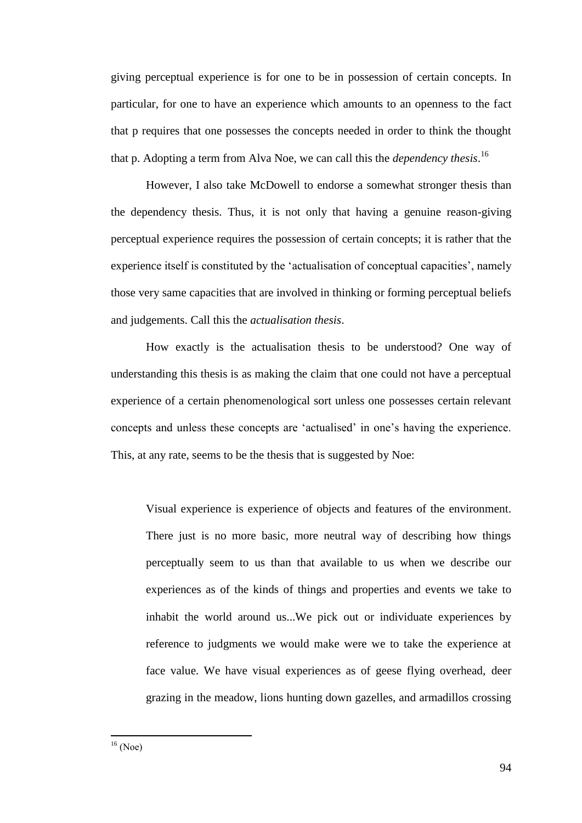giving perceptual experience is for one to be in possession of certain concepts. In particular, for one to have an experience which amounts to an openness to the fact that p requires that one possesses the concepts needed in order to think the thought that p. Adopting a term from Alva Noe, we can call this the *dependency thesis*. 16

However, I also take McDowell to endorse a somewhat stronger thesis than the dependency thesis. Thus, it is not only that having a genuine reason-giving perceptual experience requires the possession of certain concepts; it is rather that the experience itself is constituted by the 'actualisation of conceptual capacities', namely those very same capacities that are involved in thinking or forming perceptual beliefs and judgements. Call this the *actualisation thesis*.

How exactly is the actualisation thesis to be understood? One way of understanding this thesis is as making the claim that one could not have a perceptual experience of a certain phenomenological sort unless one possesses certain relevant concepts and unless these concepts are ‗actualised' in one's having the experience. This, at any rate, seems to be the thesis that is suggested by Noe:

Visual experience is experience of objects and features of the environment. There just is no more basic, more neutral way of describing how things perceptually seem to us than that available to us when we describe our experiences as of the kinds of things and properties and events we take to inhabit the world around us...We pick out or individuate experiences by reference to judgments we would make were we to take the experience at face value. We have visual experiences as of geese flying overhead, deer grazing in the meadow, lions hunting down gazelles, and armadillos crossing

 $\overline{a}$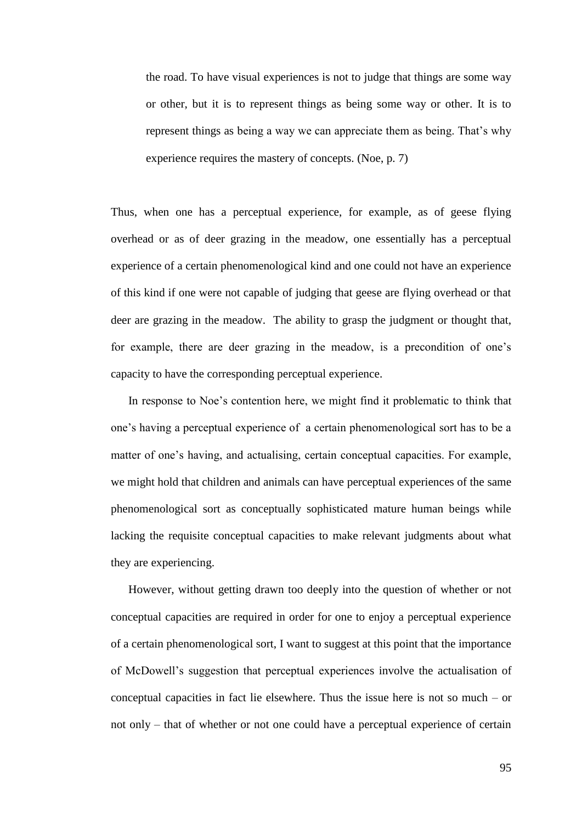the road. To have visual experiences is not to judge that things are some way or other, but it is to represent things as being some way or other. It is to represent things as being a way we can appreciate them as being. That's why experience requires the mastery of concepts. (Noe, p. 7)

Thus, when one has a perceptual experience, for example, as of geese flying overhead or as of deer grazing in the meadow, one essentially has a perceptual experience of a certain phenomenological kind and one could not have an experience of this kind if one were not capable of judging that geese are flying overhead or that deer are grazing in the meadow. The ability to grasp the judgment or thought that, for example, there are deer grazing in the meadow, is a precondition of one's capacity to have the corresponding perceptual experience.

In response to Noe's contention here, we might find it problematic to think that one's having a perceptual experience of a certain phenomenological sort has to be a matter of one's having, and actualising, certain conceptual capacities. For example, we might hold that children and animals can have perceptual experiences of the same phenomenological sort as conceptually sophisticated mature human beings while lacking the requisite conceptual capacities to make relevant judgments about what they are experiencing.

However, without getting drawn too deeply into the question of whether or not conceptual capacities are required in order for one to enjoy a perceptual experience of a certain phenomenological sort, I want to suggest at this point that the importance of McDowell's suggestion that perceptual experiences involve the actualisation of conceptual capacities in fact lie elsewhere. Thus the issue here is not so much – or not only – that of whether or not one could have a perceptual experience of certain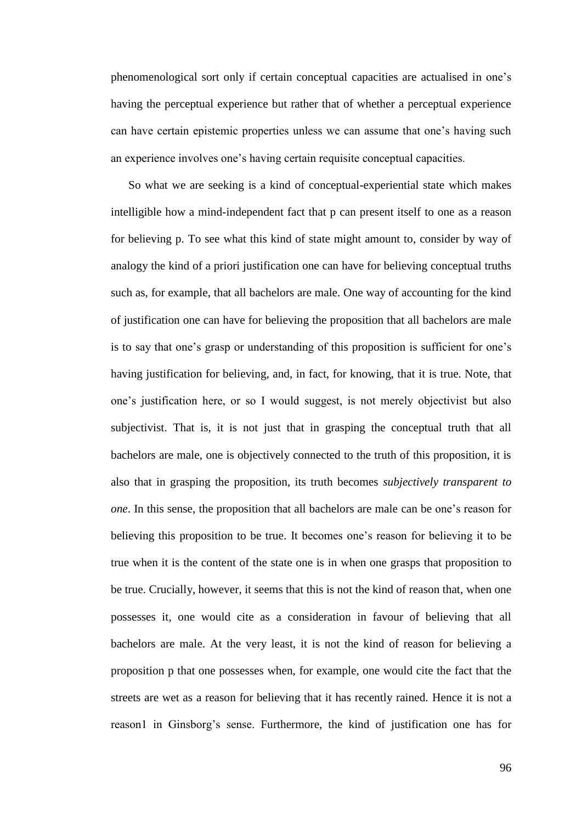phenomenological sort only if certain conceptual capacities are actualised in one's having the perceptual experience but rather that of whether a perceptual experience can have certain epistemic properties unless we can assume that one's having such an experience involves one's having certain requisite conceptual capacities.

So what we are seeking is a kind of conceptual-experiential state which makes intelligible how a mind-independent fact that p can present itself to one as a reason for believing p. To see what this kind of state might amount to, consider by way of analogy the kind of a priori justification one can have for believing conceptual truths such as, for example, that all bachelors are male. One way of accounting for the kind of justification one can have for believing the proposition that all bachelors are male is to say that one's grasp or understanding of this proposition is sufficient for one's having justification for believing, and, in fact, for knowing, that it is true. Note, that one's justification here, or so I would suggest, is not merely objectivist but also subjectivist. That is, it is not just that in grasping the conceptual truth that all bachelors are male, one is objectively connected to the truth of this proposition, it is also that in grasping the proposition, its truth becomes *subjectively transparent to one*. In this sense, the proposition that all bachelors are male can be one's reason for believing this proposition to be true. It becomes one's reason for believing it to be true when it is the content of the state one is in when one grasps that proposition to be true. Crucially, however, it seems that this is not the kind of reason that, when one possesses it, one would cite as a consideration in favour of believing that all bachelors are male. At the very least, it is not the kind of reason for believing a proposition p that one possesses when, for example, one would cite the fact that the streets are wet as a reason for believing that it has recently rained. Hence it is not a reason1 in Ginsborg's sense. Furthermore, the kind of justification one has for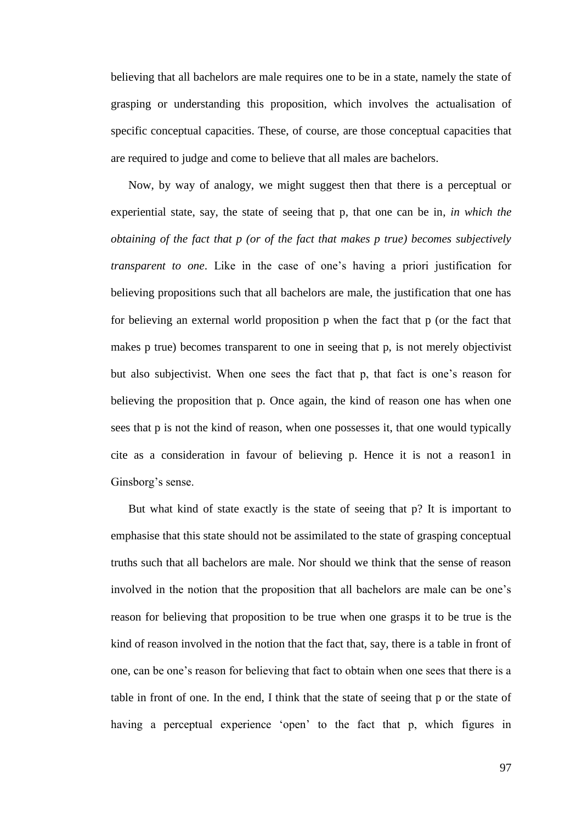believing that all bachelors are male requires one to be in a state, namely the state of grasping or understanding this proposition, which involves the actualisation of specific conceptual capacities. These, of course, are those conceptual capacities that are required to judge and come to believe that all males are bachelors.

Now, by way of analogy, we might suggest then that there is a perceptual or experiential state, say, the state of seeing that p, that one can be in, *in which the obtaining of the fact that p (or of the fact that makes p true) becomes subjectively transparent to one*. Like in the case of one's having a priori justification for believing propositions such that all bachelors are male, the justification that one has for believing an external world proposition p when the fact that p (or the fact that makes p true) becomes transparent to one in seeing that p, is not merely objectivist but also subjectivist. When one sees the fact that p, that fact is one's reason for believing the proposition that p. Once again, the kind of reason one has when one sees that p is not the kind of reason, when one possesses it, that one would typically cite as a consideration in favour of believing p. Hence it is not a reason1 in Ginsborg's sense.

But what kind of state exactly is the state of seeing that p? It is important to emphasise that this state should not be assimilated to the state of grasping conceptual truths such that all bachelors are male. Nor should we think that the sense of reason involved in the notion that the proposition that all bachelors are male can be one's reason for believing that proposition to be true when one grasps it to be true is the kind of reason involved in the notion that the fact that, say, there is a table in front of one, can be one's reason for believing that fact to obtain when one sees that there is a table in front of one. In the end, I think that the state of seeing that p or the state of having a perceptual experience 'open' to the fact that p, which figures in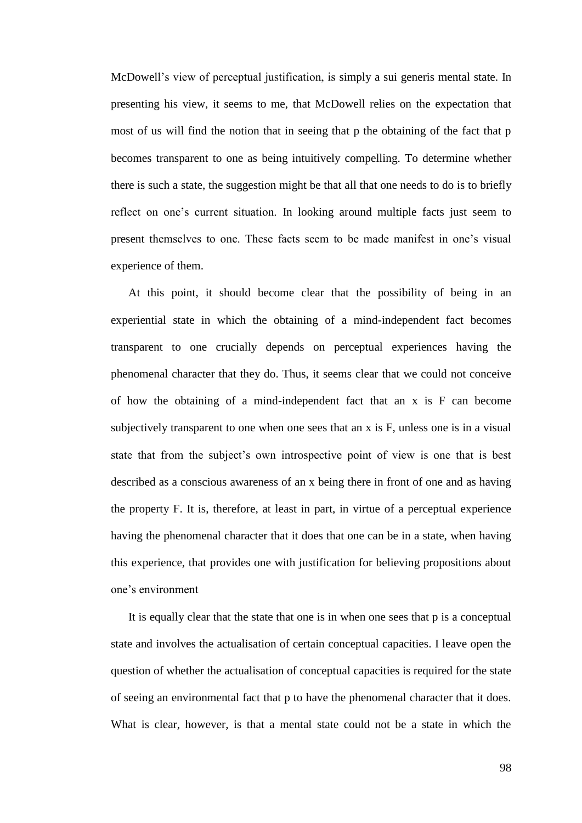McDowell's view of perceptual justification, is simply a sui generis mental state. In presenting his view, it seems to me, that McDowell relies on the expectation that most of us will find the notion that in seeing that p the obtaining of the fact that p becomes transparent to one as being intuitively compelling. To determine whether there is such a state, the suggestion might be that all that one needs to do is to briefly reflect on one's current situation. In looking around multiple facts just seem to present themselves to one. These facts seem to be made manifest in one's visual experience of them.

At this point, it should become clear that the possibility of being in an experiential state in which the obtaining of a mind-independent fact becomes transparent to one crucially depends on perceptual experiences having the phenomenal character that they do. Thus, it seems clear that we could not conceive of how the obtaining of a mind-independent fact that an x is F can become subjectively transparent to one when one sees that an x is F, unless one is in a visual state that from the subject's own introspective point of view is one that is best described as a conscious awareness of an x being there in front of one and as having the property F. It is, therefore, at least in part, in virtue of a perceptual experience having the phenomenal character that it does that one can be in a state, when having this experience, that provides one with justification for believing propositions about one's environment

It is equally clear that the state that one is in when one sees that p is a conceptual state and involves the actualisation of certain conceptual capacities. I leave open the question of whether the actualisation of conceptual capacities is required for the state of seeing an environmental fact that p to have the phenomenal character that it does. What is clear, however, is that a mental state could not be a state in which the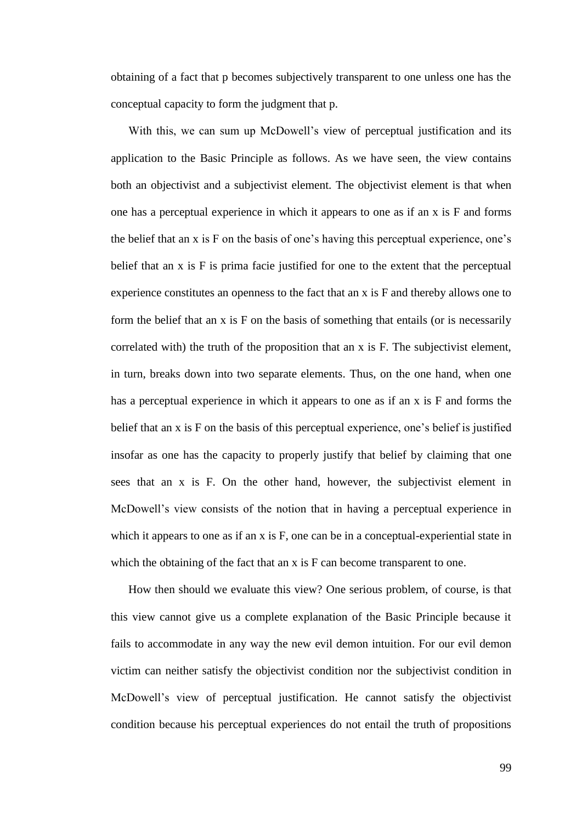obtaining of a fact that p becomes subjectively transparent to one unless one has the conceptual capacity to form the judgment that p.

With this, we can sum up McDowell's view of perceptual justification and its application to the Basic Principle as follows. As we have seen, the view contains both an objectivist and a subjectivist element. The objectivist element is that when one has a perceptual experience in which it appears to one as if an x is F and forms the belief that an x is F on the basis of one's having this perceptual experience, one's belief that an x is F is prima facie justified for one to the extent that the perceptual experience constitutes an openness to the fact that an x is F and thereby allows one to form the belief that an  $x$  is  $F$  on the basis of something that entails (or is necessarily correlated with) the truth of the proposition that an x is F. The subjectivist element, in turn, breaks down into two separate elements. Thus, on the one hand, when one has a perceptual experience in which it appears to one as if an x is F and forms the belief that an x is F on the basis of this perceptual experience, one's belief is justified insofar as one has the capacity to properly justify that belief by claiming that one sees that an x is F. On the other hand, however, the subjectivist element in McDowell's view consists of the notion that in having a perceptual experience in which it appears to one as if an x is F, one can be in a conceptual-experiential state in which the obtaining of the fact that an x is F can become transparent to one.

How then should we evaluate this view? One serious problem, of course, is that this view cannot give us a complete explanation of the Basic Principle because it fails to accommodate in any way the new evil demon intuition. For our evil demon victim can neither satisfy the objectivist condition nor the subjectivist condition in McDowell's view of perceptual justification. He cannot satisfy the objectivist condition because his perceptual experiences do not entail the truth of propositions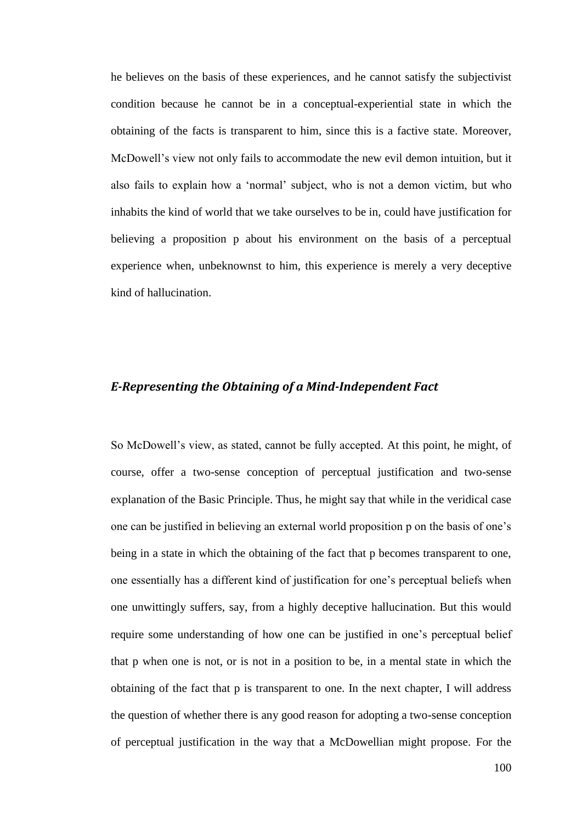he believes on the basis of these experiences, and he cannot satisfy the subjectivist condition because he cannot be in a conceptual-experiential state in which the obtaining of the facts is transparent to him, since this is a factive state. Moreover, McDowell's view not only fails to accommodate the new evil demon intuition, but it also fails to explain how a 'normal' subject, who is not a demon victim, but who inhabits the kind of world that we take ourselves to be in, could have justification for believing a proposition p about his environment on the basis of a perceptual experience when, unbeknownst to him, this experience is merely a very deceptive kind of hallucination.

## *E-Representing the Obtaining of a Mind-Independent Fact*

So McDowell's view, as stated, cannot be fully accepted. At this point, he might, of course, offer a two-sense conception of perceptual justification and two-sense explanation of the Basic Principle. Thus, he might say that while in the veridical case one can be justified in believing an external world proposition p on the basis of one's being in a state in which the obtaining of the fact that p becomes transparent to one, one essentially has a different kind of justification for one's perceptual beliefs when one unwittingly suffers, say, from a highly deceptive hallucination. But this would require some understanding of how one can be justified in one's perceptual belief that p when one is not, or is not in a position to be, in a mental state in which the obtaining of the fact that p is transparent to one. In the next chapter, I will address the question of whether there is any good reason for adopting a two-sense conception of perceptual justification in the way that a McDowellian might propose. For the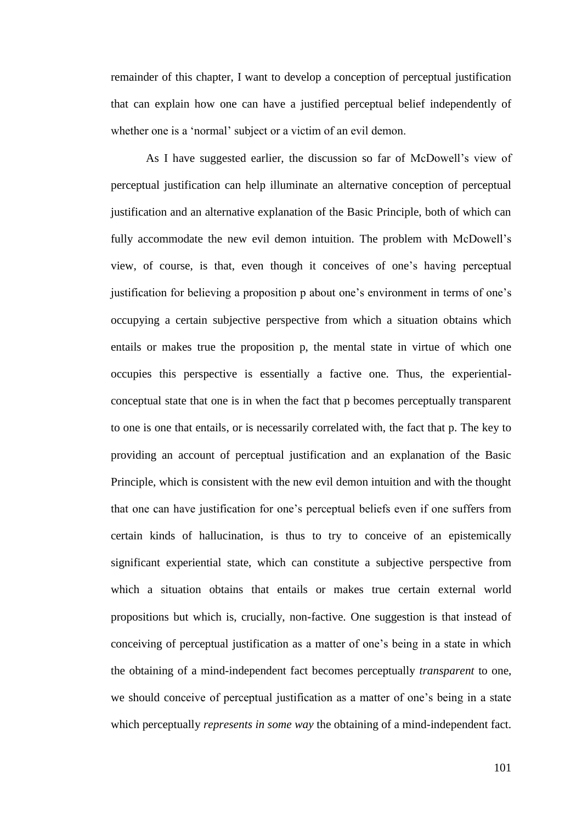remainder of this chapter, I want to develop a conception of perceptual justification that can explain how one can have a justified perceptual belief independently of whether one is a 'normal' subject or a victim of an evil demon.

As I have suggested earlier, the discussion so far of McDowell's view of perceptual justification can help illuminate an alternative conception of perceptual justification and an alternative explanation of the Basic Principle, both of which can fully accommodate the new evil demon intuition. The problem with McDowell's view, of course, is that, even though it conceives of one's having perceptual justification for believing a proposition p about one's environment in terms of one's occupying a certain subjective perspective from which a situation obtains which entails or makes true the proposition p, the mental state in virtue of which one occupies this perspective is essentially a factive one. Thus, the experientialconceptual state that one is in when the fact that p becomes perceptually transparent to one is one that entails, or is necessarily correlated with, the fact that p. The key to providing an account of perceptual justification and an explanation of the Basic Principle, which is consistent with the new evil demon intuition and with the thought that one can have justification for one's perceptual beliefs even if one suffers from certain kinds of hallucination, is thus to try to conceive of an epistemically significant experiential state, which can constitute a subjective perspective from which a situation obtains that entails or makes true certain external world propositions but which is, crucially, non-factive. One suggestion is that instead of conceiving of perceptual justification as a matter of one's being in a state in which the obtaining of a mind-independent fact becomes perceptually *transparent* to one, we should conceive of perceptual justification as a matter of one's being in a state which perceptually *represents in some way* the obtaining of a mind-independent fact.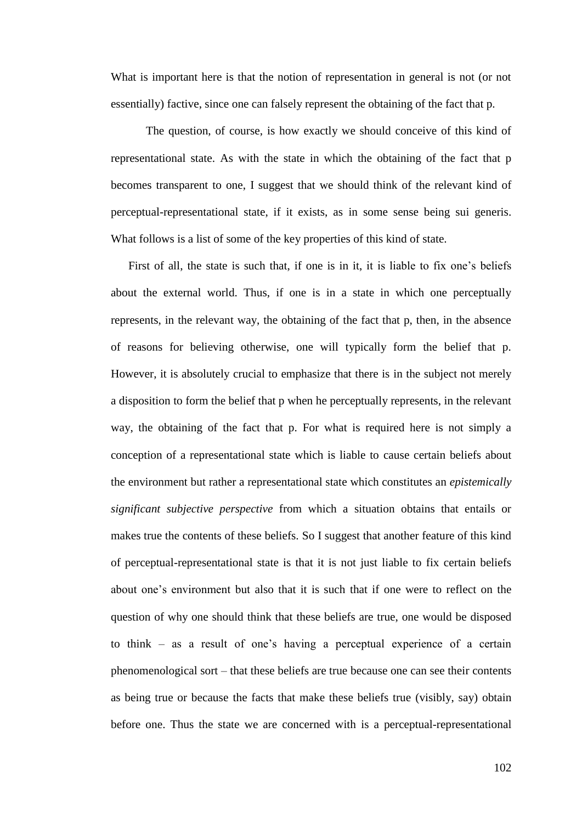What is important here is that the notion of representation in general is not (or not essentially) factive, since one can falsely represent the obtaining of the fact that p.

The question, of course, is how exactly we should conceive of this kind of representational state. As with the state in which the obtaining of the fact that p becomes transparent to one, I suggest that we should think of the relevant kind of perceptual-representational state, if it exists, as in some sense being sui generis. What follows is a list of some of the key properties of this kind of state.

First of all, the state is such that, if one is in it, it is liable to fix one's beliefs about the external world. Thus, if one is in a state in which one perceptually represents, in the relevant way, the obtaining of the fact that p, then, in the absence of reasons for believing otherwise, one will typically form the belief that p. However, it is absolutely crucial to emphasize that there is in the subject not merely a disposition to form the belief that p when he perceptually represents, in the relevant way, the obtaining of the fact that p. For what is required here is not simply a conception of a representational state which is liable to cause certain beliefs about the environment but rather a representational state which constitutes an *epistemically significant subjective perspective* from which a situation obtains that entails or makes true the contents of these beliefs. So I suggest that another feature of this kind of perceptual-representational state is that it is not just liable to fix certain beliefs about one's environment but also that it is such that if one were to reflect on the question of why one should think that these beliefs are true, one would be disposed to think – as a result of one's having a perceptual experience of a certain phenomenological sort – that these beliefs are true because one can see their contents as being true or because the facts that make these beliefs true (visibly, say) obtain before one. Thus the state we are concerned with is a perceptual-representational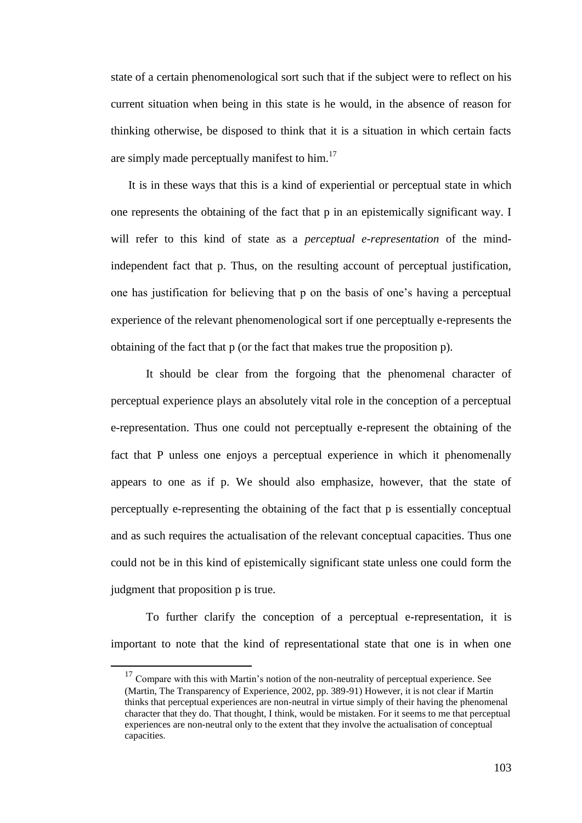state of a certain phenomenological sort such that if the subject were to reflect on his current situation when being in this state is he would, in the absence of reason for thinking otherwise, be disposed to think that it is a situation in which certain facts are simply made perceptually manifest to him.<sup>17</sup>

It is in these ways that this is a kind of experiential or perceptual state in which one represents the obtaining of the fact that p in an epistemically significant way. I will refer to this kind of state as a *perceptual e-representation* of the mindindependent fact that p. Thus, on the resulting account of perceptual justification, one has justification for believing that p on the basis of one's having a perceptual experience of the relevant phenomenological sort if one perceptually e-represents the obtaining of the fact that p (or the fact that makes true the proposition p).

It should be clear from the forgoing that the phenomenal character of perceptual experience plays an absolutely vital role in the conception of a perceptual e-representation. Thus one could not perceptually e-represent the obtaining of the fact that P unless one enjoys a perceptual experience in which it phenomenally appears to one as if p. We should also emphasize, however, that the state of perceptually e-representing the obtaining of the fact that p is essentially conceptual and as such requires the actualisation of the relevant conceptual capacities. Thus one could not be in this kind of epistemically significant state unless one could form the judgment that proposition p is true.

To further clarify the conception of a perceptual e-representation, it is important to note that the kind of representational state that one is in when one

 $\overline{a}$ 

 $17$  Compare with this with Martin's notion of the non-neutrality of perceptual experience. See (Martin, The Transparency of Experience, 2002, pp. 389-91) However, it is not clear if Martin thinks that perceptual experiences are non-neutral in virtue simply of their having the phenomenal character that they do. That thought, I think, would be mistaken. For it seems to me that perceptual experiences are non-neutral only to the extent that they involve the actualisation of conceptual capacities.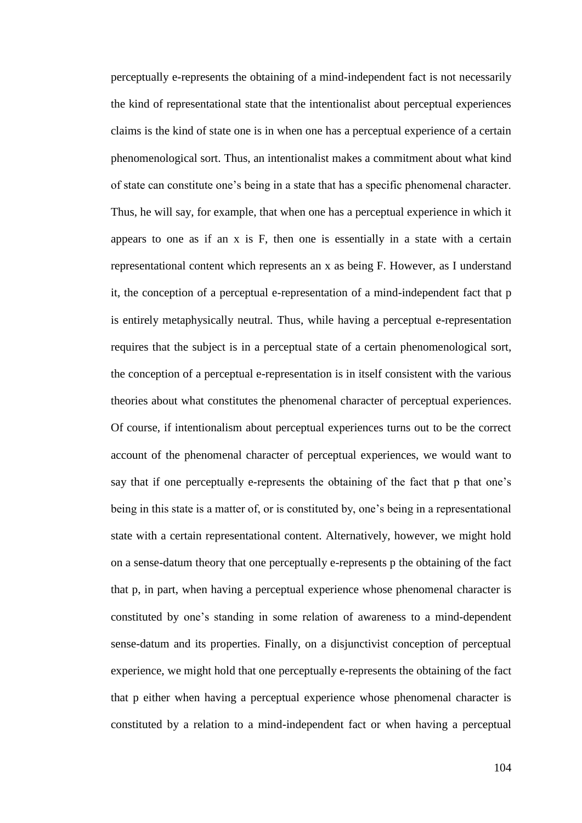perceptually e-represents the obtaining of a mind-independent fact is not necessarily the kind of representational state that the intentionalist about perceptual experiences claims is the kind of state one is in when one has a perceptual experience of a certain phenomenological sort. Thus, an intentionalist makes a commitment about what kind of state can constitute one's being in a state that has a specific phenomenal character. Thus, he will say, for example, that when one has a perceptual experience in which it appears to one as if an x is F, then one is essentially in a state with a certain representational content which represents an x as being F. However, as I understand it, the conception of a perceptual e-representation of a mind-independent fact that p is entirely metaphysically neutral. Thus, while having a perceptual e-representation requires that the subject is in a perceptual state of a certain phenomenological sort, the conception of a perceptual e-representation is in itself consistent with the various theories about what constitutes the phenomenal character of perceptual experiences. Of course, if intentionalism about perceptual experiences turns out to be the correct account of the phenomenal character of perceptual experiences, we would want to say that if one perceptually e-represents the obtaining of the fact that p that one's being in this state is a matter of, or is constituted by, one's being in a representational state with a certain representational content. Alternatively, however, we might hold on a sense-datum theory that one perceptually e-represents p the obtaining of the fact that p, in part, when having a perceptual experience whose phenomenal character is constituted by one's standing in some relation of awareness to a mind-dependent sense-datum and its properties. Finally, on a disjunctivist conception of perceptual experience, we might hold that one perceptually e-represents the obtaining of the fact that p either when having a perceptual experience whose phenomenal character is constituted by a relation to a mind-independent fact or when having a perceptual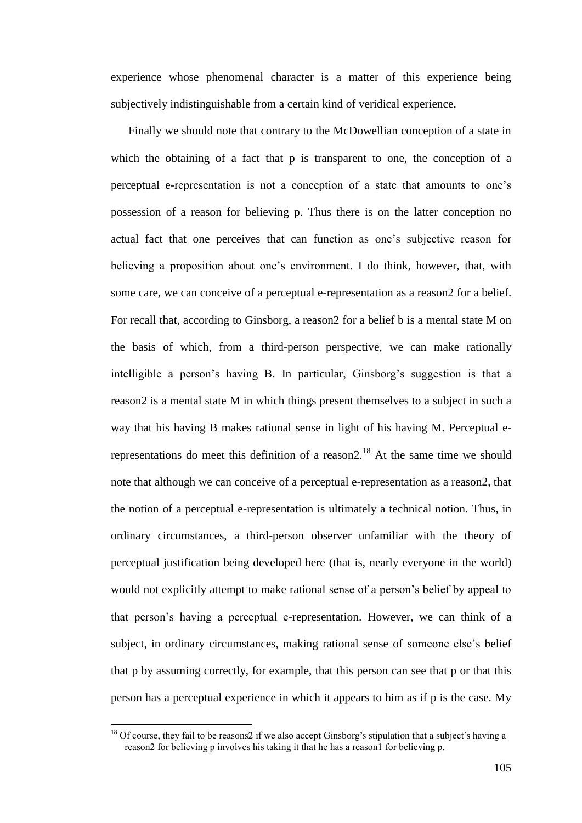experience whose phenomenal character is a matter of this experience being subjectively indistinguishable from a certain kind of veridical experience.

Finally we should note that contrary to the McDowellian conception of a state in which the obtaining of a fact that p is transparent to one, the conception of a perceptual e-representation is not a conception of a state that amounts to one's possession of a reason for believing p. Thus there is on the latter conception no actual fact that one perceives that can function as one's subjective reason for believing a proposition about one's environment. I do think, however, that, with some care, we can conceive of a perceptual e-representation as a reason2 for a belief. For recall that, according to Ginsborg, a reason2 for a belief b is a mental state M on the basis of which, from a third-person perspective, we can make rationally intelligible a person's having B. In particular, Ginsborg's suggestion is that a reason2 is a mental state M in which things present themselves to a subject in such a way that his having B makes rational sense in light of his having M. Perceptual erepresentations do meet this definition of a reason2.<sup>18</sup> At the same time we should note that although we can conceive of a perceptual e-representation as a reason2, that the notion of a perceptual e-representation is ultimately a technical notion. Thus, in ordinary circumstances, a third-person observer unfamiliar with the theory of perceptual justification being developed here (that is, nearly everyone in the world) would not explicitly attempt to make rational sense of a person's belief by appeal to that person's having a perceptual e-representation. However, we can think of a subject, in ordinary circumstances, making rational sense of someone else's belief that p by assuming correctly, for example, that this person can see that p or that this person has a perceptual experience in which it appears to him as if p is the case. My

 $\overline{a}$ 

<sup>&</sup>lt;sup>18</sup> Of course, they fail to be reasons2 if we also accept Ginsborg's stipulation that a subject's having a reason2 for believing p involves his taking it that he has a reason1 for believing p.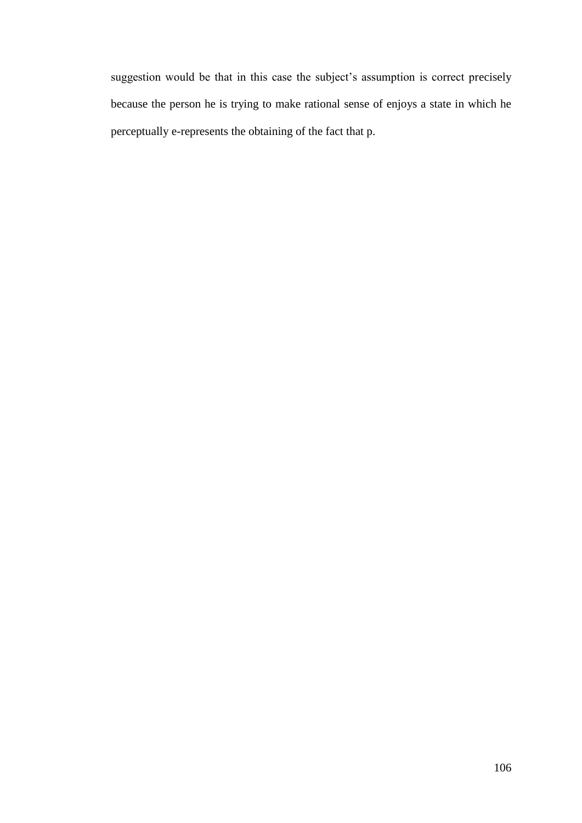suggestion would be that in this case the subject's assumption is correct precisely because the person he is trying to make rational sense of enjoys a state in which he perceptually e-represents the obtaining of the fact that p.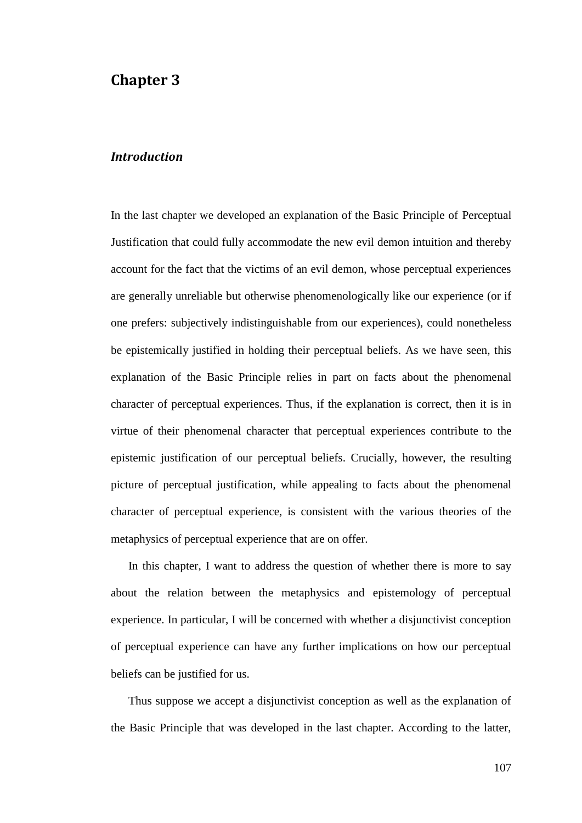## **Chapter 3**

## *Introduction*

In the last chapter we developed an explanation of the Basic Principle of Perceptual Justification that could fully accommodate the new evil demon intuition and thereby account for the fact that the victims of an evil demon, whose perceptual experiences are generally unreliable but otherwise phenomenologically like our experience (or if one prefers: subjectively indistinguishable from our experiences), could nonetheless be epistemically justified in holding their perceptual beliefs. As we have seen, this explanation of the Basic Principle relies in part on facts about the phenomenal character of perceptual experiences. Thus, if the explanation is correct, then it is in virtue of their phenomenal character that perceptual experiences contribute to the epistemic justification of our perceptual beliefs. Crucially, however, the resulting picture of perceptual justification, while appealing to facts about the phenomenal character of perceptual experience, is consistent with the various theories of the metaphysics of perceptual experience that are on offer.

In this chapter, I want to address the question of whether there is more to say about the relation between the metaphysics and epistemology of perceptual experience. In particular, I will be concerned with whether a disjunctivist conception of perceptual experience can have any further implications on how our perceptual beliefs can be justified for us.

Thus suppose we accept a disjunctivist conception as well as the explanation of the Basic Principle that was developed in the last chapter. According to the latter,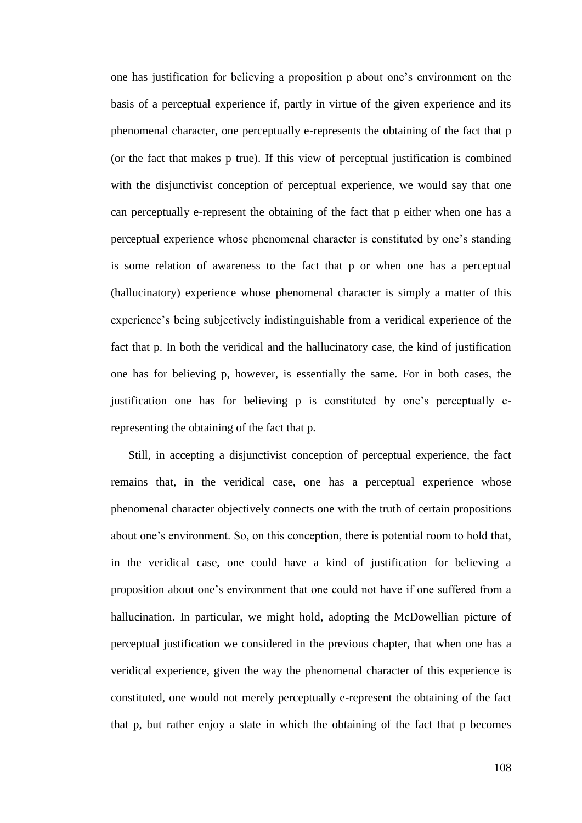one has justification for believing a proposition p about one's environment on the basis of a perceptual experience if, partly in virtue of the given experience and its phenomenal character, one perceptually e-represents the obtaining of the fact that p (or the fact that makes p true). If this view of perceptual justification is combined with the disjunctivist conception of perceptual experience, we would say that one can perceptually e-represent the obtaining of the fact that p either when one has a perceptual experience whose phenomenal character is constituted by one's standing is some relation of awareness to the fact that p or when one has a perceptual (hallucinatory) experience whose phenomenal character is simply a matter of this experience's being subjectively indistinguishable from a veridical experience of the fact that p. In both the veridical and the hallucinatory case, the kind of justification one has for believing p, however, is essentially the same. For in both cases, the justification one has for believing p is constituted by one's perceptually erepresenting the obtaining of the fact that p.

Still, in accepting a disjunctivist conception of perceptual experience, the fact remains that, in the veridical case, one has a perceptual experience whose phenomenal character objectively connects one with the truth of certain propositions about one's environment. So, on this conception, there is potential room to hold that, in the veridical case, one could have a kind of justification for believing a proposition about one's environment that one could not have if one suffered from a hallucination. In particular, we might hold, adopting the McDowellian picture of perceptual justification we considered in the previous chapter, that when one has a veridical experience, given the way the phenomenal character of this experience is constituted, one would not merely perceptually e-represent the obtaining of the fact that p, but rather enjoy a state in which the obtaining of the fact that p becomes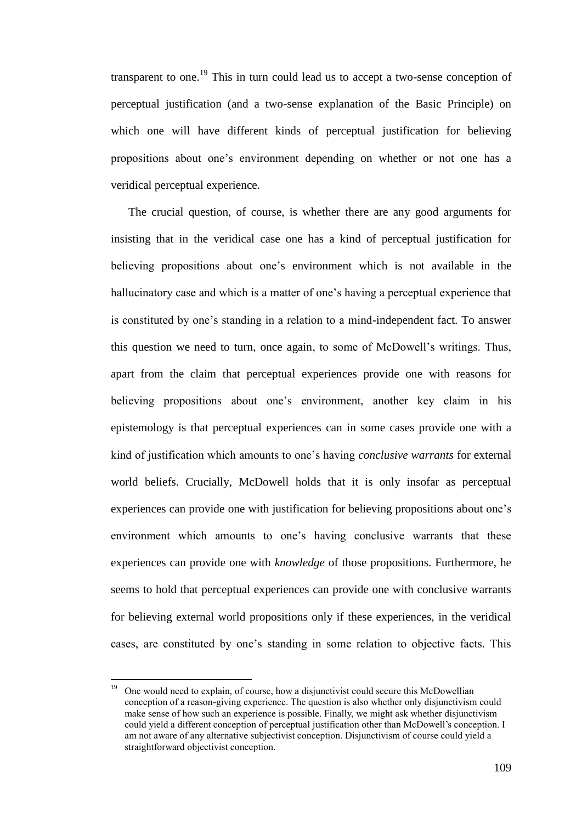transparent to one.<sup>19</sup> This in turn could lead us to accept a two-sense conception of perceptual justification (and a two-sense explanation of the Basic Principle) on which one will have different kinds of perceptual justification for believing propositions about one's environment depending on whether or not one has a veridical perceptual experience.

The crucial question, of course, is whether there are any good arguments for insisting that in the veridical case one has a kind of perceptual justification for believing propositions about one's environment which is not available in the hallucinatory case and which is a matter of one's having a perceptual experience that is constituted by one's standing in a relation to a mind-independent fact. To answer this question we need to turn, once again, to some of McDowell's writings. Thus, apart from the claim that perceptual experiences provide one with reasons for believing propositions about one's environment, another key claim in his epistemology is that perceptual experiences can in some cases provide one with a kind of justification which amounts to one's having *conclusive warrants* for external world beliefs. Crucially, McDowell holds that it is only insofar as perceptual experiences can provide one with justification for believing propositions about one's environment which amounts to one's having conclusive warrants that these experiences can provide one with *knowledge* of those propositions. Furthermore, he seems to hold that perceptual experiences can provide one with conclusive warrants for believing external world propositions only if these experiences, in the veridical cases, are constituted by one's standing in some relation to objective facts. This

<sup>19</sup> <sup>19</sup> One would need to explain, of course, how a disjunctivist could secure this McDowellian conception of a reason-giving experience. The question is also whether only disjunctivism could make sense of how such an experience is possible. Finally, we might ask whether disjunctivism could yield a different conception of perceptual justification other than McDowell's conception. I am not aware of any alternative subjectivist conception. Disjunctivism of course could yield a straightforward objectivist conception.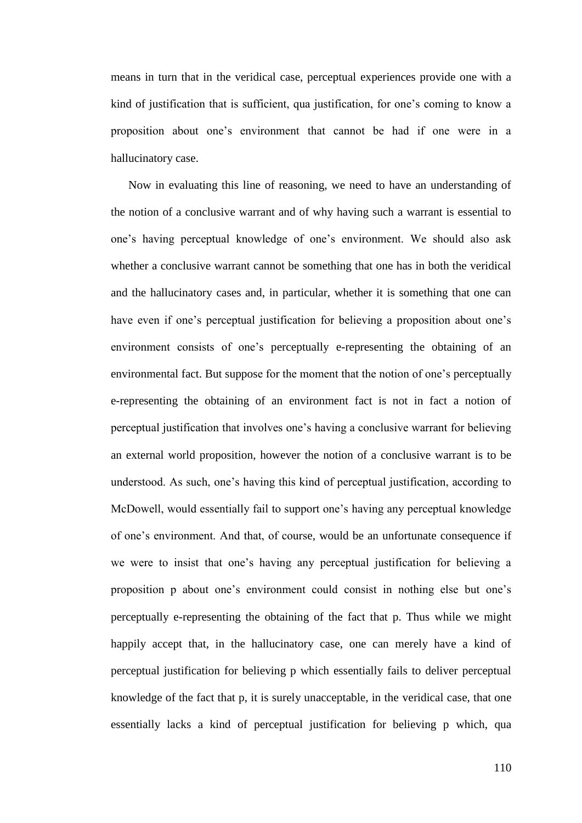means in turn that in the veridical case, perceptual experiences provide one with a kind of justification that is sufficient, qua justification, for one's coming to know a proposition about one's environment that cannot be had if one were in a hallucinatory case.

Now in evaluating this line of reasoning, we need to have an understanding of the notion of a conclusive warrant and of why having such a warrant is essential to one's having perceptual knowledge of one's environment. We should also ask whether a conclusive warrant cannot be something that one has in both the veridical and the hallucinatory cases and, in particular, whether it is something that one can have even if one's perceptual justification for believing a proposition about one's environment consists of one's perceptually e-representing the obtaining of an environmental fact. But suppose for the moment that the notion of one's perceptually e-representing the obtaining of an environment fact is not in fact a notion of perceptual justification that involves one's having a conclusive warrant for believing an external world proposition, however the notion of a conclusive warrant is to be understood. As such, one's having this kind of perceptual justification, according to McDowell, would essentially fail to support one's having any perceptual knowledge of one's environment. And that, of course, would be an unfortunate consequence if we were to insist that one's having any perceptual justification for believing a proposition p about one's environment could consist in nothing else but one's perceptually e-representing the obtaining of the fact that p. Thus while we might happily accept that, in the hallucinatory case, one can merely have a kind of perceptual justification for believing p which essentially fails to deliver perceptual knowledge of the fact that p, it is surely unacceptable, in the veridical case, that one essentially lacks a kind of perceptual justification for believing p which, qua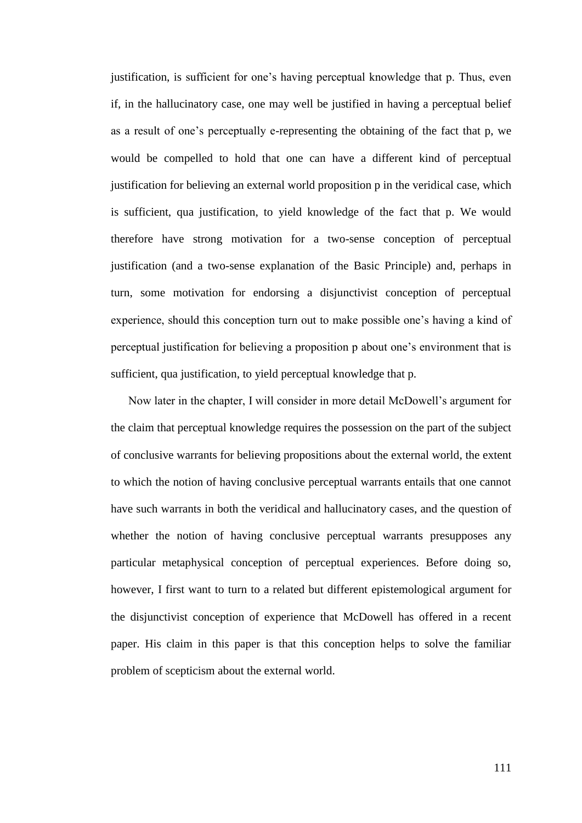justification, is sufficient for one's having perceptual knowledge that p. Thus, even if, in the hallucinatory case, one may well be justified in having a perceptual belief as a result of one's perceptually e-representing the obtaining of the fact that p, we would be compelled to hold that one can have a different kind of perceptual justification for believing an external world proposition p in the veridical case, which is sufficient, qua justification, to yield knowledge of the fact that p. We would therefore have strong motivation for a two-sense conception of perceptual justification (and a two-sense explanation of the Basic Principle) and, perhaps in turn, some motivation for endorsing a disjunctivist conception of perceptual experience, should this conception turn out to make possible one's having a kind of perceptual justification for believing a proposition p about one's environment that is sufficient, qua justification, to yield perceptual knowledge that p.

Now later in the chapter, I will consider in more detail McDowell's argument for the claim that perceptual knowledge requires the possession on the part of the subject of conclusive warrants for believing propositions about the external world, the extent to which the notion of having conclusive perceptual warrants entails that one cannot have such warrants in both the veridical and hallucinatory cases, and the question of whether the notion of having conclusive perceptual warrants presupposes any particular metaphysical conception of perceptual experiences. Before doing so, however, I first want to turn to a related but different epistemological argument for the disjunctivist conception of experience that McDowell has offered in a recent paper. His claim in this paper is that this conception helps to solve the familiar problem of scepticism about the external world.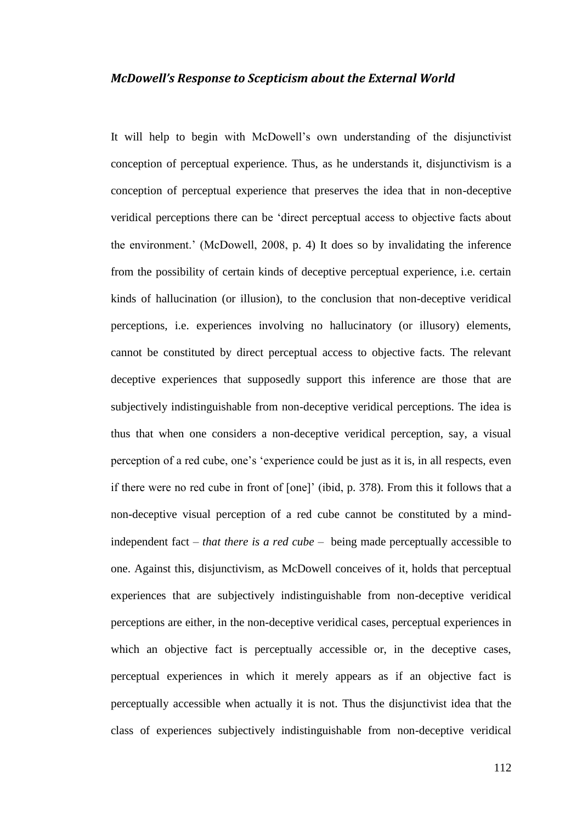### *McDowell's Response to Scepticism about the External World*

It will help to begin with McDowell's own understanding of the disjunctivist conception of perceptual experience. Thus, as he understands it, disjunctivism is a conception of perceptual experience that preserves the idea that in non-deceptive veridical perceptions there can be ‗direct perceptual access to objective facts about the environment.' (McDowell, 2008, p. 4) It does so by invalidating the inference from the possibility of certain kinds of deceptive perceptual experience, i.e. certain kinds of hallucination (or illusion), to the conclusion that non-deceptive veridical perceptions, i.e. experiences involving no hallucinatory (or illusory) elements, cannot be constituted by direct perceptual access to objective facts. The relevant deceptive experiences that supposedly support this inference are those that are subjectively indistinguishable from non-deceptive veridical perceptions. The idea is thus that when one considers a non-deceptive veridical perception, say, a visual perception of a red cube, one's 'experience could be just as it is, in all respects, even if there were no red cube in front of [one]' (ibid, p. 378). From this it follows that a non-deceptive visual perception of a red cube cannot be constituted by a mindindependent fact – *that there is a red cube* – being made perceptually accessible to one. Against this, disjunctivism, as McDowell conceives of it, holds that perceptual experiences that are subjectively indistinguishable from non-deceptive veridical perceptions are either, in the non-deceptive veridical cases, perceptual experiences in which an objective fact is perceptually accessible or, in the deceptive cases, perceptual experiences in which it merely appears as if an objective fact is perceptually accessible when actually it is not. Thus the disjunctivist idea that the class of experiences subjectively indistinguishable from non-deceptive veridical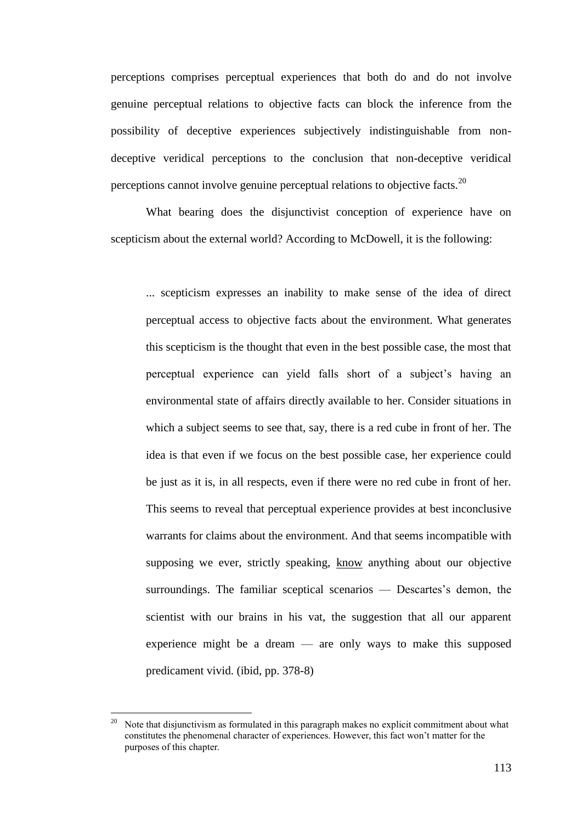perceptions comprises perceptual experiences that both do and do not involve genuine perceptual relations to objective facts can block the inference from the possibility of deceptive experiences subjectively indistinguishable from nondeceptive veridical perceptions to the conclusion that non-deceptive veridical perceptions cannot involve genuine perceptual relations to objective facts.<sup>20</sup>

What bearing does the disjunctivist conception of experience have on scepticism about the external world? According to McDowell, it is the following:

... scepticism expresses an inability to make sense of the idea of direct perceptual access to objective facts about the environment. What generates this scepticism is the thought that even in the best possible case, the most that perceptual experience can yield falls short of a subject's having an environmental state of affairs directly available to her. Consider situations in which a subject seems to see that, say, there is a red cube in front of her. The idea is that even if we focus on the best possible case, her experience could be just as it is, in all respects, even if there were no red cube in front of her. This seems to reveal that perceptual experience provides at best inconclusive warrants for claims about the environment. And that seems incompatible with supposing we ever, strictly speaking, know anything about our objective surroundings. The familiar sceptical scenarios — Descartes's demon, the scientist with our brains in his vat, the suggestion that all our apparent experience might be a dream — are only ways to make this supposed predicament vivid. (ibid, pp. 378-8)

 $\overline{a}$ 

<sup>20</sup> Note that disjunctivism as formulated in this paragraph makes no explicit commitment about what constitutes the phenomenal character of experiences. However, this fact won't matter for the purposes of this chapter.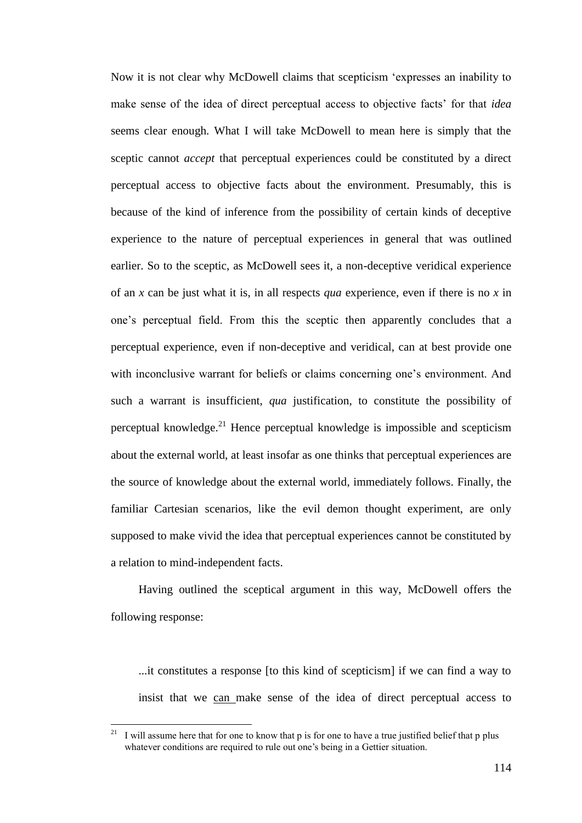Now it is not clear why McDowell claims that scepticism 'expresses an inability to make sense of the idea of direct perceptual access to objective facts' for that *idea* seems clear enough. What I will take McDowell to mean here is simply that the sceptic cannot *accept* that perceptual experiences could be constituted by a direct perceptual access to objective facts about the environment. Presumably, this is because of the kind of inference from the possibility of certain kinds of deceptive experience to the nature of perceptual experiences in general that was outlined earlier. So to the sceptic, as McDowell sees it, a non-deceptive veridical experience of an *x* can be just what it is, in all respects *qua* experience, even if there is no *x* in one's perceptual field. From this the sceptic then apparently concludes that a perceptual experience, even if non-deceptive and veridical, can at best provide one with inconclusive warrant for beliefs or claims concerning one's environment. And such a warrant is insufficient, *qua* justification, to constitute the possibility of perceptual knowledge.<sup>21</sup> Hence perceptual knowledge is impossible and scepticism about the external world, at least insofar as one thinks that perceptual experiences are the source of knowledge about the external world, immediately follows. Finally, the familiar Cartesian scenarios, like the evil demon thought experiment, are only supposed to make vivid the idea that perceptual experiences cannot be constituted by a relation to mind-independent facts.

Having outlined the sceptical argument in this way, McDowell offers the following response:

...it constitutes a response [to this kind of scepticism] if we can find a way to insist that we can make sense of the idea of direct perceptual access to

<sup>21</sup> <sup>21</sup> I will assume here that for one to know that p is for one to have a true justified belief that p plus whatever conditions are required to rule out one's being in a Gettier situation.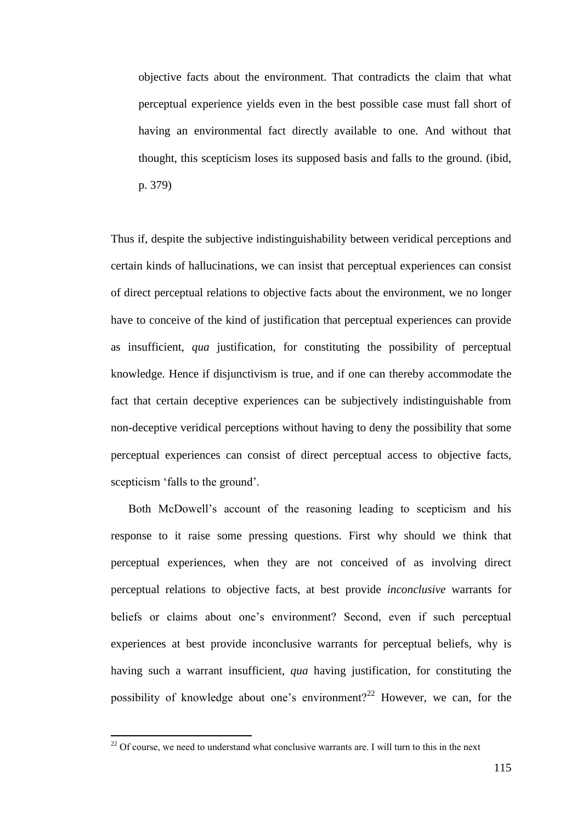objective facts about the environment. That contradicts the claim that what perceptual experience yields even in the best possible case must fall short of having an environmental fact directly available to one. And without that thought, this scepticism loses its supposed basis and falls to the ground. (ibid, p. 379)

Thus if, despite the subjective indistinguishability between veridical perceptions and certain kinds of hallucinations, we can insist that perceptual experiences can consist of direct perceptual relations to objective facts about the environment, we no longer have to conceive of the kind of justification that perceptual experiences can provide as insufficient, *qua* justification, for constituting the possibility of perceptual knowledge. Hence if disjunctivism is true, and if one can thereby accommodate the fact that certain deceptive experiences can be subjectively indistinguishable from non-deceptive veridical perceptions without having to deny the possibility that some perceptual experiences can consist of direct perceptual access to objective facts, scepticism 'falls to the ground'.

Both McDowell's account of the reasoning leading to scepticism and his response to it raise some pressing questions. First why should we think that perceptual experiences, when they are not conceived of as involving direct perceptual relations to objective facts, at best provide *inconclusive* warrants for beliefs or claims about one's environment? Second, even if such perceptual experiences at best provide inconclusive warrants for perceptual beliefs, why is having such a warrant insufficient, *qua* having justification, for constituting the possibility of knowledge about one's environment?<sup>22</sup> However, we can, for the

 $\overline{a}$ 

 $22$  Of course, we need to understand what conclusive warrants are. I will turn to this in the next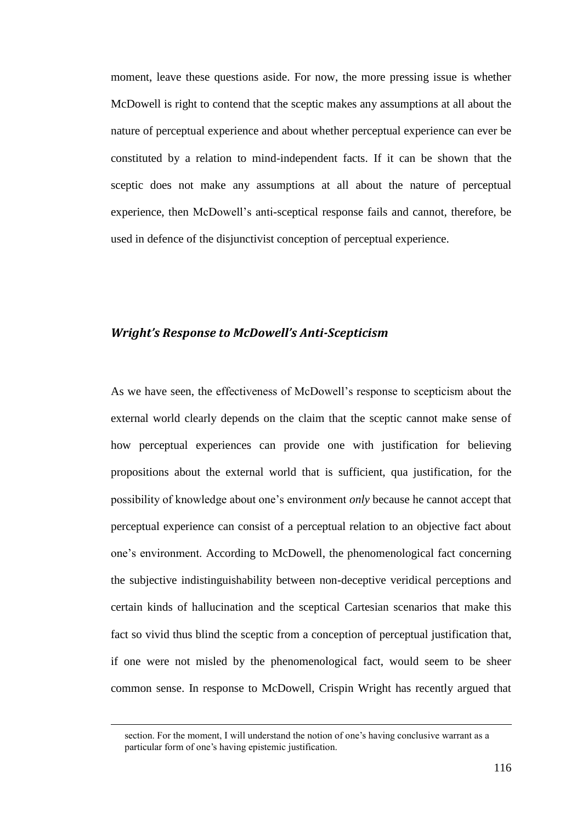moment, leave these questions aside. For now, the more pressing issue is whether McDowell is right to contend that the sceptic makes any assumptions at all about the nature of perceptual experience and about whether perceptual experience can ever be constituted by a relation to mind-independent facts. If it can be shown that the sceptic does not make any assumptions at all about the nature of perceptual experience, then McDowell's anti-sceptical response fails and cannot, therefore, be used in defence of the disjunctivist conception of perceptual experience.

## *Wright's Response to McDowell's Anti-Scepticism*

As we have seen, the effectiveness of McDowell's response to scepticism about the external world clearly depends on the claim that the sceptic cannot make sense of how perceptual experiences can provide one with justification for believing propositions about the external world that is sufficient, qua justification, for the possibility of knowledge about one's environment *only* because he cannot accept that perceptual experience can consist of a perceptual relation to an objective fact about one's environment. According to McDowell, the phenomenological fact concerning the subjective indistinguishability between non-deceptive veridical perceptions and certain kinds of hallucination and the sceptical Cartesian scenarios that make this fact so vivid thus blind the sceptic from a conception of perceptual justification that, if one were not misled by the phenomenological fact, would seem to be sheer common sense. In response to McDowell, Crispin Wright has recently argued that

 $\overline{a}$ 

section. For the moment, I will understand the notion of one's having conclusive warrant as a particular form of one's having epistemic justification.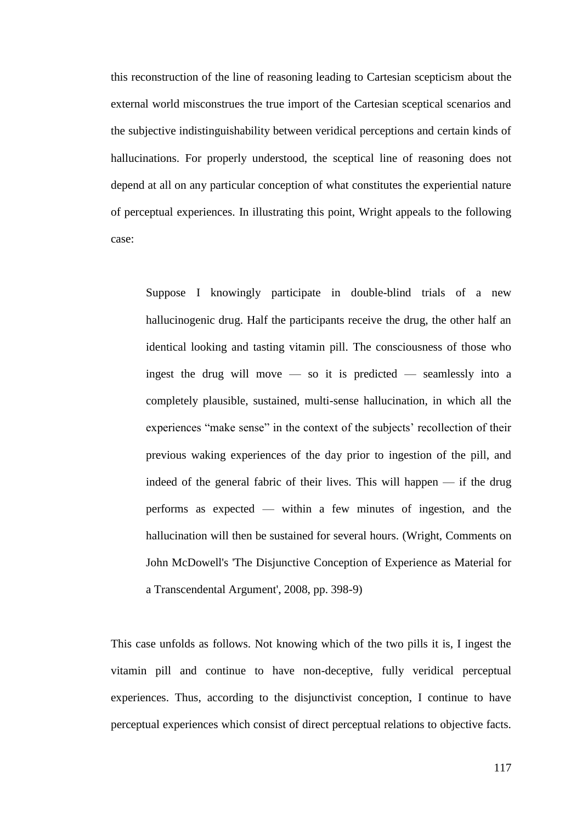this reconstruction of the line of reasoning leading to Cartesian scepticism about the external world misconstrues the true import of the Cartesian sceptical scenarios and the subjective indistinguishability between veridical perceptions and certain kinds of hallucinations. For properly understood, the sceptical line of reasoning does not depend at all on any particular conception of what constitutes the experiential nature of perceptual experiences. In illustrating this point, Wright appeals to the following case:

Suppose I knowingly participate in double-blind trials of a new hallucinogenic drug. Half the participants receive the drug, the other half an identical looking and tasting vitamin pill. The consciousness of those who ingest the drug will move — so it is predicted — seamlessly into a completely plausible, sustained, multi-sense hallucination, in which all the experiences "make sense" in the context of the subjects' recollection of their previous waking experiences of the day prior to ingestion of the pill, and indeed of the general fabric of their lives. This will happen — if the drug performs as expected — within a few minutes of ingestion, and the hallucination will then be sustained for several hours. (Wright, Comments on John McDowell's 'The Disjunctive Conception of Experience as Material for a Transcendental Argument', 2008, pp. 398-9)

This case unfolds as follows. Not knowing which of the two pills it is, I ingest the vitamin pill and continue to have non-deceptive, fully veridical perceptual experiences. Thus, according to the disjunctivist conception, I continue to have perceptual experiences which consist of direct perceptual relations to objective facts.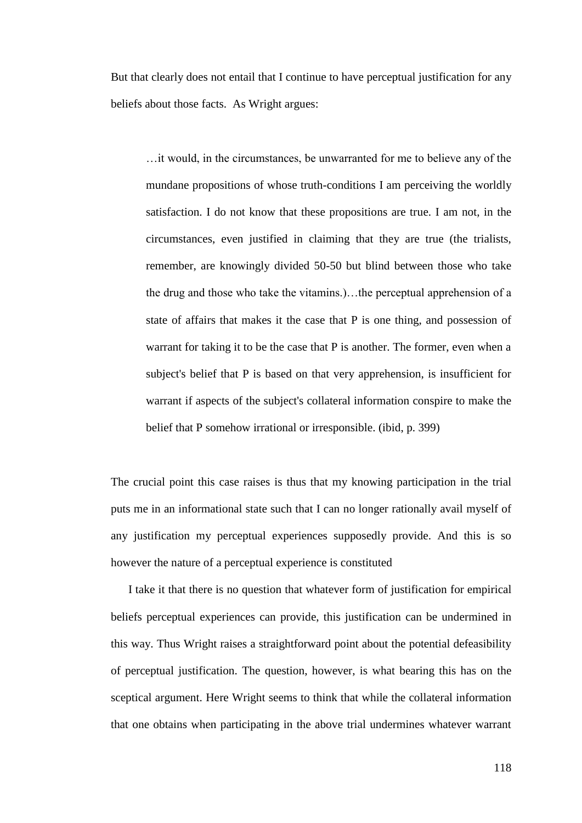But that clearly does not entail that I continue to have perceptual justification for any beliefs about those facts. As Wright argues:

…it would, in the circumstances, be unwarranted for me to believe any of the mundane propositions of whose truth-conditions I am perceiving the worldly satisfaction. I do not know that these propositions are true. I am not, in the circumstances, even justified in claiming that they are true (the trialists, remember, are knowingly divided 50-50 but blind between those who take the drug and those who take the vitamins.)…the perceptual apprehension of a state of affairs that makes it the case that P is one thing, and possession of warrant for taking it to be the case that P is another. The former, even when a subject's belief that P is based on that very apprehension, is insufficient for warrant if aspects of the subject's collateral information conspire to make the belief that P somehow irrational or irresponsible. (ibid, p. 399)

The crucial point this case raises is thus that my knowing participation in the trial puts me in an informational state such that I can no longer rationally avail myself of any justification my perceptual experiences supposedly provide. And this is so however the nature of a perceptual experience is constituted

I take it that there is no question that whatever form of justification for empirical beliefs perceptual experiences can provide, this justification can be undermined in this way. Thus Wright raises a straightforward point about the potential defeasibility of perceptual justification. The question, however, is what bearing this has on the sceptical argument. Here Wright seems to think that while the collateral information that one obtains when participating in the above trial undermines whatever warrant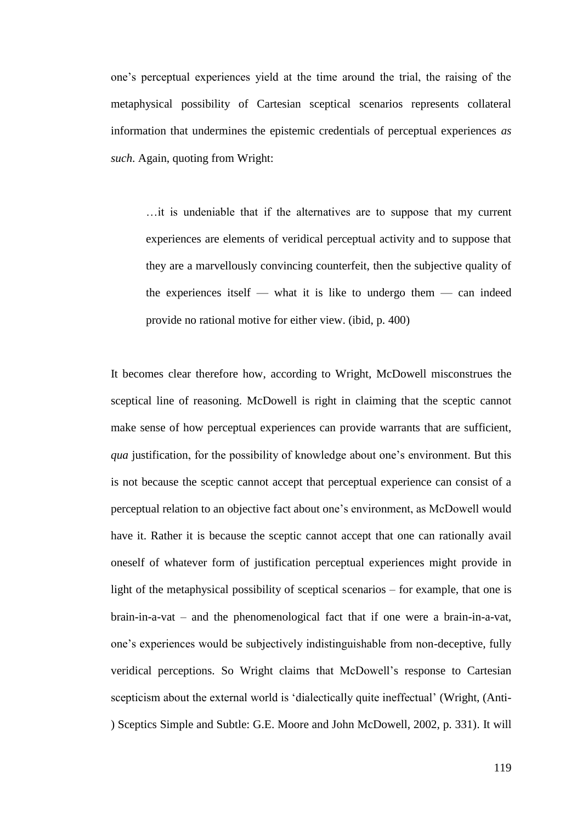one's perceptual experiences yield at the time around the trial, the raising of the metaphysical possibility of Cartesian sceptical scenarios represents collateral information that undermines the epistemic credentials of perceptual experiences *as such*. Again, quoting from Wright:

…it is undeniable that if the alternatives are to suppose that my current experiences are elements of veridical perceptual activity and to suppose that they are a marvellously convincing counterfeit, then the subjective quality of the experiences itself — what it is like to undergo them — can indeed provide no rational motive for either view. (ibid, p. 400)

It becomes clear therefore how, according to Wright, McDowell misconstrues the sceptical line of reasoning. McDowell is right in claiming that the sceptic cannot make sense of how perceptual experiences can provide warrants that are sufficient, *qua* justification, for the possibility of knowledge about one's environment. But this is not because the sceptic cannot accept that perceptual experience can consist of a perceptual relation to an objective fact about one's environment, as McDowell would have it. Rather it is because the sceptic cannot accept that one can rationally avail oneself of whatever form of justification perceptual experiences might provide in light of the metaphysical possibility of sceptical scenarios – for example, that one is brain-in-a-vat – and the phenomenological fact that if one were a brain-in-a-vat, one's experiences would be subjectively indistinguishable from non-deceptive, fully veridical perceptions. So Wright claims that McDowell's response to Cartesian scepticism about the external world is 'dialectically quite ineffectual' (Wright, (Anti-) Sceptics Simple and Subtle: G.E. Moore and John McDowell, 2002, p. 331). It will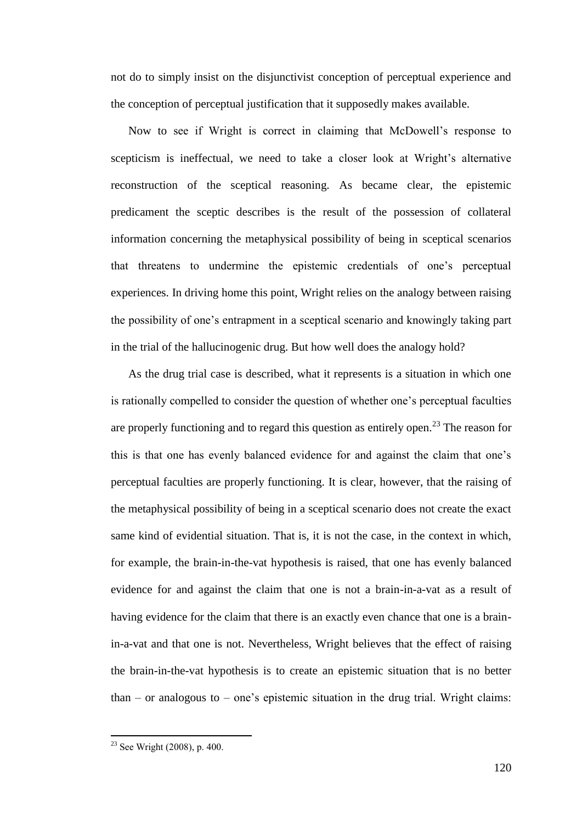not do to simply insist on the disjunctivist conception of perceptual experience and the conception of perceptual justification that it supposedly makes available.

Now to see if Wright is correct in claiming that McDowell's response to scepticism is ineffectual, we need to take a closer look at Wright's alternative reconstruction of the sceptical reasoning. As became clear, the epistemic predicament the sceptic describes is the result of the possession of collateral information concerning the metaphysical possibility of being in sceptical scenarios that threatens to undermine the epistemic credentials of one's perceptual experiences. In driving home this point, Wright relies on the analogy between raising the possibility of one's entrapment in a sceptical scenario and knowingly taking part in the trial of the hallucinogenic drug. But how well does the analogy hold?

As the drug trial case is described, what it represents is a situation in which one is rationally compelled to consider the question of whether one's perceptual faculties are properly functioning and to regard this question as entirely open.<sup>23</sup> The reason for this is that one has evenly balanced evidence for and against the claim that one's perceptual faculties are properly functioning. It is clear, however, that the raising of the metaphysical possibility of being in a sceptical scenario does not create the exact same kind of evidential situation. That is, it is not the case, in the context in which, for example, the brain-in-the-vat hypothesis is raised, that one has evenly balanced evidence for and against the claim that one is not a brain-in-a-vat as a result of having evidence for the claim that there is an exactly even chance that one is a brainin-a-vat and that one is not. Nevertheless, Wright believes that the effect of raising the brain-in-the-vat hypothesis is to create an epistemic situation that is no better  $than - or analogous to - one's epistemic situation in the drug trial. Wright claims:$ 

 $\overline{a}$ 

 $23$  See Wright (2008), p. 400.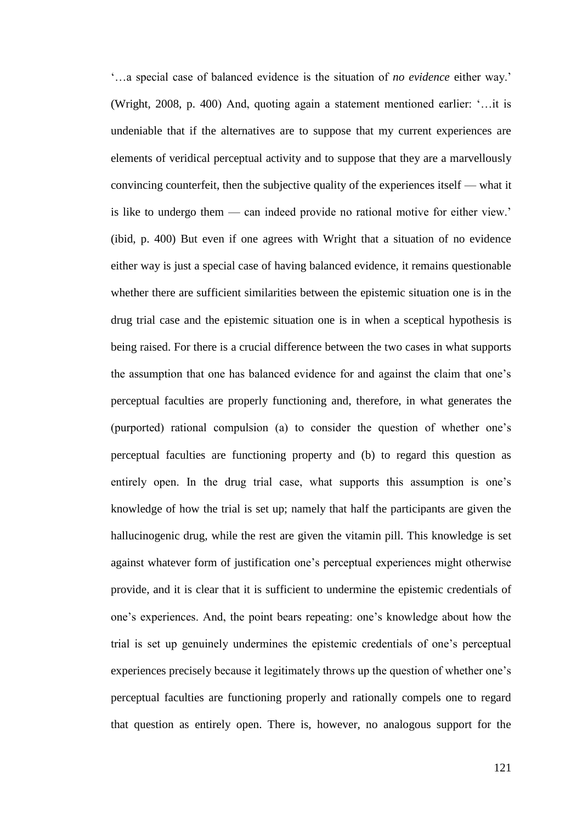‗…a special case of balanced evidence is the situation of *no evidence* either way.' (Wright, 2008, p. 400) And, quoting again a statement mentioned earlier: ‗…it is undeniable that if the alternatives are to suppose that my current experiences are elements of veridical perceptual activity and to suppose that they are a marvellously convincing counterfeit, then the subjective quality of the experiences itself — what it is like to undergo them — can indeed provide no rational motive for either view.' (ibid, p. 400) But even if one agrees with Wright that a situation of no evidence either way is just a special case of having balanced evidence, it remains questionable whether there are sufficient similarities between the epistemic situation one is in the drug trial case and the epistemic situation one is in when a sceptical hypothesis is being raised. For there is a crucial difference between the two cases in what supports the assumption that one has balanced evidence for and against the claim that one's perceptual faculties are properly functioning and, therefore, in what generates the (purported) rational compulsion (a) to consider the question of whether one's perceptual faculties are functioning property and (b) to regard this question as entirely open. In the drug trial case, what supports this assumption is one's knowledge of how the trial is set up; namely that half the participants are given the hallucinogenic drug, while the rest are given the vitamin pill. This knowledge is set against whatever form of justification one's perceptual experiences might otherwise provide, and it is clear that it is sufficient to undermine the epistemic credentials of one's experiences. And, the point bears repeating: one's knowledge about how the trial is set up genuinely undermines the epistemic credentials of one's perceptual experiences precisely because it legitimately throws up the question of whether one's perceptual faculties are functioning properly and rationally compels one to regard that question as entirely open. There is, however, no analogous support for the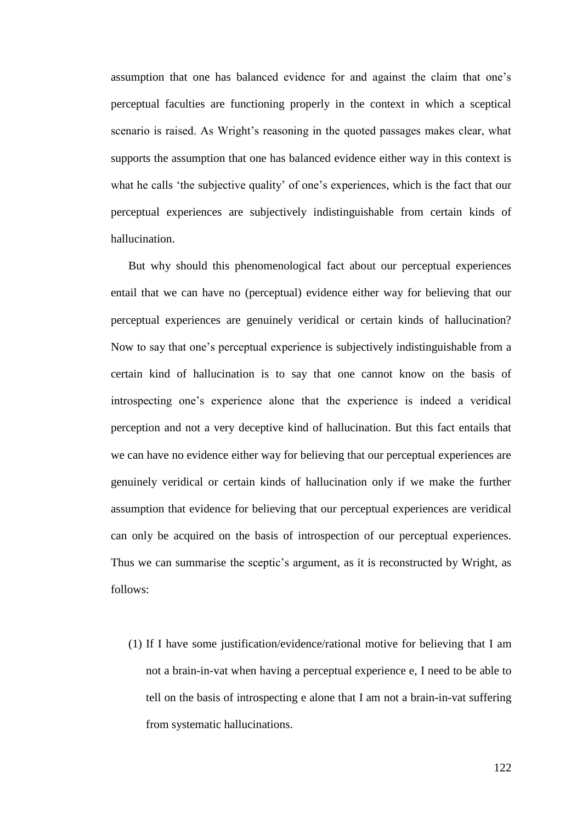assumption that one has balanced evidence for and against the claim that one's perceptual faculties are functioning properly in the context in which a sceptical scenario is raised. As Wright's reasoning in the quoted passages makes clear, what supports the assumption that one has balanced evidence either way in this context is what he calls 'the subjective quality' of one's experiences, which is the fact that our perceptual experiences are subjectively indistinguishable from certain kinds of hallucination.

But why should this phenomenological fact about our perceptual experiences entail that we can have no (perceptual) evidence either way for believing that our perceptual experiences are genuinely veridical or certain kinds of hallucination? Now to say that one's perceptual experience is subjectively indistinguishable from a certain kind of hallucination is to say that one cannot know on the basis of introspecting one's experience alone that the experience is indeed a veridical perception and not a very deceptive kind of hallucination. But this fact entails that we can have no evidence either way for believing that our perceptual experiences are genuinely veridical or certain kinds of hallucination only if we make the further assumption that evidence for believing that our perceptual experiences are veridical can only be acquired on the basis of introspection of our perceptual experiences. Thus we can summarise the sceptic's argument, as it is reconstructed by Wright, as follows:

(1) If I have some justification/evidence/rational motive for believing that I am not a brain-in-vat when having a perceptual experience e, I need to be able to tell on the basis of introspecting e alone that I am not a brain-in-vat suffering from systematic hallucinations.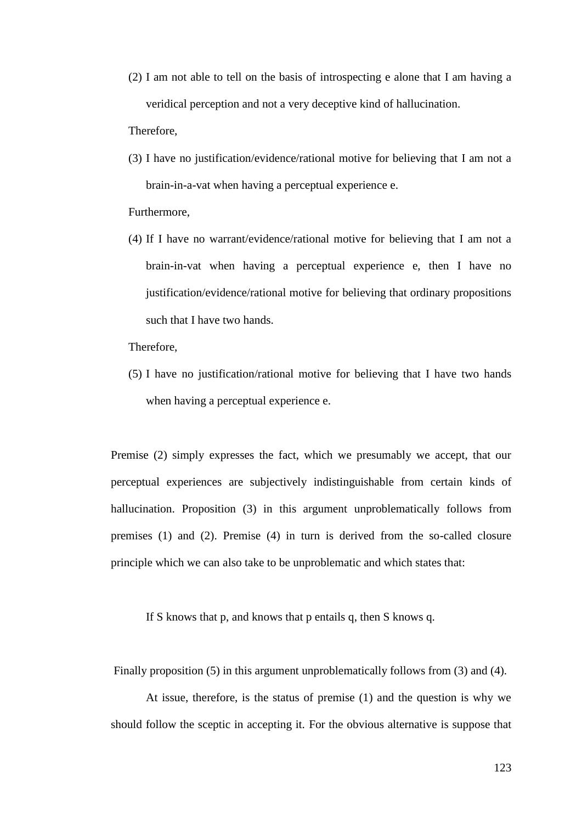(2) I am not able to tell on the basis of introspecting e alone that I am having a veridical perception and not a very deceptive kind of hallucination.

Therefore,

(3) I have no justification/evidence/rational motive for believing that I am not a brain-in-a-vat when having a perceptual experience e.

Furthermore,

(4) If I have no warrant/evidence/rational motive for believing that I am not a brain-in-vat when having a perceptual experience e, then I have no justification/evidence/rational motive for believing that ordinary propositions such that I have two hands.

Therefore,

(5) I have no justification/rational motive for believing that I have two hands when having a perceptual experience e.

Premise (2) simply expresses the fact, which we presumably we accept, that our perceptual experiences are subjectively indistinguishable from certain kinds of hallucination. Proposition (3) in this argument unproblematically follows from premises (1) and (2). Premise (4) in turn is derived from the so-called closure principle which we can also take to be unproblematic and which states that:

If S knows that p, and knows that p entails q, then S knows q.

Finally proposition (5) in this argument unproblematically follows from (3) and (4).

At issue, therefore, is the status of premise (1) and the question is why we should follow the sceptic in accepting it. For the obvious alternative is suppose that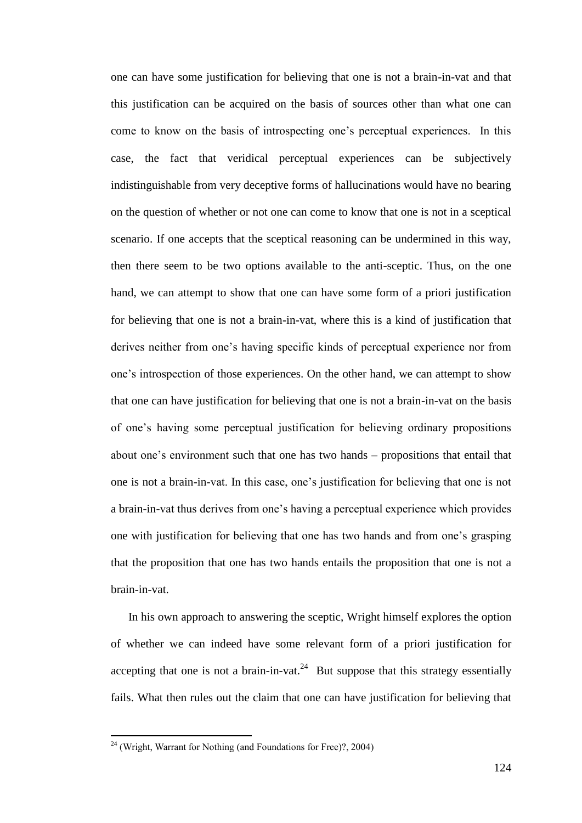one can have some justification for believing that one is not a brain-in-vat and that this justification can be acquired on the basis of sources other than what one can come to know on the basis of introspecting one's perceptual experiences. In this case, the fact that veridical perceptual experiences can be subjectively indistinguishable from very deceptive forms of hallucinations would have no bearing on the question of whether or not one can come to know that one is not in a sceptical scenario. If one accepts that the sceptical reasoning can be undermined in this way, then there seem to be two options available to the anti-sceptic. Thus, on the one hand, we can attempt to show that one can have some form of a priori justification for believing that one is not a brain-in-vat, where this is a kind of justification that derives neither from one's having specific kinds of perceptual experience nor from one's introspection of those experiences. On the other hand, we can attempt to show that one can have justification for believing that one is not a brain-in-vat on the basis of one's having some perceptual justification for believing ordinary propositions about one's environment such that one has two hands – propositions that entail that one is not a brain-in-vat. In this case, one's justification for believing that one is not a brain-in-vat thus derives from one's having a perceptual experience which provides one with justification for believing that one has two hands and from one's grasping that the proposition that one has two hands entails the proposition that one is not a brain-in-vat.

In his own approach to answering the sceptic, Wright himself explores the option of whether we can indeed have some relevant form of a priori justification for accepting that one is not a brain-in-vat.<sup>24</sup> But suppose that this strategy essentially fails. What then rules out the claim that one can have justification for believing that

 $\overline{a}$ 

 $24$  (Wright, Warrant for Nothing (and Foundations for Free)?, 2004)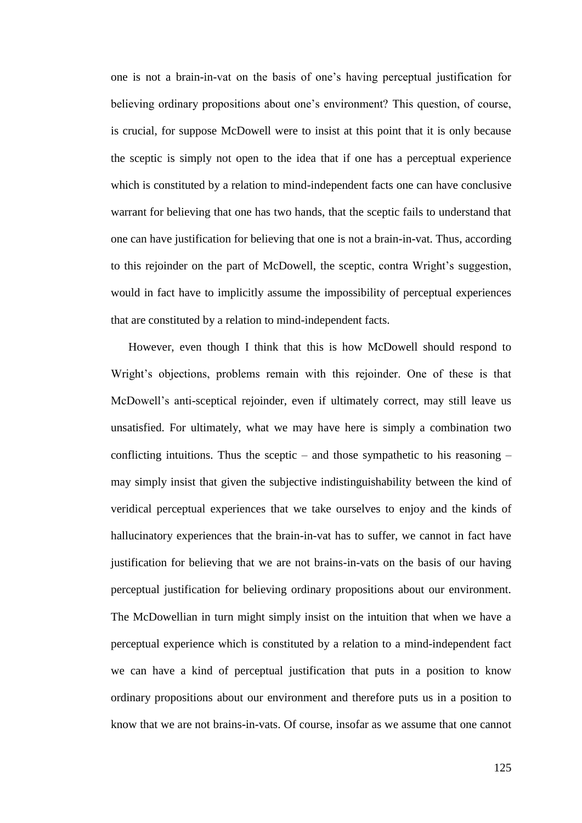one is not a brain-in-vat on the basis of one's having perceptual justification for believing ordinary propositions about one's environment? This question, of course, is crucial, for suppose McDowell were to insist at this point that it is only because the sceptic is simply not open to the idea that if one has a perceptual experience which is constituted by a relation to mind-independent facts one can have conclusive warrant for believing that one has two hands, that the sceptic fails to understand that one can have justification for believing that one is not a brain-in-vat. Thus, according to this rejoinder on the part of McDowell, the sceptic, contra Wright's suggestion, would in fact have to implicitly assume the impossibility of perceptual experiences that are constituted by a relation to mind-independent facts.

However, even though I think that this is how McDowell should respond to Wright's objections, problems remain with this rejoinder. One of these is that McDowell's anti-sceptical rejoinder, even if ultimately correct, may still leave us unsatisfied. For ultimately, what we may have here is simply a combination two conflicting intuitions. Thus the sceptic – and those sympathetic to his reasoning – may simply insist that given the subjective indistinguishability between the kind of veridical perceptual experiences that we take ourselves to enjoy and the kinds of hallucinatory experiences that the brain-in-vat has to suffer, we cannot in fact have justification for believing that we are not brains-in-vats on the basis of our having perceptual justification for believing ordinary propositions about our environment. The McDowellian in turn might simply insist on the intuition that when we have a perceptual experience which is constituted by a relation to a mind-independent fact we can have a kind of perceptual justification that puts in a position to know ordinary propositions about our environment and therefore puts us in a position to know that we are not brains-in-vats. Of course, insofar as we assume that one cannot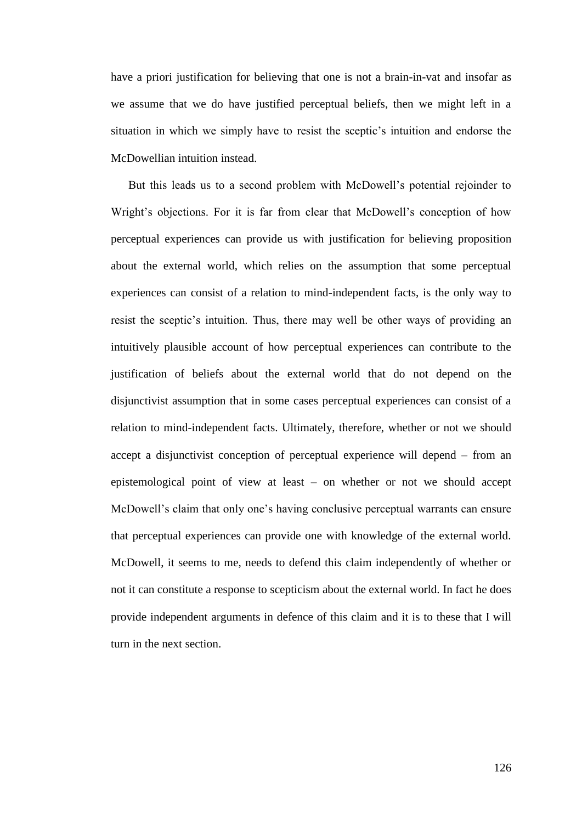have a priori justification for believing that one is not a brain-in-vat and insofar as we assume that we do have justified perceptual beliefs, then we might left in a situation in which we simply have to resist the sceptic's intuition and endorse the McDowellian intuition instead.

But this leads us to a second problem with McDowell's potential rejoinder to Wright's objections. For it is far from clear that McDowell's conception of how perceptual experiences can provide us with justification for believing proposition about the external world, which relies on the assumption that some perceptual experiences can consist of a relation to mind-independent facts, is the only way to resist the sceptic's intuition. Thus, there may well be other ways of providing an intuitively plausible account of how perceptual experiences can contribute to the justification of beliefs about the external world that do not depend on the disjunctivist assumption that in some cases perceptual experiences can consist of a relation to mind-independent facts. Ultimately, therefore, whether or not we should accept a disjunctivist conception of perceptual experience will depend – from an epistemological point of view at least – on whether or not we should accept McDowell's claim that only one's having conclusive perceptual warrants can ensure that perceptual experiences can provide one with knowledge of the external world. McDowell, it seems to me, needs to defend this claim independently of whether or not it can constitute a response to scepticism about the external world. In fact he does provide independent arguments in defence of this claim and it is to these that I will turn in the next section.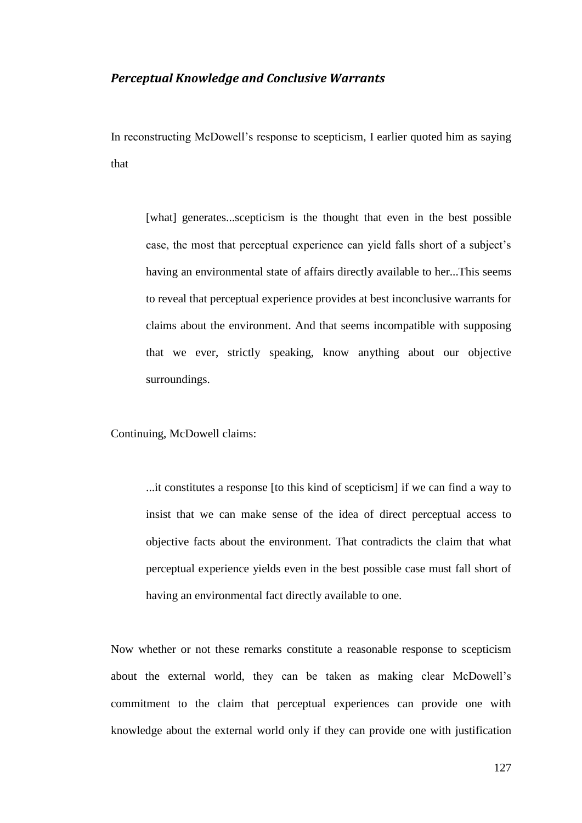## *Perceptual Knowledge and Conclusive Warrants*

In reconstructing McDowell's response to scepticism, I earlier quoted him as saying that

[what] generates...scepticism is the thought that even in the best possible case, the most that perceptual experience can yield falls short of a subject's having an environmental state of affairs directly available to her...This seems to reveal that perceptual experience provides at best inconclusive warrants for claims about the environment. And that seems incompatible with supposing that we ever, strictly speaking, know anything about our objective surroundings.

Continuing, McDowell claims:

...it constitutes a response [to this kind of scepticism] if we can find a way to insist that we can make sense of the idea of direct perceptual access to objective facts about the environment. That contradicts the claim that what perceptual experience yields even in the best possible case must fall short of having an environmental fact directly available to one.

Now whether or not these remarks constitute a reasonable response to scepticism about the external world, they can be taken as making clear McDowell's commitment to the claim that perceptual experiences can provide one with knowledge about the external world only if they can provide one with justification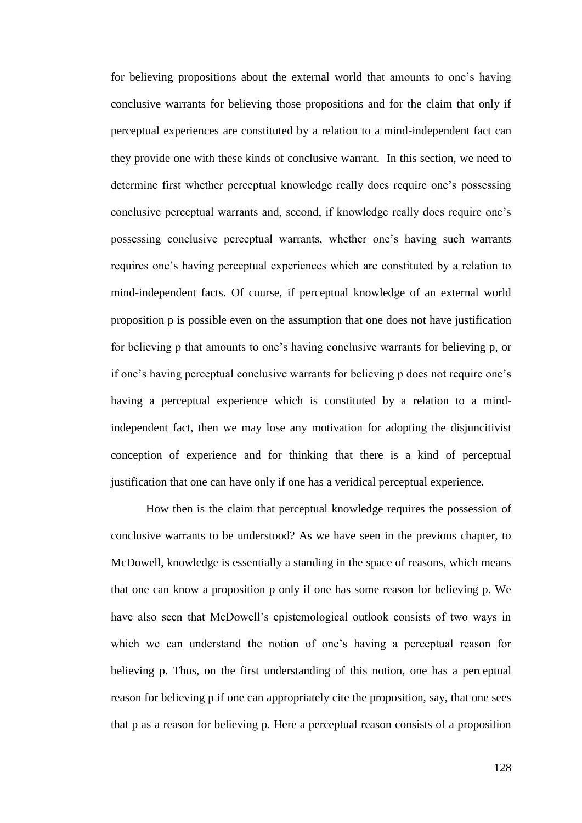for believing propositions about the external world that amounts to one's having conclusive warrants for believing those propositions and for the claim that only if perceptual experiences are constituted by a relation to a mind-independent fact can they provide one with these kinds of conclusive warrant. In this section, we need to determine first whether perceptual knowledge really does require one's possessing conclusive perceptual warrants and, second, if knowledge really does require one's possessing conclusive perceptual warrants, whether one's having such warrants requires one's having perceptual experiences which are constituted by a relation to mind-independent facts. Of course, if perceptual knowledge of an external world proposition p is possible even on the assumption that one does not have justification for believing p that amounts to one's having conclusive warrants for believing p, or if one's having perceptual conclusive warrants for believing p does not require one's having a perceptual experience which is constituted by a relation to a mindindependent fact, then we may lose any motivation for adopting the disjuncitivist conception of experience and for thinking that there is a kind of perceptual justification that one can have only if one has a veridical perceptual experience.

How then is the claim that perceptual knowledge requires the possession of conclusive warrants to be understood? As we have seen in the previous chapter, to McDowell, knowledge is essentially a standing in the space of reasons, which means that one can know a proposition p only if one has some reason for believing p. We have also seen that McDowell's epistemological outlook consists of two ways in which we can understand the notion of one's having a perceptual reason for believing p. Thus, on the first understanding of this notion, one has a perceptual reason for believing p if one can appropriately cite the proposition, say, that one sees that p as a reason for believing p. Here a perceptual reason consists of a proposition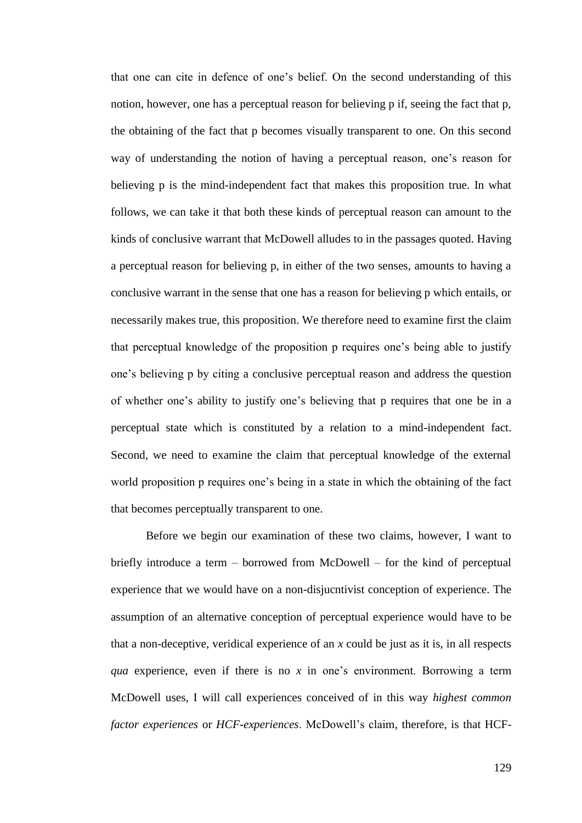that one can cite in defence of one's belief. On the second understanding of this notion, however, one has a perceptual reason for believing p if, seeing the fact that p, the obtaining of the fact that p becomes visually transparent to one. On this second way of understanding the notion of having a perceptual reason, one's reason for believing p is the mind-independent fact that makes this proposition true. In what follows, we can take it that both these kinds of perceptual reason can amount to the kinds of conclusive warrant that McDowell alludes to in the passages quoted. Having a perceptual reason for believing p, in either of the two senses, amounts to having a conclusive warrant in the sense that one has a reason for believing p which entails, or necessarily makes true, this proposition. We therefore need to examine first the claim that perceptual knowledge of the proposition p requires one's being able to justify one's believing p by citing a conclusive perceptual reason and address the question of whether one's ability to justify one's believing that p requires that one be in a perceptual state which is constituted by a relation to a mind-independent fact. Second, we need to examine the claim that perceptual knowledge of the external world proposition p requires one's being in a state in which the obtaining of the fact that becomes perceptually transparent to one.

Before we begin our examination of these two claims, however, I want to briefly introduce a term – borrowed from McDowell – for the kind of perceptual experience that we would have on a non-disjucntivist conception of experience. The assumption of an alternative conception of perceptual experience would have to be that a non-deceptive, veridical experience of an *x* could be just as it is, in all respects *qua* experience, even if there is no *x* in one's environment. Borrowing a term McDowell uses, I will call experiences conceived of in this way *highest common factor experiences* or *HCF-experiences*. McDowell's claim, therefore, is that HCF-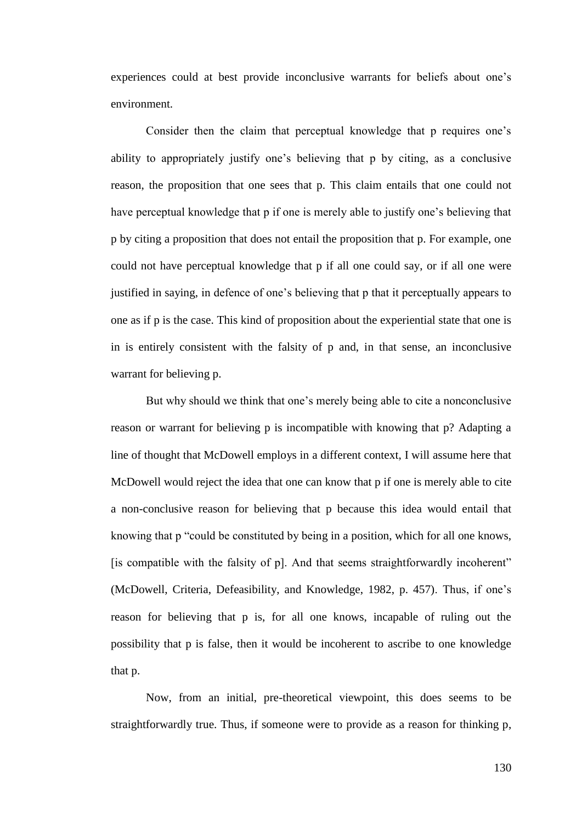experiences could at best provide inconclusive warrants for beliefs about one's environment.

Consider then the claim that perceptual knowledge that p requires one's ability to appropriately justify one's believing that p by citing, as a conclusive reason, the proposition that one sees that p. This claim entails that one could not have perceptual knowledge that p if one is merely able to justify one's believing that p by citing a proposition that does not entail the proposition that p. For example, one could not have perceptual knowledge that p if all one could say, or if all one were justified in saying, in defence of one's believing that p that it perceptually appears to one as if p is the case. This kind of proposition about the experiential state that one is in is entirely consistent with the falsity of p and, in that sense, an inconclusive warrant for believing p.

But why should we think that one's merely being able to cite a nonconclusive reason or warrant for believing p is incompatible with knowing that p? Adapting a line of thought that McDowell employs in a different context, I will assume here that McDowell would reject the idea that one can know that p if one is merely able to cite a non-conclusive reason for believing that p because this idea would entail that knowing that p "could be constituted by being in a position, which for all one knows, [is compatible with the falsity of p]. And that seems straightforwardly incoherent" (McDowell, Criteria, Defeasibility, and Knowledge, 1982, p. 457). Thus, if one's reason for believing that p is, for all one knows, incapable of ruling out the possibility that p is false, then it would be incoherent to ascribe to one knowledge that p.

Now, from an initial, pre-theoretical viewpoint, this does seems to be straightforwardly true. Thus, if someone were to provide as a reason for thinking p,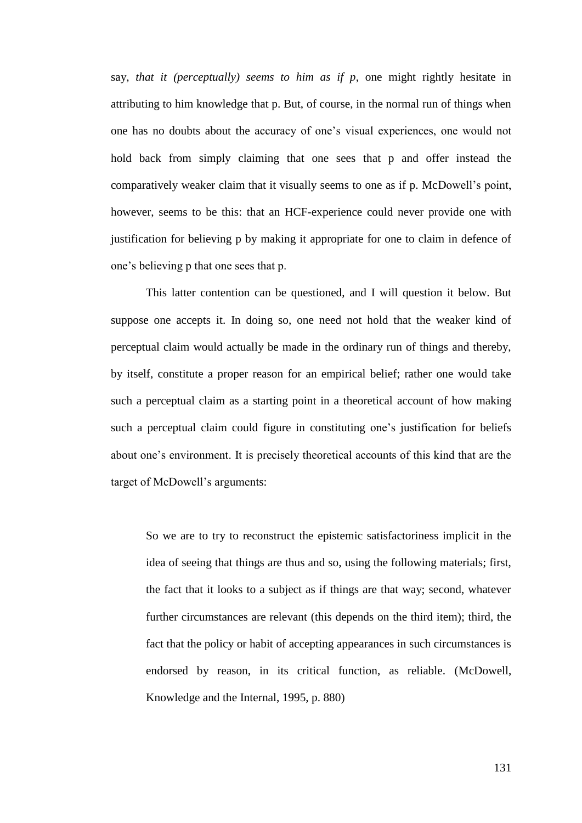say, *that it (perceptually) seems to him as if p*, one might rightly hesitate in attributing to him knowledge that p. But, of course, in the normal run of things when one has no doubts about the accuracy of one's visual experiences, one would not hold back from simply claiming that one sees that p and offer instead the comparatively weaker claim that it visually seems to one as if p. McDowell's point, however, seems to be this: that an HCF-experience could never provide one with justification for believing p by making it appropriate for one to claim in defence of one's believing p that one sees that p.

This latter contention can be questioned, and I will question it below. But suppose one accepts it. In doing so, one need not hold that the weaker kind of perceptual claim would actually be made in the ordinary run of things and thereby, by itself, constitute a proper reason for an empirical belief; rather one would take such a perceptual claim as a starting point in a theoretical account of how making such a perceptual claim could figure in constituting one's justification for beliefs about one's environment. It is precisely theoretical accounts of this kind that are the target of McDowell's arguments:

So we are to try to reconstruct the epistemic satisfactoriness implicit in the idea of seeing that things are thus and so, using the following materials; first, the fact that it looks to a subject as if things are that way; second, whatever further circumstances are relevant (this depends on the third item); third, the fact that the policy or habit of accepting appearances in such circumstances is endorsed by reason, in its critical function, as reliable. (McDowell, Knowledge and the Internal, 1995, p. 880)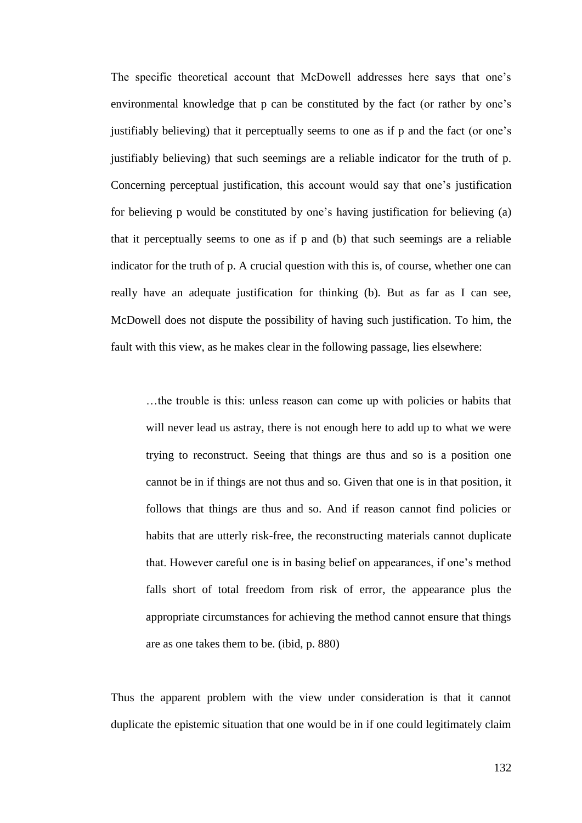The specific theoretical account that McDowell addresses here says that one's environmental knowledge that p can be constituted by the fact (or rather by one's justifiably believing) that it perceptually seems to one as if p and the fact (or one's justifiably believing) that such seemings are a reliable indicator for the truth of p. Concerning perceptual justification, this account would say that one's justification for believing p would be constituted by one's having justification for believing (a) that it perceptually seems to one as if p and (b) that such seemings are a reliable indicator for the truth of p. A crucial question with this is, of course, whether one can really have an adequate justification for thinking (b). But as far as I can see, McDowell does not dispute the possibility of having such justification. To him, the fault with this view, as he makes clear in the following passage, lies elsewhere:

…the trouble is this: unless reason can come up with policies or habits that will never lead us astray, there is not enough here to add up to what we were trying to reconstruct. Seeing that things are thus and so is a position one cannot be in if things are not thus and so. Given that one is in that position, it follows that things are thus and so. And if reason cannot find policies or habits that are utterly risk-free, the reconstructing materials cannot duplicate that. However careful one is in basing belief on appearances, if one's method falls short of total freedom from risk of error, the appearance plus the appropriate circumstances for achieving the method cannot ensure that things are as one takes them to be. (ibid, p. 880)

Thus the apparent problem with the view under consideration is that it cannot duplicate the epistemic situation that one would be in if one could legitimately claim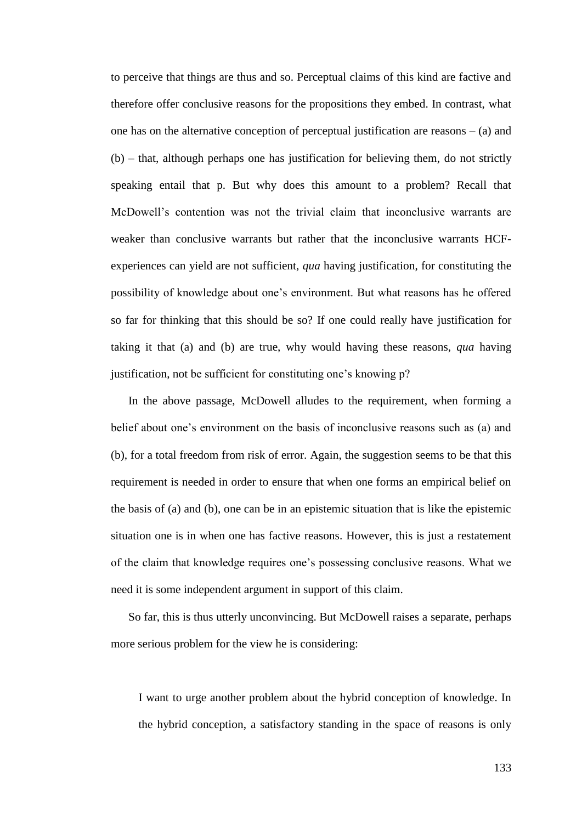to perceive that things are thus and so. Perceptual claims of this kind are factive and therefore offer conclusive reasons for the propositions they embed. In contrast, what one has on the alternative conception of perceptual justification are reasons  $-$  (a) and (b) – that, although perhaps one has justification for believing them, do not strictly speaking entail that p. But why does this amount to a problem? Recall that McDowell's contention was not the trivial claim that inconclusive warrants are weaker than conclusive warrants but rather that the inconclusive warrants HCFexperiences can yield are not sufficient, *qua* having justification, for constituting the possibility of knowledge about one's environment. But what reasons has he offered so far for thinking that this should be so? If one could really have justification for taking it that (a) and (b) are true, why would having these reasons, *qua* having justification, not be sufficient for constituting one's knowing p?

In the above passage, McDowell alludes to the requirement, when forming a belief about one's environment on the basis of inconclusive reasons such as (a) and (b), for a total freedom from risk of error. Again, the suggestion seems to be that this requirement is needed in order to ensure that when one forms an empirical belief on the basis of (a) and (b), one can be in an epistemic situation that is like the epistemic situation one is in when one has factive reasons. However, this is just a restatement of the claim that knowledge requires one's possessing conclusive reasons. What we need it is some independent argument in support of this claim.

So far, this is thus utterly unconvincing. But McDowell raises a separate, perhaps more serious problem for the view he is considering:

I want to urge another problem about the hybrid conception of knowledge. In the hybrid conception, a satisfactory standing in the space of reasons is only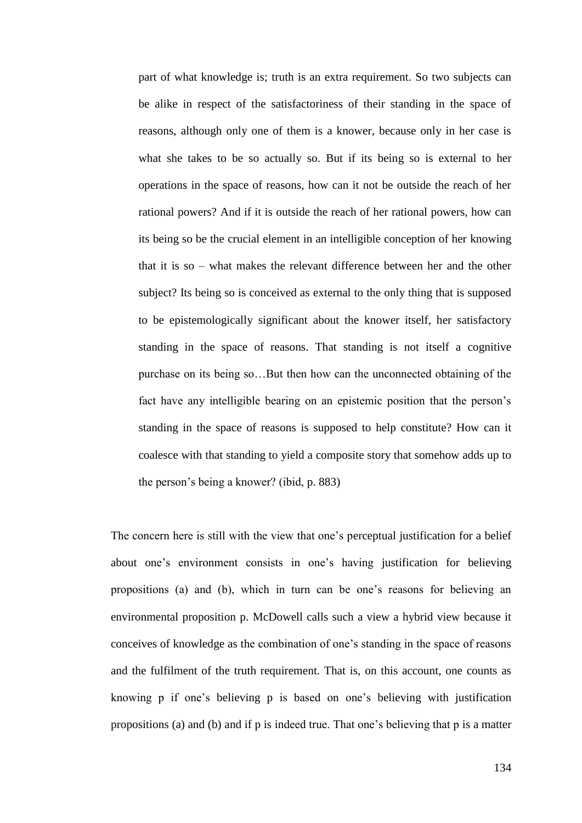part of what knowledge is; truth is an extra requirement. So two subjects can be alike in respect of the satisfactoriness of their standing in the space of reasons, although only one of them is a knower, because only in her case is what she takes to be so actually so. But if its being so is external to her operations in the space of reasons, how can it not be outside the reach of her rational powers? And if it is outside the reach of her rational powers, how can its being so be the crucial element in an intelligible conception of her knowing that it is so – what makes the relevant difference between her and the other subject? Its being so is conceived as external to the only thing that is supposed to be epistemologically significant about the knower itself, her satisfactory standing in the space of reasons. That standing is not itself a cognitive purchase on its being so…But then how can the unconnected obtaining of the fact have any intelligible bearing on an epistemic position that the person's standing in the space of reasons is supposed to help constitute? How can it coalesce with that standing to yield a composite story that somehow adds up to the person's being a knower? (ibid, p. 883)

The concern here is still with the view that one's perceptual justification for a belief about one's environment consists in one's having justification for believing propositions (a) and (b), which in turn can be one's reasons for believing an environmental proposition p. McDowell calls such a view a hybrid view because it conceives of knowledge as the combination of one's standing in the space of reasons and the fulfilment of the truth requirement. That is, on this account, one counts as knowing p if one's believing p is based on one's believing with justification propositions (a) and (b) and if p is indeed true. That one's believing that p is a matter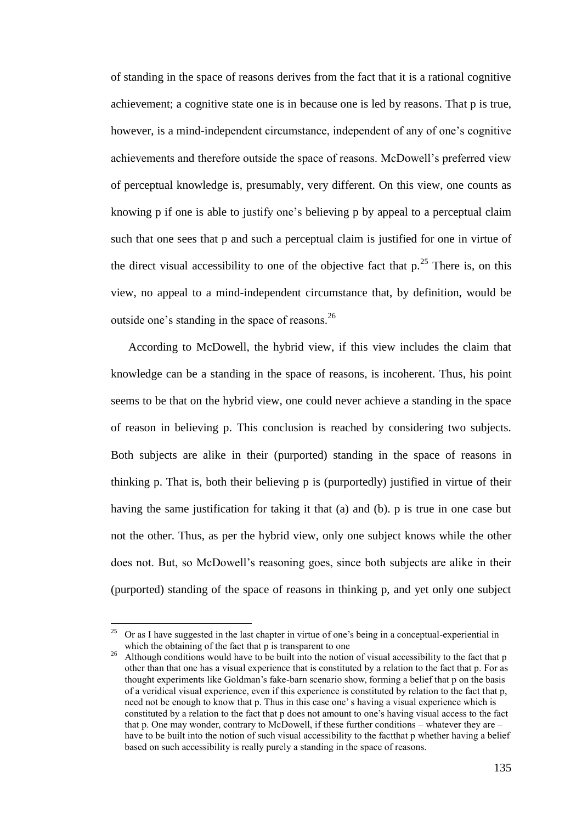of standing in the space of reasons derives from the fact that it is a rational cognitive achievement; a cognitive state one is in because one is led by reasons. That p is true, however, is a mind-independent circumstance, independent of any of one's cognitive achievements and therefore outside the space of reasons. McDowell's preferred view of perceptual knowledge is, presumably, very different. On this view, one counts as knowing p if one is able to justify one's believing p by appeal to a perceptual claim such that one sees that p and such a perceptual claim is justified for one in virtue of the direct visual accessibility to one of the objective fact that  $p^{25}$ . There is, on this view, no appeal to a mind-independent circumstance that, by definition, would be outside one's standing in the space of reasons.<sup>26</sup>

According to McDowell, the hybrid view, if this view includes the claim that knowledge can be a standing in the space of reasons, is incoherent. Thus, his point seems to be that on the hybrid view, one could never achieve a standing in the space of reason in believing p. This conclusion is reached by considering two subjects. Both subjects are alike in their (purported) standing in the space of reasons in thinking p. That is, both their believing p is (purportedly) justified in virtue of their having the same justification for taking it that (a) and (b). p is true in one case but not the other. Thus, as per the hybrid view, only one subject knows while the other does not. But, so McDowell's reasoning goes, since both subjects are alike in their (purported) standing of the space of reasons in thinking p, and yet only one subject

 $\overline{a}$ 

<sup>&</sup>lt;sup>25</sup> Or as I have suggested in the last chapter in virtue of one's being in a conceptual-experiential in which the obtaining of the fact that p is transparent to one

<sup>&</sup>lt;sup>26</sup> Although conditions would have to be built into the notion of visual accessibility to the fact that p other than that one has a visual experience that is constituted by a relation to the fact that p. For as thought experiments like Goldman's fake-barn scenario show, forming a belief that p on the basis of a veridical visual experience, even if this experience is constituted by relation to the fact that p, need not be enough to know that p. Thus in this case one' s having a visual experience which is constituted by a relation to the fact that p does not amount to one's having visual access to the fact that p. One may wonder, contrary to McDowell, if these further conditions – whatever they are – have to be built into the notion of such visual accessibility to the fact that p whether having a belief based on such accessibility is really purely a standing in the space of reasons.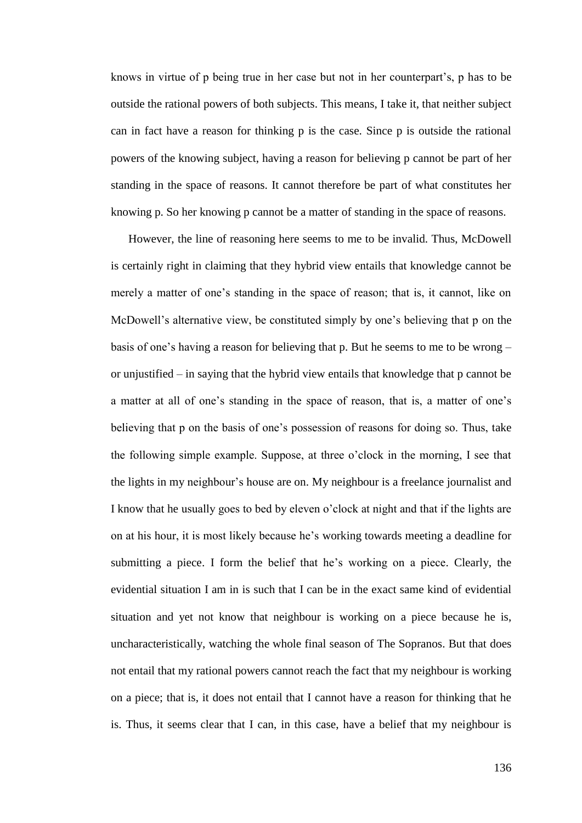knows in virtue of p being true in her case but not in her counterpart's, p has to be outside the rational powers of both subjects. This means, I take it, that neither subject can in fact have a reason for thinking p is the case. Since p is outside the rational powers of the knowing subject, having a reason for believing p cannot be part of her standing in the space of reasons. It cannot therefore be part of what constitutes her knowing p. So her knowing p cannot be a matter of standing in the space of reasons.

However, the line of reasoning here seems to me to be invalid. Thus, McDowell is certainly right in claiming that they hybrid view entails that knowledge cannot be merely a matter of one's standing in the space of reason; that is, it cannot, like on McDowell's alternative view, be constituted simply by one's believing that p on the basis of one's having a reason for believing that p. But he seems to me to be wrong – or unjustified – in saying that the hybrid view entails that knowledge that p cannot be a matter at all of one's standing in the space of reason, that is, a matter of one's believing that p on the basis of one's possession of reasons for doing so. Thus, take the following simple example. Suppose, at three o'clock in the morning, I see that the lights in my neighbour's house are on. My neighbour is a freelance journalist and I know that he usually goes to bed by eleven o'clock at night and that if the lights are on at his hour, it is most likely because he's working towards meeting a deadline for submitting a piece. I form the belief that he's working on a piece. Clearly, the evidential situation I am in is such that I can be in the exact same kind of evidential situation and yet not know that neighbour is working on a piece because he is, uncharacteristically, watching the whole final season of The Sopranos. But that does not entail that my rational powers cannot reach the fact that my neighbour is working on a piece; that is, it does not entail that I cannot have a reason for thinking that he is. Thus, it seems clear that I can, in this case, have a belief that my neighbour is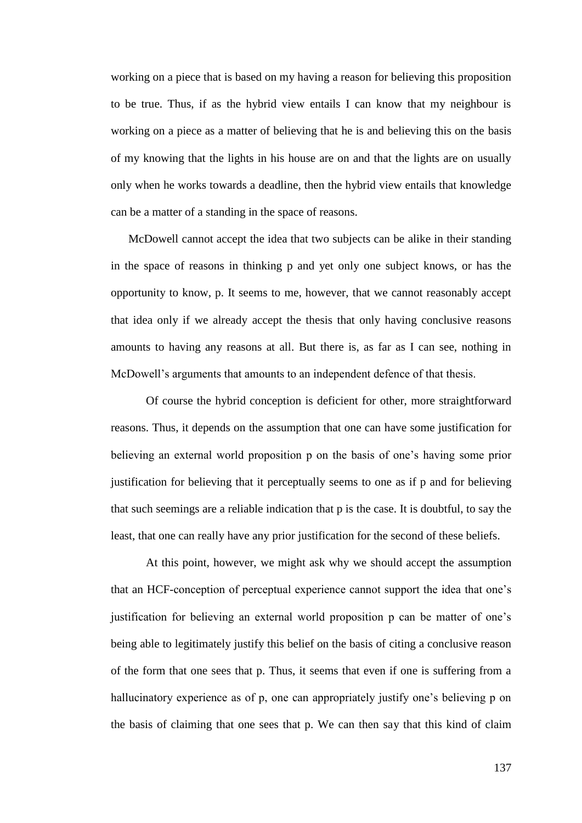working on a piece that is based on my having a reason for believing this proposition to be true. Thus, if as the hybrid view entails I can know that my neighbour is working on a piece as a matter of believing that he is and believing this on the basis of my knowing that the lights in his house are on and that the lights are on usually only when he works towards a deadline, then the hybrid view entails that knowledge can be a matter of a standing in the space of reasons.

McDowell cannot accept the idea that two subjects can be alike in their standing in the space of reasons in thinking p and yet only one subject knows, or has the opportunity to know, p. It seems to me, however, that we cannot reasonably accept that idea only if we already accept the thesis that only having conclusive reasons amounts to having any reasons at all. But there is, as far as I can see, nothing in McDowell's arguments that amounts to an independent defence of that thesis.

Of course the hybrid conception is deficient for other, more straightforward reasons. Thus, it depends on the assumption that one can have some justification for believing an external world proposition p on the basis of one's having some prior justification for believing that it perceptually seems to one as if p and for believing that such seemings are a reliable indication that p is the case. It is doubtful, to say the least, that one can really have any prior justification for the second of these beliefs.

At this point, however, we might ask why we should accept the assumption that an HCF-conception of perceptual experience cannot support the idea that one's justification for believing an external world proposition p can be matter of one's being able to legitimately justify this belief on the basis of citing a conclusive reason of the form that one sees that p. Thus, it seems that even if one is suffering from a hallucinatory experience as of p, one can appropriately justify one's believing p on the basis of claiming that one sees that p. We can then say that this kind of claim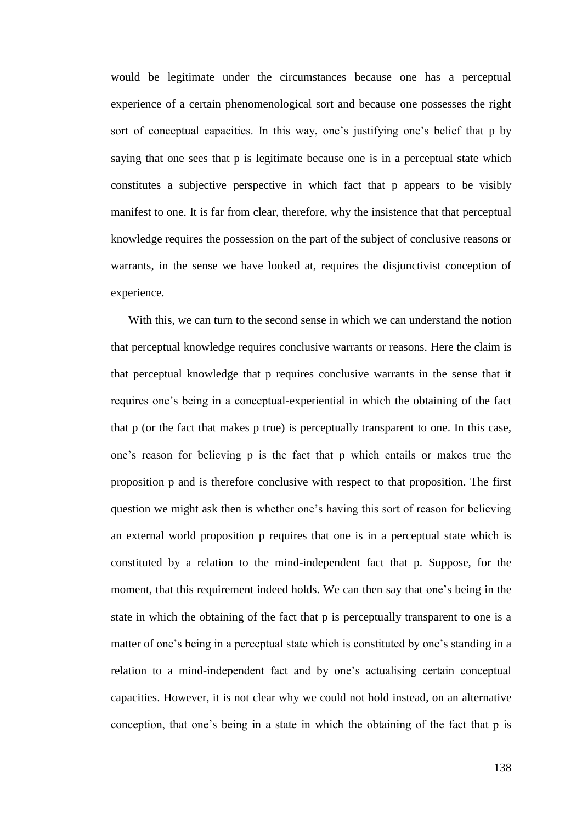would be legitimate under the circumstances because one has a perceptual experience of a certain phenomenological sort and because one possesses the right sort of conceptual capacities. In this way, one's justifying one's belief that p by saying that one sees that p is legitimate because one is in a perceptual state which constitutes a subjective perspective in which fact that p appears to be visibly manifest to one. It is far from clear, therefore, why the insistence that that perceptual knowledge requires the possession on the part of the subject of conclusive reasons or warrants, in the sense we have looked at, requires the disjunctivist conception of experience.

With this, we can turn to the second sense in which we can understand the notion that perceptual knowledge requires conclusive warrants or reasons. Here the claim is that perceptual knowledge that p requires conclusive warrants in the sense that it requires one's being in a conceptual-experiential in which the obtaining of the fact that p (or the fact that makes p true) is perceptually transparent to one. In this case, one's reason for believing p is the fact that p which entails or makes true the proposition p and is therefore conclusive with respect to that proposition. The first question we might ask then is whether one's having this sort of reason for believing an external world proposition p requires that one is in a perceptual state which is constituted by a relation to the mind-independent fact that p. Suppose, for the moment, that this requirement indeed holds. We can then say that one's being in the state in which the obtaining of the fact that p is perceptually transparent to one is a matter of one's being in a perceptual state which is constituted by one's standing in a relation to a mind-independent fact and by one's actualising certain conceptual capacities. However, it is not clear why we could not hold instead, on an alternative conception, that one's being in a state in which the obtaining of the fact that p is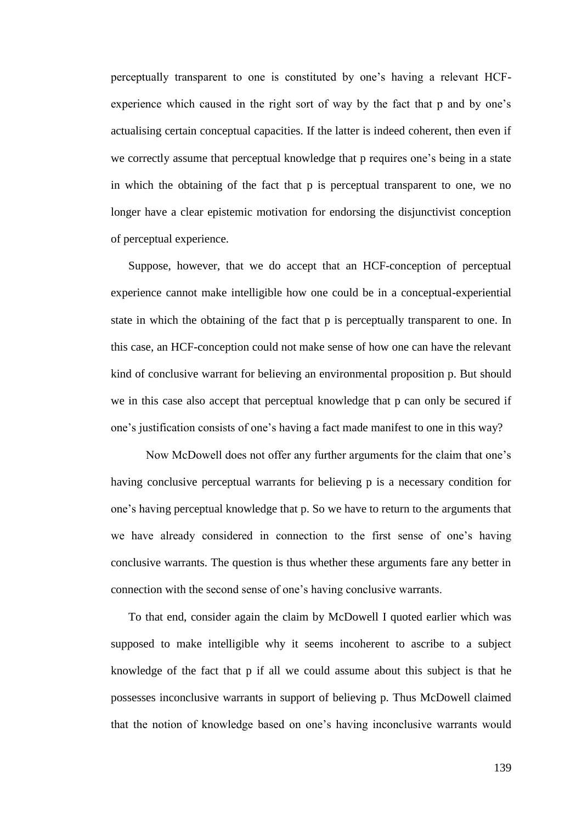perceptually transparent to one is constituted by one's having a relevant HCFexperience which caused in the right sort of way by the fact that p and by one's actualising certain conceptual capacities. If the latter is indeed coherent, then even if we correctly assume that perceptual knowledge that p requires one's being in a state in which the obtaining of the fact that p is perceptual transparent to one, we no longer have a clear epistemic motivation for endorsing the disjunctivist conception of perceptual experience.

Suppose, however, that we do accept that an HCF-conception of perceptual experience cannot make intelligible how one could be in a conceptual-experiential state in which the obtaining of the fact that p is perceptually transparent to one. In this case, an HCF-conception could not make sense of how one can have the relevant kind of conclusive warrant for believing an environmental proposition p. But should we in this case also accept that perceptual knowledge that p can only be secured if one's justification consists of one's having a fact made manifest to one in this way?

Now McDowell does not offer any further arguments for the claim that one's having conclusive perceptual warrants for believing p is a necessary condition for one's having perceptual knowledge that p. So we have to return to the arguments that we have already considered in connection to the first sense of one's having conclusive warrants. The question is thus whether these arguments fare any better in connection with the second sense of one's having conclusive warrants.

To that end, consider again the claim by McDowell I quoted earlier which was supposed to make intelligible why it seems incoherent to ascribe to a subject knowledge of the fact that p if all we could assume about this subject is that he possesses inconclusive warrants in support of believing p. Thus McDowell claimed that the notion of knowledge based on one's having inconclusive warrants would

139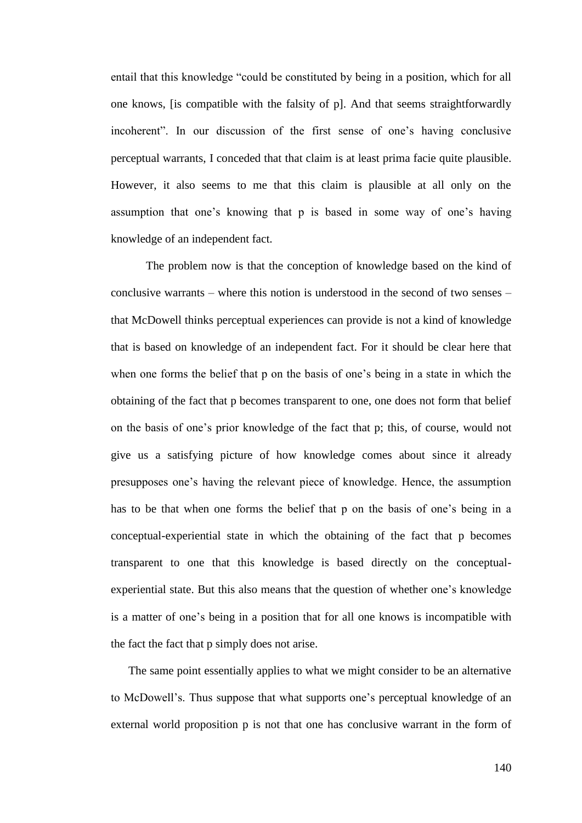entail that this knowledge "could be constituted by being in a position, which for all one knows, [is compatible with the falsity of p]. And that seems straightforwardly incoherent". In our discussion of the first sense of one's having conclusive perceptual warrants, I conceded that that claim is at least prima facie quite plausible. However, it also seems to me that this claim is plausible at all only on the assumption that one's knowing that p is based in some way of one's having knowledge of an independent fact.

The problem now is that the conception of knowledge based on the kind of conclusive warrants – where this notion is understood in the second of two senses – that McDowell thinks perceptual experiences can provide is not a kind of knowledge that is based on knowledge of an independent fact. For it should be clear here that when one forms the belief that p on the basis of one's being in a state in which the obtaining of the fact that p becomes transparent to one, one does not form that belief on the basis of one's prior knowledge of the fact that p; this, of course, would not give us a satisfying picture of how knowledge comes about since it already presupposes one's having the relevant piece of knowledge. Hence, the assumption has to be that when one forms the belief that p on the basis of one's being in a conceptual-experiential state in which the obtaining of the fact that p becomes transparent to one that this knowledge is based directly on the conceptualexperiential state. But this also means that the question of whether one's knowledge is a matter of one's being in a position that for all one knows is incompatible with the fact the fact that p simply does not arise.

The same point essentially applies to what we might consider to be an alternative to McDowell's. Thus suppose that what supports one's perceptual knowledge of an external world proposition p is not that one has conclusive warrant in the form of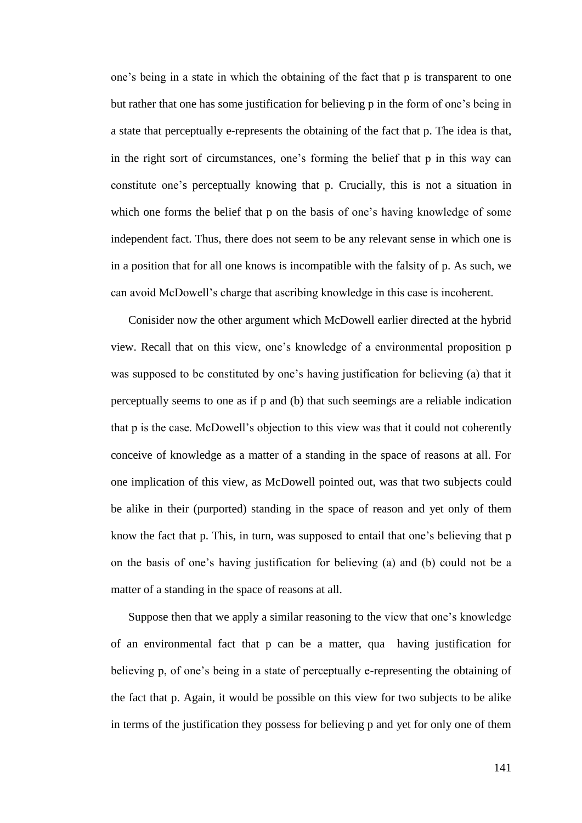one's being in a state in which the obtaining of the fact that p is transparent to one but rather that one has some justification for believing p in the form of one's being in a state that perceptually e-represents the obtaining of the fact that p. The idea is that, in the right sort of circumstances, one's forming the belief that p in this way can constitute one's perceptually knowing that p. Crucially, this is not a situation in which one forms the belief that p on the basis of one's having knowledge of some independent fact. Thus, there does not seem to be any relevant sense in which one is in a position that for all one knows is incompatible with the falsity of p. As such, we can avoid McDowell's charge that ascribing knowledge in this case is incoherent.

Conisider now the other argument which McDowell earlier directed at the hybrid view. Recall that on this view, one's knowledge of a environmental proposition p was supposed to be constituted by one's having justification for believing (a) that it perceptually seems to one as if p and (b) that such seemings are a reliable indication that p is the case. McDowell's objection to this view was that it could not coherently conceive of knowledge as a matter of a standing in the space of reasons at all. For one implication of this view, as McDowell pointed out, was that two subjects could be alike in their (purported) standing in the space of reason and yet only of them know the fact that p. This, in turn, was supposed to entail that one's believing that p on the basis of one's having justification for believing (a) and (b) could not be a matter of a standing in the space of reasons at all.

Suppose then that we apply a similar reasoning to the view that one's knowledge of an environmental fact that p can be a matter, qua having justification for believing p, of one's being in a state of perceptually e-representing the obtaining of the fact that p. Again, it would be possible on this view for two subjects to be alike in terms of the justification they possess for believing p and yet for only one of them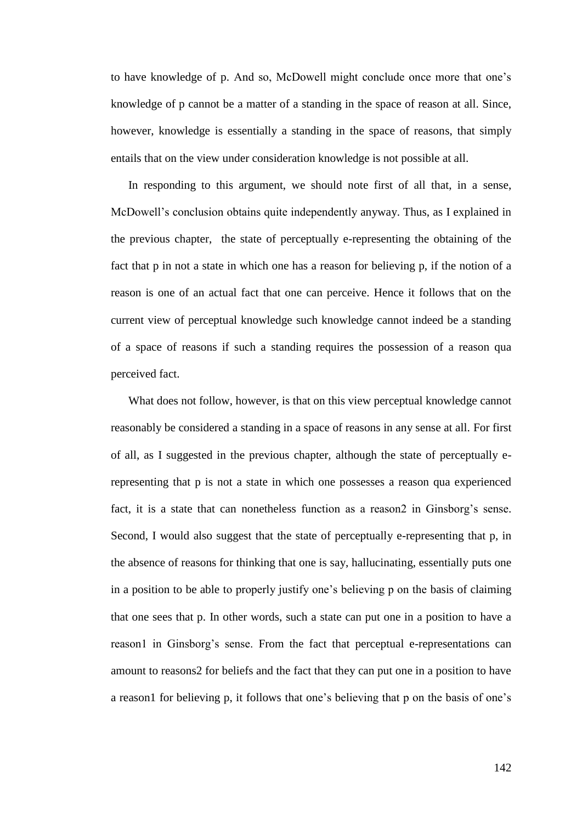to have knowledge of p. And so, McDowell might conclude once more that one's knowledge of p cannot be a matter of a standing in the space of reason at all. Since, however, knowledge is essentially a standing in the space of reasons, that simply entails that on the view under consideration knowledge is not possible at all.

In responding to this argument, we should note first of all that, in a sense, McDowell's conclusion obtains quite independently anyway. Thus, as I explained in the previous chapter, the state of perceptually e-representing the obtaining of the fact that p in not a state in which one has a reason for believing p, if the notion of a reason is one of an actual fact that one can perceive. Hence it follows that on the current view of perceptual knowledge such knowledge cannot indeed be a standing of a space of reasons if such a standing requires the possession of a reason qua perceived fact.

What does not follow, however, is that on this view perceptual knowledge cannot reasonably be considered a standing in a space of reasons in any sense at all. For first of all, as I suggested in the previous chapter, although the state of perceptually erepresenting that p is not a state in which one possesses a reason qua experienced fact, it is a state that can nonetheless function as a reason2 in Ginsborg's sense. Second, I would also suggest that the state of perceptually e-representing that p, in the absence of reasons for thinking that one is say, hallucinating, essentially puts one in a position to be able to properly justify one's believing p on the basis of claiming that one sees that p. In other words, such a state can put one in a position to have a reason1 in Ginsborg's sense. From the fact that perceptual e-representations can amount to reasons2 for beliefs and the fact that they can put one in a position to have a reason1 for believing p, it follows that one's believing that p on the basis of one's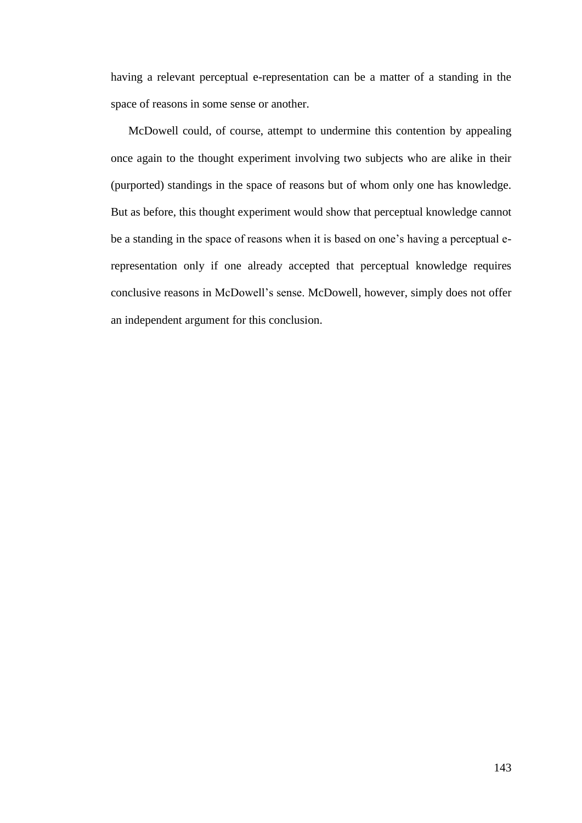having a relevant perceptual e-representation can be a matter of a standing in the space of reasons in some sense or another.

McDowell could, of course, attempt to undermine this contention by appealing once again to the thought experiment involving two subjects who are alike in their (purported) standings in the space of reasons but of whom only one has knowledge. But as before, this thought experiment would show that perceptual knowledge cannot be a standing in the space of reasons when it is based on one's having a perceptual erepresentation only if one already accepted that perceptual knowledge requires conclusive reasons in McDowell's sense. McDowell, however, simply does not offer an independent argument for this conclusion.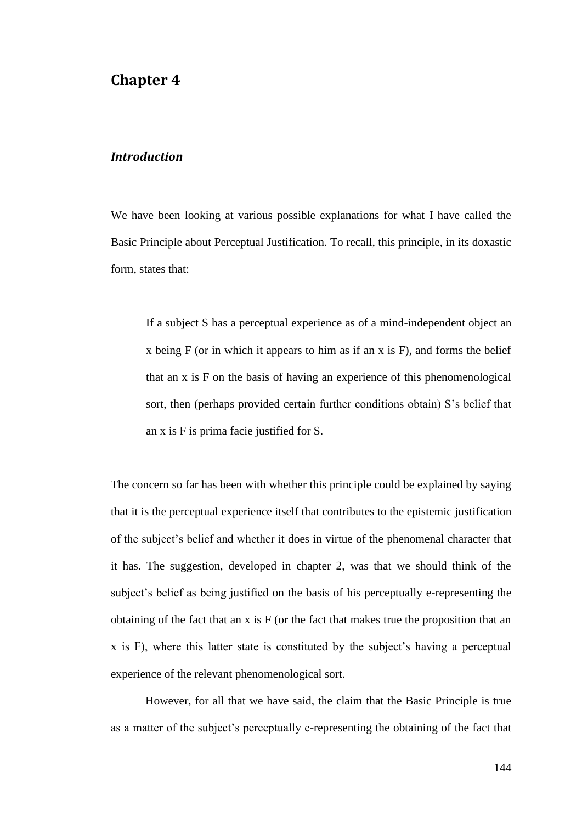# **Chapter 4**

#### *Introduction*

We have been looking at various possible explanations for what I have called the Basic Principle about Perceptual Justification. To recall, this principle, in its doxastic form, states that:

If a subject S has a perceptual experience as of a mind-independent object an x being  $F$  (or in which it appears to him as if an x is  $F$ ), and forms the belief that an x is F on the basis of having an experience of this phenomenological sort, then (perhaps provided certain further conditions obtain) S's belief that an x is F is prima facie justified for S.

The concern so far has been with whether this principle could be explained by saying that it is the perceptual experience itself that contributes to the epistemic justification of the subject's belief and whether it does in virtue of the phenomenal character that it has. The suggestion, developed in chapter 2, was that we should think of the subject's belief as being justified on the basis of his perceptually e-representing the obtaining of the fact that an x is F (or the fact that makes true the proposition that an x is F), where this latter state is constituted by the subject's having a perceptual experience of the relevant phenomenological sort.

However, for all that we have said, the claim that the Basic Principle is true as a matter of the subject's perceptually e-representing the obtaining of the fact that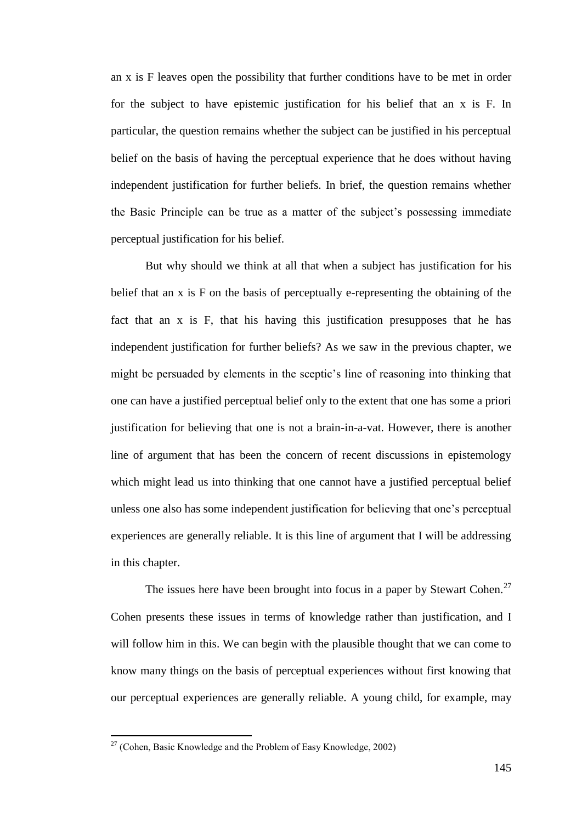an x is F leaves open the possibility that further conditions have to be met in order for the subject to have epistemic justification for his belief that an x is F. In particular, the question remains whether the subject can be justified in his perceptual belief on the basis of having the perceptual experience that he does without having independent justification for further beliefs. In brief, the question remains whether the Basic Principle can be true as a matter of the subject's possessing immediate perceptual justification for his belief.

But why should we think at all that when a subject has justification for his belief that an x is F on the basis of perceptually e-representing the obtaining of the fact that an x is F, that his having this justification presupposes that he has independent justification for further beliefs? As we saw in the previous chapter, we might be persuaded by elements in the sceptic's line of reasoning into thinking that one can have a justified perceptual belief only to the extent that one has some a priori justification for believing that one is not a brain-in-a-vat. However, there is another line of argument that has been the concern of recent discussions in epistemology which might lead us into thinking that one cannot have a justified perceptual belief unless one also has some independent justification for believing that one's perceptual experiences are generally reliable. It is this line of argument that I will be addressing in this chapter.

The issues here have been brought into focus in a paper by Stewart Cohen.<sup>27</sup> Cohen presents these issues in terms of knowledge rather than justification, and I will follow him in this. We can begin with the plausible thought that we can come to know many things on the basis of perceptual experiences without first knowing that our perceptual experiences are generally reliable. A young child, for example, may

 $27$  (Cohen, Basic Knowledge and the Problem of Easy Knowledge, 2002)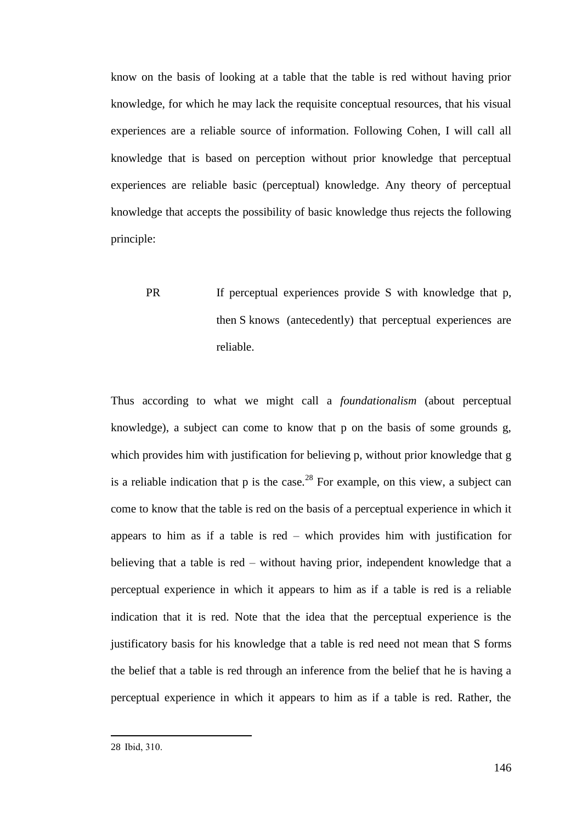know on the basis of looking at a table that the table is red without having prior knowledge, for which he may lack the requisite conceptual resources, that his visual experiences are a reliable source of information. Following Cohen, I will call all knowledge that is based on perception without prior knowledge that perceptual experiences are reliable basic (perceptual) knowledge. Any theory of perceptual knowledge that accepts the possibility of basic knowledge thus rejects the following principle:

PR If perceptual experiences provide S with knowledge that p, then S knows (antecedently) that perceptual experiences are reliable.

Thus according to what we might call a *foundationalism* (about perceptual knowledge), a subject can come to know that p on the basis of some grounds g, which provides him with justification for believing p, without prior knowledge that g is a reliable indication that p is the case.<sup>28</sup> For example, on this view, a subject can come to know that the table is red on the basis of a perceptual experience in which it appears to him as if a table is red – which provides him with justification for believing that a table is red – without having prior, independent knowledge that a perceptual experience in which it appears to him as if a table is red is a reliable indication that it is red. Note that the idea that the perceptual experience is the justificatory basis for his knowledge that a table is red need not mean that S forms the belief that a table is red through an inference from the belief that he is having a perceptual experience in which it appears to him as if a table is red. Rather, the

<sup>28</sup> Ibid, 310.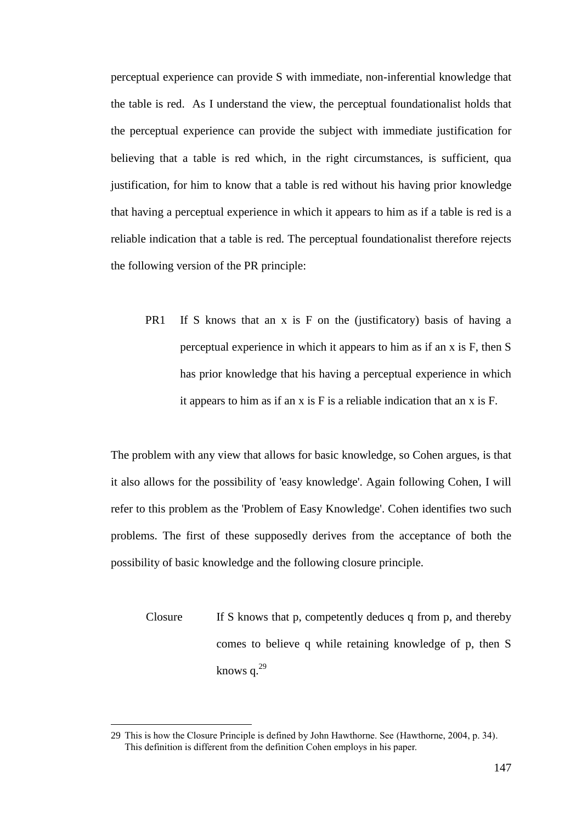perceptual experience can provide S with immediate, non-inferential knowledge that the table is red. As I understand the view, the perceptual foundationalist holds that the perceptual experience can provide the subject with immediate justification for believing that a table is red which, in the right circumstances, is sufficient, qua justification, for him to know that a table is red without his having prior knowledge that having a perceptual experience in which it appears to him as if a table is red is a reliable indication that a table is red. The perceptual foundationalist therefore rejects the following version of the PR principle:

PR1 If S knows that an x is F on the (justificatory) basis of having a perceptual experience in which it appears to him as if an x is F, then S has prior knowledge that his having a perceptual experience in which it appears to him as if an x is F is a reliable indication that an x is F.

The problem with any view that allows for basic knowledge, so Cohen argues, is that it also allows for the possibility of 'easy knowledge'. Again following Cohen, I will refer to this problem as the 'Problem of Easy Knowledge'. Cohen identifies two such problems. The first of these supposedly derives from the acceptance of both the possibility of basic knowledge and the following closure principle.

Closure If S knows that p, competently deduces q from p, and thereby comes to believe q while retaining knowledge of p, then S knows  $a^{29}$ 

<sup>29</sup> This is how the Closure Principle is defined by John Hawthorne. See (Hawthorne, 2004, p. 34). This definition is different from the definition Cohen employs in his paper.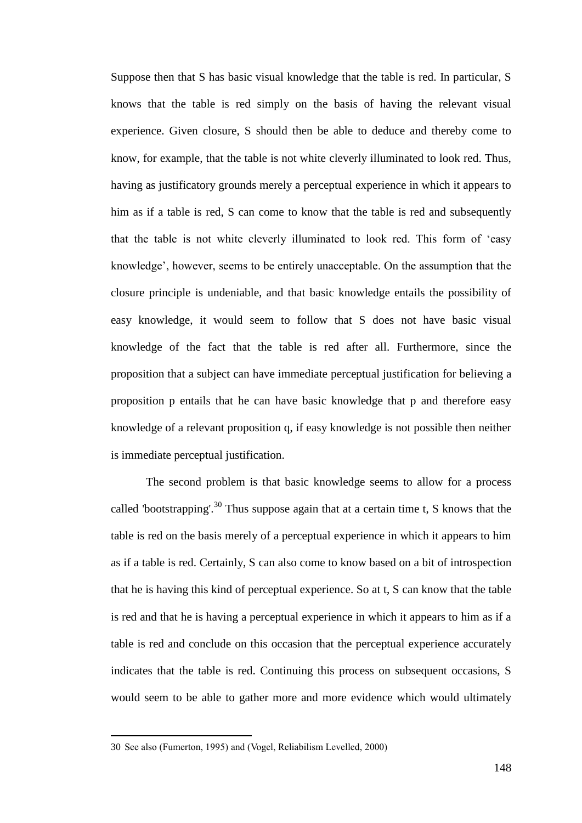Suppose then that S has basic visual knowledge that the table is red. In particular, S knows that the table is red simply on the basis of having the relevant visual experience. Given closure, S should then be able to deduce and thereby come to know, for example, that the table is not white cleverly illuminated to look red. Thus, having as justificatory grounds merely a perceptual experience in which it appears to him as if a table is red, S can come to know that the table is red and subsequently that the table is not white cleverly illuminated to look red. This form of 'easy knowledge', however, seems to be entirely unacceptable. On the assumption that the closure principle is undeniable, and that basic knowledge entails the possibility of easy knowledge, it would seem to follow that S does not have basic visual knowledge of the fact that the table is red after all. Furthermore, since the proposition that a subject can have immediate perceptual justification for believing a proposition p entails that he can have basic knowledge that p and therefore easy knowledge of a relevant proposition q, if easy knowledge is not possible then neither is immediate perceptual justification.

The second problem is that basic knowledge seems to allow for a process called 'bootstrapping'.<sup>30</sup> Thus suppose again that at a certain time t, S knows that the table is red on the basis merely of a perceptual experience in which it appears to him as if a table is red. Certainly, S can also come to know based on a bit of introspection that he is having this kind of perceptual experience. So at t, S can know that the table is red and that he is having a perceptual experience in which it appears to him as if a table is red and conclude on this occasion that the perceptual experience accurately indicates that the table is red. Continuing this process on subsequent occasions, S would seem to be able to gather more and more evidence which would ultimately

<sup>30</sup> See also (Fumerton, 1995) and (Vogel, Reliabilism Levelled, 2000)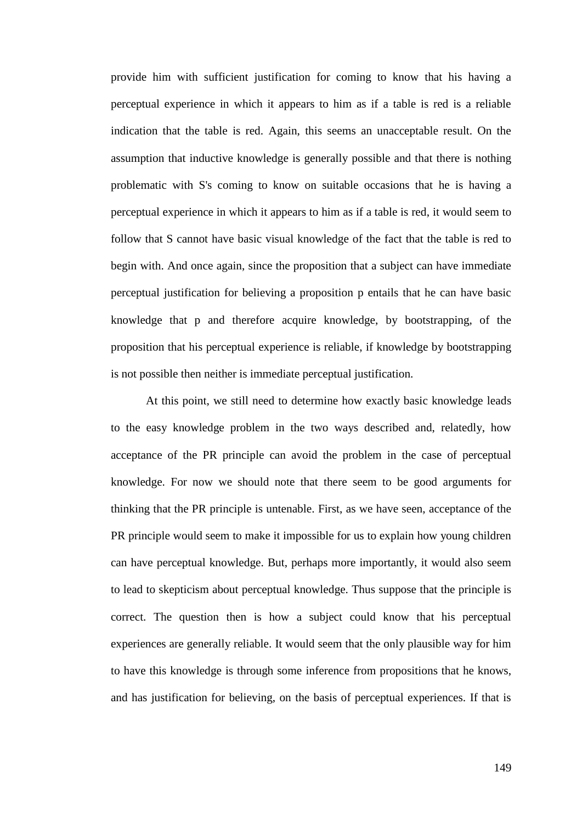provide him with sufficient justification for coming to know that his having a perceptual experience in which it appears to him as if a table is red is a reliable indication that the table is red. Again, this seems an unacceptable result. On the assumption that inductive knowledge is generally possible and that there is nothing problematic with S's coming to know on suitable occasions that he is having a perceptual experience in which it appears to him as if a table is red, it would seem to follow that S cannot have basic visual knowledge of the fact that the table is red to begin with. And once again, since the proposition that a subject can have immediate perceptual justification for believing a proposition p entails that he can have basic knowledge that p and therefore acquire knowledge, by bootstrapping, of the proposition that his perceptual experience is reliable, if knowledge by bootstrapping is not possible then neither is immediate perceptual justification.

At this point, we still need to determine how exactly basic knowledge leads to the easy knowledge problem in the two ways described and, relatedly, how acceptance of the PR principle can avoid the problem in the case of perceptual knowledge. For now we should note that there seem to be good arguments for thinking that the PR principle is untenable. First, as we have seen, acceptance of the PR principle would seem to make it impossible for us to explain how young children can have perceptual knowledge. But, perhaps more importantly, it would also seem to lead to skepticism about perceptual knowledge. Thus suppose that the principle is correct. The question then is how a subject could know that his perceptual experiences are generally reliable. It would seem that the only plausible way for him to have this knowledge is through some inference from propositions that he knows, and has justification for believing, on the basis of perceptual experiences. If that is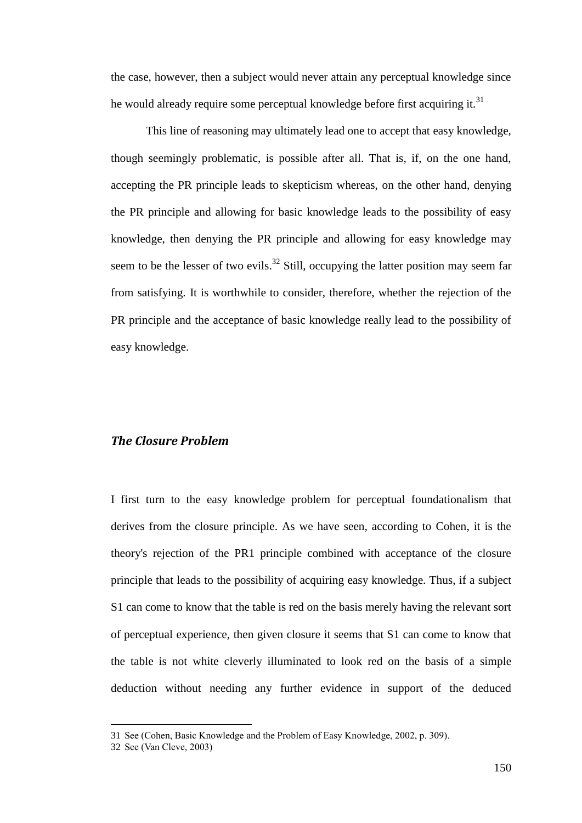the case, however, then a subject would never attain any perceptual knowledge since he would already require some perceptual knowledge before first acquiring it.<sup>31</sup>

This line of reasoning may ultimately lead one to accept that easy knowledge, though seemingly problematic, is possible after all. That is, if, on the one hand, accepting the PR principle leads to skepticism whereas, on the other hand, denying the PR principle and allowing for basic knowledge leads to the possibility of easy knowledge, then denying the PR principle and allowing for easy knowledge may seem to be the lesser of two evils.<sup>32</sup> Still, occupying the latter position may seem far from satisfying. It is worthwhile to consider, therefore, whether the rejection of the PR principle and the acceptance of basic knowledge really lead to the possibility of easy knowledge.

### *The Closure Problem*

I first turn to the easy knowledge problem for perceptual foundationalism that derives from the closure principle. As we have seen, according to Cohen, it is the theory's rejection of the PR1 principle combined with acceptance of the closure principle that leads to the possibility of acquiring easy knowledge. Thus, if a subject S1 can come to know that the table is red on the basis merely having the relevant sort of perceptual experience, then given closure it seems that S1 can come to know that the table is not white cleverly illuminated to look red on the basis of a simple deduction without needing any further evidence in support of the deduced

<sup>31</sup> See (Cohen, Basic Knowledge and the Problem of Easy Knowledge, 2002, p. 309).

<sup>32</sup> See (Van Cleve, 2003)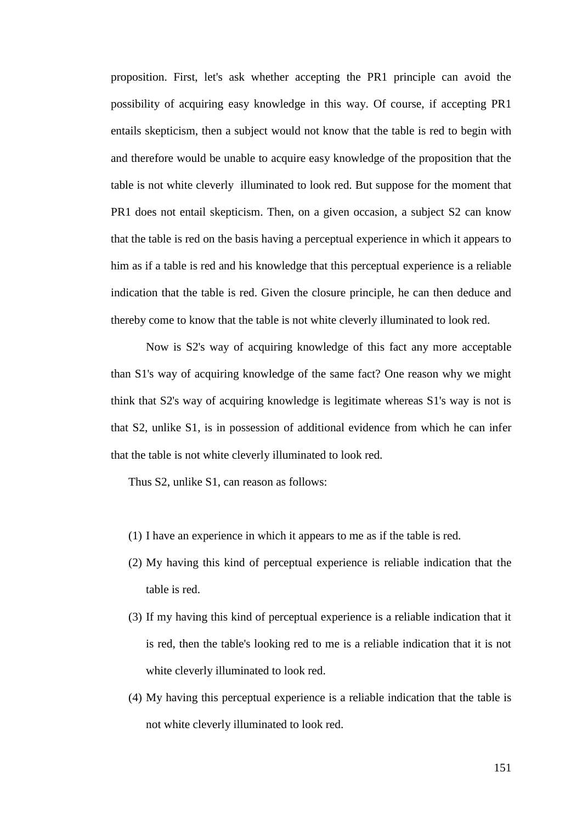proposition. First, let's ask whether accepting the PR1 principle can avoid the possibility of acquiring easy knowledge in this way. Of course, if accepting PR1 entails skepticism, then a subject would not know that the table is red to begin with and therefore would be unable to acquire easy knowledge of the proposition that the table is not white cleverly illuminated to look red. But suppose for the moment that PR1 does not entail skepticism. Then, on a given occasion, a subject S2 can know that the table is red on the basis having a perceptual experience in which it appears to him as if a table is red and his knowledge that this perceptual experience is a reliable indication that the table is red. Given the closure principle, he can then deduce and thereby come to know that the table is not white cleverly illuminated to look red.

Now is S2's way of acquiring knowledge of this fact any more acceptable than S1's way of acquiring knowledge of the same fact? One reason why we might think that S2's way of acquiring knowledge is legitimate whereas S1's way is not is that S2, unlike S1, is in possession of additional evidence from which he can infer that the table is not white cleverly illuminated to look red.

Thus S2, unlike S1, can reason as follows:

- (1) I have an experience in which it appears to me as if the table is red.
- (2) My having this kind of perceptual experience is reliable indication that the table is red.
- (3) If my having this kind of perceptual experience is a reliable indication that it is red, then the table's looking red to me is a reliable indication that it is not white cleverly illuminated to look red.
- (4) My having this perceptual experience is a reliable indication that the table is not white cleverly illuminated to look red.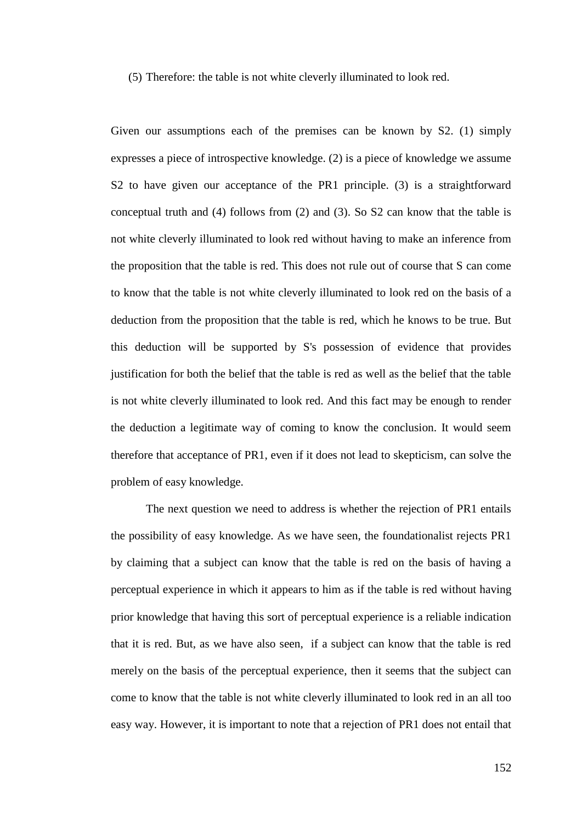(5) Therefore: the table is not white cleverly illuminated to look red.

Given our assumptions each of the premises can be known by S2. (1) simply expresses a piece of introspective knowledge. (2) is a piece of knowledge we assume S2 to have given our acceptance of the PR1 principle. (3) is a straightforward conceptual truth and (4) follows from (2) and (3). So S2 can know that the table is not white cleverly illuminated to look red without having to make an inference from the proposition that the table is red. This does not rule out of course that S can come to know that the table is not white cleverly illuminated to look red on the basis of a deduction from the proposition that the table is red, which he knows to be true. But this deduction will be supported by S's possession of evidence that provides justification for both the belief that the table is red as well as the belief that the table is not white cleverly illuminated to look red. And this fact may be enough to render the deduction a legitimate way of coming to know the conclusion. It would seem therefore that acceptance of PR1, even if it does not lead to skepticism, can solve the problem of easy knowledge.

The next question we need to address is whether the rejection of PR1 entails the possibility of easy knowledge. As we have seen, the foundationalist rejects PR1 by claiming that a subject can know that the table is red on the basis of having a perceptual experience in which it appears to him as if the table is red without having prior knowledge that having this sort of perceptual experience is a reliable indication that it is red. But, as we have also seen, if a subject can know that the table is red merely on the basis of the perceptual experience, then it seems that the subject can come to know that the table is not white cleverly illuminated to look red in an all too easy way. However, it is important to note that a rejection of PR1 does not entail that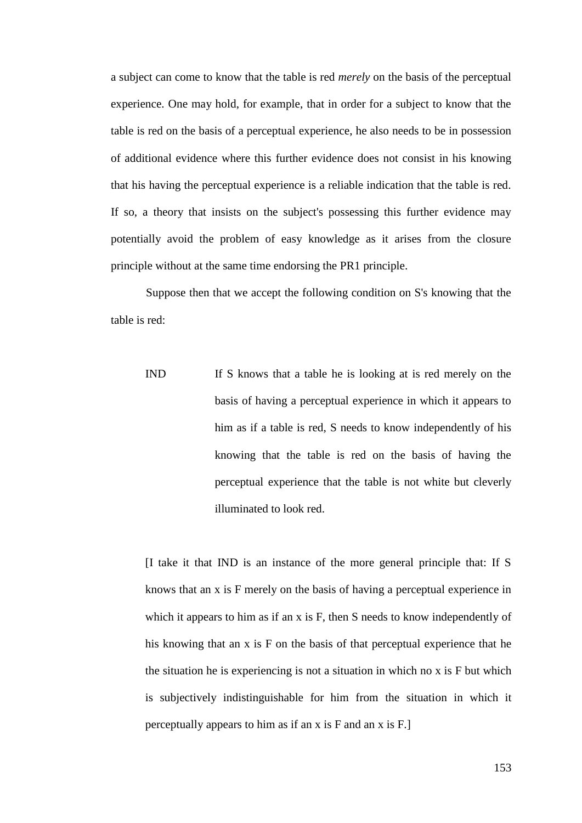a subject can come to know that the table is red *merely* on the basis of the perceptual experience. One may hold, for example, that in order for a subject to know that the table is red on the basis of a perceptual experience, he also needs to be in possession of additional evidence where this further evidence does not consist in his knowing that his having the perceptual experience is a reliable indication that the table is red. If so, a theory that insists on the subject's possessing this further evidence may potentially avoid the problem of easy knowledge as it arises from the closure principle without at the same time endorsing the PR1 principle.

Suppose then that we accept the following condition on S's knowing that the table is red:

IND If S knows that a table he is looking at is red merely on the basis of having a perceptual experience in which it appears to him as if a table is red, S needs to know independently of his knowing that the table is red on the basis of having the perceptual experience that the table is not white but cleverly illuminated to look red.

[I take it that IND is an instance of the more general principle that: If S knows that an x is F merely on the basis of having a perceptual experience in which it appears to him as if an x is F, then S needs to know independently of his knowing that an x is F on the basis of that perceptual experience that he the situation he is experiencing is not a situation in which no x is F but which is subjectively indistinguishable for him from the situation in which it perceptually appears to him as if an x is F and an x is F.]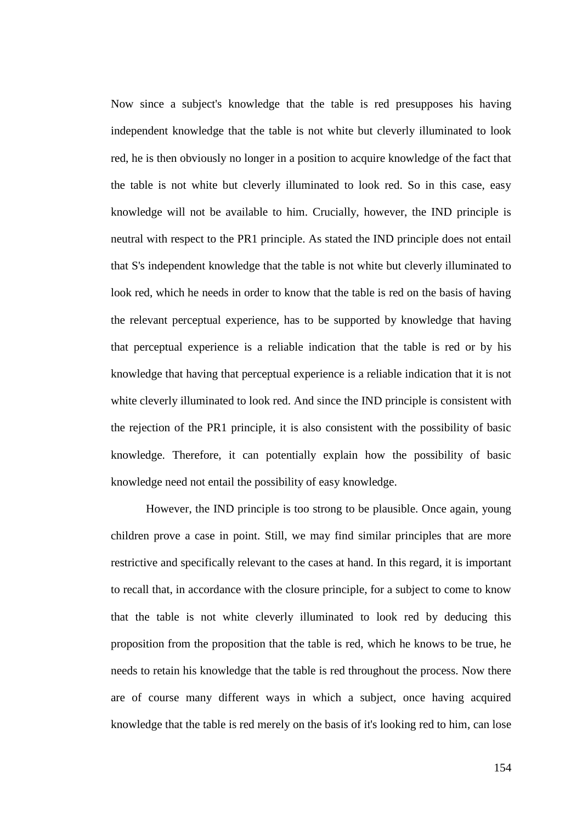Now since a subject's knowledge that the table is red presupposes his having independent knowledge that the table is not white but cleverly illuminated to look red, he is then obviously no longer in a position to acquire knowledge of the fact that the table is not white but cleverly illuminated to look red. So in this case, easy knowledge will not be available to him. Crucially, however, the IND principle is neutral with respect to the PR1 principle. As stated the IND principle does not entail that S's independent knowledge that the table is not white but cleverly illuminated to look red, which he needs in order to know that the table is red on the basis of having the relevant perceptual experience, has to be supported by knowledge that having that perceptual experience is a reliable indication that the table is red or by his knowledge that having that perceptual experience is a reliable indication that it is not white cleverly illuminated to look red. And since the IND principle is consistent with the rejection of the PR1 principle, it is also consistent with the possibility of basic knowledge. Therefore, it can potentially explain how the possibility of basic knowledge need not entail the possibility of easy knowledge.

However, the IND principle is too strong to be plausible. Once again, young children prove a case in point. Still, we may find similar principles that are more restrictive and specifically relevant to the cases at hand. In this regard, it is important to recall that, in accordance with the closure principle, for a subject to come to know that the table is not white cleverly illuminated to look red by deducing this proposition from the proposition that the table is red, which he knows to be true, he needs to retain his knowledge that the table is red throughout the process. Now there are of course many different ways in which a subject, once having acquired knowledge that the table is red merely on the basis of it's looking red to him, can lose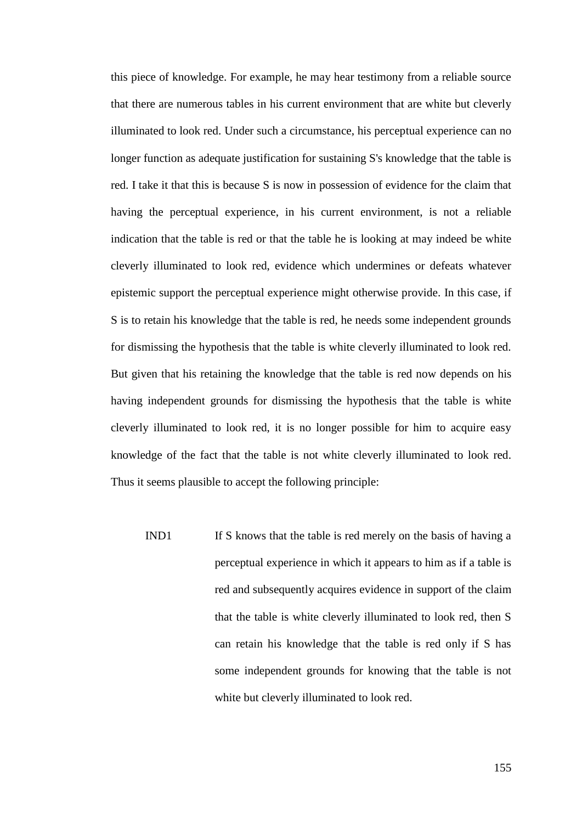this piece of knowledge. For example, he may hear testimony from a reliable source that there are numerous tables in his current environment that are white but cleverly illuminated to look red. Under such a circumstance, his perceptual experience can no longer function as adequate justification for sustaining S's knowledge that the table is red. I take it that this is because S is now in possession of evidence for the claim that having the perceptual experience, in his current environment, is not a reliable indication that the table is red or that the table he is looking at may indeed be white cleverly illuminated to look red, evidence which undermines or defeats whatever epistemic support the perceptual experience might otherwise provide. In this case, if S is to retain his knowledge that the table is red, he needs some independent grounds for dismissing the hypothesis that the table is white cleverly illuminated to look red. But given that his retaining the knowledge that the table is red now depends on his having independent grounds for dismissing the hypothesis that the table is white cleverly illuminated to look red, it is no longer possible for him to acquire easy knowledge of the fact that the table is not white cleverly illuminated to look red. Thus it seems plausible to accept the following principle:

IND1 If S knows that the table is red merely on the basis of having a perceptual experience in which it appears to him as if a table is red and subsequently acquires evidence in support of the claim that the table is white cleverly illuminated to look red, then S can retain his knowledge that the table is red only if S has some independent grounds for knowing that the table is not white but cleverly illuminated to look red.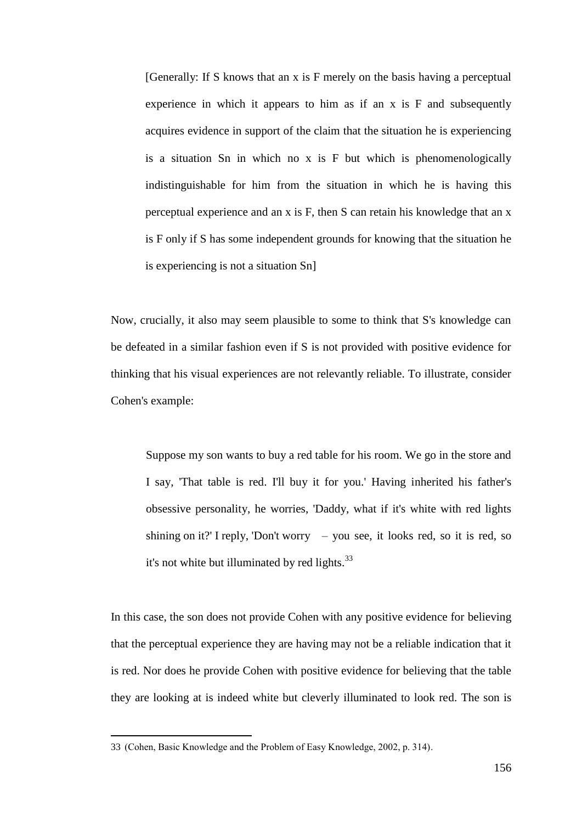[Generally: If S knows that an x is F merely on the basis having a perceptual experience in which it appears to him as if an x is F and subsequently acquires evidence in support of the claim that the situation he is experiencing is a situation Sn in which no x is F but which is phenomenologically indistinguishable for him from the situation in which he is having this perceptual experience and an x is F, then S can retain his knowledge that an x is F only if S has some independent grounds for knowing that the situation he is experiencing is not a situation Sn]

Now, crucially, it also may seem plausible to some to think that S's knowledge can be defeated in a similar fashion even if S is not provided with positive evidence for thinking that his visual experiences are not relevantly reliable. To illustrate, consider Cohen's example:

Suppose my son wants to buy a red table for his room. We go in the store and I say, 'That table is red. I'll buy it for you.' Having inherited his father's obsessive personality, he worries, 'Daddy, what if it's white with red lights shining on it?' I reply, 'Don't worry – you see, it looks red, so it is red, so it's not white but illuminated by red lights. $33$ 

In this case, the son does not provide Cohen with any positive evidence for believing that the perceptual experience they are having may not be a reliable indication that it is red. Nor does he provide Cohen with positive evidence for believing that the table they are looking at is indeed white but cleverly illuminated to look red. The son is

<sup>33</sup> (Cohen, Basic Knowledge and the Problem of Easy Knowledge, 2002, p. 314).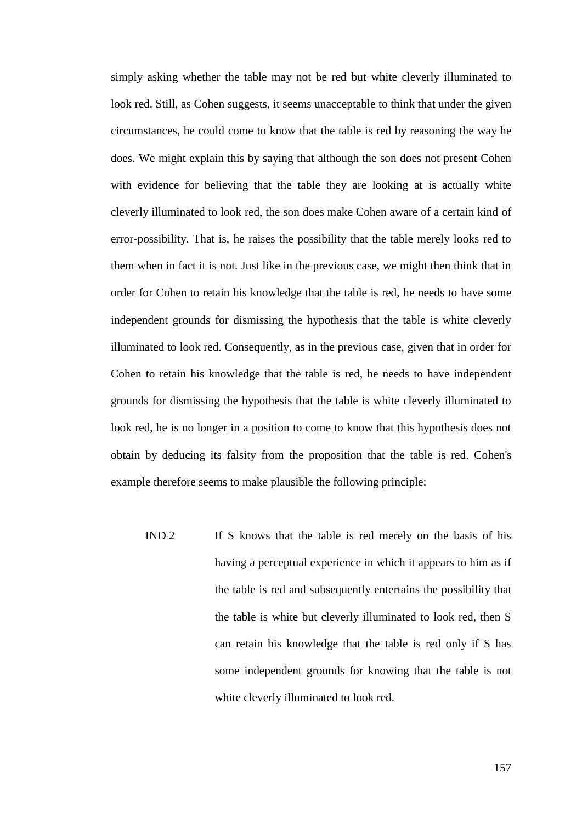simply asking whether the table may not be red but white cleverly illuminated to look red. Still, as Cohen suggests, it seems unacceptable to think that under the given circumstances, he could come to know that the table is red by reasoning the way he does. We might explain this by saying that although the son does not present Cohen with evidence for believing that the table they are looking at is actually white cleverly illuminated to look red, the son does make Cohen aware of a certain kind of error-possibility. That is, he raises the possibility that the table merely looks red to them when in fact it is not. Just like in the previous case, we might then think that in order for Cohen to retain his knowledge that the table is red, he needs to have some independent grounds for dismissing the hypothesis that the table is white cleverly illuminated to look red. Consequently, as in the previous case, given that in order for Cohen to retain his knowledge that the table is red, he needs to have independent grounds for dismissing the hypothesis that the table is white cleverly illuminated to look red, he is no longer in a position to come to know that this hypothesis does not obtain by deducing its falsity from the proposition that the table is red. Cohen's example therefore seems to make plausible the following principle:

IND 2 If S knows that the table is red merely on the basis of his having a perceptual experience in which it appears to him as if the table is red and subsequently entertains the possibility that the table is white but cleverly illuminated to look red, then S can retain his knowledge that the table is red only if S has some independent grounds for knowing that the table is not white cleverly illuminated to look red.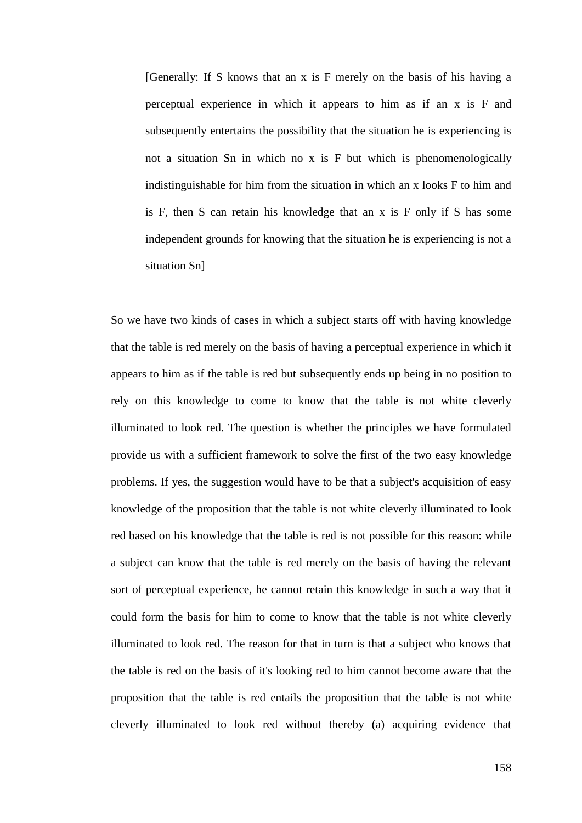[Generally: If S knows that an x is F merely on the basis of his having a perceptual experience in which it appears to him as if an x is F and subsequently entertains the possibility that the situation he is experiencing is not a situation Sn in which no x is F but which is phenomenologically indistinguishable for him from the situation in which an x looks F to him and is F, then S can retain his knowledge that an x is F only if S has some independent grounds for knowing that the situation he is experiencing is not a situation Sn]

So we have two kinds of cases in which a subject starts off with having knowledge that the table is red merely on the basis of having a perceptual experience in which it appears to him as if the table is red but subsequently ends up being in no position to rely on this knowledge to come to know that the table is not white cleverly illuminated to look red. The question is whether the principles we have formulated provide us with a sufficient framework to solve the first of the two easy knowledge problems. If yes, the suggestion would have to be that a subject's acquisition of easy knowledge of the proposition that the table is not white cleverly illuminated to look red based on his knowledge that the table is red is not possible for this reason: while a subject can know that the table is red merely on the basis of having the relevant sort of perceptual experience, he cannot retain this knowledge in such a way that it could form the basis for him to come to know that the table is not white cleverly illuminated to look red. The reason for that in turn is that a subject who knows that the table is red on the basis of it's looking red to him cannot become aware that the proposition that the table is red entails the proposition that the table is not white cleverly illuminated to look red without thereby (a) acquiring evidence that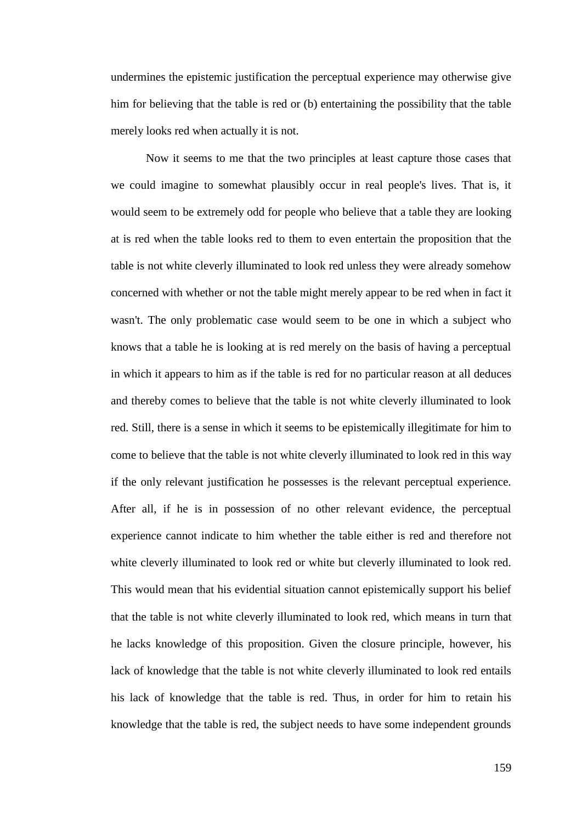undermines the epistemic justification the perceptual experience may otherwise give him for believing that the table is red or (b) entertaining the possibility that the table merely looks red when actually it is not.

Now it seems to me that the two principles at least capture those cases that we could imagine to somewhat plausibly occur in real people's lives. That is, it would seem to be extremely odd for people who believe that a table they are looking at is red when the table looks red to them to even entertain the proposition that the table is not white cleverly illuminated to look red unless they were already somehow concerned with whether or not the table might merely appear to be red when in fact it wasn't. The only problematic case would seem to be one in which a subject who knows that a table he is looking at is red merely on the basis of having a perceptual in which it appears to him as if the table is red for no particular reason at all deduces and thereby comes to believe that the table is not white cleverly illuminated to look red. Still, there is a sense in which it seems to be epistemically illegitimate for him to come to believe that the table is not white cleverly illuminated to look red in this way if the only relevant justification he possesses is the relevant perceptual experience. After all, if he is in possession of no other relevant evidence, the perceptual experience cannot indicate to him whether the table either is red and therefore not white cleverly illuminated to look red or white but cleverly illuminated to look red. This would mean that his evidential situation cannot epistemically support his belief that the table is not white cleverly illuminated to look red, which means in turn that he lacks knowledge of this proposition. Given the closure principle, however, his lack of knowledge that the table is not white cleverly illuminated to look red entails his lack of knowledge that the table is red. Thus, in order for him to retain his knowledge that the table is red, the subject needs to have some independent grounds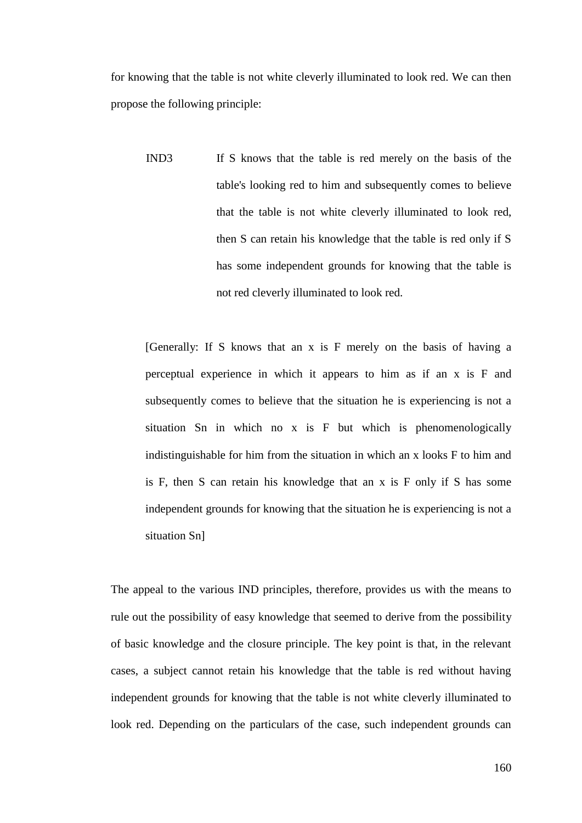for knowing that the table is not white cleverly illuminated to look red. We can then propose the following principle:

IND3 If S knows that the table is red merely on the basis of the table's looking red to him and subsequently comes to believe that the table is not white cleverly illuminated to look red, then S can retain his knowledge that the table is red only if S has some independent grounds for knowing that the table is not red cleverly illuminated to look red.

[Generally: If S knows that an x is F merely on the basis of having a perceptual experience in which it appears to him as if an x is F and subsequently comes to believe that the situation he is experiencing is not a situation Sn in which no x is F but which is phenomenologically indistinguishable for him from the situation in which an x looks F to him and is F, then S can retain his knowledge that an x is F only if S has some independent grounds for knowing that the situation he is experiencing is not a situation Sn]

The appeal to the various IND principles, therefore, provides us with the means to rule out the possibility of easy knowledge that seemed to derive from the possibility of basic knowledge and the closure principle. The key point is that, in the relevant cases, a subject cannot retain his knowledge that the table is red without having independent grounds for knowing that the table is not white cleverly illuminated to look red. Depending on the particulars of the case, such independent grounds can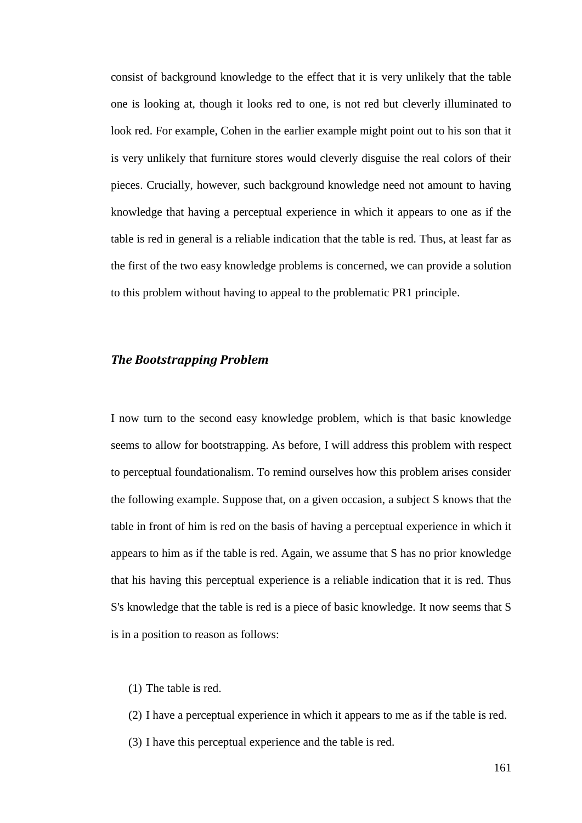consist of background knowledge to the effect that it is very unlikely that the table one is looking at, though it looks red to one, is not red but cleverly illuminated to look red. For example, Cohen in the earlier example might point out to his son that it is very unlikely that furniture stores would cleverly disguise the real colors of their pieces. Crucially, however, such background knowledge need not amount to having knowledge that having a perceptual experience in which it appears to one as if the table is red in general is a reliable indication that the table is red. Thus, at least far as the first of the two easy knowledge problems is concerned, we can provide a solution to this problem without having to appeal to the problematic PR1 principle.

### *The Bootstrapping Problem*

I now turn to the second easy knowledge problem, which is that basic knowledge seems to allow for bootstrapping. As before, I will address this problem with respect to perceptual foundationalism. To remind ourselves how this problem arises consider the following example. Suppose that, on a given occasion, a subject S knows that the table in front of him is red on the basis of having a perceptual experience in which it appears to him as if the table is red. Again, we assume that S has no prior knowledge that his having this perceptual experience is a reliable indication that it is red. Thus S's knowledge that the table is red is a piece of basic knowledge. It now seems that S is in a position to reason as follows:

(1) The table is red.

(2) I have a perceptual experience in which it appears to me as if the table is red. (3) I have this perceptual experience and the table is red.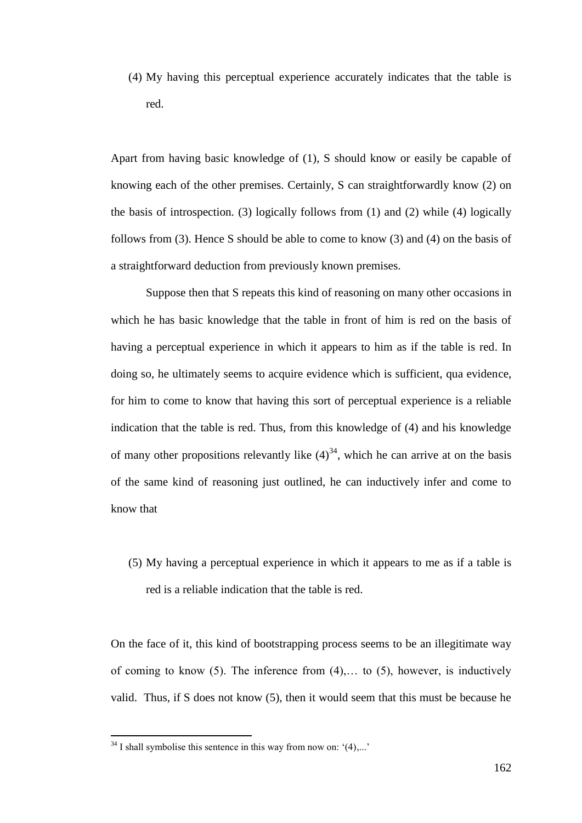(4) My having this perceptual experience accurately indicates that the table is red.

Apart from having basic knowledge of (1), S should know or easily be capable of knowing each of the other premises. Certainly, S can straightforwardly know (2) on the basis of introspection. (3) logically follows from (1) and (2) while (4) logically follows from (3). Hence S should be able to come to know (3) and (4) on the basis of a straightforward deduction from previously known premises.

Suppose then that S repeats this kind of reasoning on many other occasions in which he has basic knowledge that the table in front of him is red on the basis of having a perceptual experience in which it appears to him as if the table is red. In doing so, he ultimately seems to acquire evidence which is sufficient, qua evidence, for him to come to know that having this sort of perceptual experience is a reliable indication that the table is red. Thus, from this knowledge of (4) and his knowledge of many other propositions relevantly like  $(4)^{34}$ , which he can arrive at on the basis of the same kind of reasoning just outlined, he can inductively infer and come to know that

(5) My having a perceptual experience in which it appears to me as if a table is red is a reliable indication that the table is red.

On the face of it, this kind of bootstrapping process seems to be an illegitimate way of coming to know  $(5)$ . The inference from  $(4)$ ,... to  $(5)$ , however, is inductively valid. Thus, if S does not know (5), then it would seem that this must be because he

 $34$  I shall symbolise this sentence in this way from now on:  $(4)$ ,...'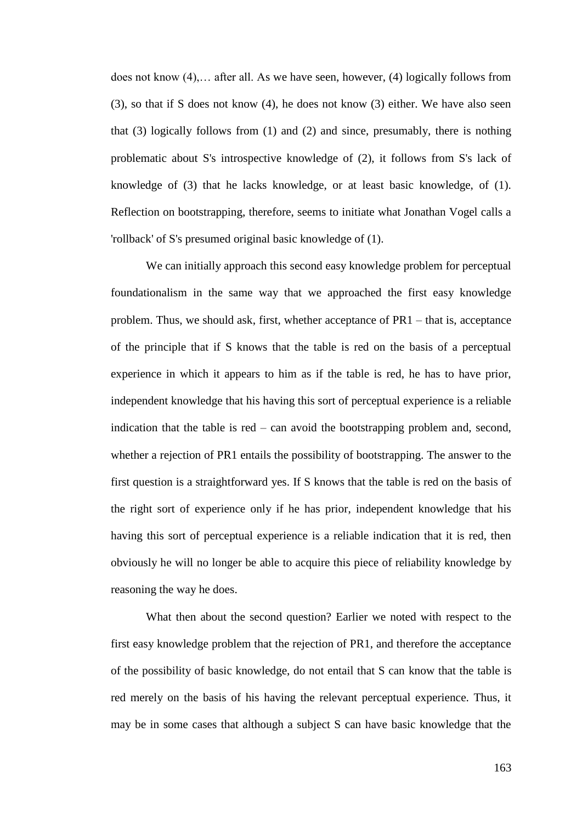does not know (4),… after all. As we have seen, however, (4) logically follows from (3), so that if S does not know (4), he does not know (3) either. We have also seen that (3) logically follows from (1) and (2) and since, presumably, there is nothing problematic about S's introspective knowledge of (2), it follows from S's lack of knowledge of (3) that he lacks knowledge, or at least basic knowledge, of (1). Reflection on bootstrapping, therefore, seems to initiate what Jonathan Vogel calls a 'rollback' of S's presumed original basic knowledge of (1).

We can initially approach this second easy knowledge problem for perceptual foundationalism in the same way that we approached the first easy knowledge problem. Thus, we should ask, first, whether acceptance of PR1 – that is, acceptance of the principle that if S knows that the table is red on the basis of a perceptual experience in which it appears to him as if the table is red, he has to have prior, independent knowledge that his having this sort of perceptual experience is a reliable indication that the table is red – can avoid the bootstrapping problem and, second, whether a rejection of PR1 entails the possibility of bootstrapping. The answer to the first question is a straightforward yes. If S knows that the table is red on the basis of the right sort of experience only if he has prior, independent knowledge that his having this sort of perceptual experience is a reliable indication that it is red, then obviously he will no longer be able to acquire this piece of reliability knowledge by reasoning the way he does.

What then about the second question? Earlier we noted with respect to the first easy knowledge problem that the rejection of PR1, and therefore the acceptance of the possibility of basic knowledge, do not entail that S can know that the table is red merely on the basis of his having the relevant perceptual experience. Thus, it may be in some cases that although a subject S can have basic knowledge that the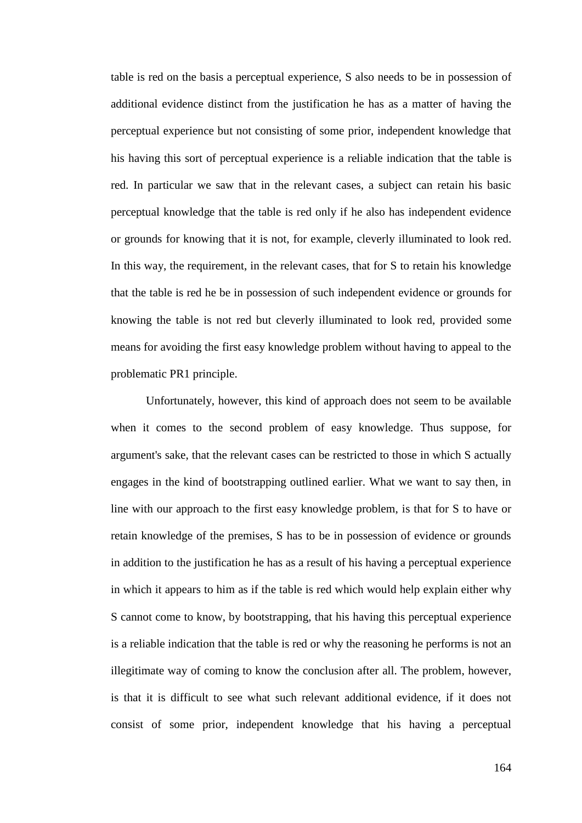table is red on the basis a perceptual experience, S also needs to be in possession of additional evidence distinct from the justification he has as a matter of having the perceptual experience but not consisting of some prior, independent knowledge that his having this sort of perceptual experience is a reliable indication that the table is red. In particular we saw that in the relevant cases, a subject can retain his basic perceptual knowledge that the table is red only if he also has independent evidence or grounds for knowing that it is not, for example, cleverly illuminated to look red. In this way, the requirement, in the relevant cases, that for S to retain his knowledge that the table is red he be in possession of such independent evidence or grounds for knowing the table is not red but cleverly illuminated to look red, provided some means for avoiding the first easy knowledge problem without having to appeal to the problematic PR1 principle.

Unfortunately, however, this kind of approach does not seem to be available when it comes to the second problem of easy knowledge. Thus suppose, for argument's sake, that the relevant cases can be restricted to those in which S actually engages in the kind of bootstrapping outlined earlier. What we want to say then, in line with our approach to the first easy knowledge problem, is that for S to have or retain knowledge of the premises, S has to be in possession of evidence or grounds in addition to the justification he has as a result of his having a perceptual experience in which it appears to him as if the table is red which would help explain either why S cannot come to know, by bootstrapping, that his having this perceptual experience is a reliable indication that the table is red or why the reasoning he performs is not an illegitimate way of coming to know the conclusion after all. The problem, however, is that it is difficult to see what such relevant additional evidence, if it does not consist of some prior, independent knowledge that his having a perceptual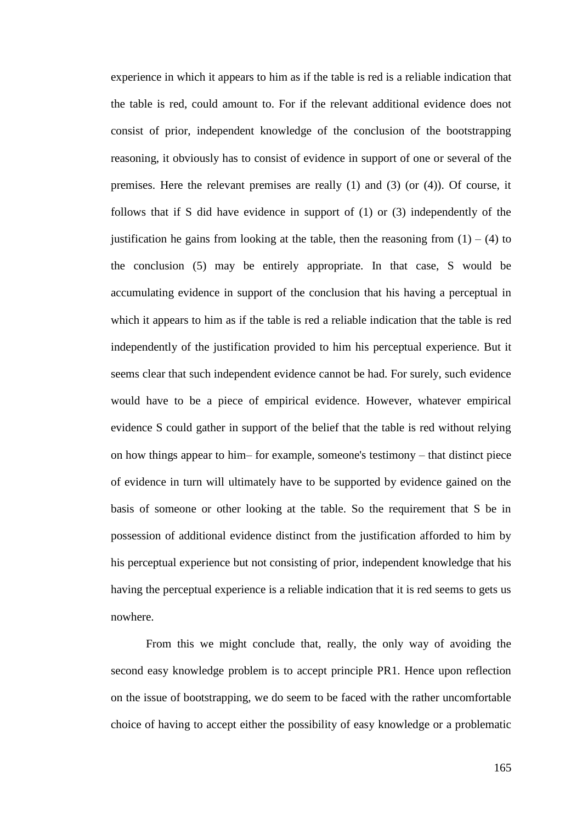experience in which it appears to him as if the table is red is a reliable indication that the table is red, could amount to. For if the relevant additional evidence does not consist of prior, independent knowledge of the conclusion of the bootstrapping reasoning, it obviously has to consist of evidence in support of one or several of the premises. Here the relevant premises are really (1) and (3) (or (4)). Of course, it follows that if S did have evidence in support of (1) or (3) independently of the justification he gains from looking at the table, then the reasoning from  $(1) - (4)$  to the conclusion (5) may be entirely appropriate. In that case, S would be accumulating evidence in support of the conclusion that his having a perceptual in which it appears to him as if the table is red a reliable indication that the table is red independently of the justification provided to him his perceptual experience. But it seems clear that such independent evidence cannot be had. For surely, such evidence would have to be a piece of empirical evidence. However, whatever empirical evidence S could gather in support of the belief that the table is red without relying on how things appear to him– for example, someone's testimony – that distinct piece of evidence in turn will ultimately have to be supported by evidence gained on the basis of someone or other looking at the table. So the requirement that S be in possession of additional evidence distinct from the justification afforded to him by his perceptual experience but not consisting of prior, independent knowledge that his having the perceptual experience is a reliable indication that it is red seems to gets us nowhere.

From this we might conclude that, really, the only way of avoiding the second easy knowledge problem is to accept principle PR1. Hence upon reflection on the issue of bootstrapping, we do seem to be faced with the rather uncomfortable choice of having to accept either the possibility of easy knowledge or a problematic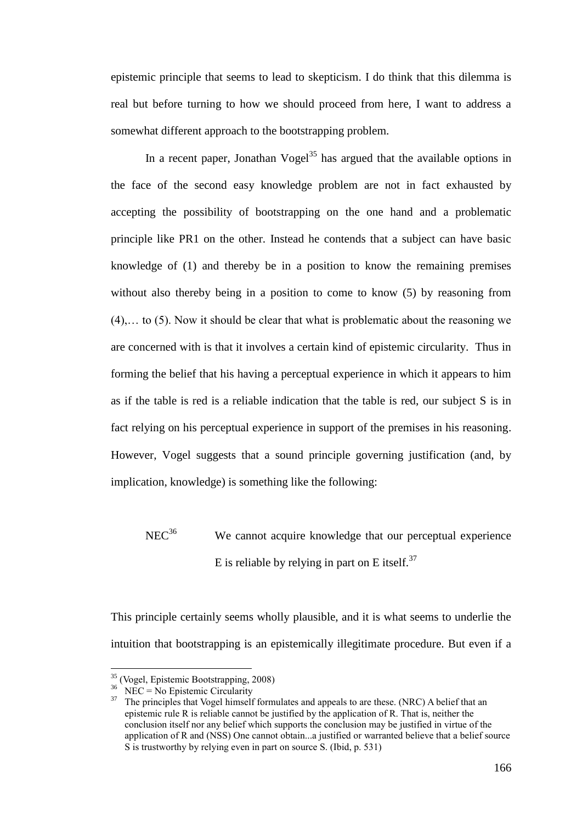epistemic principle that seems to lead to skepticism. I do think that this dilemma is real but before turning to how we should proceed from here, I want to address a somewhat different approach to the bootstrapping problem.

In a recent paper, Jonathan Vogel<sup>35</sup> has argued that the available options in the face of the second easy knowledge problem are not in fact exhausted by accepting the possibility of bootstrapping on the one hand and a problematic principle like PR1 on the other. Instead he contends that a subject can have basic knowledge of (1) and thereby be in a position to know the remaining premises without also thereby being in a position to come to know (5) by reasoning from (4),… to (5). Now it should be clear that what is problematic about the reasoning we are concerned with is that it involves a certain kind of epistemic circularity. Thus in forming the belief that his having a perceptual experience in which it appears to him as if the table is red is a reliable indication that the table is red, our subject S is in fact relying on his perceptual experience in support of the premises in his reasoning. However, Vogel suggests that a sound principle governing justification (and, by implication, knowledge) is something like the following:

 $NEC<sup>36</sup>$  We cannot acquire knowledge that our perceptual experience E is reliable by relying in part on E itself.<sup>37</sup>

This principle certainly seems wholly plausible, and it is what seems to underlie the intuition that bootstrapping is an epistemically illegitimate procedure. But even if a

<sup>35</sup> (Vogel, Epistemic Bootstrapping, 2008)

 $36$  NEC = No Epistemic Circularity

<sup>&</sup>lt;sup>37</sup> The principles that Vogel himself formulates and appeals to are these. (NRC) A belief that an epistemic rule R is reliable cannot be justified by the application of R. That is, neither the conclusion itself nor any belief which supports the conclusion may be justified in virtue of the application of R and (NSS) One cannot obtain...a justified or warranted believe that a belief source S is trustworthy by relying even in part on source S. (Ibid, p. 531)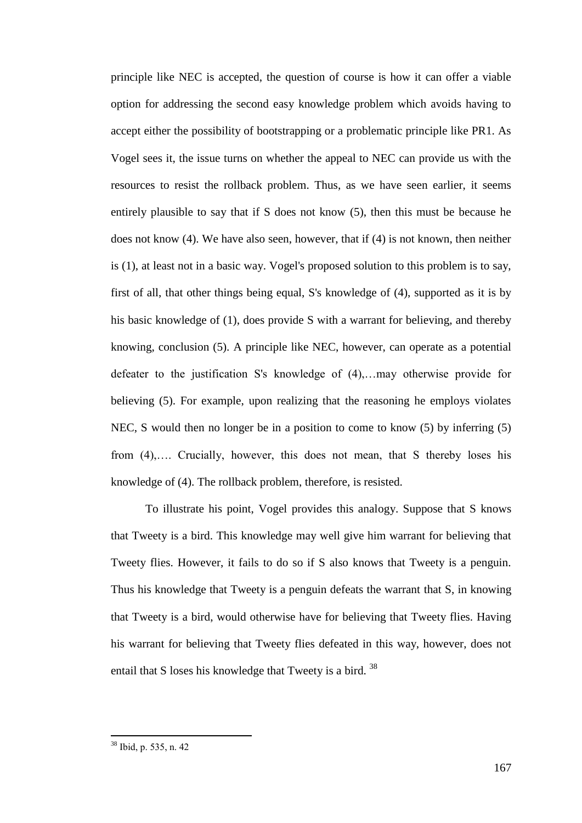principle like NEC is accepted, the question of course is how it can offer a viable option for addressing the second easy knowledge problem which avoids having to accept either the possibility of bootstrapping or a problematic principle like PR1. As Vogel sees it, the issue turns on whether the appeal to NEC can provide us with the resources to resist the rollback problem. Thus, as we have seen earlier, it seems entirely plausible to say that if S does not know (5), then this must be because he does not know (4). We have also seen, however, that if (4) is not known, then neither is (1), at least not in a basic way. Vogel's proposed solution to this problem is to say, first of all, that other things being equal, S's knowledge of (4), supported as it is by his basic knowledge of (1), does provide S with a warrant for believing, and thereby knowing, conclusion (5). A principle like NEC, however, can operate as a potential defeater to the justification S's knowledge of (4),…may otherwise provide for believing (5). For example, upon realizing that the reasoning he employs violates NEC, S would then no longer be in a position to come to know (5) by inferring (5) from (4),…. Crucially, however, this does not mean, that S thereby loses his knowledge of (4). The rollback problem, therefore, is resisted.

To illustrate his point, Vogel provides this analogy. Suppose that S knows that Tweety is a bird. This knowledge may well give him warrant for believing that Tweety flies. However, it fails to do so if S also knows that Tweety is a penguin. Thus his knowledge that Tweety is a penguin defeats the warrant that S, in knowing that Tweety is a bird, would otherwise have for believing that Tweety flies. Having his warrant for believing that Tweety flies defeated in this way, however, does not entail that S loses his knowledge that Tweety is a bird. <sup>38</sup>

<sup>38</sup> Ibid, p. 535, n. 42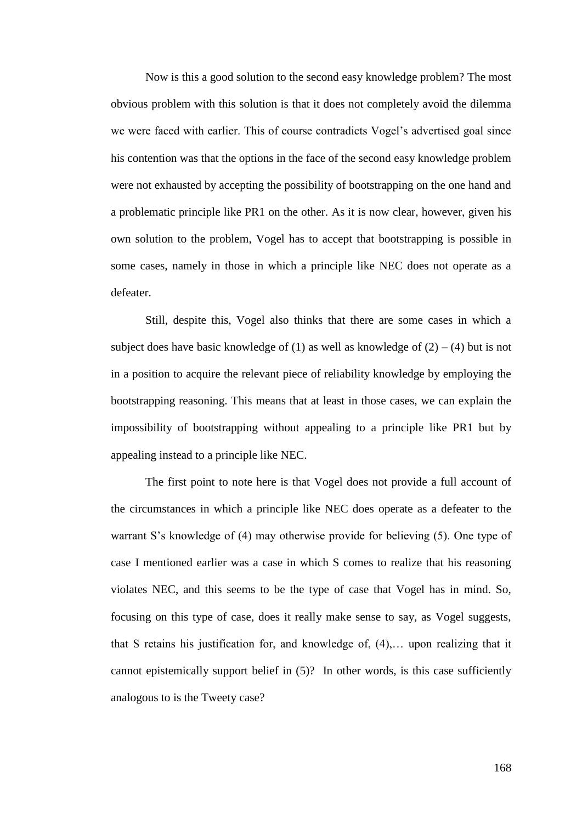Now is this a good solution to the second easy knowledge problem? The most obvious problem with this solution is that it does not completely avoid the dilemma we were faced with earlier. This of course contradicts Vogel's advertised goal since his contention was that the options in the face of the second easy knowledge problem were not exhausted by accepting the possibility of bootstrapping on the one hand and a problematic principle like PR1 on the other. As it is now clear, however, given his own solution to the problem, Vogel has to accept that bootstrapping is possible in some cases, namely in those in which a principle like NEC does not operate as a defeater.

Still, despite this, Vogel also thinks that there are some cases in which a subject does have basic knowledge of (1) as well as knowledge of  $(2) - (4)$  but is not in a position to acquire the relevant piece of reliability knowledge by employing the bootstrapping reasoning. This means that at least in those cases, we can explain the impossibility of bootstrapping without appealing to a principle like PR1 but by appealing instead to a principle like NEC.

The first point to note here is that Vogel does not provide a full account of the circumstances in which a principle like NEC does operate as a defeater to the warrant S's knowledge of (4) may otherwise provide for believing (5). One type of case I mentioned earlier was a case in which S comes to realize that his reasoning violates NEC, and this seems to be the type of case that Vogel has in mind. So, focusing on this type of case, does it really make sense to say, as Vogel suggests, that S retains his justification for, and knowledge of, (4),… upon realizing that it cannot epistemically support belief in (5)? In other words, is this case sufficiently analogous to is the Tweety case?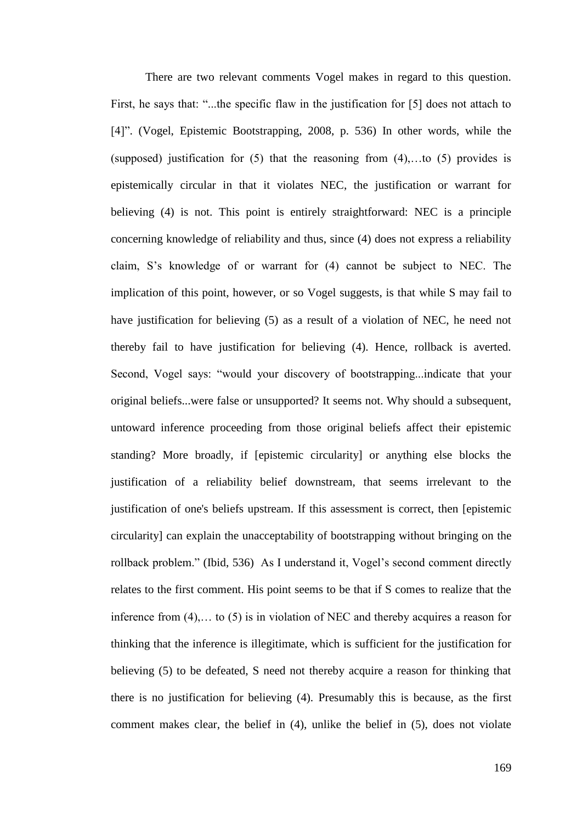There are two relevant comments Vogel makes in regard to this question. First, he says that: "...the specific flaw in the justification for [5] does not attach to [4]". (Vogel, Epistemic Bootstrapping, 2008, p. 536) In other words, while the (supposed) justification for  $(5)$  that the reasoning from  $(4)$ , to  $(5)$  provides is epistemically circular in that it violates NEC, the justification or warrant for believing (4) is not. This point is entirely straightforward: NEC is a principle concerning knowledge of reliability and thus, since (4) does not express a reliability claim, S's knowledge of or warrant for (4) cannot be subject to NEC. The implication of this point, however, or so Vogel suggests, is that while S may fail to have justification for believing (5) as a result of a violation of NEC, he need not thereby fail to have justification for believing (4). Hence, rollback is averted. Second, Vogel says: "would your discovery of bootstrapping...indicate that your original beliefs...were false or unsupported? It seems not. Why should a subsequent, untoward inference proceeding from those original beliefs affect their epistemic standing? More broadly, if [epistemic circularity] or anything else blocks the justification of a reliability belief downstream, that seems irrelevant to the justification of one's beliefs upstream. If this assessment is correct, then [epistemic circularity] can explain the unacceptability of bootstrapping without bringing on the rollback problem." (Ibid, 536) As I understand it, Vogel's second comment directly relates to the first comment. His point seems to be that if S comes to realize that the inference from (4),… to (5) is in violation of NEC and thereby acquires a reason for thinking that the inference is illegitimate, which is sufficient for the justification for believing (5) to be defeated, S need not thereby acquire a reason for thinking that there is no justification for believing (4). Presumably this is because, as the first comment makes clear, the belief in (4), unlike the belief in (5), does not violate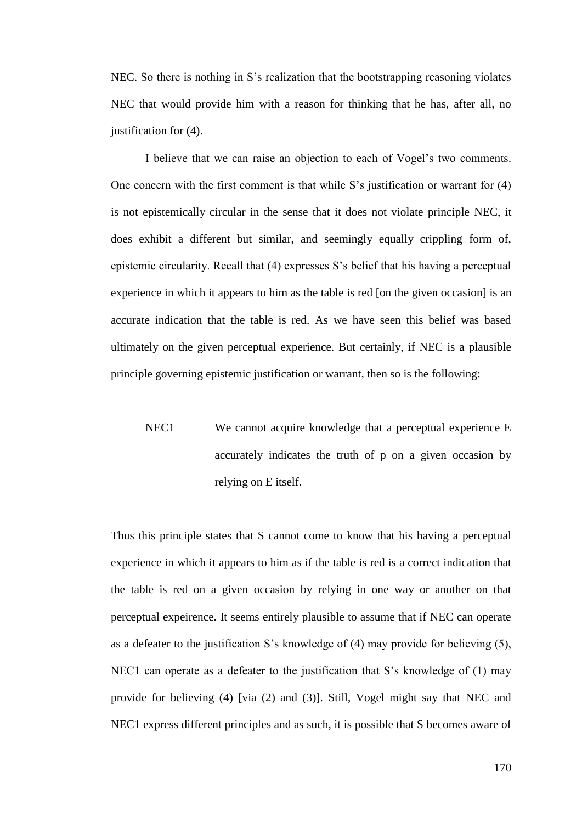NEC. So there is nothing in S's realization that the bootstrapping reasoning violates NEC that would provide him with a reason for thinking that he has, after all, no justification for (4).

I believe that we can raise an objection to each of Vogel's two comments. One concern with the first comment is that while S's justification or warrant for (4) is not epistemically circular in the sense that it does not violate principle NEC, it does exhibit a different but similar, and seemingly equally crippling form of, epistemic circularity. Recall that (4) expresses S's belief that his having a perceptual experience in which it appears to him as the table is red [on the given occasion] is an accurate indication that the table is red. As we have seen this belief was based ultimately on the given perceptual experience. But certainly, if NEC is a plausible principle governing epistemic justification or warrant, then so is the following:

NEC1 We cannot acquire knowledge that a perceptual experience E accurately indicates the truth of p on a given occasion by relying on E itself.

Thus this principle states that S cannot come to know that his having a perceptual experience in which it appears to him as if the table is red is a correct indication that the table is red on a given occasion by relying in one way or another on that perceptual expeirence. It seems entirely plausible to assume that if NEC can operate as a defeater to the justification S's knowledge of (4) may provide for believing (5), NEC1 can operate as a defeater to the justification that S's knowledge of (1) may provide for believing (4) [via (2) and (3)]. Still, Vogel might say that NEC and NEC1 express different principles and as such, it is possible that S becomes aware of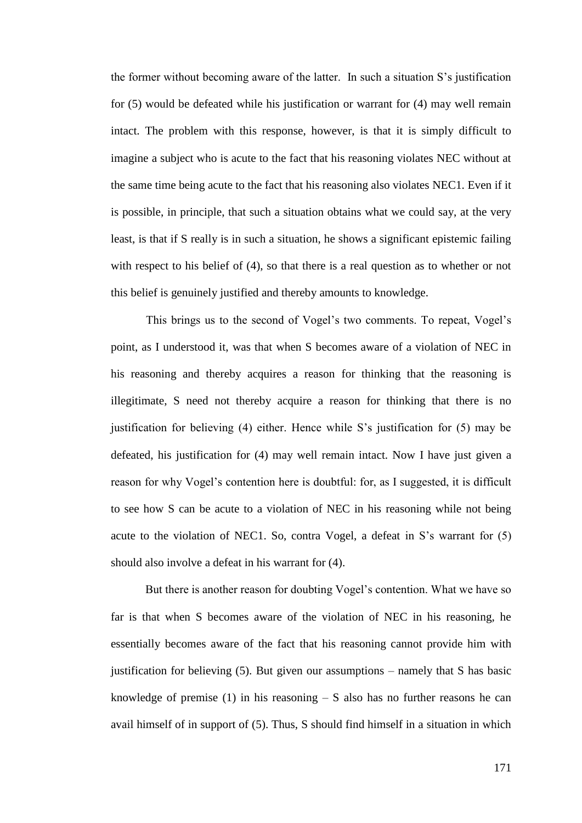the former without becoming aware of the latter. In such a situation S's justification for (5) would be defeated while his justification or warrant for (4) may well remain intact. The problem with this response, however, is that it is simply difficult to imagine a subject who is acute to the fact that his reasoning violates NEC without at the same time being acute to the fact that his reasoning also violates NEC1. Even if it is possible, in principle, that such a situation obtains what we could say, at the very least, is that if S really is in such a situation, he shows a significant epistemic failing with respect to his belief of (4), so that there is a real question as to whether or not this belief is genuinely justified and thereby amounts to knowledge.

This brings us to the second of Vogel's two comments. To repeat, Vogel's point, as I understood it, was that when S becomes aware of a violation of NEC in his reasoning and thereby acquires a reason for thinking that the reasoning is illegitimate, S need not thereby acquire a reason for thinking that there is no justification for believing (4) either. Hence while S's justification for (5) may be defeated, his justification for (4) may well remain intact. Now I have just given a reason for why Vogel's contention here is doubtful: for, as I suggested, it is difficult to see how S can be acute to a violation of NEC in his reasoning while not being acute to the violation of NEC1. So, contra Vogel, a defeat in S's warrant for (5) should also involve a defeat in his warrant for (4).

But there is another reason for doubting Vogel's contention. What we have so far is that when S becomes aware of the violation of NEC in his reasoning, he essentially becomes aware of the fact that his reasoning cannot provide him with justification for believing (5). But given our assumptions – namely that S has basic knowledge of premise  $(1)$  in his reasoning  $- S$  also has no further reasons he can avail himself of in support of (5). Thus, S should find himself in a situation in which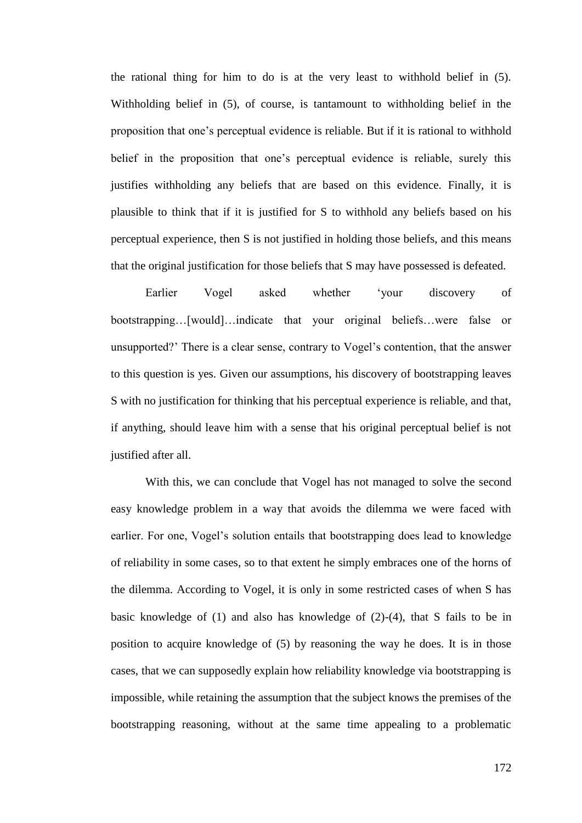the rational thing for him to do is at the very least to withhold belief in (5). Withholding belief in (5), of course, is tantamount to withholding belief in the proposition that one's perceptual evidence is reliable. But if it is rational to withhold belief in the proposition that one's perceptual evidence is reliable, surely this justifies withholding any beliefs that are based on this evidence. Finally, it is plausible to think that if it is justified for S to withhold any beliefs based on his perceptual experience, then S is not justified in holding those beliefs, and this means that the original justification for those beliefs that S may have possessed is defeated.

Earlier Vogel asked whether 'your discovery of bootstrapping…[would]…indicate that your original beliefs…were false or unsupported?' There is a clear sense, contrary to Vogel's contention, that the answer to this question is yes. Given our assumptions, his discovery of bootstrapping leaves S with no justification for thinking that his perceptual experience is reliable, and that, if anything, should leave him with a sense that his original perceptual belief is not justified after all.

With this, we can conclude that Vogel has not managed to solve the second easy knowledge problem in a way that avoids the dilemma we were faced with earlier. For one, Vogel's solution entails that bootstrapping does lead to knowledge of reliability in some cases, so to that extent he simply embraces one of the horns of the dilemma. According to Vogel, it is only in some restricted cases of when S has basic knowledge of (1) and also has knowledge of (2)-(4), that S fails to be in position to acquire knowledge of (5) by reasoning the way he does. It is in those cases, that we can supposedly explain how reliability knowledge via bootstrapping is impossible, while retaining the assumption that the subject knows the premises of the bootstrapping reasoning, without at the same time appealing to a problematic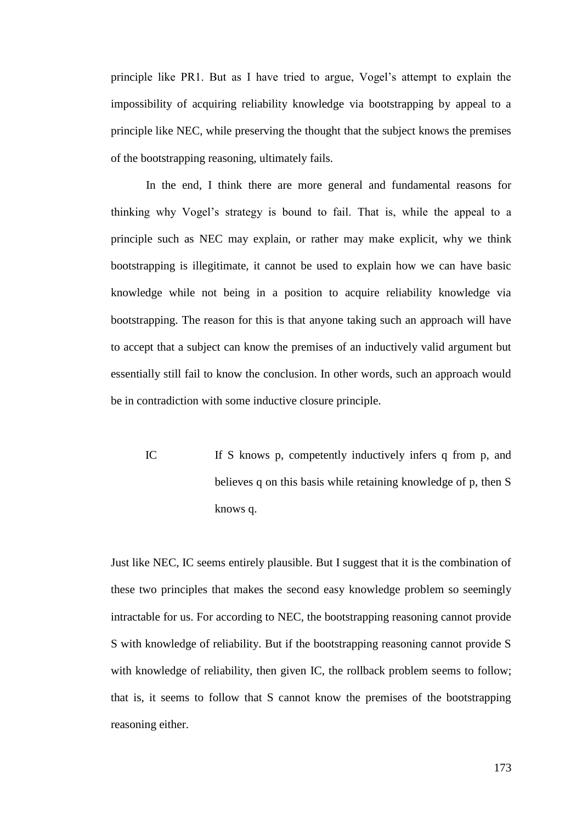principle like PR1. But as I have tried to argue, Vogel's attempt to explain the impossibility of acquiring reliability knowledge via bootstrapping by appeal to a principle like NEC, while preserving the thought that the subject knows the premises of the bootstrapping reasoning, ultimately fails.

In the end, I think there are more general and fundamental reasons for thinking why Vogel's strategy is bound to fail. That is, while the appeal to a principle such as NEC may explain, or rather may make explicit, why we think bootstrapping is illegitimate, it cannot be used to explain how we can have basic knowledge while not being in a position to acquire reliability knowledge via bootstrapping. The reason for this is that anyone taking such an approach will have to accept that a subject can know the premises of an inductively valid argument but essentially still fail to know the conclusion. In other words, such an approach would be in contradiction with some inductive closure principle.

IC If S knows p, competently inductively infers q from p, and believes q on this basis while retaining knowledge of p, then S knows q.

Just like NEC, IC seems entirely plausible. But I suggest that it is the combination of these two principles that makes the second easy knowledge problem so seemingly intractable for us. For according to NEC, the bootstrapping reasoning cannot provide S with knowledge of reliability. But if the bootstrapping reasoning cannot provide S with knowledge of reliability, then given IC, the rollback problem seems to follow; that is, it seems to follow that S cannot know the premises of the bootstrapping reasoning either.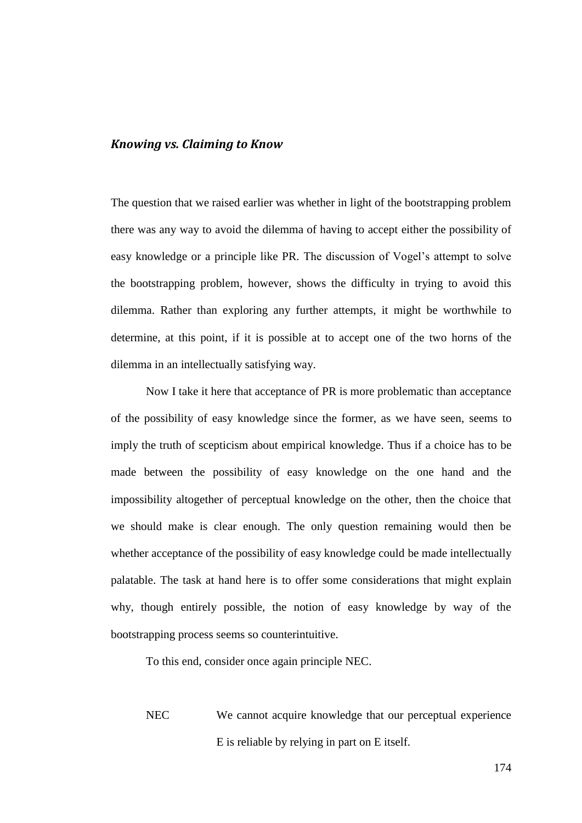### *Knowing vs. Claiming to Know*

The question that we raised earlier was whether in light of the bootstrapping problem there was any way to avoid the dilemma of having to accept either the possibility of easy knowledge or a principle like PR. The discussion of Vogel's attempt to solve the bootstrapping problem, however, shows the difficulty in trying to avoid this dilemma. Rather than exploring any further attempts, it might be worthwhile to determine, at this point, if it is possible at to accept one of the two horns of the dilemma in an intellectually satisfying way.

Now I take it here that acceptance of PR is more problematic than acceptance of the possibility of easy knowledge since the former, as we have seen, seems to imply the truth of scepticism about empirical knowledge. Thus if a choice has to be made between the possibility of easy knowledge on the one hand and the impossibility altogether of perceptual knowledge on the other, then the choice that we should make is clear enough. The only question remaining would then be whether acceptance of the possibility of easy knowledge could be made intellectually palatable. The task at hand here is to offer some considerations that might explain why, though entirely possible, the notion of easy knowledge by way of the bootstrapping process seems so counterintuitive.

To this end, consider once again principle NEC.

NEC We cannot acquire knowledge that our perceptual experience E is reliable by relying in part on E itself.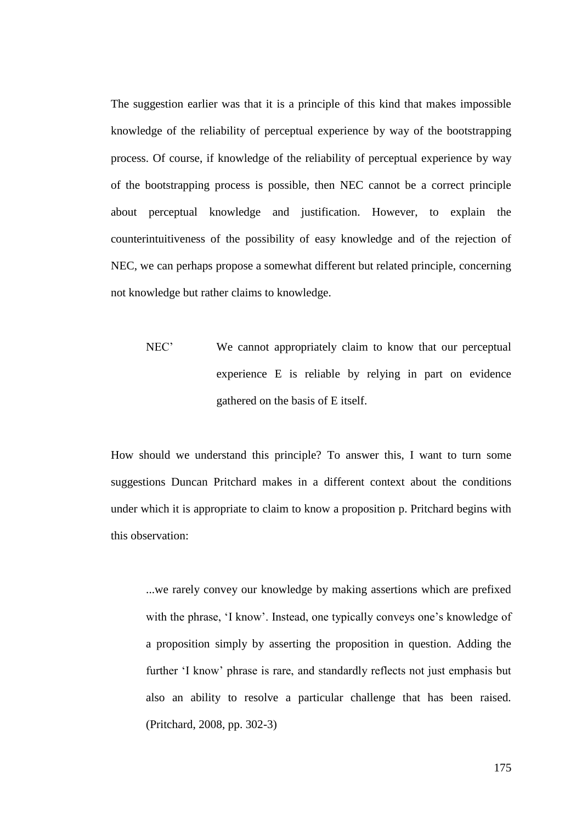The suggestion earlier was that it is a principle of this kind that makes impossible knowledge of the reliability of perceptual experience by way of the bootstrapping process. Of course, if knowledge of the reliability of perceptual experience by way of the bootstrapping process is possible, then NEC cannot be a correct principle about perceptual knowledge and justification. However, to explain the counterintuitiveness of the possibility of easy knowledge and of the rejection of NEC, we can perhaps propose a somewhat different but related principle, concerning not knowledge but rather claims to knowledge.

NEC' We cannot appropriately claim to know that our perceptual experience E is reliable by relying in part on evidence gathered on the basis of E itself.

How should we understand this principle? To answer this, I want to turn some suggestions Duncan Pritchard makes in a different context about the conditions under which it is appropriate to claim to know a proposition p. Pritchard begins with this observation:

...we rarely convey our knowledge by making assertions which are prefixed with the phrase, 'I know'. Instead, one typically conveys one's knowledge of a proposition simply by asserting the proposition in question. Adding the further 'I know' phrase is rare, and standardly reflects not just emphasis but also an ability to resolve a particular challenge that has been raised. (Pritchard, 2008, pp. 302-3)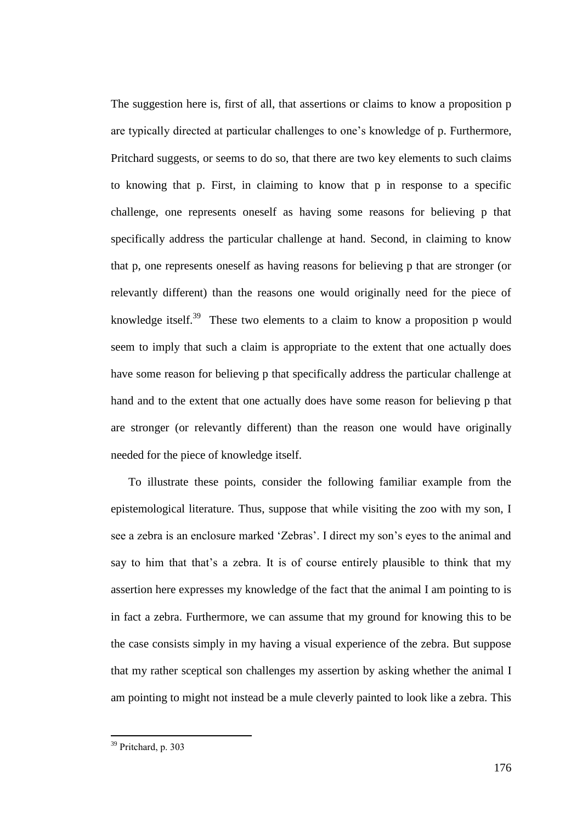The suggestion here is, first of all, that assertions or claims to know a proposition p are typically directed at particular challenges to one's knowledge of p. Furthermore, Pritchard suggests, or seems to do so, that there are two key elements to such claims to knowing that p. First, in claiming to know that p in response to a specific challenge, one represents oneself as having some reasons for believing p that specifically address the particular challenge at hand. Second, in claiming to know that p, one represents oneself as having reasons for believing p that are stronger (or relevantly different) than the reasons one would originally need for the piece of knowledge itself.<sup>39</sup> These two elements to a claim to know a proposition p would seem to imply that such a claim is appropriate to the extent that one actually does have some reason for believing p that specifically address the particular challenge at hand and to the extent that one actually does have some reason for believing p that are stronger (or relevantly different) than the reason one would have originally needed for the piece of knowledge itself.

To illustrate these points, consider the following familiar example from the epistemological literature. Thus, suppose that while visiting the zoo with my son, I see a zebra is an enclosure marked 'Zebras'. I direct my son's eyes to the animal and say to him that that's a zebra. It is of course entirely plausible to think that my assertion here expresses my knowledge of the fact that the animal I am pointing to is in fact a zebra. Furthermore, we can assume that my ground for knowing this to be the case consists simply in my having a visual experience of the zebra. But suppose that my rather sceptical son challenges my assertion by asking whether the animal I am pointing to might not instead be a mule cleverly painted to look like a zebra. This

<sup>&</sup>lt;sup>39</sup> Pritchard, p. 303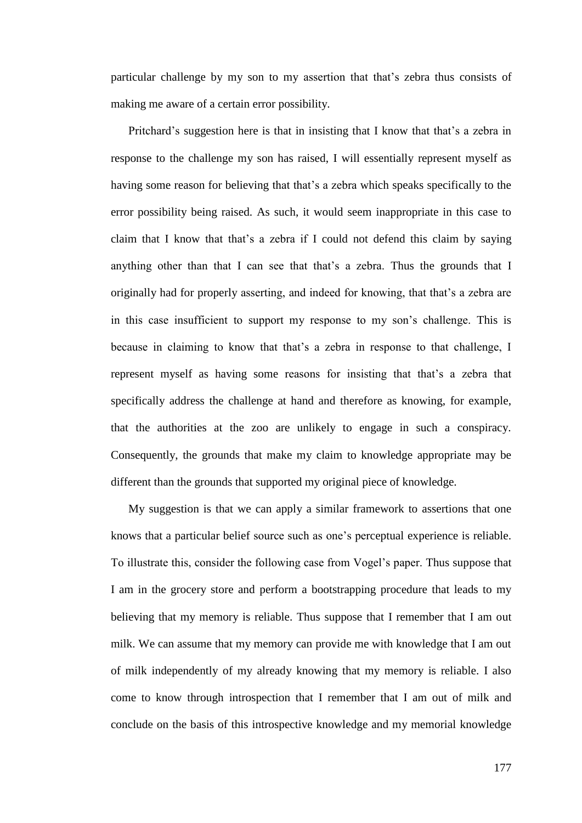particular challenge by my son to my assertion that that's zebra thus consists of making me aware of a certain error possibility.

Pritchard's suggestion here is that in insisting that I know that that's a zebra in response to the challenge my son has raised, I will essentially represent myself as having some reason for believing that that's a zebra which speaks specifically to the error possibility being raised. As such, it would seem inappropriate in this case to claim that I know that that's a zebra if I could not defend this claim by saying anything other than that I can see that that's a zebra. Thus the grounds that I originally had for properly asserting, and indeed for knowing, that that's a zebra are in this case insufficient to support my response to my son's challenge. This is because in claiming to know that that's a zebra in response to that challenge, I represent myself as having some reasons for insisting that that's a zebra that specifically address the challenge at hand and therefore as knowing, for example, that the authorities at the zoo are unlikely to engage in such a conspiracy. Consequently, the grounds that make my claim to knowledge appropriate may be different than the grounds that supported my original piece of knowledge.

My suggestion is that we can apply a similar framework to assertions that one knows that a particular belief source such as one's perceptual experience is reliable. To illustrate this, consider the following case from Vogel's paper. Thus suppose that I am in the grocery store and perform a bootstrapping procedure that leads to my believing that my memory is reliable. Thus suppose that I remember that I am out milk. We can assume that my memory can provide me with knowledge that I am out of milk independently of my already knowing that my memory is reliable. I also come to know through introspection that I remember that I am out of milk and conclude on the basis of this introspective knowledge and my memorial knowledge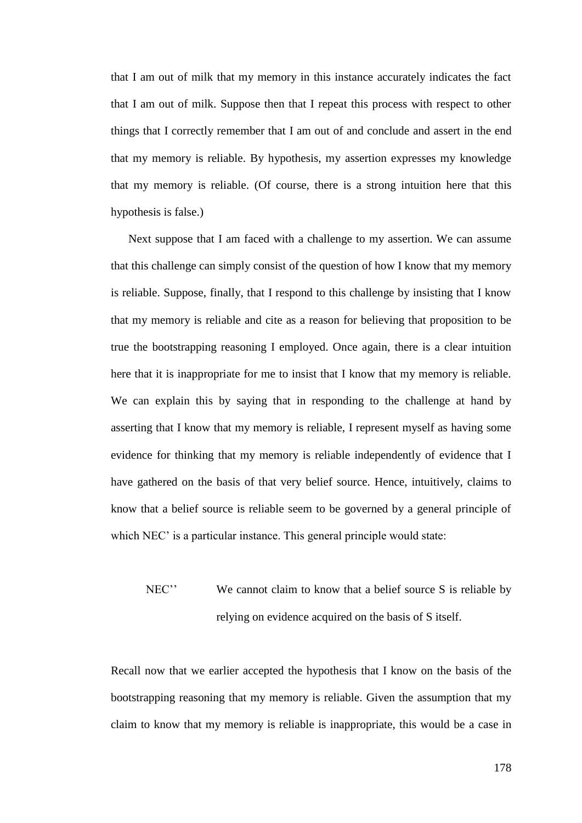that I am out of milk that my memory in this instance accurately indicates the fact that I am out of milk. Suppose then that I repeat this process with respect to other things that I correctly remember that I am out of and conclude and assert in the end that my memory is reliable. By hypothesis, my assertion expresses my knowledge that my memory is reliable. (Of course, there is a strong intuition here that this hypothesis is false.)

Next suppose that I am faced with a challenge to my assertion. We can assume that this challenge can simply consist of the question of how I know that my memory is reliable. Suppose, finally, that I respond to this challenge by insisting that I know that my memory is reliable and cite as a reason for believing that proposition to be true the bootstrapping reasoning I employed. Once again, there is a clear intuition here that it is inappropriate for me to insist that I know that my memory is reliable. We can explain this by saying that in responding to the challenge at hand by asserting that I know that my memory is reliable, I represent myself as having some evidence for thinking that my memory is reliable independently of evidence that I have gathered on the basis of that very belief source. Hence, intuitively, claims to know that a belief source is reliable seem to be governed by a general principle of which NEC' is a particular instance. This general principle would state:

# NEC'' We cannot claim to know that a belief source S is reliable by relying on evidence acquired on the basis of S itself.

Recall now that we earlier accepted the hypothesis that I know on the basis of the bootstrapping reasoning that my memory is reliable. Given the assumption that my claim to know that my memory is reliable is inappropriate, this would be a case in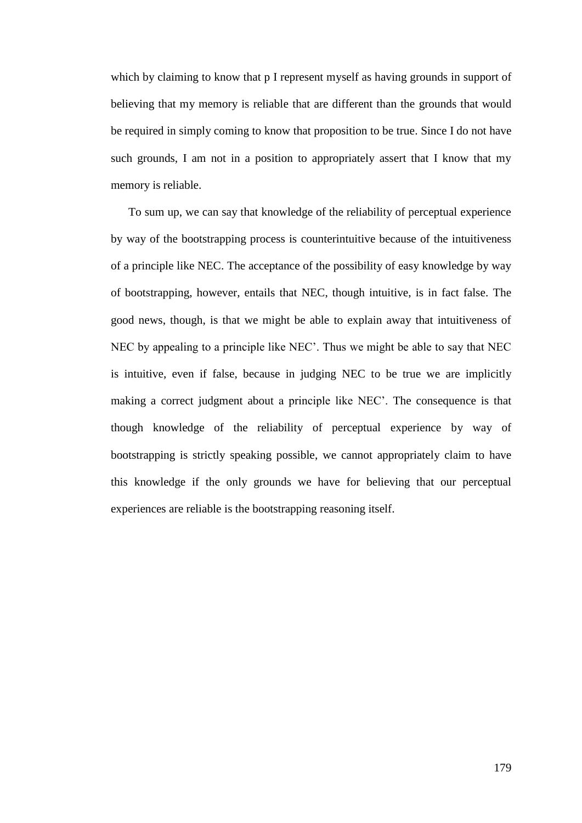which by claiming to know that p I represent myself as having grounds in support of believing that my memory is reliable that are different than the grounds that would be required in simply coming to know that proposition to be true. Since I do not have such grounds, I am not in a position to appropriately assert that I know that my memory is reliable.

To sum up, we can say that knowledge of the reliability of perceptual experience by way of the bootstrapping process is counterintuitive because of the intuitiveness of a principle like NEC. The acceptance of the possibility of easy knowledge by way of bootstrapping, however, entails that NEC, though intuitive, is in fact false. The good news, though, is that we might be able to explain away that intuitiveness of NEC by appealing to a principle like NEC'. Thus we might be able to say that NEC is intuitive, even if false, because in judging NEC to be true we are implicitly making a correct judgment about a principle like NEC'. The consequence is that though knowledge of the reliability of perceptual experience by way of bootstrapping is strictly speaking possible, we cannot appropriately claim to have this knowledge if the only grounds we have for believing that our perceptual experiences are reliable is the bootstrapping reasoning itself.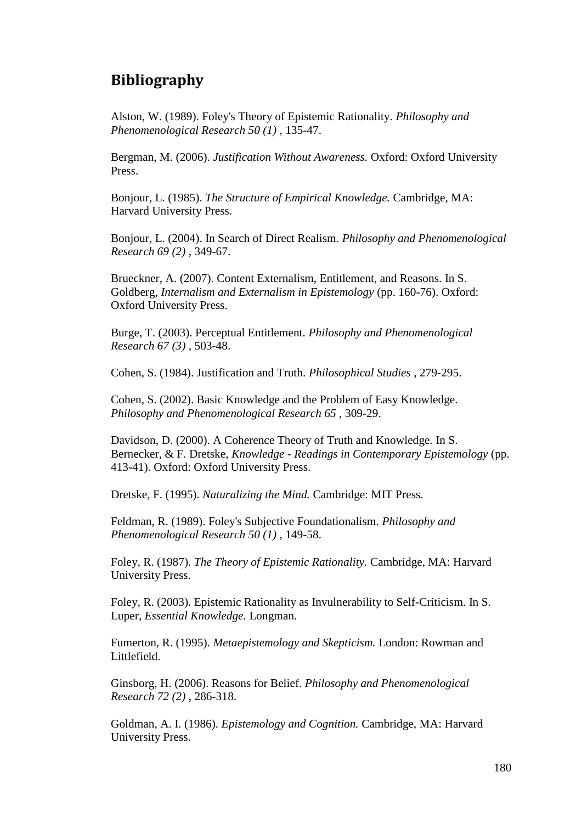## **Bibliography**

Alston, W. (1989). Foley's Theory of Epistemic Rationality. *Philosophy and Phenomenological Research 50 (1)* , 135-47.

Bergman, M. (2006). *Justification Without Awareness.* Oxford: Oxford University Press.

Bonjour, L. (1985). *The Structure of Empirical Knowledge.* Cambridge, MA: Harvard University Press.

Bonjour, L. (2004). In Search of Direct Realism. *Philosophy and Phenomenological Research 69 (2)* , 349-67.

Brueckner, A. (2007). Content Externalism, Entitlement, and Reasons. In S. Goldberg, *Internalism and Externalism in Epistemology* (pp. 160-76). Oxford: Oxford University Press.

Burge, T. (2003). Perceptual Entitlement. *Philosophy and Phenomenological Research 67 (3)* , 503-48.

Cohen, S. (1984). Justification and Truth. *Philosophical Studies* , 279-295.

Cohen, S. (2002). Basic Knowledge and the Problem of Easy Knowledge. *Philosophy and Phenomenological Research 65* , 309-29.

Davidson, D. (2000). A Coherence Theory of Truth and Knowledge. In S. Bernecker, & F. Dretske, *Knowledge - Readings in Contemporary Epistemology* (pp. 413-41). Oxford: Oxford University Press.

Dretske, F. (1995). *Naturalizing the Mind.* Cambridge: MIT Press.

Feldman, R. (1989). Foley's Subjective Foundationalism. *Philosophy and Phenomenological Research 50 (1)* , 149-58.

Foley, R. (1987). *The Theory of Epistemic Rationality.* Cambridge, MA: Harvard University Press.

Foley, R. (2003). Epistemic Rationality as Invulnerability to Self-Criticism. In S. Luper, *Essential Knowledge.* Longman.

Fumerton, R. (1995). *Metaepistemology and Skepticism.* London: Rowman and Littlefield.

Ginsborg, H. (2006). Reasons for Belief. *Philosophy and Phenomenological Research 72 (2)* , 286-318.

Goldman, A. I. (1986). *Epistemology and Cognition.* Cambridge, MA: Harvard University Press.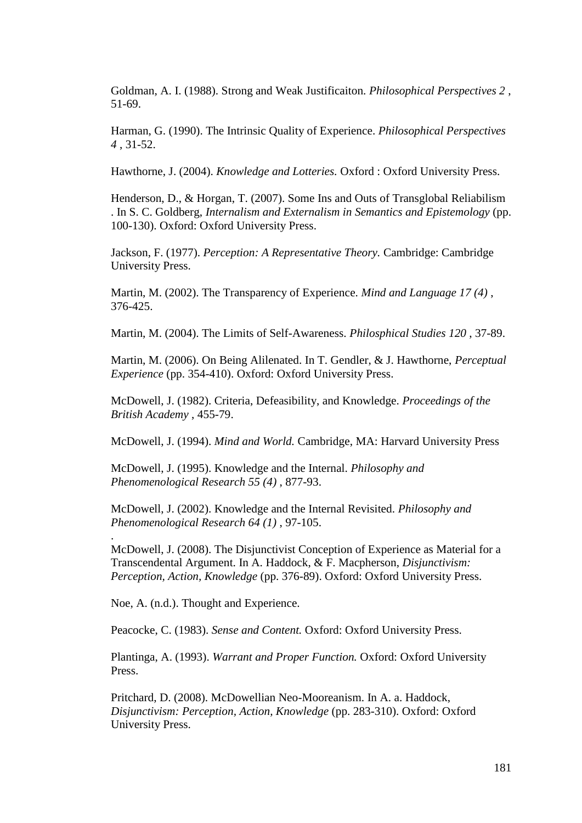Goldman, A. I. (1988). Strong and Weak Justificaiton. *Philosophical Perspectives 2* , 51-69.

Harman, G. (1990). The Intrinsic Quality of Experience. *Philosophical Perspectives 4* , 31-52.

Hawthorne, J. (2004). *Knowledge and Lotteries.* Oxford : Oxford University Press.

Henderson, D., & Horgan, T. (2007). Some Ins and Outs of Transglobal Reliabilism . In S. C. Goldberg, *Internalism and Externalism in Semantics and Epistemology* (pp. 100-130). Oxford: Oxford University Press.

Jackson, F. (1977). *Perception: A Representative Theory.* Cambridge: Cambridge University Press.

Martin, M. (2002). The Transparency of Experience. *Mind and Language 17 (4)* , 376-425.

Martin, M. (2004). The Limits of Self-Awareness. *Philosphical Studies 120* , 37-89.

Martin, M. (2006). On Being Alilenated. In T. Gendler, & J. Hawthorne, *Perceptual Experience* (pp. 354-410). Oxford: Oxford University Press.

McDowell, J. (1982). Criteria, Defeasibility, and Knowledge. *Proceedings of the British Academy* , 455-79.

McDowell, J. (1994). *Mind and World.* Cambridge, MA: Harvard University Press

McDowell, J. (1995). Knowledge and the Internal. *Philosophy and Phenomenological Research 55 (4)* , 877-93.

McDowell, J. (2002). Knowledge and the Internal Revisited. *Philosophy and Phenomenological Research 64 (1)* , 97-105.

McDowell, J. (2008). The Disjunctivist Conception of Experience as Material for a Transcendental Argument. In A. Haddock, & F. Macpherson, *Disjunctivism: Perception, Action, Knowledge* (pp. 376-89). Oxford: Oxford University Press.

Noe, A. (n.d.). Thought and Experience.

.

Peacocke, C. (1983). *Sense and Content.* Oxford: Oxford University Press.

Plantinga, A. (1993). *Warrant and Proper Function.* Oxford: Oxford University Press.

Pritchard, D. (2008). McDowellian Neo-Mooreanism. In A. a. Haddock, *Disjunctivism: Perception, Action, Knowledge* (pp. 283-310). Oxford: Oxford University Press.